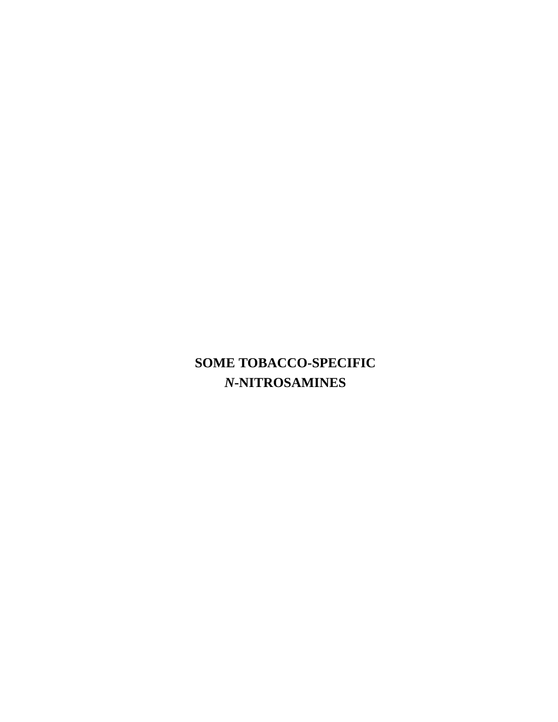# **SOME TOBACCO-SPECIFIC** *N***-NITROSAMINES**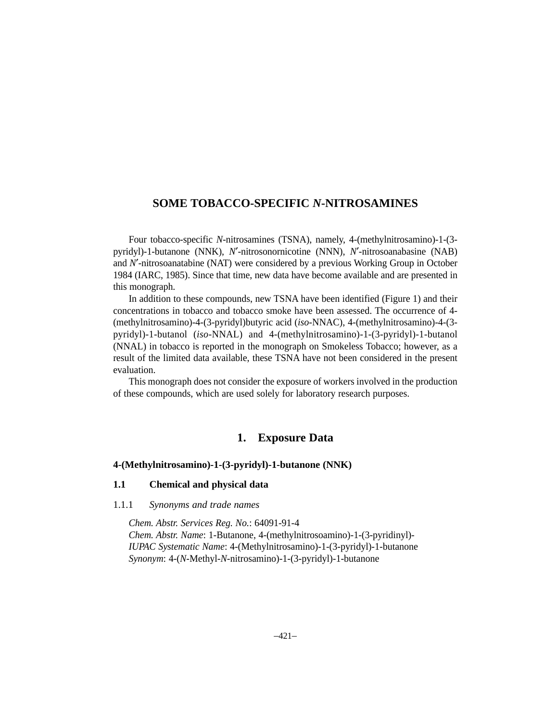# **SOME TOBACCO-SPECIFIC** *N***-NITROSAMINES**

Four tobacco-specific *N*-nitrosamines (TSNA), namely, 4-(methylnitrosamino)-1-(3 pyridyl)-1-butanone (NNK), *N*′-nitrosonornicotine (NNN), *N*′-nitrosoanabasine (NAB) and *N*′-nitrosoanatabine (NAT) were considered by a previous Working Group in October 1984 (IARC, 1985). Since that time, new data have become available and are presented in this monograph.

In addition to these compounds, new TSNA have been identified (Figure 1) and their concentrations in tobacco and tobacco smoke have been assessed. The occurrence of 4- (methylnitrosamino)-4-(3-pyridyl)butyric acid (*iso*-NNAC), 4-(methylnitrosamino)-4-(3 pyridyl)-1-butanol (*iso*-NNAL) and 4-(methylnitrosamino)-1-(3-pyridyl)-1-butanol (NNAL) in tobacco is reported in the monograph on Smokeless Tobacco; however, as a result of the limited data available, these TSNA have not been considered in the present evaluation.

This monograph does not consider the exposure of workers involved in the production of these compounds, which are used solely for laboratory research purposes.

# **1. Exposure Data**

# **4-(Methylnitrosamino)-1-(3-pyridyl)-1-butanone (NNK)**

# **1.1 Chemical and physical data**

# 1.1.1 *Synonyms and trade names*

*Chem. Abstr. Services Reg. No.*: 64091-91-4 *Chem. Abstr. Name*: 1-Butanone, 4-(methylnitrosoamino)-1-(3-pyridinyl)- *IUPAC Systematic Name*: 4-(Methylnitrosamino)-1-(3-pyridyl)-1-butanone *Synonym*: 4-(*N*-Methyl-*N*-nitrosamino)-1-(3-pyridyl)-1-butanone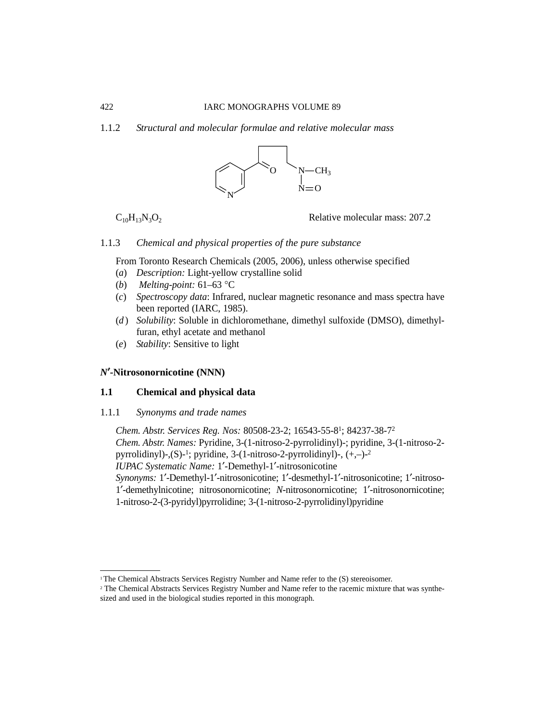1.1.2 *Structural and molecular formulae and relative molecular mass*



 $C_{10}H_{13}N_3O_2$  Relative molecular mass: 207.2

# 1.1.3 *Chemical and physical properties of the pure substance*

From Toronto Research Chemicals (2005, 2006), unless otherwise specified

- (*a*) *Description:* Light-yellow crystalline solid
- (*b*) *Melting-point:* 61–63 °C
- (*c*) *Spectroscopy data*: Infrared, nuclear magnetic resonance and mass spectra have been reported (IARC, 1985).
- (*d* ) *Solubility*: Soluble in dichloromethane, dimethyl sulfoxide (DMSO), dimethylfuran, ethyl acetate and methanol
- (*e*) *Stability*: Sensitive to light

# *N*′**-Nitrosonornicotine (NNN)**

#### **1.1 Chemical and physical data**

# 1.1.1 *Synonyms and trade names*

*Chem. Abstr. Services Reg. Nos:* 80508-23-2; 16543-55-81; 84237-38-72 *Chem. Abstr. Names:* Pyridine, 3-(1-nitroso-2-pyrrolidinyl)-; pyridine, 3-(1-nitroso-2 pyrrolidinyl)-, $(S)$ -<sup>1</sup>; pyridine, 3-(1-nitroso-2-pyrrolidinyl)-,  $(+,-)$ -<sup>2</sup> *IUPAC Systematic Name:* 1′-Demethyl-1′-nitrosonicotine *Synonyms:* 1′-Demethyl-1′-nitrosonicotine; 1′-desmethyl-1′-nitrosonicotine; 1′-nitroso-1′-demethylnicotine; nitrosonornicotine; *N-*nitrosonornicotine; 1′-nitrosonornicotine; 1-nitroso-2-(3-pyridyl)pyrrolidine; 3-(1-nitroso-2-pyrrolidinyl)pyridine

<sup>&</sup>lt;sup>1</sup> The Chemical Abstracts Services Registry Number and Name refer to the (S) stereoisomer.

<sup>2</sup> The Chemical Abstracts Services Registry Number and Name refer to the racemic mixture that was synthesized and used in the biological studies reported in this monograph.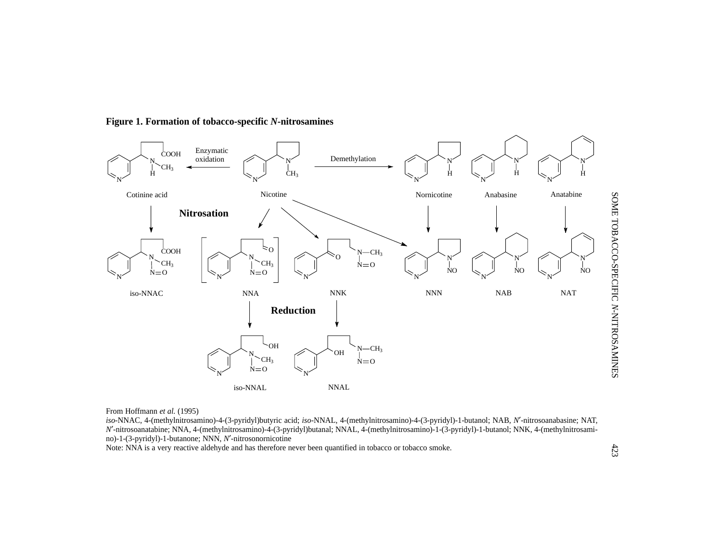

**Figure 1. Formation of tobacco-specific** *N***-nitrosamines**

From Hoffmann *et al.* (1995)

*iso*-NNAC, 4-(methylnitrosamino)-4-(3-pyridyl)butyric acid; *iso*-NNAL, 4-(methylnitrosamino)-4-(3-pyridyl)-1-butanol; NAB, *N*′-nitrosoanabasine; NAT, *N*′-nitrosoanatabine; NNA, 4-(methylnitrosamino)-4-(3-pyridyl)butanal; NNAL, 4-(methylnitrosamino)-1-(3-pyridyl)-1-butanol; NNK, 4-(methylnitrosamino)-1-(3-pyridyl)-1-butanone; NNN, *N*′-nitrosonornicotine

Note: NNA is a very reactive aldehyde and has therefore never been quantified in tobacco or tobacco smoke.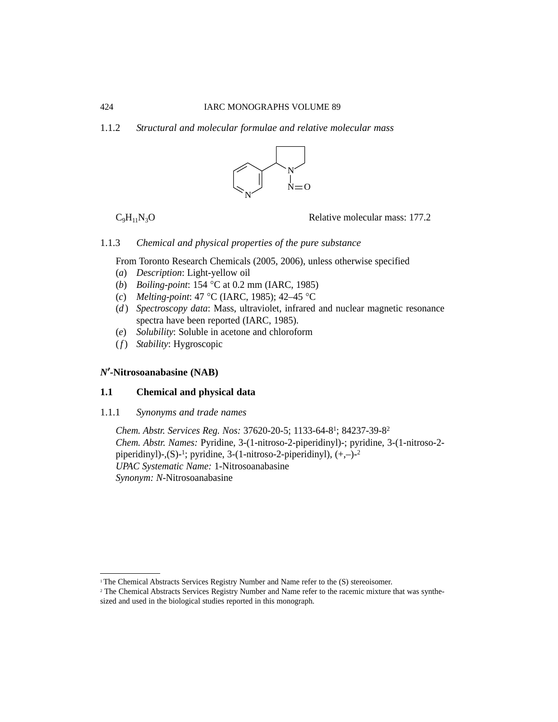1.1.2 *Structural and molecular formulae and relative molecular mass*



 $C_9H_{11}N_3O$  Relative molecular mass: 177.2

# 1.1.3 *Chemical and physical properties of the pure substance*

From Toronto Research Chemicals (2005, 2006), unless otherwise specified

- (*a*) *Description*: Light-yellow oil
- (*b*) *Boiling-point*: 154 °C at 0.2 mm (IARC, 1985)
- (*c*) *Melting-point*: 47 °C (IARC, 1985); 42–45 °C
- (*d* ) *Spectroscopy data*: Mass, ultraviolet, infrared and nuclear magnetic resonance spectra have been reported (IARC, 1985).
- (*e*) *Solubility*: Soluble in acetone and chloroform
- (*f*) *Stability*: Hygroscopic

# *N*′**-Nitrosoanabasine (NAB)**

# **1.1 Chemical and physical data**

1.1.1 *Synonyms and trade names*

*Chem. Abstr. Services Reg. Nos:* 37620-20-5; 1133-64-81; 84237-39-82 *Chem. Abstr. Names:* Pyridine, 3-(1-nitroso-2-piperidinyl)-; pyridine, 3-(1-nitroso-2 piperidinyl)-, $(S)$ -<sup>1</sup>; pyridine, 3-(1-nitroso-2-piperidinyl),  $(+,-)$ -<sup>2</sup> *UPAC Systematic Name:* 1-Nitrosoanabasine *Synonym: N-*Nitrosoanabasine

<sup>&</sup>lt;sup>1</sup> The Chemical Abstracts Services Registry Number and Name refer to the (S) stereoisomer.

<sup>2</sup> The Chemical Abstracts Services Registry Number and Name refer to the racemic mixture that was synthesized and used in the biological studies reported in this monograph.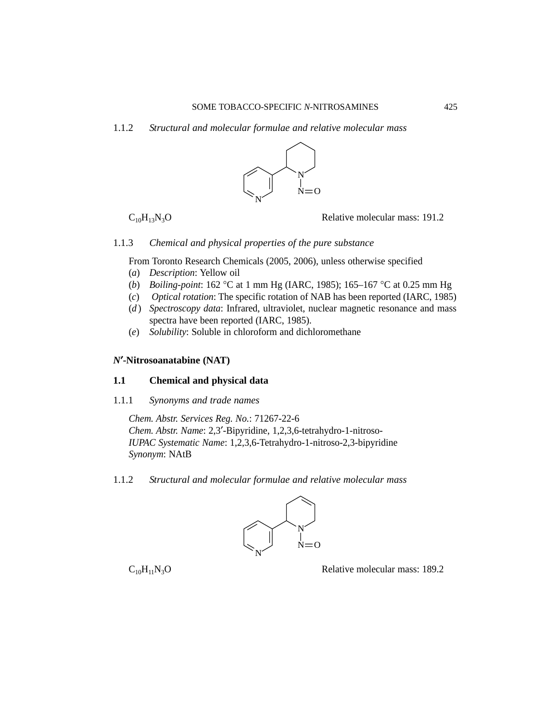1.1.2 *Structural and molecular formulae and relative molecular mass*



 $C_{10}H_{13}N_3O$  Relative molecular mass: 191.2

# 1.1.3 *Chemical and physical properties of the pure substance*

From Toronto Research Chemicals (2005, 2006), unless otherwise specified

- (*a*) *Description*: Yellow oil
- (*b*) *Boiling-point*: 162 °C at 1 mm Hg (IARC, 1985); 165–167 °C at 0.25 mm Hg
- (*c*) *Optical rotation*: The specific rotation of NAB has been reported (IARC, 1985)
- (*d*) *Spectroscopy data*: Infrared, ultraviolet, nuclear magnetic resonance and mass spectra have been reported (IARC, 1985).
- (*e*) *Solubility*: Soluble in chloroform and dichloromethane

# *N*′**-Nitrosoanatabine (NAT)**

### **1.1 Chemical and physical data**

### 1.1.1 *Synonyms and trade names*

*Chem. Abstr. Services Reg. No.*: 71267-22-6 *Chem. Abstr. Name*: 2,3′-Bipyridine, 1,2,3,6-tetrahydro-1-nitroso-*IUPAC Systematic Name*: 1,2,3,6-Tetrahydro-1-nitroso-2,3-bipyridine *Synonym*: NAtB

1.1.2 *Structural and molecular formulae and relative molecular mass*



 $C_{10}H_{11}N_3O$  Relative molecular mass: 189.2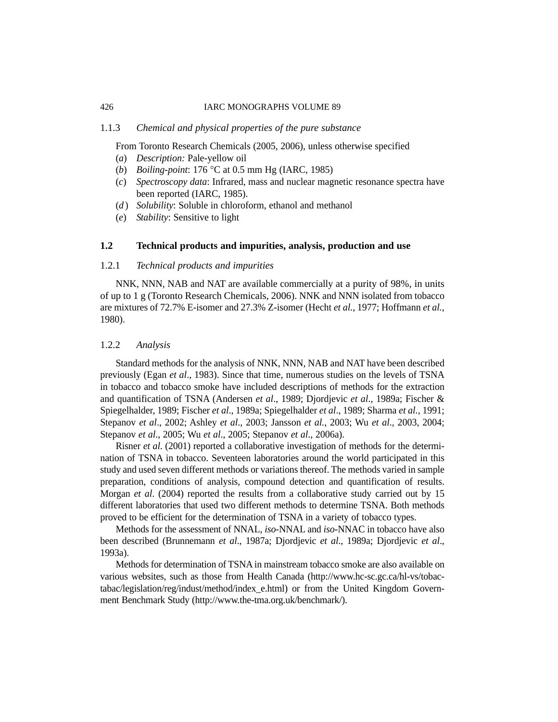#### 1.1.3 *Chemical and physical properties of the pure substance*

From Toronto Research Chemicals (2005, 2006), unless otherwise specified

- (*a*) *Description:* Pale-yellow oil
- (*b*) *Boiling-point*: 176 °C at 0.5 mm Hg (IARC, 1985)
- (*c*) *Spectroscopy data*: Infrared, mass and nuclear magnetic resonance spectra have been reported (IARC, 1985).
- (*d* ) *Solubility*: Soluble in chloroform, ethanol and methanol
- (*e*) *Stability*: Sensitive to light

# **1.2 Technical products and impurities, analysis, production and use**

# 1.2.1 *Technical products and impurities*

NNK, NNN, NAB and NAT are available commercially at a purity of 98%, in units of up to 1 g (Toronto Research Chemicals, 2006). NNK and NNN isolated from tobacco are mixtures of 72.7% E-isomer and 27.3% Z-isomer (Hecht *et al.*, 1977; Hoffmann *et al.*, 1980).

# 1.2.2 *Analysis*

Standard methods for the analysis of NNK, NNN, NAB and NAT have been described previously (Egan *et al*., 1983). Since that time, numerous studies on the levels of TSNA in tobacco and tobacco smoke have included descriptions of methods for the extraction and quantification of TSNA (Andersen *et al*., 1989; Djordjevic *et al*., 1989a; Fischer & Spiegelhalder, 1989; Fischer *et al*., 1989a; Spiegelhalder *et al*., 1989; Sharma *et al.*, 1991; Stepanov *et al*., 2002; Ashley *et al*., 2003; Jansson *et al.*, 2003; Wu *et al*., 2003, 2004; Stepanov *et al*., 2005; Wu *et al*., 2005; Stepanov *et al*., 2006a).

Risner *et al*. (2001) reported a collaborative investigation of methods for the determination of TSNA in tobacco. Seventeen laboratories around the world participated in this study and used seven different methods or variations thereof. The methods varied in sample preparation, conditions of analysis, compound detection and quantification of results. Morgan *et al*. (2004) reported the results from a collaborative study carried out by 15 different laboratories that used two different methods to determine TSNA. Both methods proved to be efficient for the determination of TSNA in a variety of tobacco types.

Methods for the assessment of NNAL, *iso*-NNAL and *iso*-NNAC in tobacco have also been described (Brunnemann *et al*., 1987a; Djordjevic *et al*., 1989a; Djordjevic *et al*., 1993a).

Methods for determination of TSNA in mainstream tobacco smoke are also available on various websites, such as those from Health Canada (http://www.hc-sc.gc.ca/hl-vs/tobactabac/legislation/reg/indust/method/index\_e.html) or from the United Kingdom Government Benchmark Study (http://www.the-tma.org.uk/benchmark/).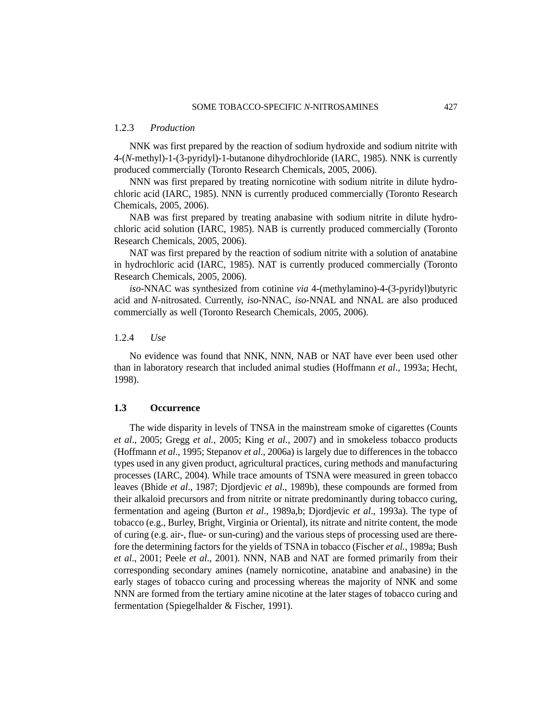#### 1.2.3 *Production*

NNK was first prepared by the reaction of sodium hydroxide and sodium nitrite with 4-(*N-*methyl)-1-(3-pyridyl)-1-butanone dihydrochloride (IARC, 1985). NNK is currently produced commercially (Toronto Research Chemicals, 2005, 2006).

NNN was first prepared by treating nornicotine with sodium nitrite in dilute hydrochloric acid (IARC, 1985). NNN is currently produced commercially (Toronto Research Chemicals, 2005, 2006).

NAB was first prepared by treating anabasine with sodium nitrite in dilute hydrochloric acid solution (IARC, 1985). NAB is currently produced commercially (Toronto Research Chemicals, 2005, 2006).

NAT was first prepared by the reaction of sodium nitrite with a solution of anatabine in hydrochloric acid (IARC, 1985). NAT is currently produced commercially (Toronto Research Chemicals, 2005, 2006).

*iso*-NNAC was synthesized from cotinine *via* 4-(methylamino)-4-(3-pyridyl)butyric acid and *N*-nitrosated. Currently, *iso*-NNAC, *iso*-NNAL and NNAL are also produced commercially as well (Toronto Research Chemicals, 2005, 2006).

# 1.2.4 *Use*

No evidence was found that NNK, NNN, NAB or NAT have ever been used other than in laboratory research that included animal studies (Hoffmann *et al*., 1993a; Hecht, 1998).

# **1.3 Occurrence**

The wide disparity in levels of TNSA in the mainstream smoke of cigarettes (Counts *et al*., 2005; Gregg *et al.*, 2005; King *et al.*, 2007) and in smokeless tobacco products (Hoffmann *et al*., 1995; Stepanov *et al*., 2006a) is largely due to differences in the tobacco types used in any given product, agricultural practices, curing methods and manufacturing processes (IARC, 2004). While trace amounts of TSNA were measured in green tobacco leaves (Bhide *et al*., 1987; Djordjevic *et al*., 1989b), these compounds are formed from their alkaloid precursors and from nitrite or nitrate predominantly during tobacco curing, fermentation and ageing (Burton *et al*., 1989a,b; Djordjevic *et al*., 1993a). The type of tobacco (e.g., Burley, Bright, Virginia or Oriental), its nitrate and nitrite content, the mode of curing (e.g. air-, flue- or sun-curing) and the various steps of processing used are therefore the determining factors for the yields of TSNA in tobacco (Fischer *et al.,* 1989a; Bush *et al*., 2001; Peele *et al*., 2001). NNN, NAB and NAT are formed primarily from their corresponding secondary amines (namely nornicotine, anatabine and anabasine) in the early stages of tobacco curing and processing whereas the majority of NNK and some NNN are formed from the tertiary amine nicotine at the later stages of tobacco curing and fermentation (Spiegelhalder & Fischer, 1991).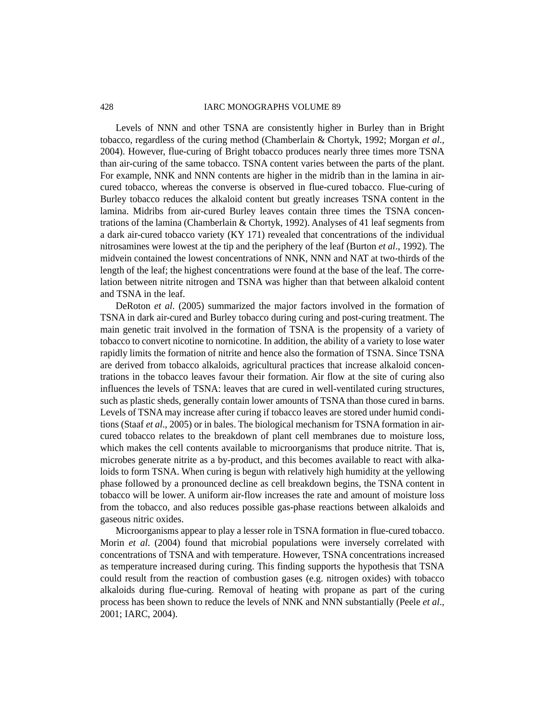Levels of NNN and other TSNA are consistently higher in Burley than in Bright tobacco, regardless of the curing method (Chamberlain & Chortyk, 1992; Morgan *et al*., 2004). However, flue-curing of Bright tobacco produces nearly three times more TSNA than air-curing of the same tobacco. TSNA content varies between the parts of the plant. For example, NNK and NNN contents are higher in the midrib than in the lamina in aircured tobacco, whereas the converse is observed in flue-cured tobacco. Flue-curing of Burley tobacco reduces the alkaloid content but greatly increases TSNA content in the lamina. Midribs from air-cured Burley leaves contain three times the TSNA concentrations of the lamina (Chamberlain & Chortyk, 1992). Analyses of 41 leaf segments from a dark air-cured tobacco variety (KY 171) revealed that concentrations of the individual nitrosamines were lowest at the tip and the periphery of the leaf (Burton *et al*., 1992). The midvein contained the lowest concentrations of NNK, NNN and NAT at two-thirds of the length of the leaf; the highest concentrations were found at the base of the leaf. The correlation between nitrite nitrogen and TSNA was higher than that between alkaloid content and TSNA in the leaf.

DeRoton *et al*. (2005) summarized the major factors involved in the formation of TSNA in dark air-cured and Burley tobacco during curing and post-curing treatment. The main genetic trait involved in the formation of TSNA is the propensity of a variety of tobacco to convert nicotine to nornicotine. In addition, the ability of a variety to lose water rapidly limits the formation of nitrite and hence also the formation of TSNA. Since TSNA are derived from tobacco alkaloids, agricultural practices that increase alkaloid concentrations in the tobacco leaves favour their formation. Air flow at the site of curing also influences the levels of TSNA: leaves that are cured in well-ventilated curing structures, such as plastic sheds, generally contain lower amounts of TSNA than those cured in barns. Levels of TSNA may increase after curing if tobacco leaves are stored under humid conditions (Staaf *et al*., 2005) or in bales. The biological mechanism for TSNA formation in aircured tobacco relates to the breakdown of plant cell membranes due to moisture loss, which makes the cell contents available to microorganisms that produce nitrite. That is, microbes generate nitrite as a by-product, and this becomes available to react with alkaloids to form TSNA. When curing is begun with relatively high humidity at the yellowing phase followed by a pronounced decline as cell breakdown begins, the TSNA content in tobacco will be lower. A uniform air-flow increases the rate and amount of moisture loss from the tobacco, and also reduces possible gas-phase reactions between alkaloids and gaseous nitric oxides.

Microorganisms appear to play a lesser role in TSNA formation in flue-cured tobacco. Morin *et al*. (2004) found that microbial populations were inversely correlated with concentrations of TSNA and with temperature. However, TSNA concentrations increased as temperature increased during curing. This finding supports the hypothesis that TSNA could result from the reaction of combustion gases (e.g. nitrogen oxides) with tobacco alkaloids during flue-curing. Removal of heating with propane as part of the curing process has been shown to reduce the levels of NNK and NNN substantially (Peele *et al*., 2001; IARC, 2004).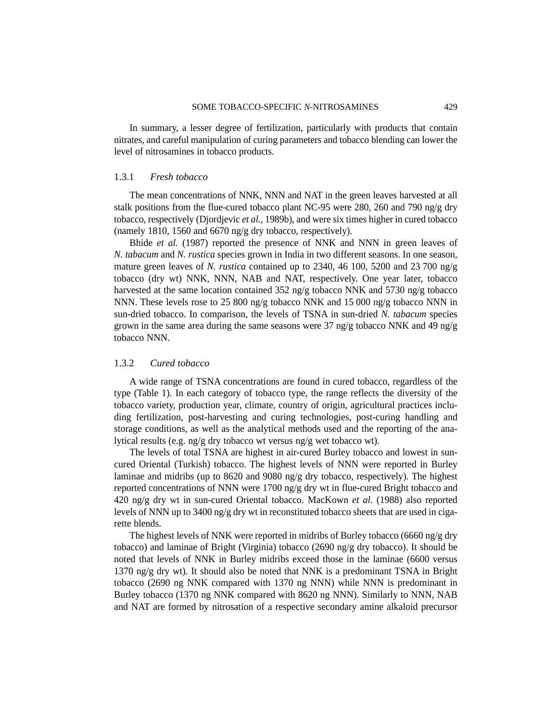In summary, a lesser degree of fertilization, particularly with products that contain nitrates, and careful manipulation of curing parameters and tobacco blending can lower the level of nitrosamines in tobacco products.

# 1.3.1 *Fresh tobacco*

The mean concentrations of NNK, NNN and NAT in the green leaves harvested at all stalk positions from the flue-cured tobacco plant NC-95 were 280, 260 and 790 ng/g dry tobacco, respectively (Djordjevic *et al.*, 1989b), and were six times higher in cured tobacco (namely 1810, 1560 and 6670 ng/g dry tobacco, respectively).

Bhide *et al.* (1987) reported the presence of NNK and NNN in green leaves of *N. tabacum* and *N. rustica* species grown in India in two different seasons. In one season, mature green leaves of *N. rustica* contained up to 2340, 46 100, 5200 and 23 700 ng/g tobacco (dry wt) NNK, NNN, NAB and NAT, respectively. One year later, tobacco harvested at the same location contained 352 ng/g tobacco NNK and 5730 ng/g tobacco NNN. These levels rose to 25 800 ng/g tobacco NNK and 15 000 ng/g tobacco NNN in sun-dried tobacco. In comparison, the levels of TSNA in sun-dried *N. tabacum* species grown in the same area during the same seasons were 37 ng/g tobacco NNK and 49 ng/g tobacco NNN.

# 1.3.2 *Cured tobacco*

A wide range of TSNA concentrations are found in cured tobacco, regardless of the type (Table 1). In each category of tobacco type, the range reflects the diversity of the tobacco variety, production year, climate, country of origin, agricultural practices including fertilization, post-harvesting and curing technologies, post-curing handling and storage conditions, as well as the analytical methods used and the reporting of the analytical results (e.g. ng/g dry tobacco wt versus ng/g wet tobacco wt).

The levels of total TSNA are highest in air-cured Burley tobacco and lowest in suncured Oriental (Turkish) tobacco. The highest levels of NNN were reported in Burley laminae and midribs (up to 8620 and 9080 ng/g dry tobacco, respectively). The highest reported concentrations of NNN were 1700 ng/g dry wt in flue-cured Bright tobacco and 420 ng/g dry wt in sun-cured Oriental tobacco. MacKown *et al*. (1988) also reported levels of NNN up to 3400 ng/g dry wt in reconstituted tobacco sheets that are used in cigarette blends.

The highest levels of NNK were reported in midribs of Burley tobacco (6660 ng/g dry tobacco) and laminae of Bright (Virginia) tobacco (2690 ng/g dry tobacco). It should be noted that levels of NNK in Burley midribs exceed those in the laminae (6600 versus 1370 ng/g dry wt). It should also be noted that NNK is a predominant TSNA in Bright tobacco (2690 ng NNK compared with 1370 ng NNN) while NNN is predominant in Burley tobacco (1370 ng NNK compared with 8620 ng NNN). Similarly to NNN, NAB and NAT are formed by nitrosation of a respective secondary amine alkaloid precursor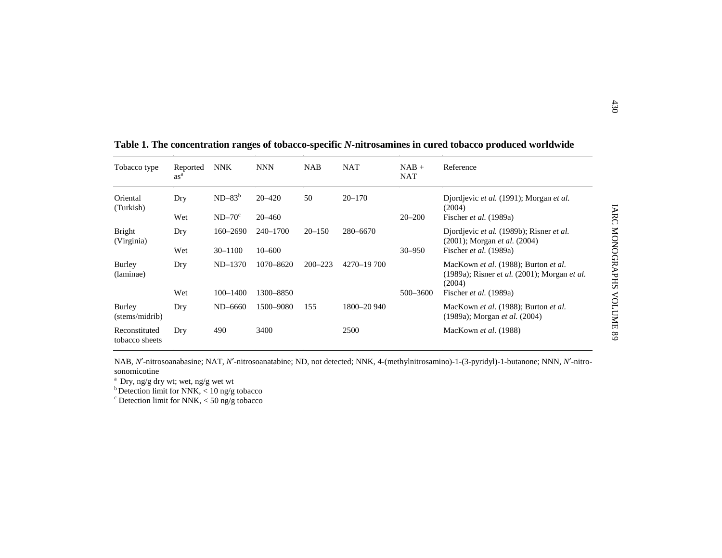|                                 |                    |                             |                          |             |             |                       | Table 1. The concentration ranges of tobacco-specific N-nitrosamines in cured tobacco produced worldwide |
|---------------------------------|--------------------|-----------------------------|--------------------------|-------------|-------------|-----------------------|----------------------------------------------------------------------------------------------------------|
| Tobacco type                    | Reported<br>$as^a$ | <b>NNK</b>                  | <b>NNN</b>               | <b>NAB</b>  | <b>NAT</b>  | $NAB +$<br><b>NAT</b> | Reference                                                                                                |
| Oriental<br>(Turkish)           | Dry<br>Wet         | $ND-83b$<br>$ND-70^{\circ}$ | $20 - 420$<br>$20 - 460$ | 50          | $20 - 170$  | $20 - 200$            | Djordjevic et al. (1991); Morgan et al.<br>(2004)<br>Fischer et al. (1989a)                              |
| <b>Bright</b><br>(Virginia)     | Dry<br>Wet         | 160-2690<br>$30 - 1100$     | 240-1700<br>$10 - 600$   | $20 - 150$  | 280-6670    | $30 - 950$            | Djordjevic et al. (1989b); Risner et al.<br>(2001); Morgan et al. (2004)<br>Fischer et al. (1989a)       |
| <b>Burley</b><br>(laminae)      | Dry                | ND-1370                     | 1070-8620                | $200 - 223$ | 4270-19 700 |                       | MacKown et al. (1988); Burton et al.<br>(1989a); Risner et al. (2001); Morgan et al.<br>(2004)           |
| <b>Burley</b><br>(stems/midrib) | Wet<br>Dry         | $100 - 1400$<br>$ND-6660$   | 1300-8850<br>1500-9080   | 155         | 1800-20 940 | 500-3600              | Fischer et al. (1989a)<br>MacKown et al. (1988); Burton et al.<br>(1989a); Morgan et al. (2004)          |
| Reconstituted<br>tobacco sheets | Dry                | 490                         | 3400                     |             | 2500        |                       | MacKown et al. (1988)                                                                                    |

NAB, *N*′-nitrosoanabasine; NAT, *N*′-nitrosoanatabine; ND, not detected; NNK, 4-(methylnitrosamino)-1-(3-pyridyl)-1-butanone; NNN, *N*′-nitrosonornicotine

<sup>a</sup> Dry, ng/g dry wt; wet, ng/g wet wt<br><sup>b</sup> Detection limit for NNK, < 10 ng/g tobacco<sup>c</sup> Detection limit for NNK, < 50 ng/g tobacco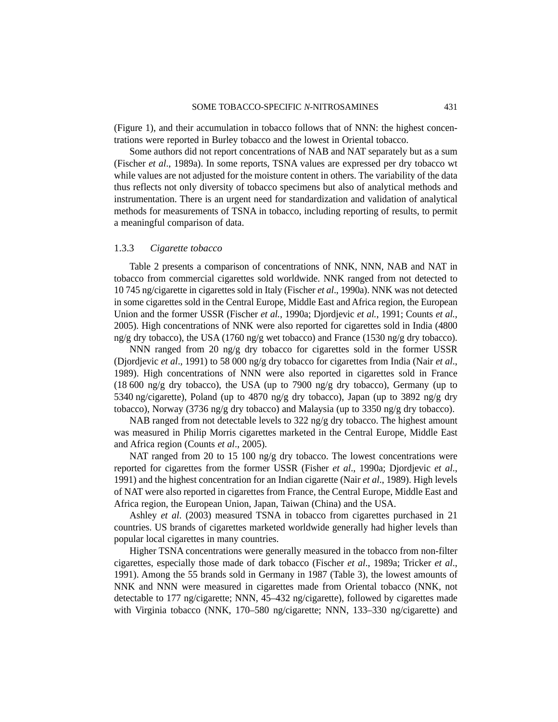(Figure 1), and their accumulation in tobacco follows that of NNN: the highest concentrations were reported in Burley tobacco and the lowest in Oriental tobacco.

Some authors did not report concentrations of NAB and NAT separately but as a sum (Fischer *et al*., 1989a). In some reports, TSNA values are expressed per dry tobacco wt while values are not adjusted for the moisture content in others. The variability of the data thus reflects not only diversity of tobacco specimens but also of analytical methods and instrumentation. There is an urgent need for standardization and validation of analytical methods for measurements of TSNA in tobacco, including reporting of results, to permit a meaningful comparison of data.

#### 1.3.3 *Cigarette tobacco*

Table 2 presents a comparison of concentrations of NNK, NNN, NAB and NAT in tobacco from commercial cigarettes sold worldwide. NNK ranged from not detected to 10 745 ng/cigarette in cigarettes sold in Italy (Fischer *et al*., 1990a). NNK was not detected in some cigarettes sold in the Central Europe, Middle East and Africa region, the European Union and the former USSR (Fischer *et al.*, 1990a; Djordjevic *et al.*, 1991; Counts *et al.*, 2005). High concentrations of NNK were also reported for cigarettes sold in India (4800 ng/g dry tobacco), the USA (1760 ng/g wet tobacco) and France (1530 ng/g dry tobacco).

NNN ranged from 20 ng/g dry tobacco for cigarettes sold in the former USSR (Djordjevic *et al*., 1991) to 58 000 ng/g dry tobacco for cigarettes from India (Nair *et al*., 1989). High concentrations of NNN were also reported in cigarettes sold in France (18 600 ng/g dry tobacco), the USA (up to 7900 ng/g dry tobacco), Germany (up to 5340 ng/cigarette), Poland (up to 4870 ng/g dry tobacco), Japan (up to 3892 ng/g dry tobacco), Norway (3736 ng/g dry tobacco) and Malaysia (up to 3350 ng/g dry tobacco).

NAB ranged from not detectable levels to 322 ng/g dry tobacco. The highest amount was measured in Philip Morris cigarettes marketed in the Central Europe, Middle East and Africa region (Counts *et al*., 2005).

NAT ranged from 20 to 15 100 ng/g dry tobacco. The lowest concentrations were reported for cigarettes from the former USSR (Fisher *et al*., 1990a; Djordjevic *et al*., 1991) and the highest concentration for an Indian cigarette (Nair *et al*., 1989). High levels of NAT were also reported in cigarettes from France, the Central Europe, Middle East and Africa region, the European Union, Japan, Taiwan (China) and the USA.

Ashley *et al*. (2003) measured TSNA in tobacco from cigarettes purchased in 21 countries. US brands of cigarettes marketed worldwide generally had higher levels than popular local cigarettes in many countries.

Higher TSNA concentrations were generally measured in the tobacco from non-filter cigarettes, especially those made of dark tobacco (Fischer *et al*., 1989a; Tricker *et al*., 1991). Among the 55 brands sold in Germany in 1987 (Table 3), the lowest amounts of NNK and NNN were measured in cigarettes made from Oriental tobacco (NNK, not detectable to 177 ng/cigarette; NNN, 45–432 ng/cigarette), followed by cigarettes made with Virginia tobacco (NNK, 170–580 ng/cigarette; NNN, 133–330 ng/cigarette) and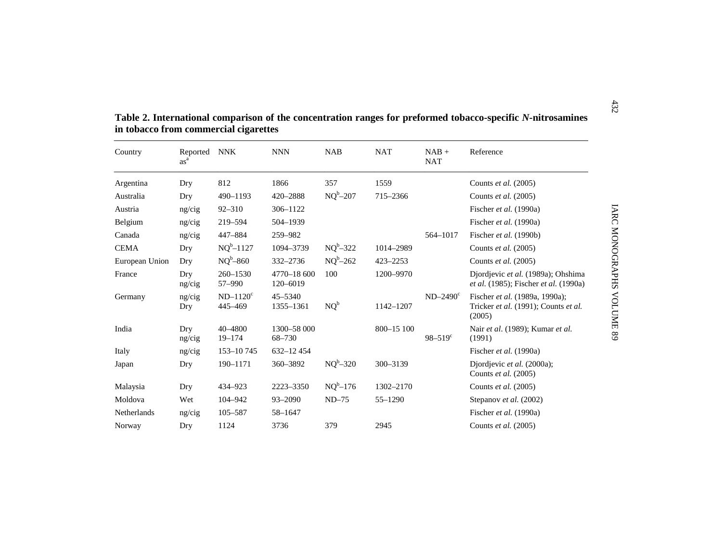| Country        | Reported NNK<br>$as^a$ |                        | <b>NNN</b>              | <b>NAB</b>    | <b>NAT</b>   | $NAB +$<br><b>NAT</b>   | Reference                                                                                 |
|----------------|------------------------|------------------------|-------------------------|---------------|--------------|-------------------------|-------------------------------------------------------------------------------------------|
| Argentina      | Dry                    | 812                    | 1866                    | 357           | 1559         |                         | Counts et al. (2005)                                                                      |
| Australia      | Dry                    | 490-1193               | 420-2888                | $NQ^{b}$ –207 | 715-2366     |                         | Counts et al. (2005)                                                                      |
| Austria        | ng/cig                 | $92 - 310$             | 306-1122                |               |              |                         | Fischer et al. (1990a)                                                                    |
| Belgium        | ng/cig                 | 219-594                | 504-1939                |               |              |                         | Fischer et al. (1990a)                                                                    |
| Canada         | ng/cig                 | 447-884                | 259-982                 |               |              | 564-1017                | Fischer et al. (1990b)                                                                    |
| <b>CEMA</b>    | Dry                    | $NQ^{b} - 1127$        | 1094-3739               | $NQ^b - 322$  | 1014-2989    |                         | Counts et al. (2005)                                                                      |
| European Union | Dry                    | $NQ^b - 860$           | 332-2736                | $NQ^b - 262$  | $423 - 2253$ |                         | Counts et al. (2005)                                                                      |
| France         | Dry<br>ng/cig          | $260 - 1530$<br>57-990 | 4770-18 600<br>120-6019 | 100           | 1200-9970    |                         | Djordjevic et al. (1989a); Ohshima<br><i>et al.</i> (1985); Fischer <i>et al.</i> (1990a) |
| Germany        | ng/cig<br>Dry          | $ND-1120^c$<br>445-469 | 45-5340<br>1355-1361    | $NQ^b$        | 1142-1207    | $ND-2490^{\circ}$       | Fischer et al. (1989a, 1990a);<br>Tricker et al. (1991); Counts et al.<br>(2005)          |
| India          | Dry<br>ng/cig          | 40-4800<br>$19 - 174$  | 1300-58 000<br>68-730   |               | 800-15 100   | $98 - 519$ <sup>c</sup> | Nair et al. (1989); Kumar et al.<br>(1991)                                                |
| Italy          | ng/cig                 | 153-10745              | 632-12454               |               |              |                         | Fischer et al. (1990a)                                                                    |
| Japan          | Dry                    | 190-1171               | 360-3892                | $NQ^{b}$ –320 | 300-3139     |                         | Djordjevic et al. (2000a);<br>Counts et al. (2005)                                        |
| Malaysia       | Dry                    | 434-923                | 2223-3350               | $NOb$ -176    | 1302-2170    |                         | Counts $et$ al. (2005)                                                                    |
| Moldova        | Wet                    | 104-942                | 93-2090                 | $ND-75$       | 55-1290      |                         | Stepanov et al. (2002)                                                                    |
| Netherlands    | ng/cig                 | 105-587                | 58-1647                 |               |              |                         | Fischer et al. (1990a)                                                                    |
| Norway         | Dry                    | 1124                   | 3736                    | 379           | 2945         |                         | Counts et al. (2005)                                                                      |

*N***-nitrosamines in tobacco from commercial cigarettes**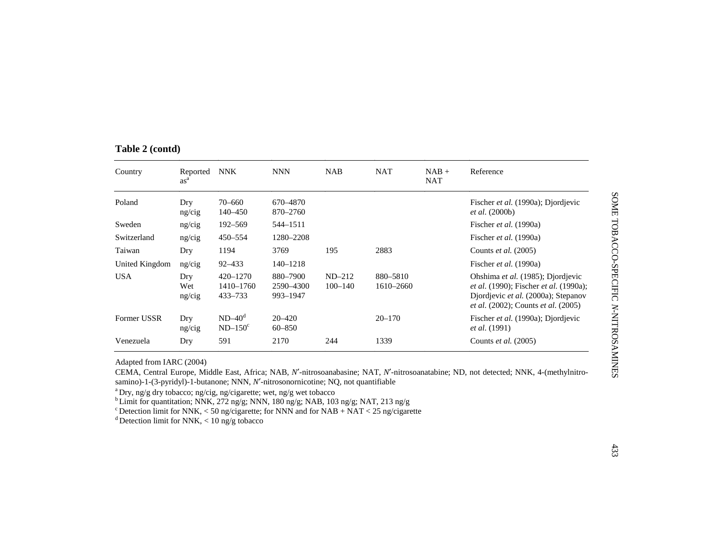|  | Table 2 (contd) |
|--|-----------------|
|  |                 |

| Country        | Reported<br>as <sup>a</sup> | <b>NNK</b>                       | <b>NNN</b>                        | <b>NAB</b>              | <b>NAT</b>            | $NAB +$<br><b>NAT</b> | Reference                                                                                                                                                                             |
|----------------|-----------------------------|----------------------------------|-----------------------------------|-------------------------|-----------------------|-----------------------|---------------------------------------------------------------------------------------------------------------------------------------------------------------------------------------|
| Poland         | Dry<br>ng/cig               | 70–660<br>140-450                | 670–4870<br>870-2760              |                         |                       |                       | Fischer <i>et al.</i> (1990a); Djordjevic<br><i>et al.</i> (2000b)                                                                                                                    |
| Sweden         | ng/cig                      | 192–569                          | 544-1511                          |                         |                       |                       | Fischer et al. (1990a)                                                                                                                                                                |
| Switzerland    | ng/cig                      | 450-554                          | 1280-2208                         |                         |                       |                       | Fischer et al. (1990a)                                                                                                                                                                |
| Taiwan         | Dry                         | 1194                             | 3769                              | 195                     | 2883                  |                       | Counts et al. (2005)                                                                                                                                                                  |
| United Kingdom | ng/cig                      | $92 - 433$                       | 140-1218                          |                         |                       |                       | Fischer et al. (1990a)                                                                                                                                                                |
| <b>USA</b>     | Dry<br>Wet<br>ng/cig        | 420-1270<br>1410-1760<br>433-733 | 880-7900<br>2590-4300<br>993-1947 | $ND-212$<br>$100 - 140$ | 880-5810<br>1610-2660 |                       | Ohshima et al. (1985); Djordjevic<br><i>et al.</i> (1990); Fischer <i>et al.</i> (1990a);<br>Djordjevic et al. (2000a); Stepanov<br><i>et al.</i> (2002); Counts <i>et al.</i> (2005) |
| Former USSR    | Dry<br>ng/cig               | $ND-40^d$<br>$ND-150^{\circ}$    | $20 - 420$<br>60–850              |                         | $20 - 170$            |                       | Fischer et al. (1990a); Djordjevic<br><i>et al.</i> (1991)                                                                                                                            |
| Venezuela      | Dry                         | 591                              | 2170                              | 244                     | 1339                  |                       | Counts et al. (2005)                                                                                                                                                                  |

Adapted from IARC (2004)

CEMA, Central Europe, Middle East, Africa; NAB, *N*′-nitrosoanabasine; NAT, *N*′-nitrosoanatabine; ND, not detected; NNK, 4-(methylnitrosamino)-1-(3-pyridyl)-1-butanone; NNN, *N*′-nitrosonornicotine; NQ, not quantifiable

<sup>a</sup> Dry, ng/g dry tobacco; ng/cig, ng/cigarette; wet, ng/g wet tobacco<br><sup>b</sup> Limit for quantitation; NNK, 272 ng/g; NNN, 180 ng/g; NAB, 103 ng/g; NAT, 213 ng/g<br><sup>c</sup> Detection limit for NNK, < 50 ng/cigarette; for NNN and for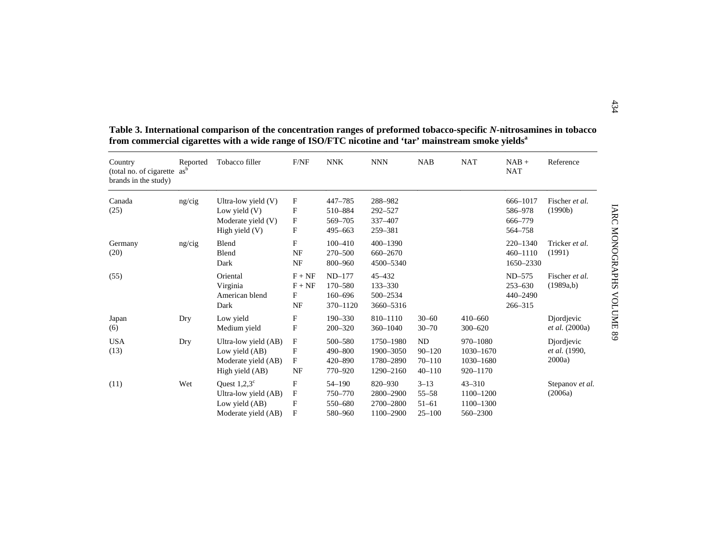| Country<br>(total no. of cigarette as <sup>b</sup><br>brands in the study) | Reported | Tobacco filler                                                                   | F/NF                                                      | <b>NNK</b>                                     | <b>NNN</b>                                       | <b>NAB</b>                                       | <b>NAT</b>                                       | $NAB +$<br><b>NAT</b>                          | Reference                             |
|----------------------------------------------------------------------------|----------|----------------------------------------------------------------------------------|-----------------------------------------------------------|------------------------------------------------|--------------------------------------------------|--------------------------------------------------|--------------------------------------------------|------------------------------------------------|---------------------------------------|
| Canada<br>(25)                                                             | ng/cig   | Ultra-low yield (V)<br>Low yield $(V)$<br>Moderate yield (V)<br>High yield $(V)$ | F<br>F<br>$\mathbf{F}$<br>F                               | 447-785<br>510-884<br>569-705<br>495-663       | 288-982<br>292-527<br>337-407<br>259-381         |                                                  |                                                  | 666-1017<br>586-978<br>666-779<br>564-758      | Fischer et al.<br>(1990b)             |
| Germany<br>(20)                                                            | ng/cig   | Blend<br>Blend<br>Dark                                                           | F<br>NF<br><b>NF</b>                                      | $100 - 410$<br>270-500<br>800-960              | $400 - 1390$<br>660-2670<br>4500-5340            |                                                  |                                                  | 220-1340<br>$460 - 1110$<br>1650-2330          | Tricker et al.<br>(1991)              |
| (55)                                                                       |          | Oriental<br>Virginia<br>American blend<br>Dark                                   | $F + NF$<br>$F + NF$<br>F<br><b>NF</b>                    | $ND-177$<br>170–580<br>$160 - 696$<br>370-1120 | 45-432<br>133-330<br>500-2534<br>3660-5316       |                                                  |                                                  | $ND-575$<br>$253 - 630$<br>440-2490<br>266-315 | Fischer et al.<br>(1989a,b)           |
| Japan<br>(6)                                                               | Dry      | Low yield<br>Medium yield                                                        | F<br>$\mathbf{F}$                                         | $190 - 330$<br>200-320                         | 810-1110<br>360-1040                             | $30 - 60$<br>$30 - 70$                           | $410 - 660$<br>$300 - 620$                       |                                                | Diordievic<br><i>et al.</i> (2000a)   |
| <b>USA</b><br>(13)                                                         | Dry      | Ultra-low yield (AB)<br>Low yield (AB)<br>Moderate yield (AB)<br>High yield (AB) | $\mathbf{F}$<br>$\mathbf{F}$<br>$\mathbf{F}$<br><b>NF</b> | 500-580<br>490-800<br>$420 - 890$<br>770-920   | 1750-1980<br>1900-3050<br>1780-2890<br>1290-2160 | ND<br>$90 - 120$<br>$70 - 110$<br>$40 - 110$     | 970-1080<br>1030-1670<br>1030-1680<br>920-1170   |                                                | Djordjevic<br>et al. (1990,<br>2000a) |
| (11)                                                                       | Wet      | Quest $1,2,3^c$<br>Ultra-low yield (AB)<br>Low yield (AB)<br>Moderate yield (AB) | $\mathbf{F}$<br>$\mathbf{F}$<br>F<br>$\mathbf{F}$         | 54-190<br>750-770<br>550-680<br>580-960        | 820-930<br>2800-2900<br>2700-2800<br>1100-2900   | $3 - 13$<br>$55 - 58$<br>$51 - 61$<br>$25 - 100$ | $43 - 310$<br>1100-1200<br>1100-1300<br>560-2300 |                                                | Stepanov et al.<br>(2006a)            |

| Table 3. International comparison of the concentration ranges of preformed tobacco-specific N-nitrosamines in tobacco |  |
|-----------------------------------------------------------------------------------------------------------------------|--|
| from commercial cigarettes with a wide range of ISO/FTC nicotine and 'tar' mainstream smoke vields <sup>a</sup>       |  |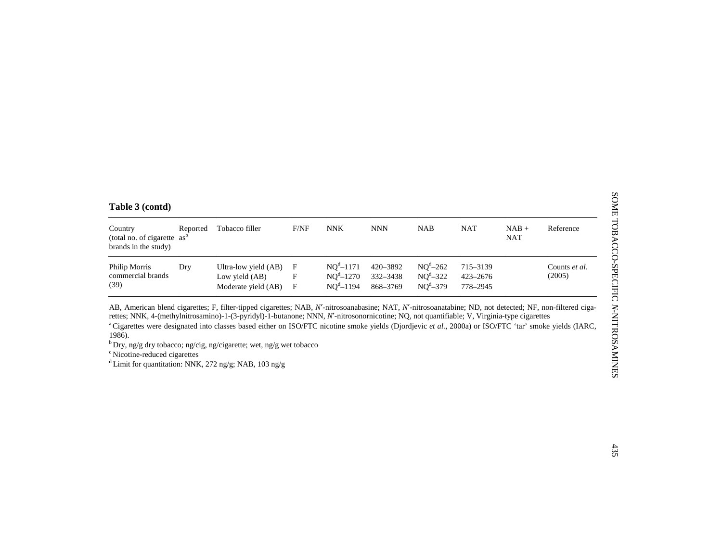# **Table 3 (contd)**

| Country<br>(total no. of cigarette $asb$<br>brands in the study) | Reported | Tobacco filler                                                | F/NF            | <b>NNK</b>                               | <b>NNN</b>                       | <b>NAB</b>                              | <b>NAT</b>                       | $NAB +$<br><b>NAT</b> | Reference               |
|------------------------------------------------------------------|----------|---------------------------------------------------------------|-----------------|------------------------------------------|----------------------------------|-----------------------------------------|----------------------------------|-----------------------|-------------------------|
| Philip Morris<br>commercial brands<br>(39)                       | Dry      | Ultra-low yield (AB)<br>Low yield (AB)<br>Moderate yield (AB) | - F<br>F<br>- F | $NOd-1171$<br>$NOd$ -1270<br>$NOd$ -1194 | 420-3892<br>332-3438<br>868-3769 | $NQ^d - 262$<br>$NOd-322$<br>$NOd$ -379 | 715–3139<br>423-2676<br>778-2945 |                       | Counts et al.<br>(2005) |

AB, American blend cigarettes; F, filter-tipped cigarettes; NAB, *N*′-nitrosoanabasine; NAT, *N*′-nitrosoanatabine; ND, not detected; NF, non-filtered cigarettes; NNK, 4-(methylnitrosamino)-1-(3-pyridyl)-1-butanone; NNN, *N*′-nitrosonornicotine; NQ, not quantifiable; V, Virginia-type cigarettes

<sup>a</sup> Cigarettes were designated into classes based either on ISO/FTC nicotine smoke yields (Djordjevic *et al.*, 2000a) or ISO/FTC 'tar' smoke yields (IARC, 1986).

 $<sup>b</sup>$  Dry, ng/g dry tobacco; ng/cig, ng/cigarette; wet, ng/g wet tobacco</sup>

c Nicotine-reduced cigarettes

<sup>d</sup> Limit for quantitation: NNK, 272 ng/g; NAB, 103 ng/g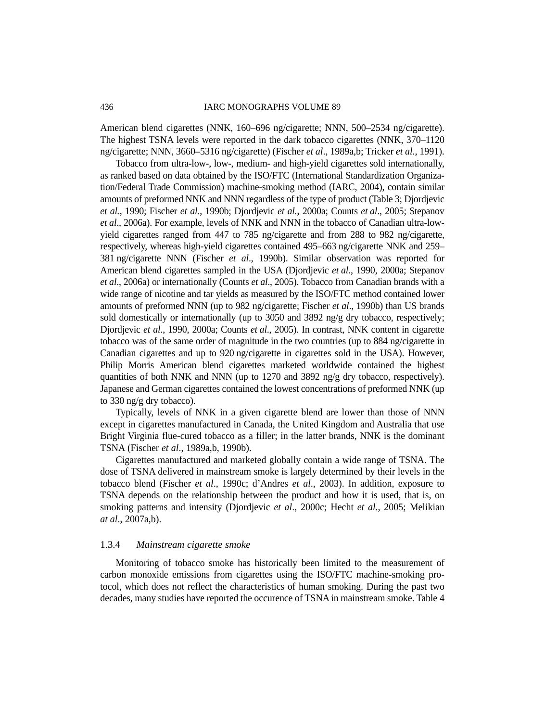American blend cigarettes (NNK, 160–696 ng/cigarette; NNN, 500–2534 ng/cigarette). The highest TSNA levels were reported in the dark tobacco cigarettes (NNK, 370–1120 ng/cigarette; NNN, 3660–5316 ng/cigarette) (Fischer *et al*., 1989a,b; Tricker *et al*., 1991).

Tobacco from ultra-low-, low-, medium- and high-yield cigarettes sold internationally, as ranked based on data obtained by the ISO/FTC (International Standardization Organization/Federal Trade Commission) machine-smoking method (IARC, 2004), contain similar amounts of preformed NNK and NNN regardless of the type of product (Table 3; Djordjevic *et al.*, 1990; Fischer *et al.*, 1990b; Djordjevic *et al.*, 2000a; Counts *et al*., 2005; Stepanov *et al*., 2006a). For example, levels of NNK and NNN in the tobacco of Canadian ultra-lowyield cigarettes ranged from 447 to 785 ng/cigarette and from 288 to 982 ng/cigarette, respectively, whereas high-yield cigarettes contained 495–663 ng/cigarette NNK and 259– 381 ng/cigarette NNN (Fischer *et al*., 1990b). Similar observation was reported for American blend cigarettes sampled in the USA (Djordjevic *et al*., 1990, 2000a; Stepanov *et al*., 2006a) or internationally (Counts *et al*., 2005). Tobacco from Canadian brands with a wide range of nicotine and tar yields as measured by the ISO/FTC method contained lower amounts of preformed NNN (up to 982 ng/cigarette; Fischer *et al*., 1990b) than US brands sold domestically or internationally (up to 3050 and 3892 ng/g dry tobacco, respectively; Djordjevic *et al*., 1990, 2000a; Counts *et al*., 2005). In contrast, NNK content in cigarette tobacco was of the same order of magnitude in the two countries (up to 884 ng/cigarette in Canadian cigarettes and up to 920 ng/cigarette in cigarettes sold in the USA). However, Philip Morris American blend cigarettes marketed worldwide contained the highest quantities of both NNK and NNN (up to 1270 and 3892 ng/g dry tobacco, respectively). Japanese and German cigarettes contained the lowest concentrations of preformed NNK (up to 330 ng/g dry tobacco).

Typically, levels of NNK in a given cigarette blend are lower than those of NNN except in cigarettes manufactured in Canada, the United Kingdom and Australia that use Bright Virginia flue-cured tobacco as a filler; in the latter brands, NNK is the dominant TSNA (Fischer *et al*., 1989a,b, 1990b).

Cigarettes manufactured and marketed globally contain a wide range of TSNA. The dose of TSNA delivered in mainstream smoke is largely determined by their levels in the tobacco blend (Fischer *et al*., 1990c; d'Andres *et al*., 2003). In addition, exposure to TSNA depends on the relationship between the product and how it is used, that is, on smoking patterns and intensity (Djordjevic *et al*., 2000c; Hecht *et al.*, 2005; Melikian *at al*., 2007a,b).

#### 1.3.4 *Mainstream cigarette smoke*

Monitoring of tobacco smoke has historically been limited to the measurement of carbon monoxide emissions from cigarettes using the ISO/FTC machine-smoking protocol, which does not reflect the characteristics of human smoking. During the past two decades, many studies have reported the occurence of TSNA in mainstream smoke. Table 4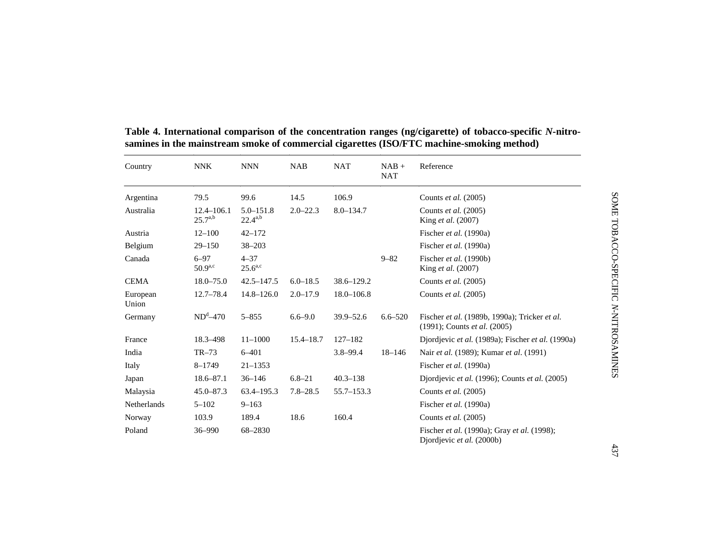| Country           | <b>NNK</b>                     | <b>NNN</b>                    | <b>NAB</b>    | <b>NAT</b>     | $NAB +$<br><b>NAT</b> | Reference                                                                                 |
|-------------------|--------------------------------|-------------------------------|---------------|----------------|-----------------------|-------------------------------------------------------------------------------------------|
| Argentina         | 79.5                           | 99.6                          | 14.5          | 106.9          |                       | Counts et al. (2005)                                                                      |
| Australia         | $12.4 - 106.1$<br>$25.7^{a,b}$ | $5.0 - 151.8$<br>$22.4^{a,b}$ | $2.0 - 22.3$  | $8.0 - 134.7$  |                       | Counts et al. (2005)<br>King <i>et al.</i> (2007)                                         |
| Austria           | $12 - 100$                     | $42 - 172$                    |               |                |                       | Fischer et al. (1990a)                                                                    |
| Belgium           | $29 - 150$                     | $38 - 203$                    |               |                |                       | Fischer et al. (1990a)                                                                    |
| Canada            | $6 - 97$<br>$50.9^{a,c}$       | $4 - 37$<br>$25.6^{a,c}$      |               |                | $9 - 82$              | Fischer et al. (1990b)<br>King et al. (2007)                                              |
| <b>CEMA</b>       | $18.0 - 75.0$                  | $42.5 - 147.5$                | $6.0 - 18.5$  | $38.6 - 129.2$ |                       | Counts et al. (2005)                                                                      |
| European<br>Union | $12.7 - 78.4$                  | $14.8 - 126.0$                | $2.0 - 17.9$  | $18.0 - 106.8$ |                       | Counts et al. (2005)                                                                      |
| Germany           | ND <sup>d</sup> –470           | $5 - 855$                     | $6.6 - 9.0$   | $39.9 - 52.6$  | $6.6 - 520$           | Fischer et al. (1989b, 1990a); Tricker et al.<br>$(1991)$ ; Counts <i>et al.</i> $(2005)$ |
| France            | 18.3-498                       | $11 - 1000$                   | $15.4 - 18.7$ | $127 - 182$    |                       | Djordjevic et al. (1989a); Fischer et al. (1990a)                                         |
| India             | $TR-73$                        | $6 - 401$                     |               | $3.8 - 99.4$   | $18 - 146$            | Nair et al. (1989); Kumar et al. (1991)                                                   |
| Italy             | $8 - 1749$                     | $21 - 1353$                   |               |                |                       | Fischer et al. (1990a)                                                                    |
| Japan             | $18.6 - 87.1$                  | $36 - 146$                    | $6.8 - 21$    | $40.3 - 138$   |                       | Diordievic et al. (1996); Counts et al. (2005)                                            |
| Malaysia          | $45.0 - 87.3$                  | $63.4 - 195.3$                | $7.8 - 28.5$  | $55.7 - 153.3$ |                       | Counts et al. (2005)                                                                      |
| Netherlands       | $5 - 102$                      | $9 - 163$                     |               |                |                       | Fischer et al. (1990a)                                                                    |
| Norway            | 103.9                          | 189.4                         | 18.6          | 160.4          |                       | Counts et al. (2005)                                                                      |
| Poland            | $36 - 990$                     | 68-2830                       |               |                |                       | Fischer et al. (1990a); Gray et al. (1998);<br>Djordjevic et al. (2000b)                  |

**Table 4. International comparison of the concentration ranges (ng/cigarette) of tobacco-specific** *N***-nitrosamines in the mainstream smoke of commercial cigarettes (ISO/FTC machine-smoking method)**

SOME TOBACCO-SPECIFIC

SOME TOBACCO-SPECIFIC N-NITROSAMINES

*N*-NITROSAMINES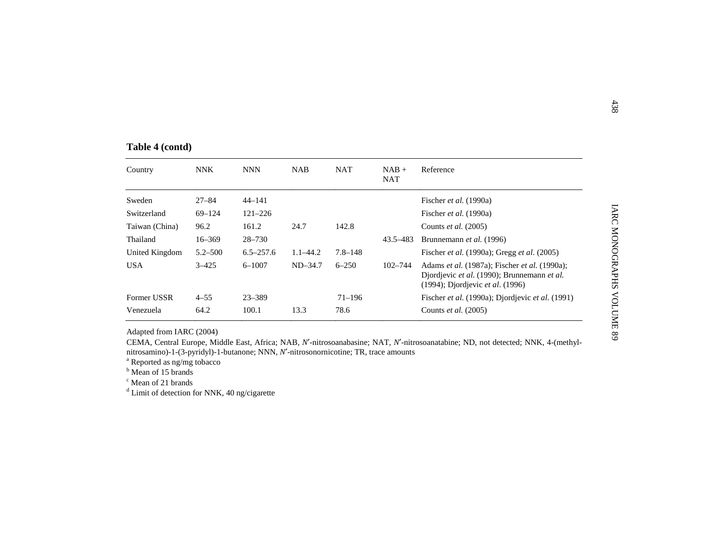| Table 4 (contd) |
|-----------------|
|                 |

| Table 4 (contd) |             |               |              |             |                       |                                                                                                                                  |  |  |  |
|-----------------|-------------|---------------|--------------|-------------|-----------------------|----------------------------------------------------------------------------------------------------------------------------------|--|--|--|
| Country         | <b>NNK</b>  | <b>NNN</b>    | <b>NAB</b>   | <b>NAT</b>  | $NAB +$<br><b>NAT</b> | Reference                                                                                                                        |  |  |  |
| Sweden          | $27 - 84$   | $44 - 141$    |              |             |                       | Fischer et al. (1990a)                                                                                                           |  |  |  |
| Switzerland     | $69 - 124$  | $121 - 226$   |              |             |                       | Fischer et al. (1990a)                                                                                                           |  |  |  |
| Taiwan (China)  | 96.2        | 161.2         | 24.7         | 142.8       |                       | Counts et al. $(2005)$                                                                                                           |  |  |  |
| Thailand        | $16 - 369$  | 28-730        |              |             | 43.5–483              | Brunnemann et al. (1996)                                                                                                         |  |  |  |
| United Kingdom  | $5.2 - 500$ | $6.5 - 257.6$ | $1.1 - 44.2$ | $7.8 - 148$ |                       | Fischer <i>et al.</i> (1990a); Gregg <i>et al.</i> (2005)                                                                        |  |  |  |
| <b>USA</b>      | $3 - 425$   | $6 - 1007$    | $ND-34.7$    | $6 - 250$   | $102 - 744$           | Adams et al. (1987a); Fischer et al. (1990a);<br>Djordjevic et al. (1990); Brunnemann et al.<br>(1994); Djordjevic et al. (1996) |  |  |  |
| Former USSR     | $4 - 55$    | $23 - 389$    |              | $71 - 196$  |                       | Fischer et al. (1990a); Djordjevic et al. (1991)                                                                                 |  |  |  |
| Venezuela       | 64.2        | 100.1         | 13.3         | 78.6        |                       | Counts et al. $(2005)$                                                                                                           |  |  |  |

nitrosamino)-1-(3-pyridyl)-1-butanone; NNN, *N*′-nitrosonornicotine; TR, trace amounts

<sup>a</sup> Reported as ng/mg tobacco

<sup>b</sup> Mean of 15 brands

<sup>c</sup> Mean of 21 brands

<sup>d</sup> Limit of detection for NNK, 40 ng/cigarette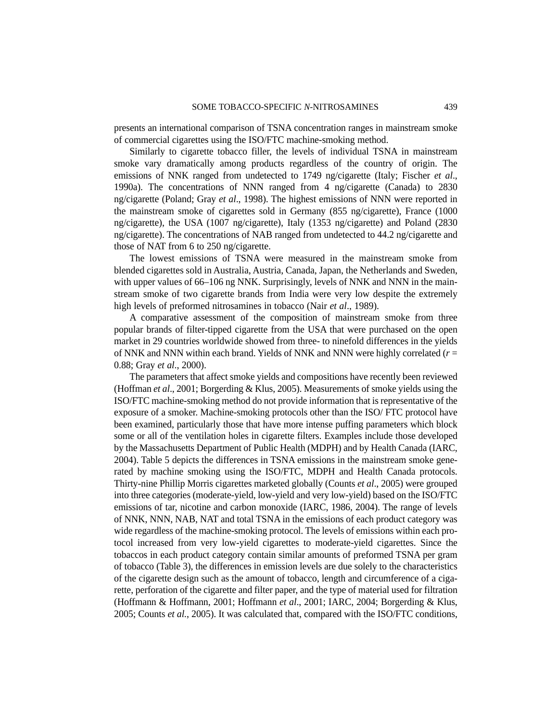presents an international comparison of TSNA concentration ranges in mainstream smoke of commercial cigarettes using the ISO/FTC machine-smoking method.

Similarly to cigarette tobacco filler, the levels of individual TSNA in mainstream smoke vary dramatically among products regardless of the country of origin. The emissions of NNK ranged from undetected to 1749 ng/cigarette (Italy; Fischer *et al*., 1990a). The concentrations of NNN ranged from 4 ng/cigarette (Canada) to 2830 ng/cigarette (Poland; Gray *et al*., 1998). The highest emissions of NNN were reported in the mainstream smoke of cigarettes sold in Germany (855 ng/cigarette), France (1000 ng/cigarette), the USA (1007 ng/cigarette), Italy (1353 ng/cigarette) and Poland (2830 ng/cigarette). The concentrations of NAB ranged from undetected to 44.2 ng/cigarette and those of NAT from 6 to 250 ng/cigarette.

The lowest emissions of TSNA were measured in the mainstream smoke from blended cigarettes sold in Australia, Austria, Canada, Japan, the Netherlands and Sweden, with upper values of 66–106 ng NNK. Surprisingly, levels of NNK and NNN in the mainstream smoke of two cigarette brands from India were very low despite the extremely high levels of preformed nitrosamines in tobacco (Nair *et al*., 1989).

A comparative assessment of the composition of mainstream smoke from three popular brands of filter-tipped cigarette from the USA that were purchased on the open market in 29 countries worldwide showed from three- to ninefold differences in the yields of NNK and NNN within each brand. Yields of NNK and NNN were highly correlated (*r* = 0.88; Gray *et al*., 2000).

The parameters that affect smoke yields and compositions have recently been reviewed (Hoffman *et al*., 2001; Borgerding & Klus, 2005). Measurements of smoke yields using the ISO/FTC machine-smoking method do not provide information that is representative of the exposure of a smoker. Machine-smoking protocols other than the ISO/ FTC protocol have been examined, particularly those that have more intense puffing parameters which block some or all of the ventilation holes in cigarette filters. Examples include those developed by the Massachusetts Department of Public Health (MDPH) and by Health Canada (IARC, 2004). Table 5 depicts the differences in TSNA emissions in the mainstream smoke generated by machine smoking using the ISO/FTC, MDPH and Health Canada protocols. Thirty-nine Phillip Morris cigarettes marketed globally (Counts *et al*., 2005) were grouped into three categories (moderate-yield, low-yield and very low-yield) based on the ISO/FTC emissions of tar, nicotine and carbon monoxide (IARC, 1986, 2004). The range of levels of NNK, NNN, NAB, NAT and total TSNA in the emissions of each product category was wide regardless of the machine-smoking protocol. The levels of emissions within each protocol increased from very low-yield cigarettes to moderate-yield cigarettes. Since the tobaccos in each product category contain similar amounts of preformed TSNA per gram of tobacco (Table 3), the differences in emission levels are due solely to the characteristics of the cigarette design such as the amount of tobacco, length and circumference of a cigarette, perforation of the cigarette and filter paper, and the type of material used for filtration (Hoffmann & Hoffmann, 2001; Hoffmann *et al*., 2001; IARC, 2004; Borgerding & Klus, 2005; Counts *et al.*, 2005). It was calculated that, compared with the ISO/FTC conditions,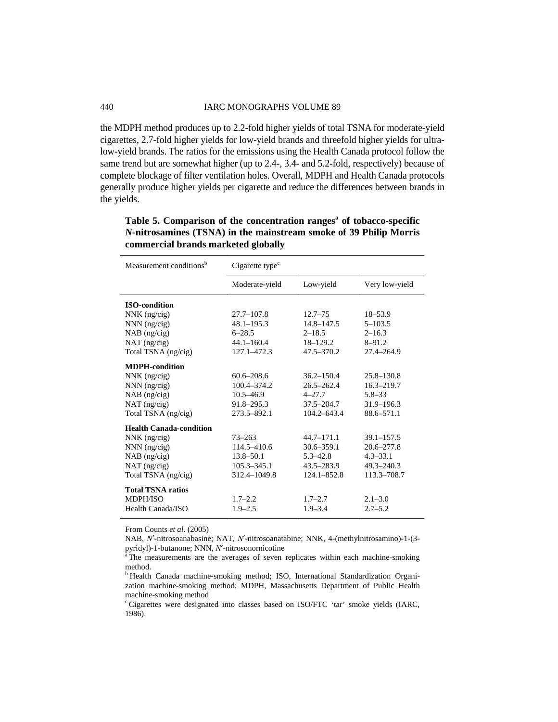the MDPH method produces up to 2.2-fold higher yields of total TSNA for moderate-yield cigarettes, 2.7-fold higher yields for low-yield brands and threefold higher yields for ultralow-yield brands. The ratios for the emissions using the Health Canada protocol follow the same trend but are somewhat higher (up to 2.4-, 3.4- and 5.2-fold, respectively) because of complete blockage of filter ventilation holes. Overall, MDPH and Health Canada protocols generally produce higher yields per cigarette and reduce the differences between brands in the yields.

**Table 5. Comparison of the concentration ranges<sup>a</sup> of tobacco-specific**  *N***-nitrosamines (TSNA) in the mainstream smoke of 39 Philip Morris commercial brands marketed globally** 

| Measurement conditions <sup>b</sup> | Cigarette type <sup>c</sup> |                 |                |  |  |  |  |
|-------------------------------------|-----------------------------|-----------------|----------------|--|--|--|--|
|                                     | Moderate-yield              | Low-yield       | Very low-yield |  |  |  |  |
| <b>ISO-condition</b>                |                             |                 |                |  |  |  |  |
| $NNK$ (ng/cig)                      | $27.7 - 107.8$              | $12.7 - 75$     | 18–53.9        |  |  |  |  |
| $NNN$ (ng/cig)                      | $48.1 - 195.3$              | $14.8 - 147.5$  | $5 - 103.5$    |  |  |  |  |
| $NAB$ (ng/cig)                      | $6 - 28.5$                  | $2 - 18.5$      | $2 - 16.3$     |  |  |  |  |
| $NAT$ (ng/cig)                      | $44.1 - 160.4$              | 18-129.2        | $8 - 91.2$     |  |  |  |  |
| Total TSNA (ng/cig)                 | 127.1-472.3                 | $47.5 - 370.2$  | 27.4-264.9     |  |  |  |  |
| <b>MDPH-condition</b>               |                             |                 |                |  |  |  |  |
| $NNK$ (ng/cig)                      | $60.6 - 208.6$              | $36.2 - 150.4$  | $25.8 - 130.8$ |  |  |  |  |
| $NNN$ (ng/cig)                      | 100.4-374.2                 | $26.5 - 262.4$  | $16.3 - 219.7$ |  |  |  |  |
| $NAB$ (ng/cig)                      | $10.5 - 46.9$               | $4 - 27.7$      | $5.8 - 33$     |  |  |  |  |
| NAT $(ng/cig)$                      | 91.8-295.3                  | $37.5 - 204.7$  | $31.9 - 196.3$ |  |  |  |  |
| Total TSNA (ng/cig)                 | 273.5-892.1                 | $104.2 - 643.4$ | 88.6-571.1     |  |  |  |  |
| <b>Health Canada-condition</b>      |                             |                 |                |  |  |  |  |
| $NNK$ (ng/cig)                      | $73 - 263$                  | $44.7 - 171.1$  | $39.1 - 157.5$ |  |  |  |  |
| $NNN$ (ng/cig)                      | 114.5-410.6                 | $30.6 - 359.1$  | $20.6 - 277.8$ |  |  |  |  |
| $NAB$ (ng/cig)                      | $13.8 - 50.1$               | $5.3 - 42.8$    | $4.3 - 33.1$   |  |  |  |  |
| NAT $(ng/cig)$                      | $105.3 - 345.1$             | $43.5 - 283.9$  | $49.3 - 240.3$ |  |  |  |  |
| Total TSNA (ng/cig)                 | 312.4-1049.8                | 124.1-852.8     | 113.3-708.7    |  |  |  |  |
| <b>Total TSNA ratios</b>            |                             |                 |                |  |  |  |  |
| <b>MDPH/ISO</b>                     | $1.7 - 2.2$                 | $1.7 - 2.7$     | $2.1 - 3.0$    |  |  |  |  |
| Health Canada/ISO                   | $1.9 - 2.5$                 | $1.9 - 3.4$     | $2.7 - 5.2$    |  |  |  |  |

From Counts *et al.* (2005)

NAB, *N*′-nitrosoanabasine; NAT, *N*′-nitrosoanatabine; NNK, 4-(methylnitrosamino)-1-(3 pyridyl)-1-butanone; NNN,  $N$ -nitrosonornicotine a The measurements are the averages of seven replicates within each machine-smoking

method.

<sup>b</sup> Health Canada machine-smoking method; ISO, International Standardization Organization machine-smoking method; MDPH, Massachusetts Department of Public Health machine-smoking method

c Cigarettes were designated into classes based on ISO/FTC 'tar' smoke yields (IARC, 1986).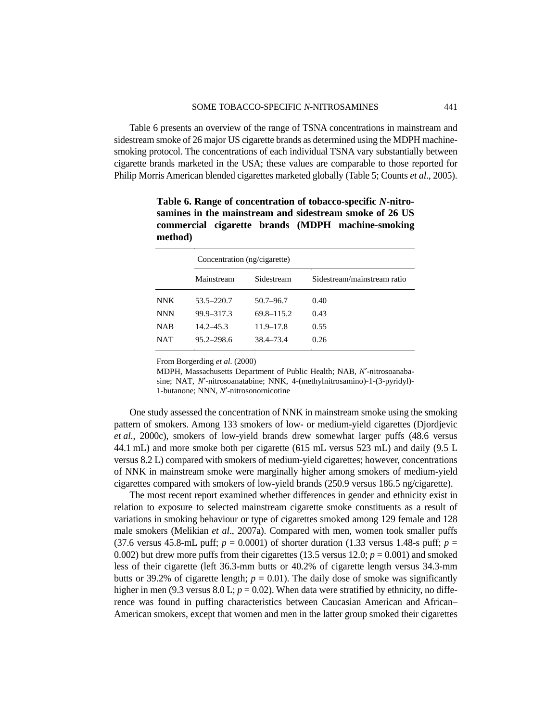Table 6 presents an overview of the range of TSNA concentrations in mainstream and sidestream smoke of 26 major US cigarette brands as determined using the MDPH machinesmoking protocol. The concentrations of each individual TSNA vary substantially between cigarette brands marketed in the USA; these values are comparable to those reported for Philip Morris American blended cigarettes marketed globally (Table 5; Counts *et al*., 2005).

|     | Concentration (ng/cigarette) |                |                             |  |  |  |  |  |  |
|-----|------------------------------|----------------|-----------------------------|--|--|--|--|--|--|
|     | Mainstream                   | Sidestream     | Sidestream/mainstream ratio |  |  |  |  |  |  |
| NNK | 53.5–220.7                   | $50.7 - 96.7$  | 0.40                        |  |  |  |  |  |  |
| NNN | 99.9–317.3                   | $69.8 - 115.2$ | 0.43                        |  |  |  |  |  |  |
| NAB | $14.2 - 45.3$                | $11.9 - 17.8$  | 0.55                        |  |  |  |  |  |  |
| NAT | $95.2 - 298.6$               | 38.4–73.4      | 0.26                        |  |  |  |  |  |  |
|     |                              |                |                             |  |  |  |  |  |  |

**Table 6. Range of concentration of tobacco-specific** *N***-nitrosamines in the mainstream and sidestream smoke of 26 US commercial cigarette brands (MDPH machine-smoking method)** 

From Borgerding *et al.* (2000)

MDPH, Massachusetts Department of Public Health; NAB, *N*′-nitrosoanabasine; NAT, *N*′-nitrosoanatabine; NNK, 4-(methylnitrosamino)-1-(3-pyridyl)- 1-butanone; NNN, *N*′-nitrosonornicotine

One study assessed the concentration of NNK in mainstream smoke using the smoking pattern of smokers. Among 133 smokers of low- or medium-yield cigarettes (Djordjevic *et al*., 2000c), smokers of low-yield brands drew somewhat larger puffs (48.6 versus 44.1 mL) and more smoke both per cigarette (615 mL versus 523 mL) and daily (9.5 L versus 8.2 L) compared with smokers of medium-yield cigarettes; however, concentrations of NNK in mainstream smoke were marginally higher among smokers of medium-yield cigarettes compared with smokers of low-yield brands (250.9 versus 186.5 ng/cigarette).

The most recent report examined whether differences in gender and ethnicity exist in relation to exposure to selected mainstream cigarette smoke constituents as a result of variations in smoking behaviour or type of cigarettes smoked among 129 female and 128 male smokers (Melikian *et al*., 2007a). Compared with men, women took smaller puffs (37.6 versus 45.8-mL puff;  $p = 0.0001$ ) of shorter duration (1.33 versus 1.48-s puff;  $p =$ 0.002) but drew more puffs from their cigarettes (13.5 versus 12.0;  $p = 0.001$ ) and smoked less of their cigarette (left 36.3-mm butts or 40.2% of cigarette length versus 34.3-mm butts or 39.2% of cigarette length;  $p = 0.01$ ). The daily dose of smoke was significantly higher in men (9.3 versus 8.0 L;  $p = 0.02$ ). When data were stratified by ethnicity, no difference was found in puffing characteristics between Caucasian American and African– American smokers, except that women and men in the latter group smoked their cigarettes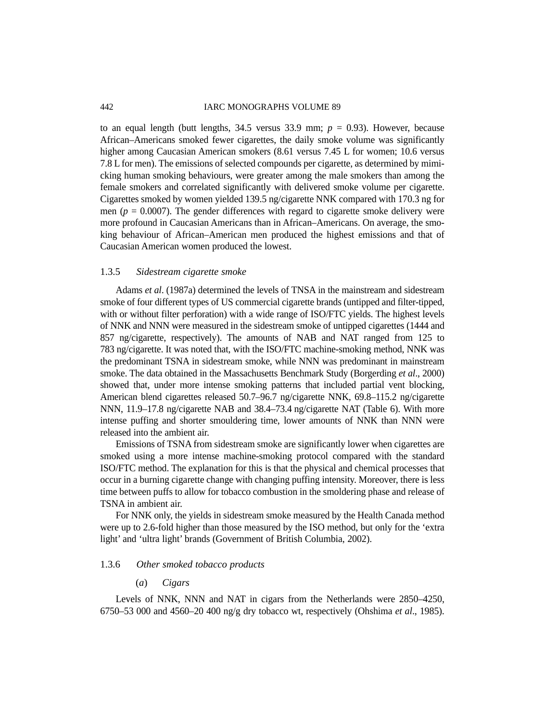to an equal length (butt lengths,  $34.5$  versus  $33.9$  mm;  $p = 0.93$ ). However, because African–Americans smoked fewer cigarettes, the daily smoke volume was significantly higher among Caucasian American smokers (8.61 versus 7.45 L for women; 10.6 versus 7.8 L for men). The emissions of selected compounds per cigarette, as determined by mimicking human smoking behaviours, were greater among the male smokers than among the female smokers and correlated significantly with delivered smoke volume per cigarette. Cigarettes smoked by women yielded 139.5 ng/cigarette NNK compared with 170.3 ng for men ( $p = 0.0007$ ). The gender differences with regard to cigarette smoke delivery were more profound in Caucasian Americans than in African–Americans. On average, the smoking behaviour of African–American men produced the highest emissions and that of Caucasian American women produced the lowest.

# 1.3.5 *Sidestream cigarette smoke*

Adams *et al*. (1987a) determined the levels of TNSA in the mainstream and sidestream smoke of four different types of US commercial cigarette brands (untipped and filter-tipped, with or without filter perforation) with a wide range of ISO/FTC yields. The highest levels of NNK and NNN were measured in the sidestream smoke of untipped cigarettes (1444 and 857 ng/cigarette, respectively). The amounts of NAB and NAT ranged from 125 to 783 ng/cigarette. It was noted that, with the ISO/FTC machine-smoking method, NNK was the predominant TSNA in sidestream smoke, while NNN was predominant in mainstream smoke. The data obtained in the Massachusetts Benchmark Study (Borgerding *et al*., 2000) showed that, under more intense smoking patterns that included partial vent blocking, American blend cigarettes released 50.7–96.7 ng/cigarette NNK, 69.8–115.2 ng/cigarette NNN, 11.9–17.8 ng/cigarette NAB and 38.4–73.4 ng/cigarette NAT (Table 6). With more intense puffing and shorter smouldering time, lower amounts of NNK than NNN were released into the ambient air.

Emissions of TSNA from sidestream smoke are significantly lower when cigarettes are smoked using a more intense machine-smoking protocol compared with the standard ISO/FTC method. The explanation for this is that the physical and chemical processes that occur in a burning cigarette change with changing puffing intensity. Moreover, there is less time between puffs to allow for tobacco combustion in the smoldering phase and release of TSNA in ambient air.

For NNK only, the yields in sidestream smoke measured by the Health Canada method were up to 2.6-fold higher than those measured by the ISO method, but only for the 'extra light' and 'ultra light' brands (Government of British Columbia, 2002).

#### 1.3.6 *Other smoked tobacco products*

# (*a*) *Cigars*

Levels of NNK, NNN and NAT in cigars from the Netherlands were 2850–4250, 6750–53 000 and 4560–20 400 ng/g dry tobacco wt, respectively (Ohshima *et al*., 1985).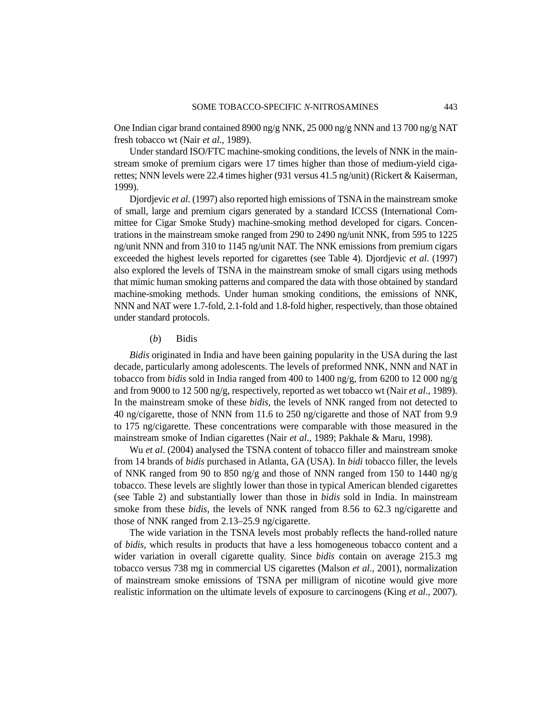One Indian cigar brand contained 8900 ng/g NNK, 25 000 ng/g NNN and 13 700 ng/g NAT fresh tobacco wt (Nair *et al.*, 1989).

Under standard ISO/FTC machine-smoking conditions, the levels of NNK in the mainstream smoke of premium cigars were 17 times higher than those of medium-yield cigarettes; NNN levels were 22.4 times higher (931 versus 41.5 ng/unit) (Rickert & Kaiserman, 1999).

Djordjevic *et al*. (1997) also reported high emissions of TSNA in the mainstream smoke of small, large and premium cigars generated by a standard ICCSS (International Committee for Cigar Smoke Study) machine-smoking method developed for cigars. Concentrations in the mainstream smoke ranged from 290 to 2490 ng/unit NNK, from 595 to 1225 ng/unit NNN and from 310 to 1145 ng/unit NAT. The NNK emissions from premium cigars exceeded the highest levels reported for cigarettes (see Table 4). Djordjevic *et al*. (1997) also explored the levels of TSNA in the mainstream smoke of small cigars using methods that mimic human smoking patterns and compared the data with those obtained by standard machine-smoking methods. Under human smoking conditions, the emissions of NNK, NNN and NAT were 1.7-fold, 2.1-fold and 1.8-fold higher, respectively, than those obtained under standard protocols.

#### (*b*) Bidis

*Bidis* originated in India and have been gaining popularity in the USA during the last decade, particularly among adolescents. The levels of preformed NNK, NNN and NAT in tobacco from *bidis* sold in India ranged from 400 to 1400 ng/g, from 6200 to 12 000 ng/g and from 9000 to 12 500 ng/g, respectively, reported as wet tobacco wt (Nair *et al*., 1989). In the mainstream smoke of these *bidis*, the levels of NNK ranged from not detected to 40 ng/cigarette, those of NNN from 11.6 to 250 ng/cigarette and those of NAT from 9.9 to 175 ng/cigarette. These concentrations were comparable with those measured in the mainstream smoke of Indian cigarettes (Nair *et al*., 1989; Pakhale & Maru, 1998).

Wu *et al*. (2004) analysed the TSNA content of tobacco filler and mainstream smoke from 14 brands of *bidis* purchased in Atlanta, GA (USA). In *bidi* tobacco filler, the levels of NNK ranged from 90 to 850 ng/g and those of NNN ranged from 150 to 1440 ng/g tobacco. These levels are slightly lower than those in typical American blended cigarettes (see Table 2) and substantially lower than those in *bidis* sold in India. In mainstream smoke from these *bidis*, the levels of NNK ranged from 8.56 to 62.3 ng/cigarette and those of NNK ranged from 2.13–25.9 ng/cigarette.

The wide variation in the TSNA levels most probably reflects the hand-rolled nature of *bidis*, which results in products that have a less homogeneous tobacco content and a wider variation in overall cigarette quality. Since *bidis* contain on average 215.3 mg tobacco versus 738 mg in commercial US cigarettes (Malson *et al*., 2001), normalization of mainstream smoke emissions of TSNA per milligram of nicotine would give more realistic information on the ultimate levels of exposure to carcinogens (King *et al*., 2007).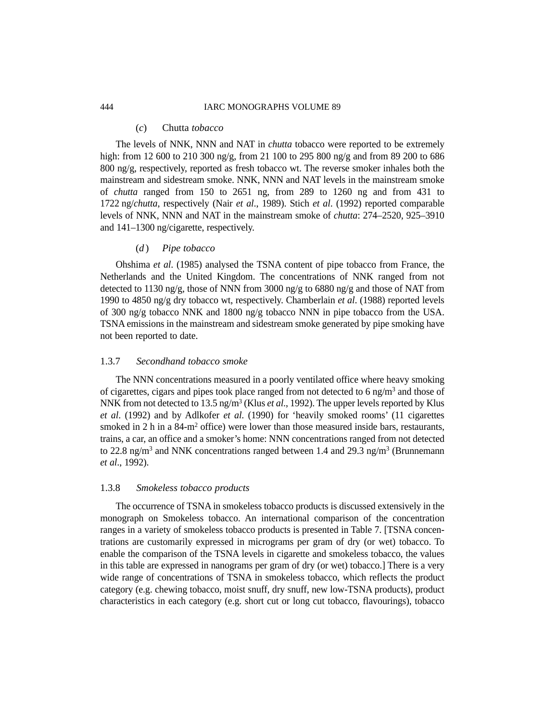#### (*c*) Chutta *tobacco*

The levels of NNK, NNN and NAT in *chutta* tobacco were reported to be extremely high: from 12 600 to 210 300 ng/g, from 21 100 to 295 800 ng/g and from 89 200 to 686 800 ng/g, respectively, reported as fresh tobacco wt. The reverse smoker inhales both the mainstream and sidestream smoke. NNK, NNN and NAT levels in the mainstream smoke of *chutta* ranged from 150 to 2651 ng, from 289 to 1260 ng and from 431 to 1722 ng/*chutta*, respectively (Nair *et al*., 1989). Stich *et al*. (1992) reported comparable levels of NNK, NNN and NAT in the mainstream smoke of *chutta*: 274–2520, 925–3910 and 141–1300 ng/cigarette, respectively.

# (*d* ) *Pipe tobacco*

Ohshima *et al*. (1985) analysed the TSNA content of pipe tobacco from France, the Netherlands and the United Kingdom. The concentrations of NNK ranged from not detected to 1130 ng/g, those of NNN from 3000 ng/g to 6880 ng/g and those of NAT from 1990 to 4850 ng/g dry tobacco wt, respectively. Chamberlain *et al*. (1988) reported levels of 300 ng/g tobacco NNK and 1800 ng/g tobacco NNN in pipe tobacco from the USA. TSNA emissions in the mainstream and sidestream smoke generated by pipe smoking have not been reported to date.

#### 1.3.7 *Secondhand tobacco smoke*

The NNN concentrations measured in a poorly ventilated office where heavy smoking of cigarettes, cigars and pipes took place ranged from not detected to 6 ng/m<sup>3</sup> and those of NNK from not detected to 13.5 ng/m3 (Klus *et al*., 1992). The upper levels reported by Klus *et al*. (1992) and by Adlkofer *et al*. (1990) for 'heavily smoked rooms' (11 cigarettes smoked in 2 h in a 84-m<sup>2</sup> office) were lower than those measured inside bars, restaurants, trains, a car, an office and a smoker's home: NNN concentrations ranged from not detected to 22.8 ng/m<sup>3</sup> and NNK concentrations ranged between 1.4 and 29.3 ng/m<sup>3</sup> (Brunnemann *et al*., 1992).

#### 1.3.8 *Smokeless tobacco products*

The occurrence of TSNA in smokeless tobacco products is discussed extensively in the monograph on Smokeless tobacco. An international comparison of the concentration ranges in a variety of smokeless tobacco products is presented in Table 7. [TSNA concentrations are customarily expressed in micrograms per gram of dry (or wet) tobacco. To enable the comparison of the TSNA levels in cigarette and smokeless tobacco, the values in this table are expressed in nanograms per gram of dry (or wet) tobacco.] There is a very wide range of concentrations of TSNA in smokeless tobacco, which reflects the product category (e.g. chewing tobacco, moist snuff, dry snuff, new low-TSNA products), product characteristics in each category (e.g. short cut or long cut tobacco, flavourings), tobacco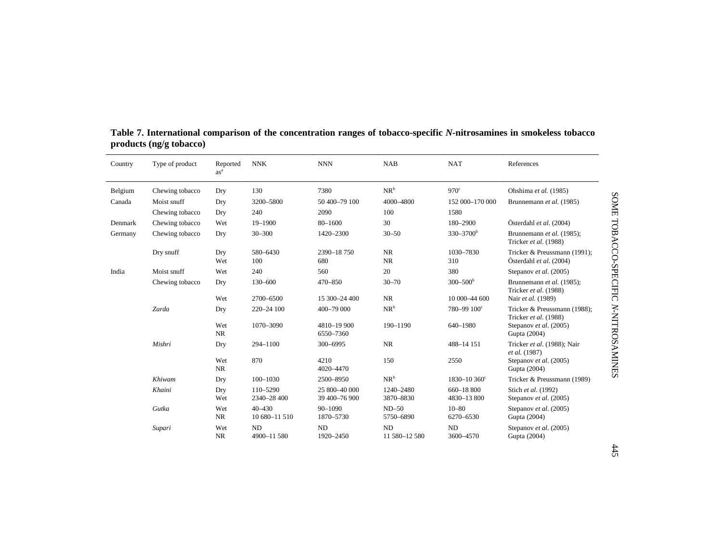| Country | Type of product | Reported<br>as <sup>a</sup> | <b>NNK</b>                  | <b>NNN</b>                       | <b>NAB</b>             | <b>NAT</b>              | References                                              |
|---------|-----------------|-----------------------------|-----------------------------|----------------------------------|------------------------|-------------------------|---------------------------------------------------------|
| Belgium | Chewing tobacco | Dry                         | 130                         | 7380                             | $NR^b$                 | $970^\circ$             | Ohshima et al. (1985)                                   |
| Canada  | Moist snuff     | Dry                         | 3200-5800                   | 50 400-79 100                    | 4000-4800              | 152 000-170 000         | Brunnemann et al. (1985)                                |
|         | Chewing tobacco | Dry                         | 240                         | 2090                             | 100                    | 1580                    |                                                         |
| Denmark | Chewing tobacco | Wet                         | $19 - 1900$                 | 80-1600                          | 30                     | 180-2900                | Österdahl et al. (2004)                                 |
| Germany | Chewing tobacco | Dry                         | $30 - 300$                  | 1420-2300                        | $30 - 50$              | $330 - 3700^b$          | Brunnemann et al. (1985);<br>Tricker et al. (1988)      |
|         | Dry snuff       | Dry<br>Wet                  | 580-6430<br>100             | 2390-18750<br>680                | <b>NR</b><br><b>NR</b> | 1030-7830<br>310        | Tricker & Preussmann (1991);<br>Österdahl et al. (2004) |
| India   | Moist snuff     | Wet                         | 240                         | 560                              | 20                     | 380                     | Stepanov et al. (2005)                                  |
|         | Chewing tobacco | Dry                         | 130-600                     | 470-850                          | $30 - 70$              | $300 - 500^b$           | Brunnemann et al. (1985);<br>Tricker et al. (1988)      |
|         |                 | Wet                         | 2700-6500                   | 15 300-24 400                    | <b>NR</b>              | 10 000 - 44 600         | Nair et al. (1989)                                      |
|         | Zarda           | Dry                         | 220-24 100                  | 400-79 000                       | $NR^b$                 | 780-99 100°             | Tricker & Preussmann (1988);<br>Tricker et al. (1988)   |
|         |                 | Wet<br><b>NR</b>            | 1070-3090                   | 4810-19 900<br>6550-7360         | 190-1190               | 640-1980                | Stepanov et al. (2005)<br>Gupta (2004)                  |
|         | Mishri          | Dry                         | 294-1100                    | 300-6995                         | <b>NR</b>              | 488-14 151              | Tricker et al. (1988); Nair<br>et al. (1987)            |
|         |                 | Wet<br><b>NR</b>            | 870                         | 4210<br>4020-4470                | 150                    | 2550                    | Stepanov et al. (2005)<br>Gupta (2004)                  |
|         | Khiwam          | Dry                         | 100-1030                    | 2500-8950                        | $NR^b$                 | $1830 - 10360$ c        | Tricker & Preussmann (1989)                             |
|         | Khaini          | Dry<br>Wet                  | 110-5290<br>2340-28 400     | 25 800 - 40 000<br>39 400-76 900 | 1240-2480<br>3870-8830 | 660-18800<br>4830-13800 | Stich et al. (1992)<br>Stepanov et al. (2005)           |
|         | Gutka           | Wet<br><b>NR</b>            | $40 - 430$<br>10 680-11 510 | $90 - 1090$<br>1870-5730         | $ND-50$<br>5750-6890   | $10 - 80$<br>6270-6530  | Stepanov et al. (2005)<br>Gupta (2004)                  |
|         | Supari          | Wet<br>NR                   | ND<br>4900-11 580           | ND<br>1920-2450                  | ND<br>11 580-12 580    | ND<br>3600-4570         | Stepanov et al. (2005)<br>Gupta (2004)                  |

**Table 7. International comparison of the concentration ranges of tobacco-specific**  *N***-nitrosamines in smokeless tobacco products (ng/g tobacco)**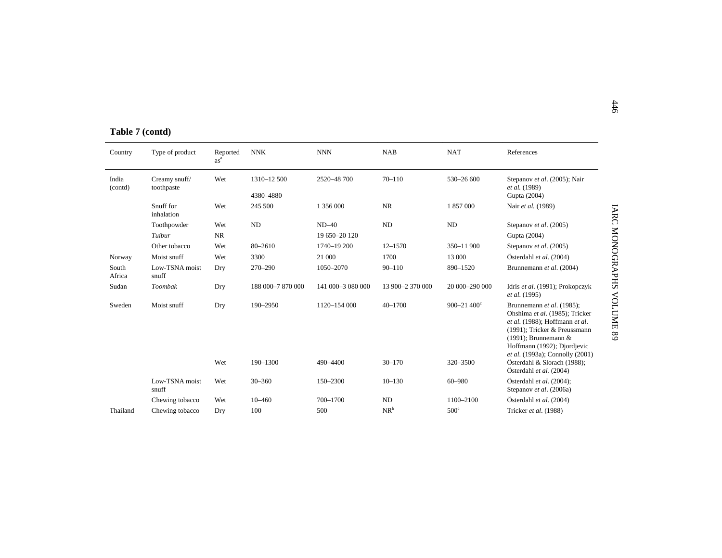| Table 7 (contd |  |  |
|----------------|--|--|
|                |  |  |

| Table 7 (contd)  |                             |                    |                          |                   |                  |                            |                                                                                                                                                                                                                         |
|------------------|-----------------------------|--------------------|--------------------------|-------------------|------------------|----------------------------|-------------------------------------------------------------------------------------------------------------------------------------------------------------------------------------------------------------------------|
| Country          | Type of product             | Reported<br>$as^a$ | <b>NNK</b>               | <b>NNN</b>        | <b>NAB</b>       | <b>NAT</b>                 | References                                                                                                                                                                                                              |
| India<br>(contd) | Creamy snuff/<br>toothpaste | Wet                | 1310-12 500<br>4380-4880 | 2520-48700        | $70 - 110$       | 530-26 600                 | Stepanov et al. (2005); Nair<br>et al. (1989)<br>Gupta (2004)                                                                                                                                                           |
|                  | Snuff for<br>inhalation     | Wet                | 245 500                  | 1 356 000         | NR               | 1857000                    | Nair et al. (1989)                                                                                                                                                                                                      |
|                  | Toothpowder                 | Wet                | ND                       | $ND-40$           | ND               | ND                         | Stepanov et al. (2005)                                                                                                                                                                                                  |
|                  | Tuibur                      | NR                 |                          | 19 650-20 120     |                  |                            | Gupta (2004)                                                                                                                                                                                                            |
|                  | Other tobacco               | Wet                | 80-2610                  | 1740-19 200       | $12 - 1570$      | 350-11900                  | Stepanov et al. (2005)                                                                                                                                                                                                  |
| Norway           | Moist snuff                 | Wet                | 3300                     | 21 000            | 1700             | 13 000                     | Österdahl et al. (2004)                                                                                                                                                                                                 |
| South<br>Africa  | Low-TSNA moist<br>snuff     | Dry                | 270-290                  | 1050-2070         | $90 - 110$       | 890-1520                   | Brunnemann et al. (2004)                                                                                                                                                                                                |
| Sudan            | Toombak                     | Dry                | 188 000-7 870 000        | 141 000-3 080 000 | 13 900-2 370 000 | 20 000-290 000             | Idris et al. (1991); Prokopczyk<br>et al. (1995)                                                                                                                                                                        |
| Sweden           | Moist snuff                 | Dry                | 190-2950                 | 1120-154 000      | $40 - 1700$      | $900 - 21400$ <sup>c</sup> | Brunnemann et al. (1985);<br>Ohshima et al. (1985); Tricker<br>et al. (1988); Hoffmann et al.<br>(1991); Tricker & Preussmann<br>(1991); Brunnemann &<br>Hoffmann (1992); Djordjevic<br>et al. (1993a); Connolly (2001) |
|                  |                             | Wet                | 190-1300                 | 490-4400          | $30 - 170$       | 320-3500                   | Österdahl & Slorach (1988);<br>Österdahl et al. (2004)                                                                                                                                                                  |
|                  | Low-TSNA moist<br>snuff     | Wet                | $30 - 360$               | 150-2300          | $10 - 130$       | 60-980                     | Österdahl et al. (2004);<br>Stepanov et al. (2006a)                                                                                                                                                                     |
|                  | Chewing tobacco             | Wet                | $10 - 460$               | 700-1700          | ND               | 1100-2100                  | Österdahl et al. (2004)                                                                                                                                                                                                 |
| Thailand         | Chewing tobacco             | Dry                | 100                      | 500               | $NR^b$           | $500^{\circ}$              | Tricker et al. (1988)                                                                                                                                                                                                   |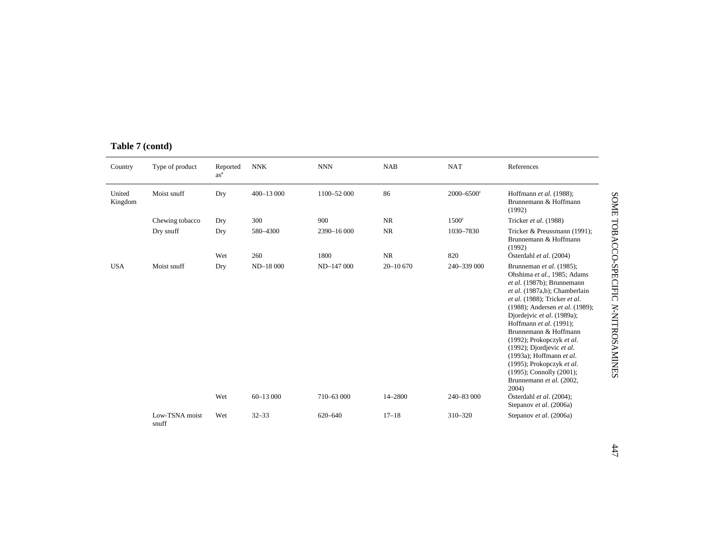| Country           | Type of product         | Reported<br>$as^a$ | <b>NNK</b>   | <b>NNN</b>  | <b>NAB</b>   | <b>NAT</b>                 | References                                                                                                                                                                                                                                                                                                                                                                                                                                                          |
|-------------------|-------------------------|--------------------|--------------|-------------|--------------|----------------------------|---------------------------------------------------------------------------------------------------------------------------------------------------------------------------------------------------------------------------------------------------------------------------------------------------------------------------------------------------------------------------------------------------------------------------------------------------------------------|
| United<br>Kingdom | Moist snuff             | Dry                | 400-13 000   | 1100-52 000 | 86           | $2000 - 6500$ <sup>c</sup> | Hoffmann et al. (1988);<br>Brunnemann & Hoffmann<br>(1992)                                                                                                                                                                                                                                                                                                                                                                                                          |
|                   | Chewing tobacco         | Dry                | 300          | 900         | NR           | $1500^\circ$               | Tricker et al. (1988)                                                                                                                                                                                                                                                                                                                                                                                                                                               |
|                   | Dry snuff               | Dry                | 580-4300     | 2390-16 000 | <b>NR</b>    | 1030-7830                  | Tricker & Preussmann (1991);<br>Brunnemann & Hoffmann<br>(1992)                                                                                                                                                                                                                                                                                                                                                                                                     |
|                   |                         | Wet                | 260          | 1800        | NR           | 820                        | Österdahl et al. (2004)                                                                                                                                                                                                                                                                                                                                                                                                                                             |
| <b>USA</b>        | Moist snuff             | Dry                | ND-18 000    | ND-147 000  | $20 - 10670$ | 240-339 000                | Brunneman et al. (1985);<br>Ohshima et al., 1985; Adams<br>et al. (1987b); Brunnemann<br>et al. (1987a,b); Chamberlain<br>et al. (1988); Tricker et al.<br>(1988); Andersen et al. (1989);<br>Djordejvic et al. (1989a);<br>Hoffmann et al. (1991);<br>Brunnemann & Hoffmann<br>(1992); Prokopczyk et al.<br>$(1992)$ ; Djordjevic et al.<br>(1993a); Hoffmann et al.<br>(1995); Prokopczyk et al.<br>(1995); Connolly (2001);<br>Brunnemann et al. (2002,<br>2004) |
|                   |                         | Wet                | $60 - 13000$ | 710-63 000  | 14-2800      | 240-83 000                 | Österdahl et al. (2004);<br>Stepanov et al. (2006a)                                                                                                                                                                                                                                                                                                                                                                                                                 |
|                   | Low-TSNA moist<br>snuff | Wet                | $32 - 33$    | 620-640     | $17 - 18$    | 310-320                    | Stepanov et al. (2006a)                                                                                                                                                                                                                                                                                                                                                                                                                                             |

# **Table 7 (contd)**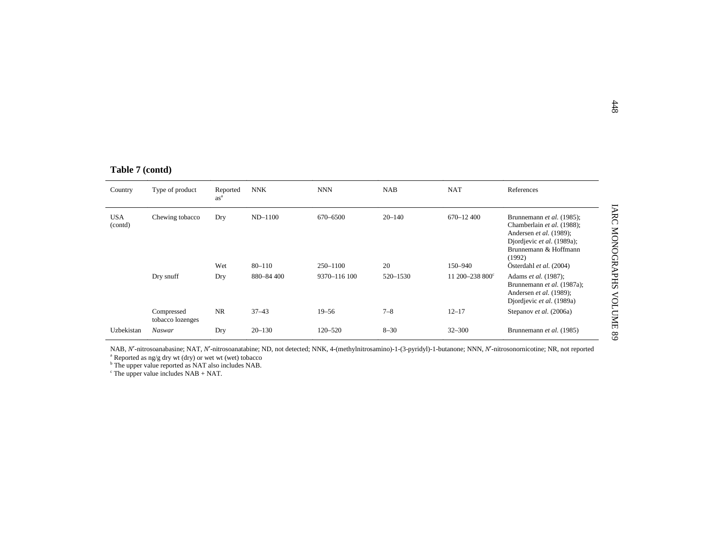|  | Table 7 (contd) |  |
|--|-----------------|--|
|  |                 |  |

| Table 7 (contd)       |                                |                    |                         |                           |                  |                      |                                                                                                                                                                                |
|-----------------------|--------------------------------|--------------------|-------------------------|---------------------------|------------------|----------------------|--------------------------------------------------------------------------------------------------------------------------------------------------------------------------------|
| Country               | Type of product                | Reported<br>$as^a$ | <b>NNK</b>              | $\ensuremath{\text{NNN}}$ | <b>NAB</b>       | <b>NAT</b>           | References                                                                                                                                                                     |
| <b>USA</b><br>(contd) | Chewing tobacco                | Dry<br>Wet         | $ND-1100$<br>$80 - 110$ | 670-6500<br>250-1100      | $20 - 140$<br>20 | 670-12400<br>150-940 | Brunnemann et al. (1985);<br>Chamberlain et al. (1988);<br>Andersen et al. (1989);<br>Djordjevic et al. (1989a);<br>Brunnemann & Hoffmann<br>(1992)<br>Österdahl et al. (2004) |
|                       | Dry snuff                      | Dry                | 880-84 400              | 9370-116 100              | 520-1530         | 11 200-238 800°      | Adams et al. (1987);<br>Brunnemann et al. (1987a);<br>Andersen et al. (1989);<br>Djordjevic et al. (1989a)                                                                     |
|                       | Compressed<br>tobacco lozenges | NR                 | $37 - 43$               | $19 - 56$                 | $7 - 8$          | $12 - 17$            | Stepanov et al. (2006a)                                                                                                                                                        |
| Uzbekistan            | Naswar                         | Dry                | $20 - 130$              | 120-520                   | $8 - 30$         | $32 - 300$           | Brunnemann et al. (1985)                                                                                                                                                       |

NAB, *N*′-nitrosoanabasine; NAT, *N*′-nitrosoanatabine; ND, not detected; NNK, 4-(methylnitrosamino)-1-(3-pyridyl)-1-butanone; NNN, *N*′-nitrosonornicotine; NR, not reported

<sup>a</sup> Reported as ng/g dry wt (dry) or wet wt (wet) tobacco  $^{\text{b}}$  The upper value reported as NAT also includes NAB.

 $\textdegree$  The upper value includes NAB + NAT.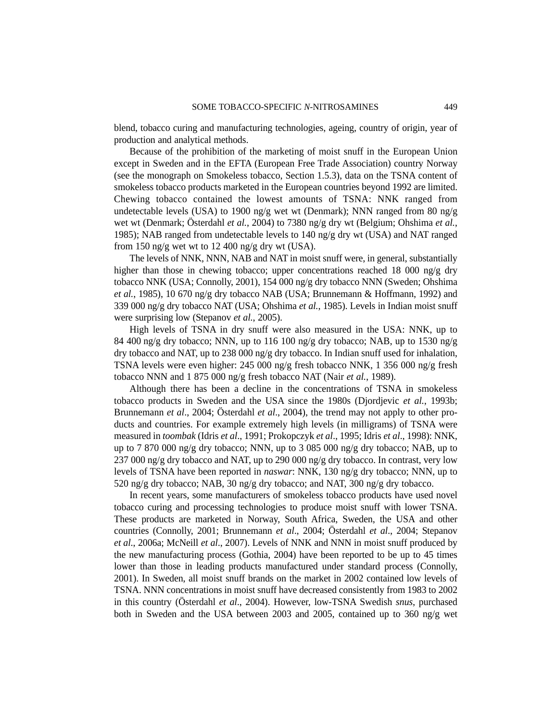blend, tobacco curing and manufacturing technologies, ageing, country of origin, year of production and analytical methods.

Because of the prohibition of the marketing of moist snuff in the European Union except in Sweden and in the EFTA (European Free Trade Association) country Norway (see the monograph on Smokeless tobacco, Section 1.5.3), data on the TSNA content of smokeless tobacco products marketed in the European countries beyond 1992 are limited. Chewing tobacco contained the lowest amounts of TSNA: NNK ranged from undetectable levels (USA) to 1900 ng/g wet wt (Denmark); NNN ranged from 80 ng/g wet wt (Denmark; Österdahl *et al.*, 2004) to 7380 ng/g dry wt (Belgium; Ohshima *et al.*, 1985); NAB ranged from undetectable levels to 140 ng/g dry wt (USA) and NAT ranged from 150 ng/g wet wt to 12 400 ng/g dry wt (USA).

The levels of NNK, NNN, NAB and NAT in moist snuff were, in general, substantially higher than those in chewing tobacco; upper concentrations reached 18 000 ng/g dry tobacco NNK (USA; Connolly, 2001), 154 000 ng/g dry tobacco NNN (Sweden; Ohshima *et al.*, 1985), 10 670 ng/g dry tobacco NAB (USA; Brunnemann & Hoffmann, 1992) and 339 000 ng/g dry tobacco NAT (USA; Ohshima *et al.*, 1985). Levels in Indian moist snuff were surprising low (Stepanov *et al.*, 2005).

High levels of TSNA in dry snuff were also measured in the USA: NNK, up to 84 400 ng/g dry tobacco; NNN, up to 116 100 ng/g dry tobacco; NAB, up to 1530 ng/g dry tobacco and NAT, up to 238 000 ng/g dry tobacco. In Indian snuff used for inhalation, TSNA levels were even higher: 245 000 ng/g fresh tobacco NNK, 1 356 000 ng/g fresh tobacco NNN and 1 875 000 ng/g fresh tobacco NAT (Nair *et al.*, 1989).

Although there has been a decline in the concentrations of TSNA in smokeless tobacco products in Sweden and the USA since the 1980s (Djordjevic *et al.*, 1993b; Brunnemann *et al*., 2004; Österdahl *et al*., 2004), the trend may not apply to other products and countries. For example extremely high levels (in milligrams) of TSNA were measured in *toombak* (Idris *et al*., 1991; Prokopczyk *et al*., 1995; Idris *et al*., 1998): NNK, up to 7 870 000 ng/g dry tobacco; NNN, up to 3 085 000 ng/g dry tobacco; NAB, up to 237 000 ng/g dry tobacco and NAT, up to 290 000 ng/g dry tobacco. In contrast, very low levels of TSNA have been reported in *naswar*: NNK, 130 ng/g dry tobacco; NNN, up to 520 ng/g dry tobacco; NAB, 30 ng/g dry tobacco; and NAT, 300 ng/g dry tobacco.

In recent years, some manufacturers of smokeless tobacco products have used novel tobacco curing and processing technologies to produce moist snuff with lower TSNA. These products are marketed in Norway, South Africa, Sweden, the USA and other countries (Connolly, 2001; Brunnemann *et al*., 2004; Österdahl *et al*., 2004; Stepanov *et al*., 2006a; McNeill *et al*., 2007). Levels of NNK and NNN in moist snuff produced by the new manufacturing process (Gothia, 2004) have been reported to be up to 45 times lower than those in leading products manufactured under standard process (Connolly, 2001). In Sweden, all moist snuff brands on the market in 2002 contained low levels of TSNA. NNN concentrations in moist snuff have decreased consistently from 1983 to 2002 in this country (Österdahl *et al*., 2004). However, low-TSNA Swedish *snus*, purchased both in Sweden and the USA between 2003 and 2005, contained up to 360 ng/g wet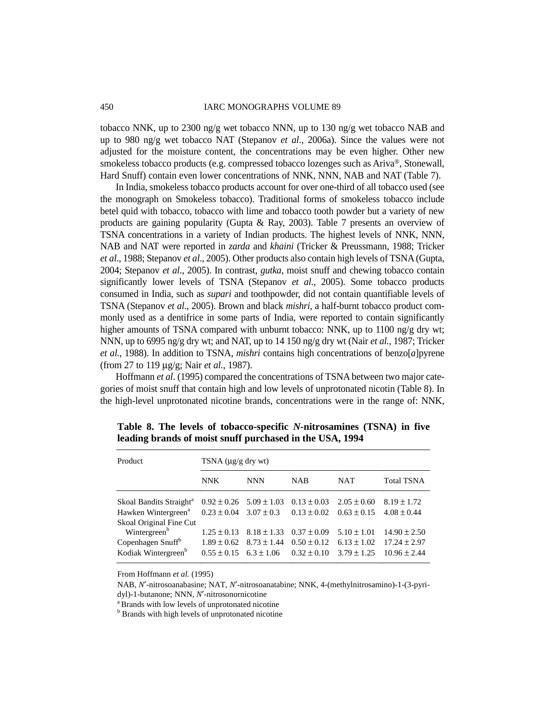tobacco NNK, up to 2300 ng/g wet tobacco NNN, up to 130 ng/g wet tobacco NAB and up to 980 ng/g wet tobacco NAT (Stepanov *et al*., 2006a). Since the values were not adjusted for the moisture content, the concentrations may be even higher. Other new smokeless tobacco products (e.g. compressed tobacco lozenges such as Ariva®, Stonewall, Hard Snuff) contain even lower concentrations of NNK, NNN, NAB and NAT (Table 7).

In India, smokeless tobacco products account for over one-third of all tobacco used (see the monograph on Smokeless tobacco). Traditional forms of smokeless tobacco include betel quid with tobacco, tobacco with lime and tobacco tooth powder but a variety of new products are gaining popularity (Gupta & Ray, 2003). Table 7 presents an overview of TSNA concentrations in a variety of Indian products. The highest levels of NNK, NNN, NAB and NAT were reported in *zarda* and *khaini* (Tricker & Preussmann, 1988; Tricker *et al*., 1988; Stepanov *et al*., 2005). Other products also contain high levels of TSNA (Gupta, 2004; Stepanov *et al*., 2005). In contrast, *gutka*, moist snuff and chewing tobacco contain significantly lower levels of TSNA (Stepanov *et al*., 2005). Some tobacco products consumed in India, such as *supari* and toothpowder, did not contain quantifiable levels of TSNA (Stepanov *et al*., 2005). Brown and black *mishri*, a half-burnt tobacco product commonly used as a dentifrice in some parts of India, were reported to contain significantly higher amounts of TSNA compared with unburnt tobacco: NNK, up to 1100 ng/g dry wt; NNN, up to 6995 ng/g dry wt; and NAT, up to 14 150 ng/g dry wt (Nair *et al.*, 1987; Tricker *et al.*, 1988). In addition to TSNA, *mishri* contains high concentrations of benzo[*a*]pyrene (from 27 to 119 μg/g; Nair *et al.*, 1987).

Hoffmann *et al*. (1995) compared the concentrations of TSNA between two major categories of moist snuff that contain high and low levels of unprotonated nicotin (Table 8). In the high-level unprotonated nicotine brands, concentrations were in the range of: NNK,

| Product                                                                                           | TSNA $(\mu$ g/g dry wt                                |                                                      |                                                       |                                                       |                                                          |  |
|---------------------------------------------------------------------------------------------------|-------------------------------------------------------|------------------------------------------------------|-------------------------------------------------------|-------------------------------------------------------|----------------------------------------------------------|--|
|                                                                                                   | <b>NNK</b>                                            | <b>NNN</b>                                           | <b>NAB</b>                                            | <b>NAT</b>                                            | <b>Total TSNA</b>                                        |  |
| Skoal Bandits Straight <sup>a</sup><br>Hawken Wintergreen <sup>a</sup><br>Skoal Original Fine Cut | $0.92 \pm 0.26$<br>$0.23 \pm 0.04$                    | $5.09 \pm 1.03$<br>$3.07 \pm 0.3$                    | $0.13 \pm 0.03$<br>$0.13 \pm 0.02$                    | $2.05 \pm 0.60$<br>$0.63 \pm 0.15$                    | $8.19 \pm 1.72$<br>$4.08 \pm 0.44$                       |  |
| Wintergreen <sup>b</sup><br>Copenhagen Snuff <sup>b</sup><br>Kodiak Wintergreen <sup>b</sup>      | $1.25 \pm 0.13$<br>$1.89 \pm 0.62$<br>$0.55 \pm 0.15$ | $8.18 \pm 1.33$<br>$8.73 \pm 1.44$<br>$6.3 \pm 1.06$ | $0.37 \pm 0.09$<br>$0.50 \pm 0.12$<br>$0.32 \pm 0.10$ | $5.10 \pm 1.01$<br>$6.13 \pm 1.02$<br>$3.79 \pm 1.25$ | $14.90 \pm 2.50$<br>$17.24 \pm 2.97$<br>$10.96 \pm 2.44$ |  |

**Table 8. The levels of tobacco-specific** *N***-nitrosamines (TSNA) in five leading brands of moist snuff purchased in the USA, 1994** 

From Hoffmann *et al.* (1995)

NAB, *N*′-nitrosoanabasine; NAT, *N*′-nitrosoanatabine; NNK, 4-(methylnitrosamino)-1-(3-pyridyl)-1-butanone; NNN, *N*′-nitrosonornicotine

a Brands with low levels of unprotonated nicotine

**b** Brands with high levels of unprotonated nicotine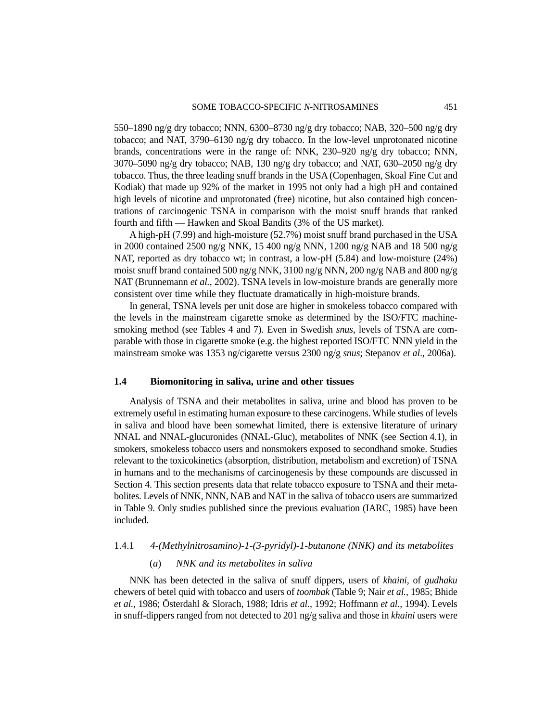550–1890 ng/g dry tobacco; NNN, 6300–8730 ng/g dry tobacco; NAB, 320–500 ng/g dry tobacco; and NAT, 3790–6130 ng/g dry tobacco. In the low-level unprotonated nicotine brands, concentrations were in the range of: NNK, 230–920 ng/g dry tobacco; NNN, 3070–5090 ng/g dry tobacco; NAB, 130 ng/g dry tobacco; and NAT, 630–2050 ng/g dry tobacco. Thus, the three leading snuff brands in the USA (Copenhagen, Skoal Fine Cut and Kodiak) that made up 92% of the market in 1995 not only had a high pH and contained high levels of nicotine and unprotonated (free) nicotine, but also contained high concentrations of carcinogenic TSNA in comparison with the moist snuff brands that ranked fourth and fifth — Hawken and Skoal Bandits (3% of the US market).

A high-pH (7.99) and high-moisture (52.7%) moist snuff brand purchased in the USA in 2000 contained 2500 ng/g NNK, 15 400 ng/g NNN, 1200 ng/g NAB and 18 500 ng/g NAT, reported as dry tobacco wt; in contrast, a low-pH (5.84) and low-moisture (24%) moist snuff brand contained 500 ng/g NNK, 3100 ng/g NNN, 200 ng/g NAB and 800 ng/g NAT (Brunnemann *et al.*, 2002). TSNA levels in low-moisture brands are generally more consistent over time while they fluctuate dramatically in high-moisture brands.

In general, TSNA levels per unit dose are higher in smokeless tobacco compared with the levels in the mainstream cigarette smoke as determined by the ISO/FTC machinesmoking method (see Tables 4 and 7). Even in Swedish *snus*, levels of TSNA are comparable with those in cigarette smoke (e.g. the highest reported ISO/FTC NNN yield in the mainstream smoke was 1353 ng/cigarette versus 2300 ng/g *snus*; Stepanov *et al*., 2006a).

# **1.4 Biomonitoring in saliva, urine and other tissues**

Analysis of TSNA and their metabolites in saliva, urine and blood has proven to be extremely useful in estimating human exposure to these carcinogens. While studies of levels in saliva and blood have been somewhat limited, there is extensive literature of urinary NNAL and NNAL-glucuronides (NNAL-Gluc), metabolites of NNK (see Section 4.1), in smokers, smokeless tobacco users and nonsmokers exposed to secondhand smoke. Studies relevant to the toxicokinetics (absorption, distribution, metabolism and excretion) of TSNA in humans and to the mechanisms of carcinogenesis by these compounds are discussed in Section 4. This section presents data that relate tobacco exposure to TSNA and their metabolites. Levels of NNK, NNN, NAB and NAT in the saliva of tobacco users are summarized in Table 9. Only studies published since the previous evaluation (IARC, 1985) have been included.

# 1.4.1 *4-(Methylnitrosamino)-1-(3-pyridyl)-1-butanone (NNK) and its metabolites*

# (*a*) *NNK and its metabolites in saliva*

NNK has been detected in the saliva of snuff dippers, users of *khaini*, of *gudhaku* chewers of betel quid with tobacco and users of *toombak* (Table 9; Nair *et al.*, 1985; Bhide *et al.*, 1986; Österdahl & Slorach, 1988; Idris *et al.*, 1992; Hoffmann *et al.*, 1994). Levels in snuff-dippers ranged from not detected to 201 ng/g saliva and those in *khaini* users were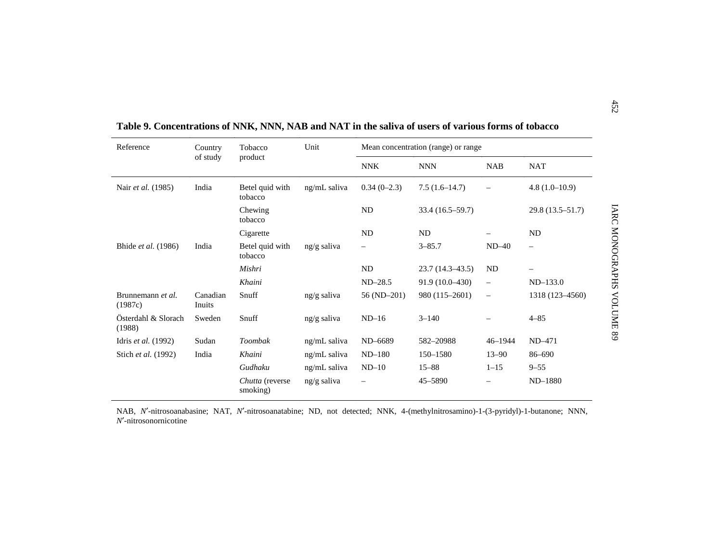| Reference                     | Country            | Tobacco                      | Unit          | Mean concentration (range) or range |                   |                          |                          |  |
|-------------------------------|--------------------|------------------------------|---------------|-------------------------------------|-------------------|--------------------------|--------------------------|--|
|                               | of study           | product                      |               | <b>NNK</b>                          | <b>NNN</b>        | <b>NAB</b>               | <b>NAT</b>               |  |
| Nair et al. (1985)            | India              | Betel quid with<br>tobacco   | ng/mL saliva  | $0.34(0-2.3)$                       | $7.5(1.6-14.7)$   |                          | $4.8(1.0-10.9)$          |  |
|                               |                    | Chewing<br>tobacco           |               | ND                                  | $33.4(16.5-59.7)$ |                          | $29.8(13.5 - 51.7)$      |  |
|                               |                    | Cigarette                    |               | ND                                  | ND                |                          | <b>ND</b>                |  |
| Bhide et al. (1986)           | India              | Betel quid with<br>tobacco   | $ng/g$ saliva | $\overline{\phantom{m}}$            | $3 - 85.7$        | $ND-40$                  | $\overline{\phantom{m}}$ |  |
|                               |                    | Mishri                       |               | ND                                  | $23.7(14.3-43.5)$ | N <sub>D</sub>           |                          |  |
|                               |                    | Khaini                       |               | $ND-28.5$                           | $91.9(10.0-430)$  | $\overline{\phantom{0}}$ | $ND-133.0$               |  |
| Brunnemann et al.<br>(1987c)  | Canadian<br>Inuits | Snuff                        | ng/g saliva   | 56 (ND-201)                         | 980 (115-2601)    | $\overline{\phantom{m}}$ | 1318 (123-4560)          |  |
| Österdahl & Slorach<br>(1988) | Sweden             | Snuff                        | ng/g saliva   | $ND-16$                             | $3 - 140$         |                          | $4 - 85$                 |  |
| Idris et al. (1992)           | Sudan              | Toombak                      | ng/mL saliva  | ND-6689                             | 582-20988         | $46 - 1944$              | $ND-471$                 |  |
| Stich et al. (1992)           | India              | Khaini                       | ng/mL saliva  | $ND-180$                            | 150-1580          | $13 - 90$                | 86-690                   |  |
|                               |                    | Gudhaku                      | ng/mL saliva  | $ND-10$                             | $15 - 88$         | $1 - 15$                 | $9 - 55$                 |  |
|                               |                    | Chutta (reverse)<br>smoking) | ng/g saliva   |                                     | 45-5890           |                          | $ND-1880$                |  |

NAB, *N'*-nitrosoanabasine; NAT, *N'*-nitrosoanatabine; ND, not detected; NNK, 4-(methylnitrosamino)-1-(3-pyridyl)-1-butanone; NNN, *N*′-nitrosonornicotine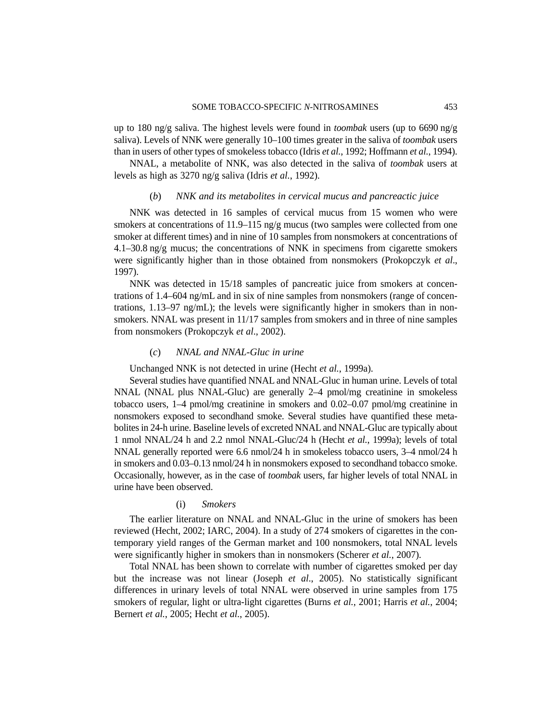up to 180 ng/g saliva. The highest levels were found in *toombak* users (up to 6690 ng/g saliva). Levels of NNK were generally 10–100 times greater in the saliva of *toombak* users than in users of other types of smokeless tobacco (Idris *et al.*, 1992; Hoffmann *et al.*, 1994).

NNAL, a metabolite of NNK, was also detected in the saliva of *toombak* users at levels as high as 3270 ng/g saliva (Idris *et al.*, 1992).

#### (*b*) *NNK and its metabolites in cervical mucus and pancreactic juice*

NNK was detected in 16 samples of cervical mucus from 15 women who were smokers at concentrations of 11.9–115 ng/g mucus (two samples were collected from one smoker at different times) and in nine of 10 samples from nonsmokers at concentrations of 4.1–30.8 ng/g mucus; the concentrations of NNK in specimens from cigarette smokers were significantly higher than in those obtained from nonsmokers (Prokopczyk *et al*., 1997).

NNK was detected in 15/18 samples of pancreatic juice from smokers at concentrations of 1.4–604 ng/mL and in six of nine samples from nonsmokers (range of concentrations, 1.13–97 ng/mL); the levels were significantly higher in smokers than in nonsmokers. NNAL was present in 11/17 samples from smokers and in three of nine samples from nonsmokers (Prokopczyk *et al*., 2002).

### (*c*) *NNAL and NNAL-Gluc in urine*

Unchanged NNK is not detected in urine (Hecht *et al.*, 1999a).

Several studies have quantified NNAL and NNAL-Gluc in human urine. Levels of total NNAL (NNAL plus NNAL-Gluc) are generally 2–4 pmol/mg creatinine in smokeless tobacco users, 1–4 pmol/mg creatinine in smokers and 0.02–0.07 pmol/mg creatinine in nonsmokers exposed to secondhand smoke. Several studies have quantified these metabolites in 24-h urine. Baseline levels of excreted NNAL and NNAL-Gluc are typically about 1 nmol NNAL/24 h and 2.2 nmol NNAL-Gluc/24 h (Hecht *et al.*, 1999a); levels of total NNAL generally reported were 6.6 nmol/24 h in smokeless tobacco users, 3–4 nmol/24 h in smokers and 0.03–0.13 nmol/24 h in nonsmokers exposed to secondhand tobacco smoke. Occasionally, however, as in the case of *toombak* users, far higher levels of total NNAL in urine have been observed.

#### (i) *Smokers*

The earlier literature on NNAL and NNAL-Gluc in the urine of smokers has been reviewed (Hecht, 2002; IARC, 2004). In a study of 274 smokers of cigarettes in the contemporary yield ranges of the German market and 100 nonsmokers, total NNAL levels were significantly higher in smokers than in nonsmokers (Scherer *et al.*, 2007).

Total NNAL has been shown to correlate with number of cigarettes smoked per day but the increase was not linear (Joseph *et al*., 2005). No statistically significant differences in urinary levels of total NNAL were observed in urine samples from 175 smokers of regular, light or ultra-light cigarettes (Burns *et al.*, 2001; Harris *et al.*, 2004; Bernert *et al.*, 2005; Hecht *et al.*, 2005).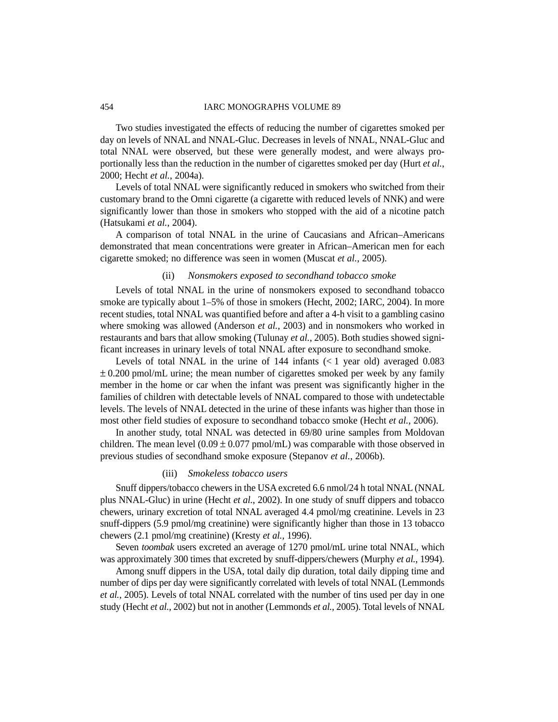Two studies investigated the effects of reducing the number of cigarettes smoked per day on levels of NNAL and NNAL-Gluc. Decreases in levels of NNAL, NNAL-Gluc and total NNAL were observed, but these were generally modest, and were always proportionally less than the reduction in the number of cigarettes smoked per day (Hurt *et al.*, 2000; Hecht *et al.*, 2004a).

Levels of total NNAL were significantly reduced in smokers who switched from their customary brand to the Omni cigarette (a cigarette with reduced levels of NNK) and were significantly lower than those in smokers who stopped with the aid of a nicotine patch (Hatsukami *et al.*, 2004).

A comparison of total NNAL in the urine of Caucasians and African–Americans demonstrated that mean concentrations were greater in African–American men for each cigarette smoked; no difference was seen in women (Muscat *et al.*, 2005).

#### (ii) *Nonsmokers exposed to secondhand tobacco smoke*

Levels of total NNAL in the urine of nonsmokers exposed to secondhand tobacco smoke are typically about 1–5% of those in smokers (Hecht, 2002; IARC, 2004). In more recent studies, total NNAL was quantified before and after a 4-h visit to a gambling casino where smoking was allowed (Anderson *et al.*, 2003) and in nonsmokers who worked in restaurants and bars that allow smoking (Tulunay *et al.*, 2005). Both studies showed significant increases in urinary levels of total NNAL after exposure to secondhand smoke.

Levels of total NNAL in the urine of  $144$  infants (< 1 year old) averaged 0.083  $\pm$  0.200 pmol/mL urine; the mean number of cigarettes smoked per week by any family member in the home or car when the infant was present was significantly higher in the families of children with detectable levels of NNAL compared to those with undetectable levels. The levels of NNAL detected in the urine of these infants was higher than those in most other field studies of exposure to secondhand tobacco smoke (Hecht *et al.*, 2006).

In another study, total NNAL was detected in 69/80 urine samples from Moldovan children. The mean level  $(0.09 \pm 0.077 \text{ pmol/mL})$  was comparable with those observed in previous studies of secondhand smoke exposure (Stepanov *et al.*, 2006b).

#### (iii) *Smokeless tobacco users*

Snuff dippers/tobacco chewers in the USA excreted 6.6 nmol/24 h total NNAL (NNAL plus NNAL-Gluc) in urine (Hecht *et al.*, 2002). In one study of snuff dippers and tobacco chewers, urinary excretion of total NNAL averaged 4.4 pmol/mg creatinine. Levels in 23 snuff-dippers (5.9 pmol/mg creatinine) were significantly higher than those in 13 tobacco chewers (2.1 pmol/mg creatinine) (Kresty *et al.*, 1996).

Seven *toombak* users excreted an average of 1270 pmol/mL urine total NNAL, which was approximately 300 times that excreted by snuff-dippers/chewers (Murphy *et al.*, 1994).

Among snuff dippers in the USA, total daily dip duration, total daily dipping time and number of dips per day were significantly correlated with levels of total NNAL (Lemmonds *et al.*, 2005). Levels of total NNAL correlated with the number of tins used per day in one study (Hecht *et al.*, 2002) but not in another (Lemmonds *et al.*, 2005). Total levels of NNAL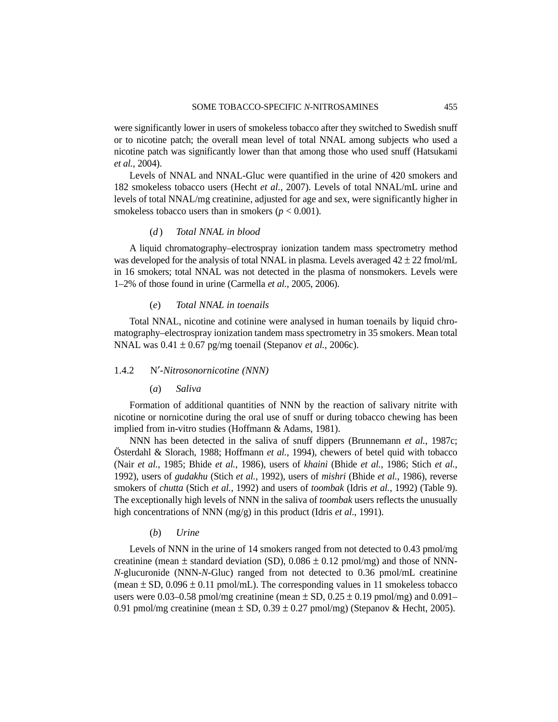were significantly lower in users of smokeless tobacco after they switched to Swedish snuff or to nicotine patch; the overall mean level of total NNAL among subjects who used a nicotine patch was significantly lower than that among those who used snuff (Hatsukami *et al.*, 2004).

Levels of NNAL and NNAL-Gluc were quantified in the urine of 420 smokers and 182 smokeless tobacco users (Hecht *et al.*, 2007). Levels of total NNAL/mL urine and levels of total NNAL/mg creatinine, adjusted for age and sex, were significantly higher in smokeless tobacco users than in smokers ( $p < 0.001$ ).

## (*d* ) *Total NNAL in blood*

A liquid chromatography–electrospray ionization tandem mass spectrometry method was developed for the analysis of total NNAL in plasma. Levels averaged  $42 \pm 22$  fmol/mL in 16 smokers; total NNAL was not detected in the plasma of nonsmokers. Levels were 1–2% of those found in urine (Carmella *et al.*, 2005, 2006).

## (*e*) *Total NNAL in toenails*

Total NNAL, nicotine and cotinine were analysed in human toenails by liquid chromatography–electrospray ionization tandem mass spectrometry in 35 smokers. Mean total NNAL was 0.41 ± 0.67 pg/mg toenail (Stepanov *et al.*, 2006c).

## 1.4.2 N′*-Nitrosonornicotine (NNN)*

#### (*a*) *Saliva*

Formation of additional quantities of NNN by the reaction of salivary nitrite with nicotine or nornicotine during the oral use of snuff or during tobacco chewing has been implied from in-vitro studies (Hoffmann & Adams, 1981).

NNN has been detected in the saliva of snuff dippers (Brunnemann *et al.*, 1987c; Österdahl & Slorach, 1988; Hoffmann *et al.*, 1994), chewers of betel quid with tobacco (Nair *et al.*, 1985; Bhide *et al.*, 1986), users of *khaini* (Bhide *et al.*, 1986; Stich *et al.*, 1992), users of *gudakhu* (Stich *et al.*, 1992), users of *mishri* (Bhide *et al.*, 1986), reverse smokers of *chutta* (Stich *et al.*, 1992) and users of *toombak* (Idris *et al.*, 1992) (Table 9). The exceptionally high levels of NNN in the saliva of *toombak* users reflects the unusually high concentrations of NNN (mg/g) in this product (Idris *et al*., 1991).

## (*b*) *Urine*

Levels of NNN in the urine of 14 smokers ranged from not detected to 0.43 pmol/mg creatinine (mean  $\pm$  standard deviation (SD), 0.086  $\pm$  0.12 pmol/mg) and those of NNN-*N*-glucuronide (NNN-*N*-Gluc) ranged from not detected to 0.36 pmol/mL creatinine (mean  $\pm$  SD, 0.096  $\pm$  0.11 pmol/mL). The corresponding values in 11 smokeless tobacco users were 0.03–0.58 pmol/mg creatinine (mean  $\pm$  SD, 0.25  $\pm$  0.19 pmol/mg) and 0.091– 0.91 pmol/mg creatinine (mean  $\pm$  SD, 0.39  $\pm$  0.27 pmol/mg) (Stepanov & Hecht, 2005).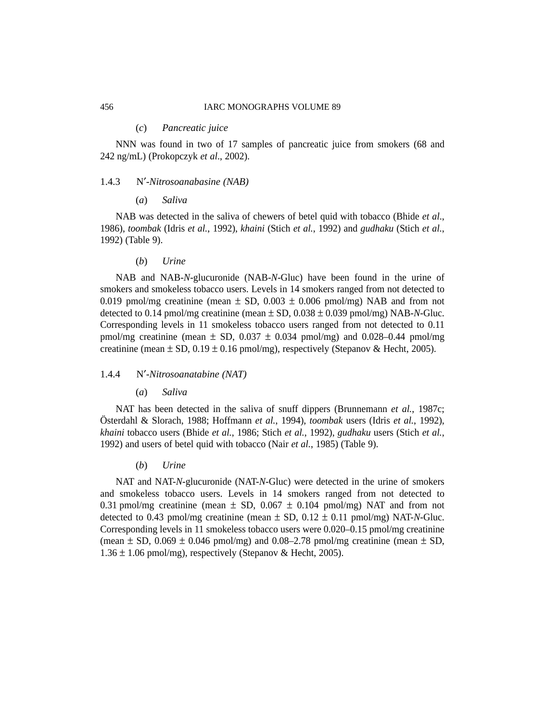#### (*c*) *Pancreatic juice*

NNN was found in two of 17 samples of pancreatic juice from smokers (68 and 242 ng/mL) (Prokopczyk *et al*., 2002).

#### 1.4.3 N′*-Nitrosoanabasine (NAB)*

## (*a*) *Saliva*

NAB was detected in the saliva of chewers of betel quid with tobacco (Bhide *et al*., 1986), *toombak* (Idris *et al.*, 1992), *khaini* (Stich *et al.*, 1992) and *gudhaku* (Stich *et al.*, 1992) (Table 9).

#### (*b*) *Urine*

NAB and NAB-*N*-glucuronide (NAB-*N*-Gluc) have been found in the urine of smokers and smokeless tobacco users. Levels in 14 smokers ranged from not detected to 0.019 pmol/mg creatinine (mean  $\pm$  SD, 0.003  $\pm$  0.006 pmol/mg) NAB and from not detected to 0.14 pmol/mg creatinine (mean  $\pm$  SD, 0.038  $\pm$  0.039 pmol/mg) NAB-*N*-Gluc. Corresponding levels in 11 smokeless tobacco users ranged from not detected to 0.11 pmol/mg creatinine (mean  $\pm$  SD, 0.037  $\pm$  0.034 pmol/mg) and 0.028–0.44 pmol/mg creatinine (mean  $\pm$  SD, 0.19  $\pm$  0.16 pmol/mg), respectively (Stepanov & Hecht, 2005).

# 1.4.4 N′*-Nitrosoanatabine (NAT)*

## (*a*) *Saliva*

NAT has been detected in the saliva of snuff dippers (Brunnemann *et al.*, 1987c; Österdahl & Slorach, 1988; Hoffmann *et al.*, 1994), *toombak* users (Idris *et al.*, 1992), *khaini* tobacco users (Bhide *et al.*, 1986; Stich *et al.*, 1992), *gudhaku* users (Stich *et al.*, 1992) and users of betel quid with tobacco (Nair *et al.*, 1985) (Table 9).

## (*b*) *Urine*

NAT and NAT-*N*-glucuronide (NAT-*N*-Gluc) were detected in the urine of smokers and smokeless tobacco users. Levels in 14 smokers ranged from not detected to 0.31 pmol/mg creatinine (mean  $\pm$  SD, 0.067  $\pm$  0.104 pmol/mg) NAT and from not detected to 0.43 pmol/mg creatinine (mean  $\pm$  SD, 0.12  $\pm$  0.11 pmol/mg) NAT-*N*-Gluc. Corresponding levels in 11 smokeless tobacco users were 0.020–0.15 pmol/mg creatinine (mean  $\pm$  SD, 0.069  $\pm$  0.046 pmol/mg) and 0.08–2.78 pmol/mg creatinine (mean  $\pm$  SD,  $1.36 \pm 1.06$  pmol/mg), respectively (Stepanov & Hecht, 2005).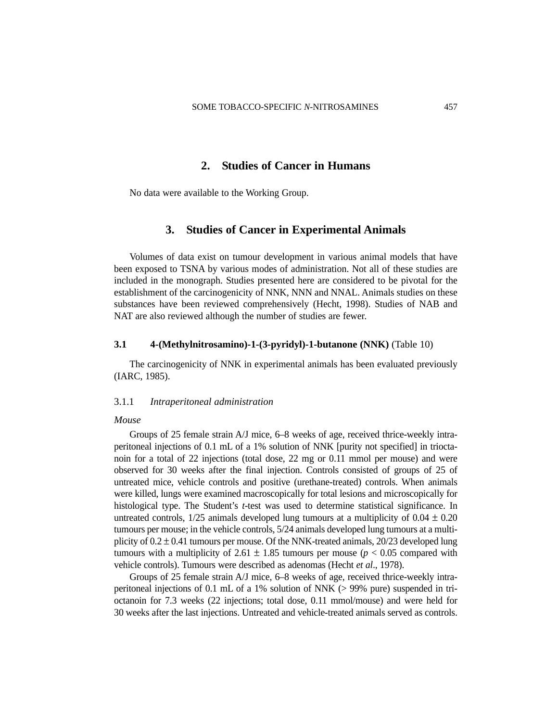# **2. Studies of Cancer in Humans**

No data were available to the Working Group.

# **3. Studies of Cancer in Experimental Animals**

Volumes of data exist on tumour development in various animal models that have been exposed to TSNA by various modes of administration. Not all of these studies are included in the monograph. Studies presented here are considered to be pivotal for the establishment of the carcinogenicity of NNK, NNN and NNAL. Animals studies on these substances have been reviewed comprehensively (Hecht, 1998). Studies of NAB and NAT are also reviewed although the number of studies are fewer.

## **3.1 4-(Methylnitrosamino)-1-(3-pyridyl)-1-butanone (NNK)** (Table 10)

The carcinogenicity of NNK in experimental animals has been evaluated previously (IARC, 1985).

## 3.1.1 *Intraperitoneal administration*

#### *Mouse*

Groups of 25 female strain A/J mice, 6–8 weeks of age, received thrice-weekly intraperitoneal injections of 0.1 mL of a 1% solution of NNK [purity not specified] in trioctanoin for a total of 22 injections (total dose, 22 mg or 0.11 mmol per mouse) and were observed for 30 weeks after the final injection. Controls consisted of groups of 25 of untreated mice, vehicle controls and positive (urethane-treated) controls. When animals were killed, lungs were examined macroscopically for total lesions and microscopically for histological type. The Student's *t*-test was used to determine statistical significance. In untreated controls,  $1/25$  animals developed lung tumours at a multiplicity of  $0.04 \pm 0.20$ tumours per mouse; in the vehicle controls, 5/24 animals developed lung tumours at a multiplicity of  $0.2 \pm 0.41$  tumours per mouse. Of the NNK-treated animals, 20/23 developed lung tumours with a multiplicity of 2.61  $\pm$  1.85 tumours per mouse ( $p < 0.05$  compared with vehicle controls). Tumours were described as adenomas (Hecht *et al*., 1978).

Groups of 25 female strain A/J mice, 6–8 weeks of age, received thrice-weekly intraperitoneal injections of 0.1 mL of a 1% solution of NNK ( $> 99\%$  pure) suspended in trioctanoin for 7.3 weeks (22 injections; total dose, 0.11 mmol/mouse) and were held for 30 weeks after the last injections. Untreated and vehicle-treated animals served as controls.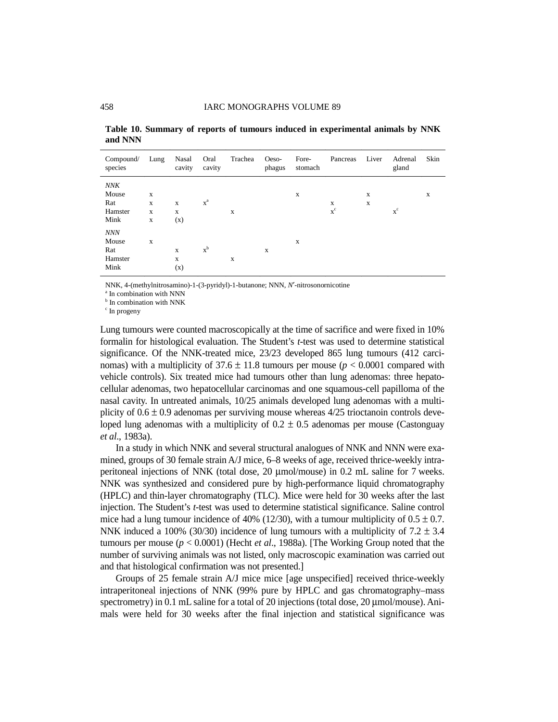**Table 10. Summary of reports of tumours induced in experimental animals by NNK and NNN** 

| Compound/<br>species                          | Lung             | Nasal<br>cavity         | Oral<br>cavity | Trachea | Oeso-<br>phagus | Fore-<br>stomach | Pancreas   | Liver  | Adrenal<br>gland | Skin |
|-----------------------------------------------|------------------|-------------------------|----------------|---------|-----------------|------------------|------------|--------|------------------|------|
| NNK<br>Mouse<br>Rat<br>Hamster<br>Mink        | X<br>X<br>X<br>X | X<br>X<br>(x)           | $x^a$          | X       |                 | X                | X<br>$x^c$ | X<br>X | $x^c$            | X    |
| <b>NNN</b><br>Mouse<br>Rat<br>Hamster<br>Mink | X                | X<br>$\mathbf x$<br>(x) | $x^b$          | X       | X               | X                |            |        |                  |      |

NNK, 4-(methylnitrosamino)-1-(3-pyridyl)-1-butanone; NNN, *N*′-nitrosonornicotine a

<sup>a</sup> In combination with NNN

<sup>b</sup> In combination with NNK

<sup>c</sup> In progeny

Lung tumours were counted macroscopically at the time of sacrifice and were fixed in 10% formalin for histological evaluation. The Student's *t*-test was used to determine statistical significance. Of the NNK-treated mice, 23/23 developed 865 lung tumours (412 carcinomas) with a multiplicity of  $37.6 \pm 11.8$  tumours per mouse ( $p < 0.0001$  compared with vehicle controls). Six treated mice had tumours other than lung adenomas: three hepatocellular adenomas, two hepatocellular carcinomas and one squamous-cell papilloma of the nasal cavity. In untreated animals, 10/25 animals developed lung adenomas with a multiplicity of  $0.6 \pm 0.9$  adenomas per surviving mouse whereas  $4/25$  trioctanoin controls developed lung adenomas with a multiplicity of  $0.2 \pm 0.5$  adenomas per mouse (Castonguay *et al*., 1983a).

In a study in which NNK and several structural analogues of NNK and NNN were examined, groups of 30 female strain A/J mice, 6–8 weeks of age, received thrice-weekly intraperitoneal injections of NNK (total dose, 20 μmol/mouse) in 0.2 mL saline for 7 weeks. NNK was synthesized and considered pure by high-performance liquid chromatography (HPLC) and thin-layer chromatography (TLC). Mice were held for 30 weeks after the last injection. The Student's *t*-test was used to determine statistical significance. Saline control mice had a lung tumour incidence of 40% (12/30), with a tumour multiplicity of  $0.5 \pm 0.7$ . NNK induced a 100% (30/30) incidence of lung tumours with a multiplicity of  $7.2 \pm 3.4$ tumours per mouse (*p* < 0.0001) (Hecht *et al*., 1988a). [The Working Group noted that the number of surviving animals was not listed, only macroscopic examination was carried out and that histological confirmation was not presented.]

Groups of 25 female strain A/J mice mice [age unspecified] received thrice-weekly intraperitoneal injections of NNK (99% pure by HPLC and gas chromatography–mass spectrometry) in 0.1 mL saline for a total of 20 injections (total dose, 20 μmol/mouse). Animals were held for 30 weeks after the final injection and statistical significance was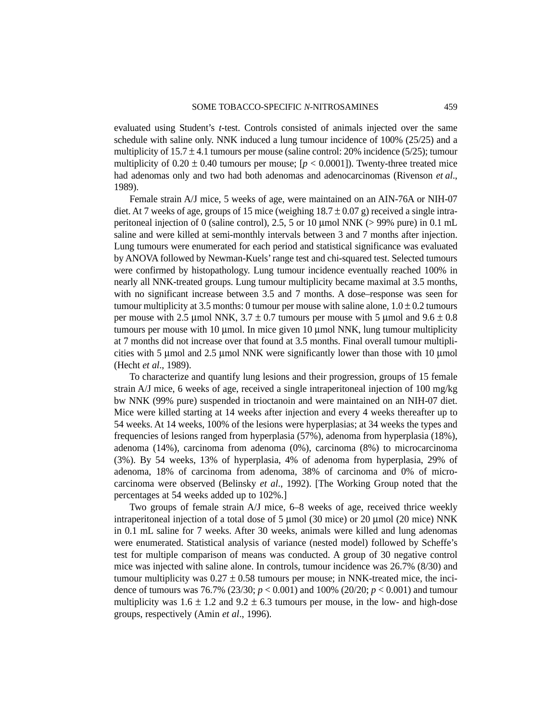evaluated using Student's *t*-test. Controls consisted of animals injected over the same schedule with saline only. NNK induced a lung tumour incidence of 100% (25/25) and a multiplicity of  $15.7 \pm 4.1$  tumours per mouse (saline control: 20% incidence (5/25); tumour multiplicity of  $0.20 \pm 0.40$  tumours per mouse;  $[p < 0.0001]$ ). Twenty-three treated mice had adenomas only and two had both adenomas and adenocarcinomas (Rivenson *et al*., 1989).

Female strain A/J mice, 5 weeks of age, were maintained on an AIN-76A or NIH-07 diet. At 7 weeks of age, groups of 15 mice (weighing  $18.7 \pm 0.07$  g) received a single intraperitoneal injection of 0 (saline control), 2.5, 5 or 10  $\mu$ mol NNK (> 99% pure) in 0.1 mL saline and were killed at semi-monthly intervals between 3 and 7 months after injection. Lung tumours were enumerated for each period and statistical significance was evaluated by ANOVA followed by Newman-Kuels' range test and chi-squared test. Selected tumours were confirmed by histopathology. Lung tumour incidence eventually reached 100% in nearly all NNK-treated groups. Lung tumour multiplicity became maximal at 3.5 months, with no significant increase between 3.5 and 7 months. A dose–response was seen for tumour multiplicity at 3.5 months: 0 tumour per mouse with saline alone,  $1.0 \pm 0.2$  tumours per mouse with 2.5 µmol NNK,  $3.7 \pm 0.7$  tumours per mouse with 5 µmol and  $9.6 \pm 0.8$ tumours per mouse with 10 μmol. In mice given 10 μmol NNK, lung tumour multiplicity at 7 months did not increase over that found at 3.5 months. Final overall tumour multiplicities with 5 µmol and 2.5 µmol NNK were significantly lower than those with  $10 \mu$ mol (Hecht *et al*., 1989).

To characterize and quantify lung lesions and their progression, groups of 15 female strain A/J mice, 6 weeks of age, received a single intraperitoneal injection of 100 mg/kg bw NNK (99% pure) suspended in trioctanoin and were maintained on an NIH-07 diet. Mice were killed starting at 14 weeks after injection and every 4 weeks thereafter up to 54 weeks. At 14 weeks, 100% of the lesions were hyperplasias; at 34 weeks the types and frequencies of lesions ranged from hyperplasia (57%), adenoma from hyperplasia (18%), adenoma (14%), carcinoma from adenoma (0%), carcinoma (8%) to microcarcinoma (3%). By 54 weeks, 13% of hyperplasia, 4% of adenoma from hyperplasia, 29% of adenoma, 18% of carcinoma from adenoma, 38% of carcinoma and 0% of microcarcinoma were observed (Belinsky *et al*., 1992). [The Working Group noted that the percentages at 54 weeks added up to 102%.]

Two groups of female strain A/J mice, 6–8 weeks of age, received thrice weekly intraperitoneal injection of a total dose of 5  $\mu$ mol (30 mice) or 20  $\mu$ mol (20 mice) NNK in 0.1 mL saline for 7 weeks. After 30 weeks, animals were killed and lung adenomas were enumerated. Statistical analysis of variance (nested model) followed by Scheffe's test for multiple comparison of means was conducted. A group of 30 negative control mice was injected with saline alone. In controls, tumour incidence was 26.7% (8/30) and tumour multiplicity was  $0.27 \pm 0.58$  tumours per mouse; in NNK-treated mice, the incidence of tumours was 76.7% (23/30; *p* < 0.001) and 100% (20/20; *p* < 0.001) and tumour multiplicity was  $1.6 \pm 1.2$  and  $9.2 \pm 6.3$  tumours per mouse, in the low- and high-dose groups, respectively (Amin *et al*., 1996).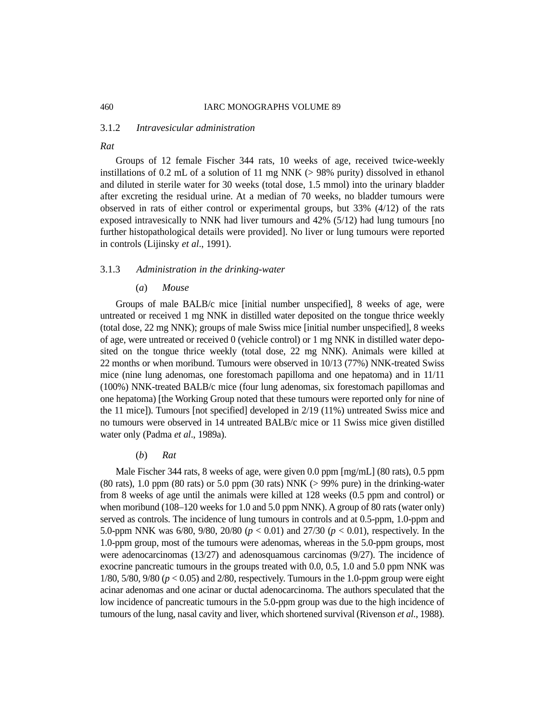## 3.1.2 *Intravesicular administration*

*Rat*

Groups of 12 female Fischer 344 rats, 10 weeks of age, received twice-weekly instillations of 0.2 mL of a solution of 11 mg NNK ( $> 98\%$  purity) dissolved in ethanol and diluted in sterile water for 30 weeks (total dose, 1.5 mmol) into the urinary bladder after excreting the residual urine. At a median of 70 weeks, no bladder tumours were observed in rats of either control or experimental groups, but 33% (4/12) of the rats exposed intravesically to NNK had liver tumours and 42% (5/12) had lung tumours [no further histopathological details were provided]. No liver or lung tumours were reported in controls (Lijinsky *et al*., 1991).

## 3.1.3 *Administration in the drinking-water*

#### (*a*) *Mouse*

Groups of male BALB/c mice [initial number unspecified], 8 weeks of age, were untreated or received 1 mg NNK in distilled water deposited on the tongue thrice weekly (total dose, 22 mg NNK); groups of male Swiss mice [initial number unspecified], 8 weeks of age, were untreated or received 0 (vehicle control) or 1 mg NNK in distilled water deposited on the tongue thrice weekly (total dose, 22 mg NNK). Animals were killed at 22 months or when moribund. Tumours were observed in 10/13 (77%) NNK-treated Swiss mice (nine lung adenomas, one forestomach papilloma and one hepatoma) and in 11/11 (100%) NNK-treated BALB/c mice (four lung adenomas, six forestomach papillomas and one hepatoma) [the Working Group noted that these tumours were reported only for nine of the 11 mice]). Tumours [not specified] developed in 2/19 (11%) untreated Swiss mice and no tumours were observed in 14 untreated BALB/c mice or 11 Swiss mice given distilled water only (Padma *et al*., 1989a).

## (*b*) *Rat*

Male Fischer 344 rats, 8 weeks of age, were given 0.0 ppm [mg/mL] (80 rats), 0.5 ppm  $(80 \text{ rats})$ , 1.0 ppm  $(80 \text{ rats})$  or 5.0 ppm  $(30 \text{ rats})$  NNK  $(> 99\%$  pure) in the drinking-water from 8 weeks of age until the animals were killed at 128 weeks (0.5 ppm and control) or when moribund (108–120 weeks for 1.0 and 5.0 ppm NNK). A group of 80 rats (water only) served as controls. The incidence of lung tumours in controls and at 0.5-ppm, 1.0-ppm and 5.0-ppm NNK was 6/80, 9/80, 20/80 (*p* < 0.01) and 27/30 (*p* < 0.01), respectively. In the 1.0-ppm group, most of the tumours were adenomas, whereas in the 5.0-ppm groups, most were adenocarcinomas (13/27) and adenosquamous carcinomas (9/27). The incidence of exocrine pancreatic tumours in the groups treated with 0.0, 0.5, 1.0 and 5.0 ppm NNK was  $1/80$ ,  $5/80$ ,  $9/80$  ( $p < 0.05$ ) and  $2/80$ , respectively. Tumours in the 1.0-ppm group were eight acinar adenomas and one acinar or ductal adenocarcinoma. The authors speculated that the low incidence of pancreatic tumours in the 5.0-ppm group was due to the high incidence of tumours of the lung, nasal cavity and liver, which shortened survival (Rivenson *et al*., 1988).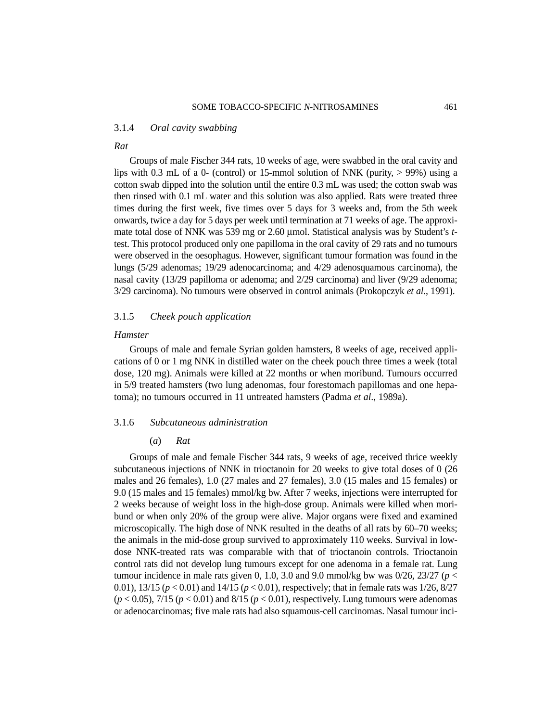## 3.1.4 *Oral cavity swabbing*

#### *Rat*

Groups of male Fischer 344 rats, 10 weeks of age, were swabbed in the oral cavity and lips with 0.3 mL of a 0- (control) or 15-mmol solution of NNK (purity,  $> 99\%$ ) using a cotton swab dipped into the solution until the entire 0.3 mL was used; the cotton swab was then rinsed with 0.1 mL water and this solution was also applied. Rats were treated three times during the first week, five times over 5 days for 3 weeks and, from the 5th week onwards, twice a day for 5 days per week until termination at 71 weeks of age. The approximate total dose of NNK was 539 mg or 2.60 μmol. Statistical analysis was by Student's *t*test. This protocol produced only one papilloma in the oral cavity of 29 rats and no tumours were observed in the oesophagus. However, significant tumour formation was found in the lungs (5/29 adenomas; 19/29 adenocarcinoma; and 4/29 adenosquamous carcinoma), the nasal cavity (13/29 papilloma or adenoma; and 2/29 carcinoma) and liver (9/29 adenoma; 3/29 carcinoma). No tumours were observed in control animals (Prokopczyk *et al*., 1991).

## 3.1.5 *Cheek pouch application*

## *Hamster*

Groups of male and female Syrian golden hamsters, 8 weeks of age, received applications of 0 or 1 mg NNK in distilled water on the cheek pouch three times a week (total dose, 120 mg). Animals were killed at 22 months or when moribund. Tumours occurred in 5/9 treated hamsters (two lung adenomas, four forestomach papillomas and one hepatoma); no tumours occurred in 11 untreated hamsters (Padma *et al*., 1989a).

## 3.1.6 *Subcutaneous administration*

#### (*a*) *Rat*

Groups of male and female Fischer 344 rats, 9 weeks of age, received thrice weekly subcutaneous injections of NNK in trioctanoin for 20 weeks to give total doses of 0 (26 males and 26 females), 1.0 (27 males and 27 females), 3.0 (15 males and 15 females) or 9.0 (15 males and 15 females) mmol/kg bw. After 7 weeks, injections were interrupted for 2 weeks because of weight loss in the high-dose group. Animals were killed when moribund or when only 20% of the group were alive. Major organs were fixed and examined microscopically. The high dose of NNK resulted in the deaths of all rats by 60–70 weeks; the animals in the mid-dose group survived to approximately 110 weeks. Survival in lowdose NNK-treated rats was comparable with that of trioctanoin controls. Trioctanoin control rats did not develop lung tumours except for one adenoma in a female rat. Lung tumour incidence in male rats given 0, 1.0, 3.0 and 9.0 mmol/kg bw was  $0/26$ ,  $23/27$  (*p* < 0.01), 13/15 (*p* < 0.01) and 14/15 (*p* < 0.01), respectively; that in female rats was 1/26, 8/27  $(p < 0.05)$ , 7/15 ( $p < 0.01$ ) and 8/15 ( $p < 0.01$ ), respectively. Lung tumours were adenomas or adenocarcinomas; five male rats had also squamous-cell carcinomas. Nasal tumour inci-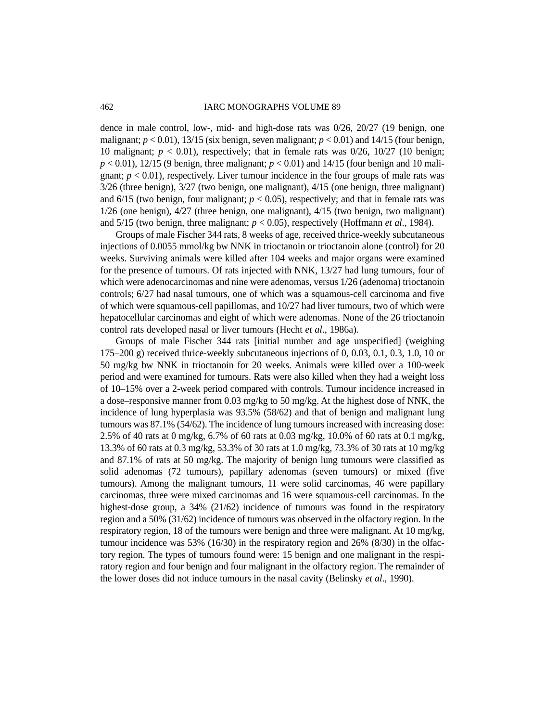dence in male control, low-, mid- and high-dose rats was 0/26, 20/27 (19 benign, one malignant;  $p < 0.01$ ), 13/15 (six benign, seven malignant;  $p < 0.01$ ) and 14/15 (four benign, 10 malignant;  $p < 0.01$ ), respectively; that in female rats was  $0/26$ ,  $10/27$  (10 benign;  $p < 0.01$ , 12/15 (9 benign, three malignant;  $p < 0.01$ ) and 14/15 (four benign and 10 malignant;  $p < 0.01$ ), respectively. Liver tumour incidence in the four groups of male rats was 3/26 (three benign), 3/27 (two benign, one malignant), 4/15 (one benign, three malignant) and  $6/15$  (two benign, four malignant;  $p < 0.05$ ), respectively; and that in female rats was 1/26 (one benign), 4/27 (three benign, one malignant), 4/15 (two benign, two malignant) and 5/15 (two benign, three malignant; *p* < 0.05), respectively (Hoffmann *et al*., 1984).

Groups of male Fischer 344 rats, 8 weeks of age, received thrice-weekly subcutaneous injections of 0.0055 mmol/kg bw NNK in trioctanoin or trioctanoin alone (control) for 20 weeks. Surviving animals were killed after 104 weeks and major organs were examined for the presence of tumours. Of rats injected with NNK, 13/27 had lung tumours, four of which were adenocarcinomas and nine were adenomas, versus 1/26 (adenoma) trioctanoin controls; 6/27 had nasal tumours, one of which was a squamous-cell carcinoma and five of which were squamous-cell papillomas, and 10/27 had liver tumours, two of which were hepatocellular carcinomas and eight of which were adenomas. None of the 26 trioctanoin control rats developed nasal or liver tumours (Hecht *et al*., 1986a).

Groups of male Fischer 344 rats [initial number and age unspecified] (weighing 175–200 g) received thrice-weekly subcutaneous injections of 0, 0.03, 0.1, 0.3, 1.0, 10 or 50 mg/kg bw NNK in trioctanoin for 20 weeks. Animals were killed over a 100-week period and were examined for tumours. Rats were also killed when they had a weight loss of 10–15% over a 2-week period compared with controls. Tumour incidence increased in a dose–responsive manner from 0.03 mg/kg to 50 mg/kg. At the highest dose of NNK, the incidence of lung hyperplasia was 93.5% (58/62) and that of benign and malignant lung tumours was 87.1% (54/62). The incidence of lung tumours increased with increasing dose: 2.5% of 40 rats at 0 mg/kg, 6.7% of 60 rats at 0.03 mg/kg, 10.0% of 60 rats at 0.1 mg/kg, 13.3% of 60 rats at 0.3 mg/kg, 53.3% of 30 rats at 1.0 mg/kg, 73.3% of 30 rats at 10 mg/kg and 87.1% of rats at 50 mg/kg. The majority of benign lung tumours were classified as solid adenomas (72 tumours), papillary adenomas (seven tumours) or mixed (five tumours). Among the malignant tumours, 11 were solid carcinomas, 46 were papillary carcinomas, three were mixed carcinomas and 16 were squamous-cell carcinomas. In the highest-dose group, a 34% (21/62) incidence of tumours was found in the respiratory region and a 50% (31/62) incidence of tumours was observed in the olfactory region. In the respiratory region, 18 of the tumours were benign and three were malignant. At 10 mg/kg, tumour incidence was 53% (16/30) in the respiratory region and 26% (8/30) in the olfactory region. The types of tumours found were: 15 benign and one malignant in the respiratory region and four benign and four malignant in the olfactory region. The remainder of the lower doses did not induce tumours in the nasal cavity (Belinsky *et al*., 1990).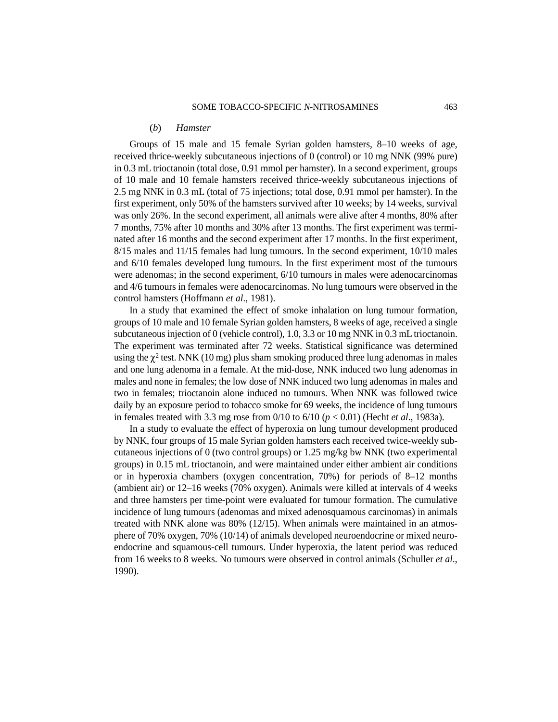#### (*b*) *Hamster*

Groups of 15 male and 15 female Syrian golden hamsters, 8–10 weeks of age, received thrice-weekly subcutaneous injections of 0 (control) or 10 mg NNK (99% pure) in 0.3 mL trioctanoin (total dose, 0.91 mmol per hamster). In a second experiment, groups of 10 male and 10 female hamsters received thrice-weekly subcutaneous injections of 2.5 mg NNK in 0.3 mL (total of 75 injections; total dose, 0.91 mmol per hamster). In the first experiment, only 50% of the hamsters survived after 10 weeks; by 14 weeks, survival was only 26%. In the second experiment, all animals were alive after 4 months, 80% after 7 months, 75% after 10 months and 30% after 13 months. The first experiment was terminated after 16 months and the second experiment after 17 months. In the first experiment, 8/15 males and 11/15 females had lung tumours. In the second experiment, 10/10 males and 6/10 females developed lung tumours. In the first experiment most of the tumours were adenomas; in the second experiment, 6/10 tumours in males were adenocarcinomas and 4/6 tumours in females were adenocarcinomas. No lung tumours were observed in the control hamsters (Hoffmann *et al*., 1981).

In a study that examined the effect of smoke inhalation on lung tumour formation, groups of 10 male and 10 female Syrian golden hamsters, 8 weeks of age, received a single subcutaneous injection of 0 (vehicle control), 1.0, 3.3 or 10 mg NNK in 0.3 mL trioctanoin. The experiment was terminated after 72 weeks. Statistical significance was determined using the  $\chi^2$  test. NNK (10 mg) plus sham smoking produced three lung adenomas in males and one lung adenoma in a female. At the mid-dose, NNK induced two lung adenomas in males and none in females; the low dose of NNK induced two lung adenomas in males and two in females; trioctanoin alone induced no tumours. When NNK was followed twice daily by an exposure period to tobacco smoke for 69 weeks, the incidence of lung tumours in females treated with 3.3 mg rose from 0/10 to 6/10 (*p* < 0.01) (Hecht *et al*., 1983a).

In a study to evaluate the effect of hyperoxia on lung tumour development produced by NNK, four groups of 15 male Syrian golden hamsters each received twice-weekly subcutaneous injections of 0 (two control groups) or 1.25 mg/kg bw NNK (two experimental groups) in 0.15 mL trioctanoin, and were maintained under either ambient air conditions or in hyperoxia chambers (oxygen concentration, 70%) for periods of 8–12 months (ambient air) or 12–16 weeks (70% oxygen). Animals were killed at intervals of 4 weeks and three hamsters per time-point were evaluated for tumour formation. The cumulative incidence of lung tumours (adenomas and mixed adenosquamous carcinomas) in animals treated with NNK alone was 80% (12/15). When animals were maintained in an atmosphere of 70% oxygen, 70% (10/14) of animals developed neuroendocrine or mixed neuroendocrine and squamous-cell tumours. Under hyperoxia, the latent period was reduced from 16 weeks to 8 weeks. No tumours were observed in control animals (Schuller *et al*., 1990).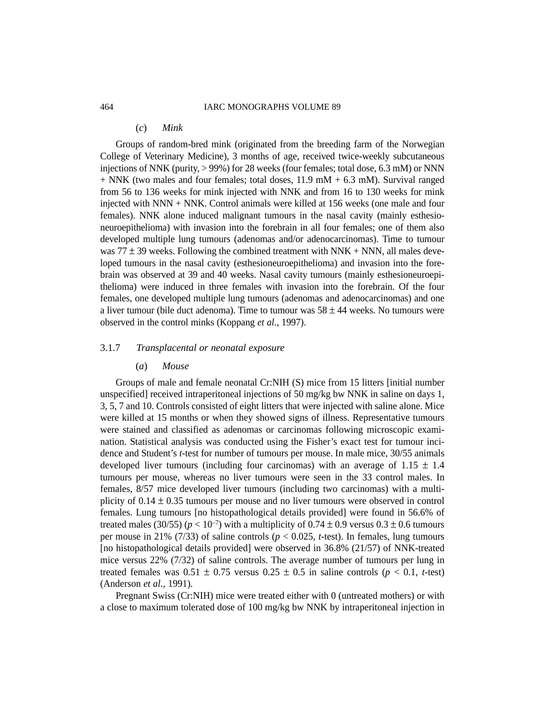#### (*c*) *Mink*

Groups of random-bred mink (originated from the breeding farm of the Norwegian College of Veterinary Medicine), 3 months of age, received twice-weekly subcutaneous injections of NNK (purity, > 99%) for 28 weeks (four females; total dose, 6.3 mM) or NNN  $+$  NNK (two males and four females; total doses, 11.9 mM  $+$  6.3 mM). Survival ranged from 56 to 136 weeks for mink injected with NNK and from 16 to 130 weeks for mink injected with NNN + NNK. Control animals were killed at 156 weeks (one male and four females). NNK alone induced malignant tumours in the nasal cavity (mainly esthesioneuroepithelioma) with invasion into the forebrain in all four females; one of them also developed multiple lung tumours (adenomas and/or adenocarcinomas). Time to tumour was 77  $\pm$  39 weeks. Following the combined treatment with NNK + NNN, all males developed tumours in the nasal cavity (esthesioneuroepithelioma) and invasion into the forebrain was observed at 39 and 40 weeks. Nasal cavity tumours (mainly esthesioneuroepithelioma) were induced in three females with invasion into the forebrain. Of the four females, one developed multiple lung tumours (adenomas and adenocarcinomas) and one a liver tumour (bile duct adenoma). Time to tumour was  $58 \pm 44$  weeks. No tumours were observed in the control minks (Koppang *et al*., 1997).

## 3.1.7 *Transplacental or neonatal exposure*

#### (*a*) *Mouse*

Groups of male and female neonatal Cr:NIH (S) mice from 15 litters [initial number unspecified] received intraperitoneal injections of 50 mg/kg bw NNK in saline on days 1, 3, 5, 7 and 10. Controls consisted of eight litters that were injected with saline alone. Mice were killed at 15 months or when they showed signs of illness. Representative tumours were stained and classified as adenomas or carcinomas following microscopic examination. Statistical analysis was conducted using the Fisher's exact test for tumour incidence and Student's *t*-test for number of tumours per mouse. In male mice, 30/55 animals developed liver tumours (including four carcinomas) with an average of  $1.15 \pm 1.4$ tumours per mouse, whereas no liver tumours were seen in the 33 control males. In females, 8/57 mice developed liver tumours (including two carcinomas) with a multiplicity of  $0.14 \pm 0.35$  tumours per mouse and no liver tumours were observed in control females. Lung tumours [no histopathological details provided] were found in 56.6% of treated males (30/55) ( $p < 10^{-7}$ ) with a multiplicity of 0.74  $\pm$  0.9 versus 0.3  $\pm$  0.6 tumours per mouse in 21% (7/33) of saline controls ( $p < 0.025$ , t-test). In females, lung tumours [no histopathological details provided] were observed in 36.8% (21/57) of NNK-treated mice versus 22% (7/32) of saline controls. The average number of tumours per lung in treated females was  $0.51 \pm 0.75$  versus  $0.25 \pm 0.5$  in saline controls ( $p < 0.1$ , t-test) (Anderson *et al*., 1991).

Pregnant Swiss (Cr:NIH) mice were treated either with 0 (untreated mothers) or with a close to maximum tolerated dose of 100 mg/kg bw NNK by intraperitoneal injection in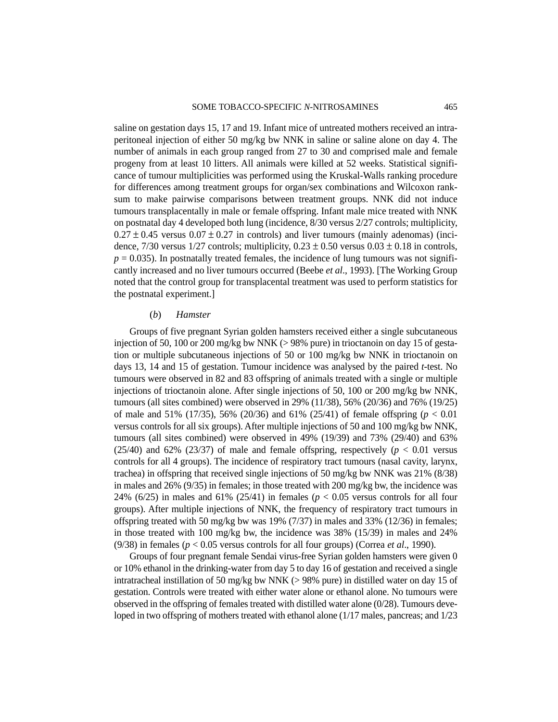#### SOME TOBACCO-SPECIFIC *N*-NITROSAMINES 465

saline on gestation days 15, 17 and 19. Infant mice of untreated mothers received an intraperitoneal injection of either 50 mg/kg bw NNK in saline or saline alone on day 4. The number of animals in each group ranged from 27 to 30 and comprised male and female progeny from at least 10 litters. All animals were killed at 52 weeks. Statistical significance of tumour multiplicities was performed using the Kruskal-Walls ranking procedure for differences among treatment groups for organ/sex combinations and Wilcoxon ranksum to make pairwise comparisons between treatment groups. NNK did not induce tumours transplacentally in male or female offspring. Infant male mice treated with NNK on postnatal day 4 developed both lung (incidence, 8/30 versus 2/27 controls; multiplicity,  $0.27 \pm 0.45$  versus  $0.07 \pm 0.27$  in controls) and liver tumours (mainly adenomas) (incidence, 7/30 versus 1/27 controls; multiplicity,  $0.23 \pm 0.50$  versus  $0.03 \pm 0.18$  in controls,  $p = 0.035$ ). In postnatally treated females, the incidence of lung tumours was not significantly increased and no liver tumours occurred (Beebe *et al*., 1993). [The Working Group noted that the control group for transplacental treatment was used to perform statistics for the postnatal experiment.]

## (*b*) *Hamster*

Groups of five pregnant Syrian golden hamsters received either a single subcutaneous injection of 50, 100 or 200 mg/kg bw NNK ( $> 98\%$  pure) in trioctanoin on day 15 of gestation or multiple subcutaneous injections of 50 or 100 mg/kg bw NNK in trioctanoin on days 13, 14 and 15 of gestation. Tumour incidence was analysed by the paired *t*-test. No tumours were observed in 82 and 83 offspring of animals treated with a single or multiple injections of trioctanoin alone. After single injections of 50, 100 or 200 mg/kg bw NNK, tumours (all sites combined) were observed in 29% (11/38), 56% (20/36) and 76% (19/25) of male and 51% (17/35), 56% (20/36) and 61% (25/41) of female offspring (*p* < 0.01 versus controls for all six groups). After multiple injections of 50 and 100 mg/kg bw NNK, tumours (all sites combined) were observed in 49% (19/39) and 73% (29/40) and 63% (25/40) and 62% (23/37) of male and female offspring, respectively ( $p < 0.01$  versus controls for all 4 groups). The incidence of respiratory tract tumours (nasal cavity, larynx, trachea) in offspring that received single injections of 50 mg/kg bw NNK was 21% (8/38) in males and 26% (9/35) in females; in those treated with 200 mg/kg bw, the incidence was 24% (6/25) in males and 61% (25/41) in females (*p* < 0.05 versus controls for all four groups). After multiple injections of NNK, the frequency of respiratory tract tumours in offspring treated with 50 mg/kg bw was 19% (7/37) in males and 33% (12/36) in females; in those treated with 100 mg/kg bw, the incidence was 38% (15/39) in males and 24% (9/38) in females (*p* < 0.05 versus controls for all four groups) (Correa *et al*., 1990).

Groups of four pregnant female Sendai virus-free Syrian golden hamsters were given 0 or 10% ethanol in the drinking-water from day 5 to day 16 of gestation and received a single intratracheal instillation of 50 mg/kg bw NNK ( $>$  98% pure) in distilled water on day 15 of gestation. Controls were treated with either water alone or ethanol alone. No tumours were observed in the offspring of females treated with distilled water alone (0/28). Tumours developed in two offspring of mothers treated with ethanol alone (1/17 males, pancreas; and 1/23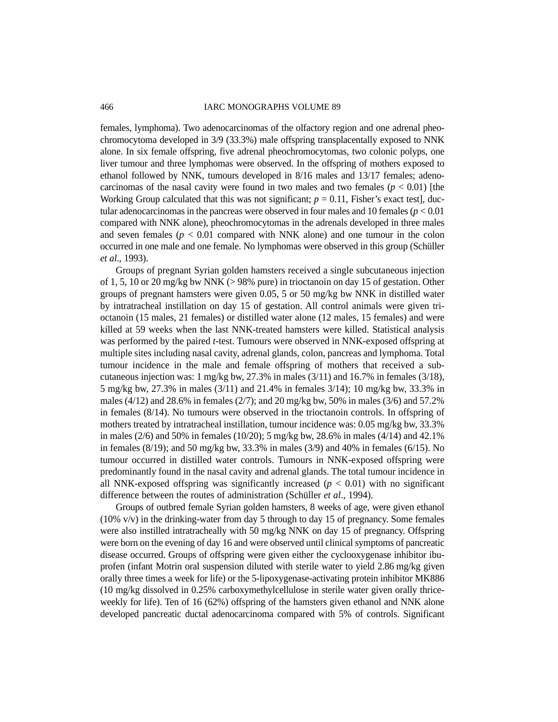females, lymphoma). Two adenocarcinomas of the olfactory region and one adrenal pheochromocytoma developed in 3/9 (33.3%) male offspring transplacentally exposed to NNK alone. In six female offspring, five adrenal pheochromocytomas, two colonic polyps, one liver tumour and three lymphomas were observed. In the offspring of mothers exposed to ethanol followed by NNK, tumours developed in 8/16 males and 13/17 females; adenocarcinomas of the nasal cavity were found in two males and two females  $(p < 0.01)$  [the Working Group calculated that this was not significant;  $p = 0.11$ , Fisher's exact test, ductular adenocarcinomas in the pancreas were observed in four males and 10 females ( $p < 0.01$ ) compared with NNK alone), pheochromocytomas in the adrenals developed in three males and seven females ( $p < 0.01$  compared with NNK alone) and one tumour in the colon occurred in one male and one female. No lymphomas were observed in this group (Schüller *et al*., 1993).

Groups of pregnant Syrian golden hamsters received a single subcutaneous injection of 1, 5, 10 or 20 mg/kg bw NNK ( $> 98\%$  pure) in trioctanoin on day 15 of gestation. Other groups of pregnant hamsters were given 0.05, 5 or 50 mg/kg bw NNK in distilled water by intratracheal instillation on day 15 of gestation. All control animals were given trioctanoin (15 males, 21 females) or distilled water alone (12 males, 15 females) and were killed at 59 weeks when the last NNK-treated hamsters were killed. Statistical analysis was performed by the paired *t*-test. Tumours were observed in NNK-exposed offspring at multiple sites including nasal cavity, adrenal glands, colon, pancreas and lymphoma. Total tumour incidence in the male and female offspring of mothers that received a subcutaneous injection was:  $1 \text{ mg/kg}$  bw,  $27.3\%$  in males (3/11) and 16.7% in females (3/18), 5 mg/kg bw, 27.3% in males (3/11) and 21.4% in females 3/14); 10 mg/kg bw, 33.3% in males (4/12) and 28.6% in females (2/7); and 20 mg/kg bw, 50% in males (3/6) and 57.2% in females (8/14). No tumours were observed in the trioctanoin controls. In offspring of mothers treated by intratracheal instillation, tumour incidence was: 0.05 mg/kg bw, 33.3% in males (2/6) and 50% in females (10/20); 5 mg/kg bw, 28.6% in males (4/14) and 42.1% in females  $(8/19)$ ; and 50 mg/kg bw, 33.3% in males  $(3/9)$  and 40% in females  $(6/15)$ . No tumour occurred in distilled water controls. Tumours in NNK-exposed offspring were predominantly found in the nasal cavity and adrenal glands. The total tumour incidence in all NNK-exposed offspring was significantly increased  $(p < 0.01)$  with no significant difference between the routes of administration (Schüller *et al*., 1994).

Groups of outbred female Syrian golden hamsters, 8 weeks of age, were given ethanol  $(10\% \text{ v/v})$  in the drinking-water from day 5 through to day 15 of pregnancy. Some females were also instilled intratracheally with 50 mg/kg NNK on day 15 of pregnancy. Offspring were born on the evening of day 16 and were observed until clinical symptoms of pancreatic disease occurred. Groups of offspring were given either the cyclooxygenase inhibitor ibuprofen (infant Motrin oral suspension diluted with sterile water to yield 2.86 mg/kg given orally three times a week for life) or the 5-lipoxygenase-activating protein inhibitor MK886 (10 mg/kg dissolved in 0.25% carboxymethylcellulose in sterile water given orally thriceweekly for life). Ten of 16 (62%) offspring of the hamsters given ethanol and NNK alone developed pancreatic ductal adenocarcinoma compared with 5% of controls. Significant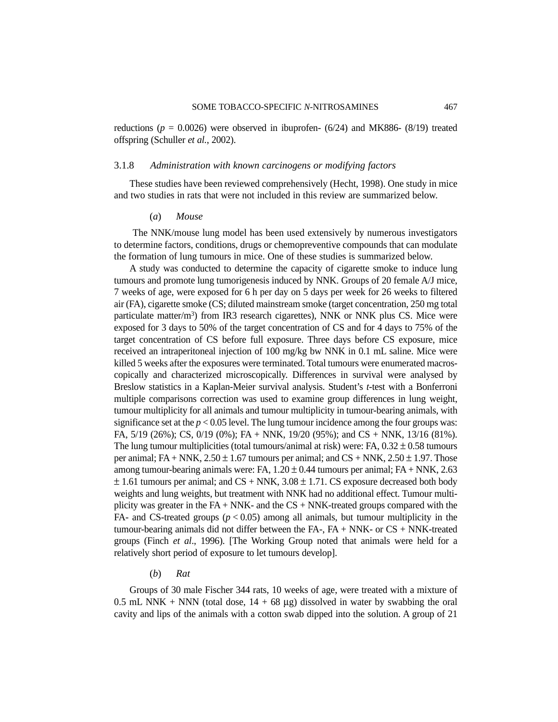reductions ( $p = 0.0026$ ) were observed in ibuprofen- ( $6/24$ ) and MK886- ( $8/19$ ) treated offspring (Schuller *et al.*, 2002).

## 3.1.8 *Administration with known carcinogens or modifying factors*

These studies have been reviewed comprehensively (Hecht, 1998). One study in mice and two studies in rats that were not included in this review are summarized below.

#### (*a*) *Mouse*

The NNK/mouse lung model has been used extensively by numerous investigators to determine factors, conditions, drugs or chemopreventive compounds that can modulate the formation of lung tumours in mice. One of these studies is summarized below.

A study was conducted to determine the capacity of cigarette smoke to induce lung tumours and promote lung tumorigenesis induced by NNK. Groups of 20 female A/J mice, 7 weeks of age, were exposed for 6 h per day on 5 days per week for 26 weeks to filtered air (FA), cigarette smoke (CS; diluted mainstream smoke (target concentration, 250 mg total particulate matter/m<sup>3</sup>) from IR3 research cigarettes), NNK or NNK plus CS. Mice were exposed for 3 days to 50% of the target concentration of CS and for 4 days to 75% of the target concentration of CS before full exposure. Three days before CS exposure, mice received an intraperitoneal injection of 100 mg/kg bw NNK in 0.1 mL saline. Mice were killed 5 weeks after the exposures were terminated. Total tumours were enumerated macroscopically and characterized microscopically. Differences in survival were analysed by Breslow statistics in a Kaplan-Meier survival analysis. Student's *t*-test with a Bonferroni multiple comparisons correction was used to examine group differences in lung weight, tumour multiplicity for all animals and tumour multiplicity in tumour-bearing animals, with significance set at the  $p < 0.05$  level. The lung tumour incidence among the four groups was: FA, 5/19 (26%); CS, 0/19 (0%); FA + NNK, 19/20 (95%); and CS + NNK, 13/16 (81%). The lung tumour multiplicities (total tumours/animal at risk) were: FA,  $0.32 \pm 0.58$  tumours per animal; FA + NNK,  $2.50 \pm 1.67$  tumours per animal; and CS + NNK,  $2.50 \pm 1.97$ . Those among tumour-bearing animals were: FA,  $1.20 \pm 0.44$  tumours per animal; FA + NNK, 2.63  $\pm$  1.61 tumours per animal; and CS + NNK, 3.08  $\pm$  1.71. CS exposure decreased both body weights and lung weights, but treatment with NNK had no additional effect. Tumour multiplicity was greater in the  $FA + NNK$ - and the  $CS + NNK$ -treated groups compared with the FA- and CS-treated groups ( $p < 0.05$ ) among all animals, but tumour multiplicity in the tumour-bearing animals did not differ between the  $FA$ -,  $FA$  + NNK- or  $CS$  + NNK-treated groups (Finch *et al*., 1996). [The Working Group noted that animals were held for a relatively short period of exposure to let tumours develop].

## (*b*) *Rat*

Groups of 30 male Fischer 344 rats, 10 weeks of age, were treated with a mixture of 0.5 mL NNK + NNN (total dose,  $14 + 68 \mu$ g) dissolved in water by swabbing the oral cavity and lips of the animals with a cotton swab dipped into the solution. A group of 21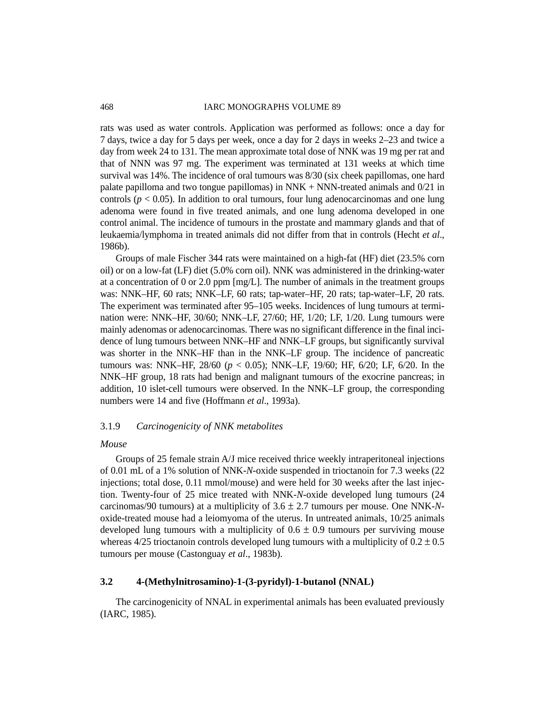rats was used as water controls. Application was performed as follows: once a day for 7 days, twice a day for 5 days per week, once a day for 2 days in weeks 2–23 and twice a day from week 24 to 131. The mean approximate total dose of NNK was 19 mg per rat and that of NNN was 97 mg. The experiment was terminated at 131 weeks at which time survival was 14%. The incidence of oral tumours was 8/30 (six cheek papillomas, one hard palate papilloma and two tongue papillomas) in  $NNK + NNN$ -treated animals and  $0/21$  in controls ( $p < 0.05$ ). In addition to oral tumours, four lung adenocarcinomas and one lung adenoma were found in five treated animals, and one lung adenoma developed in one control animal. The incidence of tumours in the prostate and mammary glands and that of leukaemia/lymphoma in treated animals did not differ from that in controls (Hecht *et al*., 1986b).

Groups of male Fischer 344 rats were maintained on a high-fat (HF) diet (23.5% corn oil) or on a low-fat (LF) diet (5.0% corn oil). NNK was administered in the drinking-water at a concentration of 0 or 2.0 ppm  $[mg/L]$ . The number of animals in the treatment groups was: NNK–HF, 60 rats; NNK–LF, 60 rats; tap-water–HF, 20 rats; tap-water–LF, 20 rats. The experiment was terminated after 95–105 weeks. Incidences of lung tumours at termination were: NNK–HF, 30/60; NNK–LF, 27/60; HF, 1/20; LF, 1/20. Lung tumours were mainly adenomas or adenocarcinomas. There was no significant difference in the final incidence of lung tumours between NNK–HF and NNK–LF groups, but significantly survival was shorter in the NNK–HF than in the NNK–LF group. The incidence of pancreatic tumours was: NNK–HF, 28/60 (*p* < 0.05); NNK–LF, 19/60; HF, 6/20; LF, 6/20. In the NNK–HF group, 18 rats had benign and malignant tumours of the exocrine pancreas; in addition, 10 islet-cell tumours were observed. In the NNK–LF group, the corresponding numbers were 14 and five (Hoffmann *et al*., 1993a).

## 3.1.9 *Carcinogenicity of NNK metabolites*

#### *Mouse*

Groups of 25 female strain A/J mice received thrice weekly intraperitoneal injections of 0.01 mL of a 1% solution of NNK-*N*-oxide suspended in trioctanoin for 7.3 weeks (22 injections; total dose, 0.11 mmol/mouse) and were held for 30 weeks after the last injection. Twenty-four of 25 mice treated with NNK-*N*-oxide developed lung tumours (24 carcinomas/90 tumours) at a multiplicity of  $3.6 \pm 2.7$  tumours per mouse. One NNK-*N*oxide-treated mouse had a leiomyoma of the uterus. In untreated animals, 10/25 animals developed lung tumours with a multiplicity of  $0.6 \pm 0.9$  tumours per surviving mouse whereas  $4/25$  trioctanoin controls developed lung tumours with a multiplicity of  $0.2 \pm 0.5$ tumours per mouse (Castonguay *et al*., 1983b).

## **3.2 4-(Methylnitrosamino)-1-(3-pyridyl)-1-butanol (NNAL)**

The carcinogenicity of NNAL in experimental animals has been evaluated previously (IARC, 1985).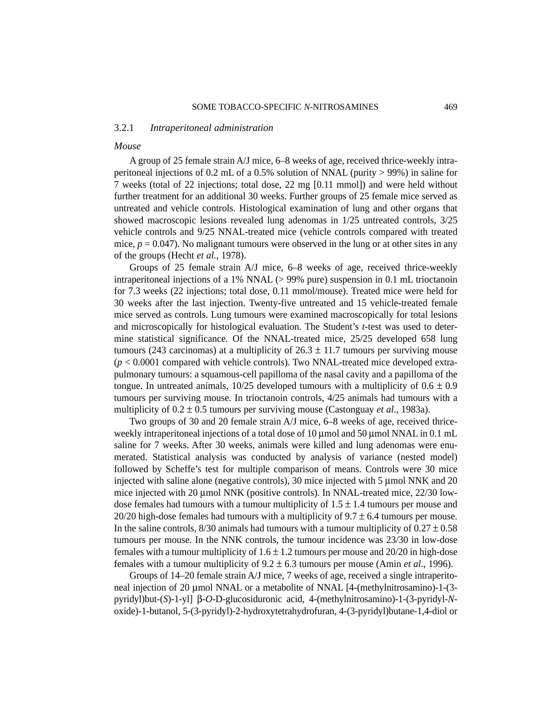#### SOME TOBACCO-SPECIFIC *N*-NITROSAMINES 469

## 3.2.1 *Intraperitoneal administration*

## *Mouse*

A group of 25 female strain A/J mice, 6–8 weeks of age, received thrice-weekly intraperitoneal injections of 0.2 mL of a 0.5% solution of NNAL (purity > 99%) in saline for 7 weeks (total of 22 injections; total dose, 22 mg [0.11 mmol]) and were held without further treatment for an additional 30 weeks. Further groups of 25 female mice served as untreated and vehicle controls. Histological examination of lung and other organs that showed macroscopic lesions revealed lung adenomas in 1/25 untreated controls, 3/25 vehicle controls and 9/25 NNAL-treated mice (vehicle controls compared with treated mice,  $p = 0.047$ ). No malignant tumours were observed in the lung or at other sites in any of the groups (Hecht *et al*., 1978).

Groups of 25 female strain A/J mice, 6–8 weeks of age, received thrice-weekly intraperitoneal injections of a 1% NNAL (> 99% pure) suspension in 0.1 mL trioctanoin for 7.3 weeks (22 injections; total dose, 0.11 mmol/mouse). Treated mice were held for 30 weeks after the last injection. Twenty-five untreated and 15 vehicle-treated female mice served as controls. Lung tumours were examined macroscopically for total lesions and microscopically for histological evaluation. The Student's *t*-test was used to determine statistical significance. Of the NNAL-treated mice, 25/25 developed 658 lung tumours (243 carcinomas) at a multiplicity of  $26.3 \pm 11.7$  tumours per surviving mouse  $(p < 0.0001$  compared with vehicle controls). Two NNAL-treated mice developed extrapulmonary tumours: a squamous-cell papilloma of the nasal cavity and a papilloma of the tongue. In untreated animals,  $10/25$  developed tumours with a multiplicity of  $0.6 \pm 0.9$ tumours per surviving mouse. In trioctanoin controls, 4/25 animals had tumours with a multiplicity of 0.2 ± 0.5 tumours per surviving mouse (Castonguay *et al*., 1983a).

Two groups of 30 and 20 female strain A/J mice, 6–8 weeks of age, received thriceweekly intraperitoneal injections of a total dose of 10 μmol and 50 μmol NNAL in 0.1 mL saline for 7 weeks. After 30 weeks, animals were killed and lung adenomas were enumerated. Statistical analysis was conducted by analysis of variance (nested model) followed by Scheffe's test for multiple comparison of means. Controls were 30 mice injected with saline alone (negative controls), 30 mice injected with 5 μmol NNK and 20 mice injected with 20 μmol NNK (positive controls). In NNAL-treated mice, 22/30 lowdose females had tumours with a tumour multiplicity of  $1.5 \pm 1.4$  tumours per mouse and 20/20 high-dose females had tumours with a multiplicity of  $9.7 \pm 6.4$  tumours per mouse. In the saline controls, 8/30 animals had tumours with a tumour multiplicity of  $0.27 \pm 0.58$ tumours per mouse. In the NNK controls, the tumour incidence was 23/30 in low-dose females with a tumour multiplicity of  $1.6 \pm 1.2$  tumours per mouse and 20/20 in high-dose females with a tumour multiplicity of 9.2 ± 6.3 tumours per mouse (Amin *et al*., 1996).

Groups of 14–20 female strain A/J mice, 7 weeks of age, received a single intraperitoneal injection of 20 μmol NNAL or a metabolite of NNAL [4-(methylnitrosamino)-1-(3 pyridyl)but-(*S*)-1-yl] β-*O*-D-glucosiduronic acid, 4-(methylnitrosamino)-1-(3-pyridyl-*N*oxide)-1-butanol, 5-(3-pyridyl)-2-hydroxytetrahydrofuran, 4-(3-pyridyl)butane-1,4-diol or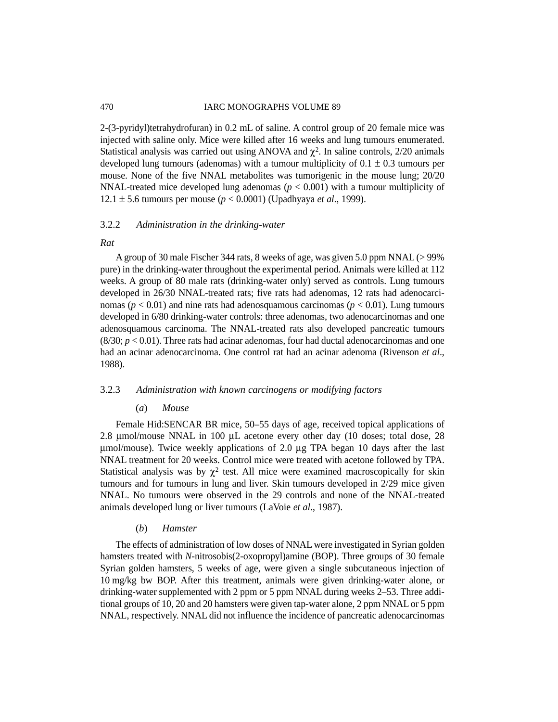2-(3-pyridyl)tetrahydrofuran) in 0.2 mL of saline. A control group of 20 female mice was injected with saline only. Mice were killed after 16 weeks and lung tumours enumerated. Statistical analysis was carried out using ANOVA and  $\chi^2$ . In saline controls, 2/20 animals developed lung tumours (adenomas) with a tumour multiplicity of  $0.1 \pm 0.3$  tumours per mouse. None of the five NNAL metabolites was tumorigenic in the mouse lung; 20/20 NNAL-treated mice developed lung adenomas (*p* < 0.001) with a tumour multiplicity of 12.1 ± 5.6 tumours per mouse (*p* < 0.0001) (Upadhyaya *et al*., 1999).

## 3.2.2 *Administration in the drinking-water*

#### *Rat*

A group of 30 male Fischer 344 rats, 8 weeks of age, was given 5.0 ppm NNAL (> 99% pure) in the drinking-water throughout the experimental period. Animals were killed at 112 weeks. A group of 80 male rats (drinking-water only) served as controls. Lung tumours developed in 26/30 NNAL-treated rats; five rats had adenomas, 12 rats had adenocarcinomas ( $p < 0.01$ ) and nine rats had adenosquamous carcinomas ( $p < 0.01$ ). Lung tumours developed in 6/80 drinking-water controls: three adenomas, two adenocarcinomas and one adenosquamous carcinoma. The NNAL-treated rats also developed pancreatic tumours  $(8/30; p < 0.01)$ . Three rats had acinar adenomas, four had ductal adenocarcinomas and one had an acinar adenocarcinoma. One control rat had an acinar adenoma (Rivenson *et al*., 1988).

## 3.2.3 *Administration with known carcinogens or modifying factors*

## (*a*) *Mouse*

Female Hid:SENCAR BR mice, 50–55 days of age, received topical applications of 2.8 μmol/mouse NNAL in 100 μL acetone every other day (10 doses; total dose, 28 μmol/mouse). Twice weekly applications of 2.0 μg TPA began 10 days after the last NNAL treatment for 20 weeks. Control mice were treated with acetone followed by TPA. Statistical analysis was by  $\chi^2$  test. All mice were examined macroscopically for skin tumours and for tumours in lung and liver. Skin tumours developed in 2/29 mice given NNAL. No tumours were observed in the 29 controls and none of the NNAL-treated animals developed lung or liver tumours (LaVoie *et al*., 1987).

## (*b*) *Hamster*

The effects of administration of low doses of NNAL were investigated in Syrian golden hamsters treated with *N*-nitrosobis(2-oxopropyl)amine (BOP). Three groups of 30 female Syrian golden hamsters, 5 weeks of age, were given a single subcutaneous injection of 10 mg/kg bw BOP. After this treatment, animals were given drinking-water alone, or drinking-water supplemented with 2 ppm or 5 ppm NNAL during weeks 2–53. Three additional groups of 10, 20 and 20 hamsters were given tap-water alone, 2 ppm NNAL or 5 ppm NNAL, respectively. NNAL did not influence the incidence of pancreatic adenocarcinomas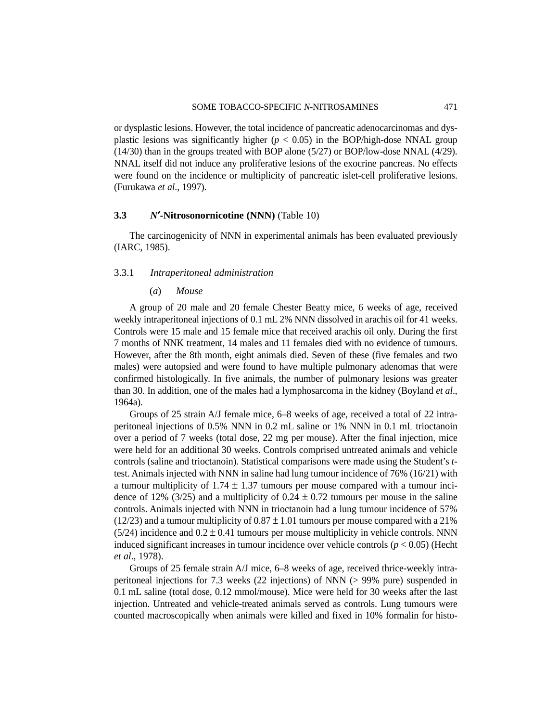or dysplastic lesions. However, the total incidence of pancreatic adenocarcinomas and dysplastic lesions was significantly higher ( $p < 0.05$ ) in the BOP/high-dose NNAL group (14/30) than in the groups treated with BOP alone (5/27) or BOP/low-dose NNAL (4/29). NNAL itself did not induce any proliferative lesions of the exocrine pancreas. No effects were found on the incidence or multiplicity of pancreatic islet-cell proliferative lesions. (Furukawa *et al*., 1997).

# **3.3** *N*′**-Nitrosonornicotine (NNN)** (Table 10)

The carcinogenicity of NNN in experimental animals has been evaluated previously (IARC, 1985).

## 3.3.1 *Intraperitoneal administration*

## (*a*) *Mouse*

A group of 20 male and 20 female Chester Beatty mice, 6 weeks of age, received weekly intraperitoneal injections of 0.1 mL 2% NNN dissolved in arachis oil for 41 weeks. Controls were 15 male and 15 female mice that received arachis oil only. During the first 7 months of NNK treatment, 14 males and 11 females died with no evidence of tumours. However, after the 8th month, eight animals died. Seven of these (five females and two males) were autopsied and were found to have multiple pulmonary adenomas that were confirmed histologically. In five animals, the number of pulmonary lesions was greater than 30. In addition, one of the males had a lymphosarcoma in the kidney (Boyland *et al*., 1964a).

Groups of 25 strain A/J female mice, 6–8 weeks of age, received a total of 22 intraperitoneal injections of 0.5% NNN in 0.2 mL saline or 1% NNN in 0.1 mL trioctanoin over a period of 7 weeks (total dose, 22 mg per mouse). After the final injection, mice were held for an additional 30 weeks. Controls comprised untreated animals and vehicle controls (saline and trioctanoin). Statistical comparisons were made using the Student's *t*test. Animals injected with NNN in saline had lung tumour incidence of 76% (16/21) with a tumour multiplicity of  $1.74 \pm 1.37$  tumours per mouse compared with a tumour incidence of 12% (3/25) and a multiplicity of  $0.24 \pm 0.72$  tumours per mouse in the saline controls. Animals injected with NNN in trioctanoin had a lung tumour incidence of 57% (12/23) and a tumour multiplicity of  $0.87 \pm 1.01$  tumours per mouse compared with a 21%  $(5/24)$  incidence and  $0.2 \pm 0.41$  tumours per mouse multiplicity in vehicle controls. NNN induced significant increases in tumour incidence over vehicle controls ( $p < 0.05$ ) (Hecht *et al*., 1978).

Groups of 25 female strain A/J mice, 6–8 weeks of age, received thrice-weekly intraperitoneal injections for 7.3 weeks (22 injections) of NNN (> 99% pure) suspended in 0.1 mL saline (total dose, 0.12 mmol/mouse). Mice were held for 30 weeks after the last injection. Untreated and vehicle-treated animals served as controls. Lung tumours were counted macroscopically when animals were killed and fixed in 10% formalin for histo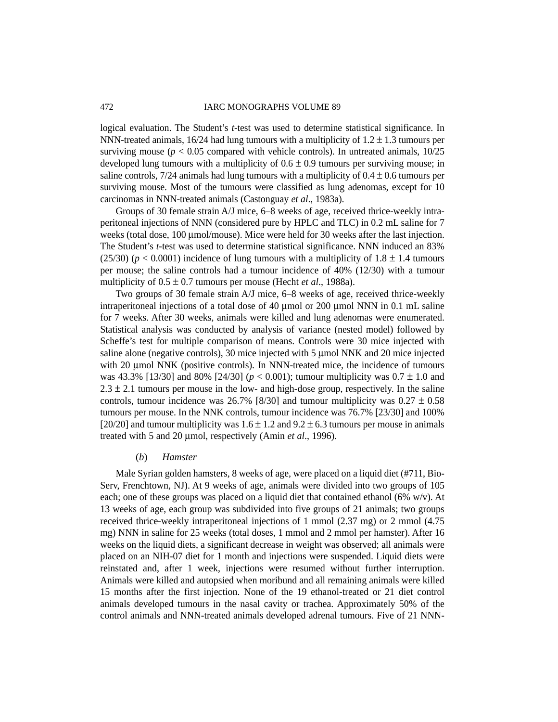logical evaluation. The Student's *t*-test was used to determine statistical significance. In NNN-treated animals,  $16/24$  had lung tumours with a multiplicity of  $1.2 \pm 1.3$  tumours per surviving mouse ( $p < 0.05$  compared with vehicle controls). In untreated animals,  $10/25$ developed lung tumours with a multiplicity of  $0.6 \pm 0.9$  tumours per surviving mouse; in saline controls,  $7/24$  animals had lung tumours with a multiplicity of  $0.4 \pm 0.6$  tumours per surviving mouse. Most of the tumours were classified as lung adenomas, except for 10 carcinomas in NNN-treated animals (Castonguay *et al*., 1983a).

Groups of 30 female strain A/J mice, 6–8 weeks of age, received thrice-weekly intraperitoneal injections of NNN (considered pure by HPLC and TLC) in 0.2 mL saline for 7 weeks (total dose, 100 μmol/mouse). Mice were held for 30 weeks after the last injection. The Student's *t*-test was used to determine statistical significance. NNN induced an 83% (25/30) ( $p < 0.0001$ ) incidence of lung tumours with a multiplicity of 1.8  $\pm$  1.4 tumours per mouse; the saline controls had a tumour incidence of 40% (12/30) with a tumour multiplicity of 0.5 ± 0.7 tumours per mouse (Hecht *et al*., 1988a).

Two groups of 30 female strain A/J mice, 6–8 weeks of age, received thrice-weekly intraperitoneal injections of a total dose of 40 μmol or 200 μmol NNN in 0.1 mL saline for 7 weeks. After 30 weeks, animals were killed and lung adenomas were enumerated. Statistical analysis was conducted by analysis of variance (nested model) followed by Scheffe's test for multiple comparison of means. Controls were 30 mice injected with saline alone (negative controls), 30 mice injected with 5 μmol NNK and 20 mice injected with 20 μmol NNK (positive controls). In NNN-treated mice, the incidence of tumours was  $43.3\%$  [13/30] and  $80\%$  [24/30] ( $p < 0.001$ ); tumour multiplicity was  $0.7 \pm 1.0$  and  $2.3 \pm 2.1$  tumours per mouse in the low- and high-dose group, respectively. In the saline controls, tumour incidence was 26.7% [8/30] and tumour multiplicity was  $0.27 \pm 0.58$ tumours per mouse. In the NNK controls, tumour incidence was 76.7% [23/30] and 100% [20/20] and tumour multiplicity was  $1.6 \pm 1.2$  and  $9.2 \pm 6.3$  tumours per mouse in animals treated with 5 and 20 μmol, respectively (Amin *et al*., 1996).

#### (*b*) *Hamster*

Male Syrian golden hamsters, 8 weeks of age, were placed on a liquid diet (#711, Bio-Serv, Frenchtown, NJ). At 9 weeks of age, animals were divided into two groups of 105 each; one of these groups was placed on a liquid diet that contained ethanol (6% w/v). At 13 weeks of age, each group was subdivided into five groups of 21 animals; two groups received thrice-weekly intraperitoneal injections of 1 mmol (2.37 mg) or 2 mmol (4.75 mg) NNN in saline for 25 weeks (total doses, 1 mmol and 2 mmol per hamster). After 16 weeks on the liquid diets, a significant decrease in weight was observed; all animals were placed on an NIH-07 diet for 1 month and injections were suspended. Liquid diets were reinstated and, after 1 week, injections were resumed without further interruption. Animals were killed and autopsied when moribund and all remaining animals were killed 15 months after the first injection. None of the 19 ethanol-treated or 21 diet control animals developed tumours in the nasal cavity or trachea. Approximately 50% of the control animals and NNN-treated animals developed adrenal tumours. Five of 21 NNN-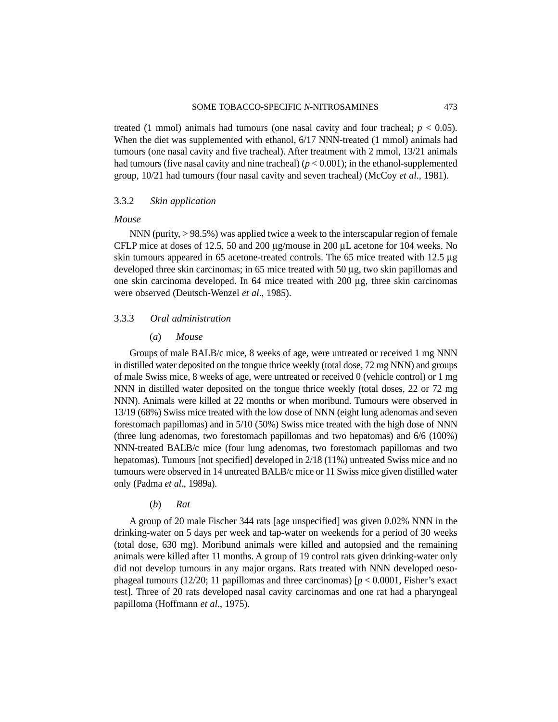treated (1 mmol) animals had tumours (one nasal cavity and four tracheal;  $p < 0.05$ ). When the diet was supplemented with ethanol, 6/17 NNN-treated (1 mmol) animals had tumours (one nasal cavity and five tracheal). After treatment with 2 mmol, 13/21 animals had tumours (five nasal cavity and nine tracheal)  $(p < 0.001)$ ; in the ethanol-supplemented group, 10/21 had tumours (four nasal cavity and seven tracheal) (McCoy *et al*., 1981).

## 3.3.2 *Skin application*

#### *Mouse*

NNN (purity, > 98.5%) was applied twice a week to the interscapular region of female CFLP mice at doses of 12.5, 50 and 200 μg/mouse in 200 μL acetone for 104 weeks. No skin tumours appeared in 65 acetone-treated controls. The 65 mice treated with 12.5 μg developed three skin carcinomas; in 65 mice treated with 50 μg, two skin papillomas and one skin carcinoma developed. In 64 mice treated with 200 μg, three skin carcinomas were observed (Deutsch-Wenzel *et al*., 1985).

## 3.3.3 *Oral administration*

## (*a*) *Mouse*

Groups of male BALB/c mice, 8 weeks of age, were untreated or received 1 mg NNN in distilled water deposited on the tongue thrice weekly (total dose, 72 mg NNN) and groups of male Swiss mice, 8 weeks of age, were untreated or received 0 (vehicle control) or 1 mg NNN in distilled water deposited on the tongue thrice weekly (total doses, 22 or 72 mg NNN). Animals were killed at 22 months or when moribund. Tumours were observed in 13/19 (68%) Swiss mice treated with the low dose of NNN (eight lung adenomas and seven forestomach papillomas) and in 5/10 (50%) Swiss mice treated with the high dose of NNN (three lung adenomas, two forestomach papillomas and two hepatomas) and 6/6 (100%) NNN-treated BALB/c mice (four lung adenomas, two forestomach papillomas and two hepatomas). Tumours [not specified] developed in 2/18 (11%) untreated Swiss mice and no tumours were observed in 14 untreated BALB/c mice or 11 Swiss mice given distilled water only (Padma *et al*., 1989a).

## (*b*) *Rat*

A group of 20 male Fischer 344 rats [age unspecified] was given 0.02% NNN in the drinking-water on 5 days per week and tap-water on weekends for a period of 30 weeks (total dose, 630 mg). Moribund animals were killed and autopsied and the remaining animals were killed after 11 months. A group of 19 control rats given drinking-water only did not develop tumours in any major organs. Rats treated with NNN developed oesophageal tumours  $(12/20; 11$  papillomas and three carcinomas)  $[p < 0.0001]$ , Fisher's exact test]. Three of 20 rats developed nasal cavity carcinomas and one rat had a pharyngeal papilloma (Hoffmann *et al*., 1975).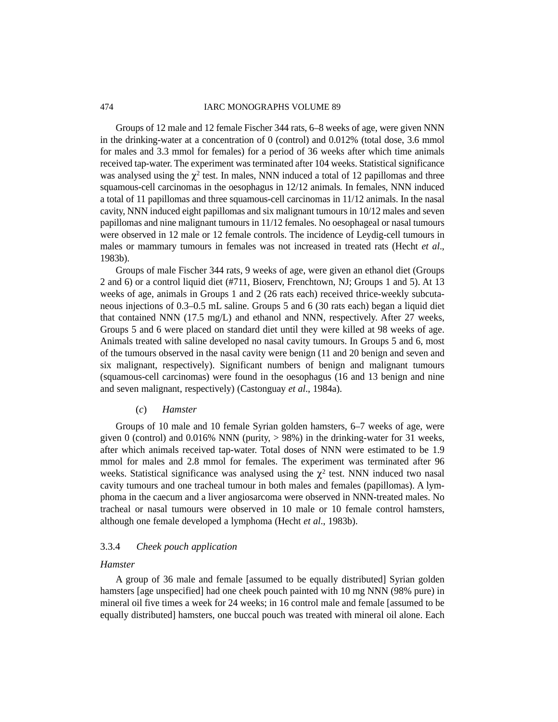Groups of 12 male and 12 female Fischer 344 rats, 6–8 weeks of age, were given NNN in the drinking-water at a concentration of 0 (control) and 0.012% (total dose, 3.6 mmol for males and 3.3 mmol for females) for a period of 36 weeks after which time animals received tap-water. The experiment was terminated after 104 weeks. Statistical significance was analysed using the  $\chi^2$  test. In males, NNN induced a total of 12 papillomas and three squamous-cell carcinomas in the oesophagus in 12/12 animals*.* In females*,* NNN induced a total of 11 papillomas and three squamous-cell carcinomas in 11/12 animals. In the nasal cavity, NNN induced eight papillomas and six malignant tumours in 10/12 males and seven papillomas and nine malignant tumours in 11/12 females. No oesophageal or nasal tumours were observed in 12 male or 12 female controls. The incidence of Leydig-cell tumours in males or mammary tumours in females was not increased in treated rats (Hecht *et al*., 1983b).

Groups of male Fischer 344 rats, 9 weeks of age, were given an ethanol diet (Groups 2 and 6) or a control liquid diet (#711, Bioserv, Frenchtown, NJ; Groups 1 and 5). At 13 weeks of age, animals in Groups 1 and 2 (26 rats each) received thrice-weekly subcutaneous injections of 0.3–0.5 mL saline. Groups 5 and 6 (30 rats each) began a liquid diet that contained NNN (17.5 mg/L) and ethanol and NNN, respectively. After 27 weeks, Groups 5 and 6 were placed on standard diet until they were killed at 98 weeks of age. Animals treated with saline developed no nasal cavity tumours. In Groups 5 and 6, most of the tumours observed in the nasal cavity were benign (11 and 20 benign and seven and six malignant, respectively). Significant numbers of benign and malignant tumours (squamous-cell carcinomas) were found in the oesophagus (16 and 13 benign and nine and seven malignant, respectively) (Castonguay *et al*., 1984a).

#### (*c*) *Hamster*

Groups of 10 male and 10 female Syrian golden hamsters, 6–7 weeks of age, were given 0 (control) and  $0.016\%$  NNN (purity,  $> 98\%$ ) in the drinking-water for 31 weeks, after which animals received tap-water. Total doses of NNN were estimated to be 1.9 mmol for males and 2.8 mmol for females. The experiment was terminated after 96 weeks. Statistical significance was analysed using the  $\chi^2$  test. NNN induced two nasal cavity tumours and one tracheal tumour in both males and females (papillomas). A lymphoma in the caecum and a liver angiosarcoma were observed in NNN-treated males. No tracheal or nasal tumours were observed in 10 male or 10 female control hamsters, although one female developed a lymphoma (Hecht *et al*., 1983b).

## 3.3.4 *Cheek pouch application*

## *Hamster*

A group of 36 male and female [assumed to be equally distributed] Syrian golden hamsters [age unspecified] had one cheek pouch painted with 10 mg NNN (98% pure) in mineral oil five times a week for 24 weeks; in 16 control male and female [assumed to be equally distributed] hamsters, one buccal pouch was treated with mineral oil alone. Each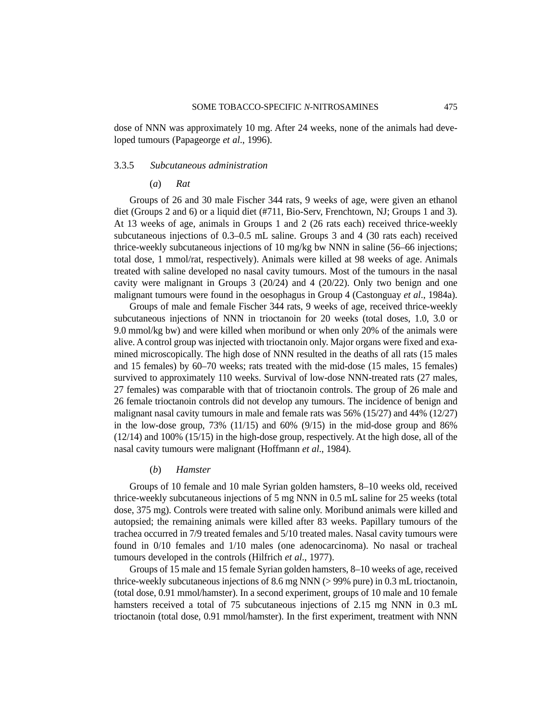dose of NNN was approximately 10 mg. After 24 weeks, none of the animals had developed tumours (Papageorge *et al*., 1996).

## 3.3.5 *Subcutaneous administration*

#### (*a*) *Rat*

Groups of 26 and 30 male Fischer 344 rats, 9 weeks of age, were given an ethanol diet (Groups 2 and 6) or a liquid diet (#711, Bio-Serv, Frenchtown, NJ; Groups 1 and 3). At 13 weeks of age, animals in Groups 1 and 2 (26 rats each) received thrice-weekly subcutaneous injections of 0.3–0.5 mL saline. Groups 3 and 4 (30 rats each) received thrice-weekly subcutaneous injections of 10 mg/kg bw NNN in saline (56–66 injections; total dose, 1 mmol/rat, respectively). Animals were killed at 98 weeks of age. Animals treated with saline developed no nasal cavity tumours. Most of the tumours in the nasal cavity were malignant in Groups  $3 \times (20/24)$  and  $4 \times (20/22)$ . Only two benign and one malignant tumours were found in the oesophagus in Group 4 (Castonguay *et al*., 1984a).

Groups of male and female Fischer 344 rats, 9 weeks of age, received thrice-weekly subcutaneous injections of NNN in trioctanoin for 20 weeks (total doses, 1.0, 3.0 or 9.0 mmol/kg bw) and were killed when moribund or when only 20% of the animals were alive. A control group was injected with trioctanoin only. Major organs were fixed and examined microscopically. The high dose of NNN resulted in the deaths of all rats (15 males and 15 females) by 60–70 weeks; rats treated with the mid-dose (15 males, 15 females) survived to approximately 110 weeks. Survival of low-dose NNN-treated rats (27 males, 27 females) was comparable with that of trioctanoin controls. The group of 26 male and 26 female trioctanoin controls did not develop any tumours. The incidence of benign and malignant nasal cavity tumours in male and female rats was 56% (15/27) and 44% (12/27) in the low-dose group,  $73\%$  ( $11/15$ ) and  $60\%$  ( $9/15$ ) in the mid-dose group and  $86\%$ (12/14) and 100% (15/15) in the high-dose group, respectively. At the high dose, all of the nasal cavity tumours were malignant (Hoffmann *et al*., 1984).

#### (*b*) *Hamster*

Groups of 10 female and 10 male Syrian golden hamsters, 8–10 weeks old, received thrice-weekly subcutaneous injections of 5 mg NNN in 0.5 mL saline for 25 weeks (total dose, 375 mg). Controls were treated with saline only. Moribund animals were killed and autopsied; the remaining animals were killed after 83 weeks. Papillary tumours of the trachea occurred in 7/9 treated females and 5/10 treated males. Nasal cavity tumours were found in 0/10 females and 1/10 males (one adenocarcinoma). No nasal or tracheal tumours developed in the controls (Hilfrich *et al*., 1977).

Groups of 15 male and 15 female Syrian golden hamsters, 8–10 weeks of age, received thrice-weekly subcutaneous injections of 8.6 mg NNN (> 99% pure) in 0.3 mL trioctanoin, (total dose, 0.91 mmol/hamster). In a second experiment, groups of 10 male and 10 female hamsters received a total of 75 subcutaneous injections of 2.15 mg NNN in 0.3 mL trioctanoin (total dose, 0.91 mmol/hamster). In the first experiment, treatment with NNN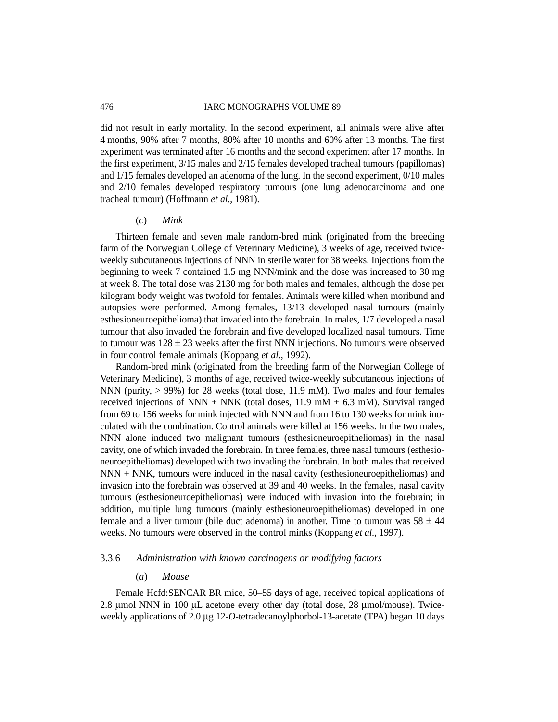did not result in early mortality. In the second experiment, all animals were alive after 4 months, 90% after 7 months, 80% after 10 months and 60% after 13 months. The first experiment was terminated after 16 months and the second experiment after 17 months. In the first experiment, 3/15 males and 2/15 females developed tracheal tumours (papillomas) and 1/15 females developed an adenoma of the lung. In the second experiment, 0/10 males and 2/10 females developed respiratory tumours (one lung adenocarcinoma and one tracheal tumour) (Hoffmann *et al*., 1981).

## (*c*) *Mink*

Thirteen female and seven male random-bred mink (originated from the breeding farm of the Norwegian College of Veterinary Medicine), 3 weeks of age, received twiceweekly subcutaneous injections of NNN in sterile water for 38 weeks. Injections from the beginning to week 7 contained 1.5 mg NNN/mink and the dose was increased to 30 mg at week 8. The total dose was 2130 mg for both males and females, although the dose per kilogram body weight was twofold for females. Animals were killed when moribund and autopsies were performed. Among females, 13/13 developed nasal tumours (mainly esthesioneuroepithelioma) that invaded into the forebrain. In males, 1/7 developed a nasal tumour that also invaded the forebrain and five developed localized nasal tumours. Time to tumour was  $128 \pm 23$  weeks after the first NNN injections. No tumours were observed in four control female animals (Koppang *et al*., 1992).

Random-bred mink (originated from the breeding farm of the Norwegian College of Veterinary Medicine), 3 months of age, received twice-weekly subcutaneous injections of NNN (purity, > 99%) for 28 weeks (total dose, 11.9 mM). Two males and four females received injections of NNN  $+$  NNK (total doses, 11.9 mM  $+$  6.3 mM). Survival ranged from 69 to 156 weeks for mink injected with NNN and from 16 to 130 weeks for mink inoculated with the combination. Control animals were killed at 156 weeks. In the two males, NNN alone induced two malignant tumours (esthesioneuroepitheliomas) in the nasal cavity, one of which invaded the forebrain. In three females, three nasal tumours (esthesioneuroepitheliomas) developed with two invading the forebrain. In both males that received NNN + NNK, tumours were induced in the nasal cavity (esthesioneuroepitheliomas) and invasion into the forebrain was observed at 39 and 40 weeks. In the females, nasal cavity tumours (esthesioneuroepitheliomas) were induced with invasion into the forebrain; in addition, multiple lung tumours (mainly esthesioneuroepitheliomas) developed in one female and a liver tumour (bile duct adenoma) in another. Time to tumour was  $58 \pm 44$ weeks. No tumours were observed in the control minks (Koppang *et al*., 1997).

## 3.3.6 *Administration with known carcinogens or modifying factors*

## (*a*) *Mouse*

Female Hcfd:SENCAR BR mice, 50–55 days of age, received topical applications of 2.8 μmol NNN in 100 μL acetone every other day (total dose, 28 μmol/mouse). Twiceweekly applications of 2.0 μg 12-*O*-tetradecanoylphorbol-13-acetate (TPA) began 10 days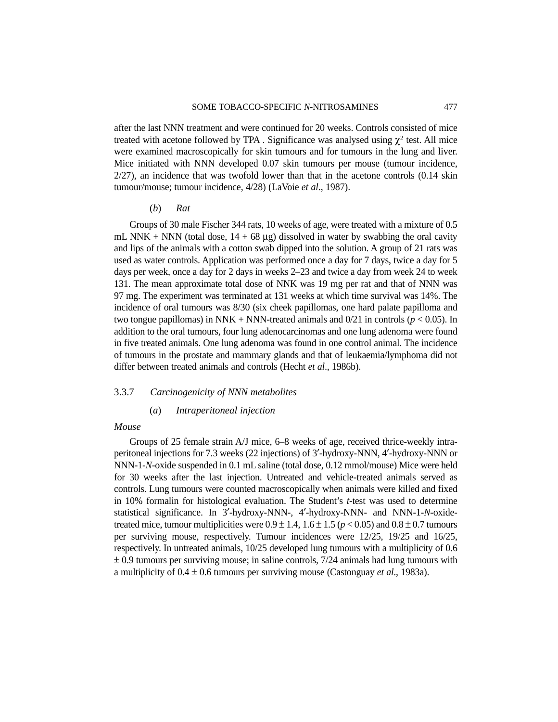after the last NNN treatment and were continued for 20 weeks. Controls consisted of mice treated with acetone followed by TPA . Significance was analysed using  $\chi^2$  test. All mice were examined macroscopically for skin tumours and for tumours in the lung and liver. Mice initiated with NNN developed 0.07 skin tumours per mouse (tumour incidence, 2/27), an incidence that was twofold lower than that in the acetone controls (0.14 skin tumour/mouse; tumour incidence, 4/28) (LaVoie *et al*., 1987).

#### (*b*) *Rat*

Groups of 30 male Fischer 344 rats, 10 weeks of age, were treated with a mixture of 0.5 mL NNK + NNN (total dose,  $14 + 68 \mu$ g) dissolved in water by swabbing the oral cavity and lips of the animals with a cotton swab dipped into the solution. A group of 21 rats was used as water controls. Application was performed once a day for 7 days, twice a day for 5 days per week, once a day for 2 days in weeks 2–23 and twice a day from week 24 to week 131. The mean approximate total dose of NNK was 19 mg per rat and that of NNN was 97 mg. The experiment was terminated at 131 weeks at which time survival was 14%. The incidence of oral tumours was 8/30 (six cheek papillomas, one hard palate papilloma and two tongue papillomas) in NNK + NNN-treated animals and  $0/21$  in controls ( $p < 0.05$ ). In addition to the oral tumours, four lung adenocarcinomas and one lung adenoma were found in five treated animals. One lung adenoma was found in one control animal. The incidence of tumours in the prostate and mammary glands and that of leukaemia/lymphoma did not differ between treated animals and controls (Hecht *et al*., 1986b).

## 3.3.7 *Carcinogenicity of NNN metabolites*

#### (*a*) *Intraperitoneal injection*

## *Mouse*

Groups of 25 female strain A/J mice, 6–8 weeks of age, received thrice-weekly intraperitoneal injections for 7.3 weeks (22 injections) of 3′-hydroxy-NNN, 4′-hydroxy-NNN or NNN-1-*N*-oxide suspended in 0.1 mL saline (total dose, 0.12 mmol/mouse) Mice were held for 30 weeks after the last injection. Untreated and vehicle-treated animals served as controls. Lung tumours were counted macroscopically when animals were killed and fixed in 10% formalin for histological evaluation. The Student's *t*-test was used to determine statistical significance. In 3′-hydroxy-NNN-, 4′-hydroxy-NNN- and NNN-1-*N*-oxidetreated mice, tumour multiplicities were  $0.9 \pm 1.4$ ,  $1.6 \pm 1.5$  ( $p < 0.05$ ) and  $0.8 \pm 0.7$  tumours per surviving mouse, respectively. Tumour incidences were 12/25, 19/25 and 16/25, respectively. In untreated animals, 10/25 developed lung tumours with a multiplicity of 0.6  $\pm$  0.9 tumours per surviving mouse; in saline controls, 7/24 animals had lung tumours with a multiplicity of 0.4 ± 0.6 tumours per surviving mouse (Castonguay *et al*., 1983a).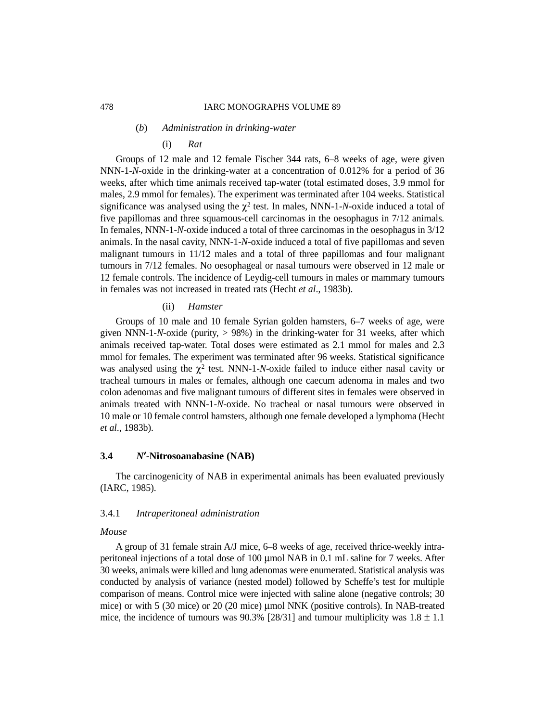#### (*b*) *Administration in drinking-water*

## (i) *Rat*

Groups of 12 male and 12 female Fischer 344 rats, 6–8 weeks of age, were given NNN-1-*N*-oxide in the drinking-water at a concentration of 0.012% for a period of 36 weeks, after which time animals received tap-water (total estimated doses, 3.9 mmol for males, 2.9 mmol for females). The experiment was terminated after 104 weeks. Statistical significance was analysed using the  $\chi^2$  test. In males, NNN-1-*N*-oxide induced a total of five papillomas and three squamous-cell carcinomas in the oesophagus in 7/12 animals*.* In females*,* NNN-1-*N*-oxide induced a total of three carcinomas in the oesophagus in 3/12 animals. In the nasal cavity, NNN-1-*N*-oxide induced a total of five papillomas and seven malignant tumours in 11/12 males and a total of three papillomas and four malignant tumours in 7/12 females. No oesophageal or nasal tumours were observed in 12 male or 12 female controls. The incidence of Leydig-cell tumours in males or mammary tumours in females was not increased in treated rats (Hecht *et al*., 1983b).

# (ii) *Hamster*

Groups of 10 male and 10 female Syrian golden hamsters, 6–7 weeks of age, were given NNN-1-*N*-oxide (purity,  $> 98\%$ ) in the drinking-water for 31 weeks, after which animals received tap-water. Total doses were estimated as 2.1 mmol for males and 2.3 mmol for females. The experiment was terminated after 96 weeks. Statistical significance was analysed using the  $\chi^2$  test. NNN-1-*N*-oxide failed to induce either nasal cavity or tracheal tumours in males or females, although one caecum adenoma in males and two colon adenomas and five malignant tumours of different sites in females were observed in animals treated with NNN-1-*N*-oxide. No tracheal or nasal tumours were observed in 10 male or 10 female control hamsters, although one female developed a lymphoma (Hecht *et al*., 1983b).

## **3.4** *N*′**-Nitrosoanabasine (NAB)**

The carcinogenicity of NAB in experimental animals has been evaluated previously (IARC, 1985).

## 3.4.1 *Intraperitoneal administration*

#### *Mouse*

A group of 31 female strain A/J mice, 6–8 weeks of age, received thrice-weekly intraperitoneal injections of a total dose of 100 μmol NAB in 0.1 mL saline for 7 weeks. After 30 weeks, animals were killed and lung adenomas were enumerated. Statistical analysis was conducted by analysis of variance (nested model) followed by Scheffe's test for multiple comparison of means. Control mice were injected with saline alone (negative controls; 30 mice) or with 5 (30 mice) or 20 (20 mice) μmol NNK (positive controls). In NAB-treated mice, the incidence of tumours was  $90.3\%$  [28/31] and tumour multiplicity was  $1.8 \pm 1.1$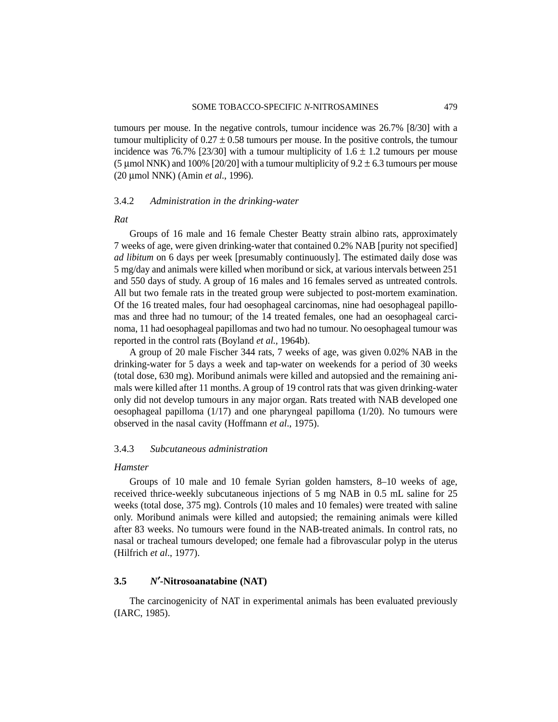tumours per mouse. In the negative controls, tumour incidence was 26.7% [8/30] with a tumour multiplicity of  $0.27 \pm 0.58$  tumours per mouse. In the positive controls, the tumour incidence was 76.7% [23/30] with a tumour multiplicity of  $1.6 \pm 1.2$  tumours per mouse (5 µmol NNK) and 100% [20/20] with a tumour multiplicity of  $9.2 \pm 6.3$  tumours per mouse (20 μmol NNK) (Amin *et al*., 1996).

## 3.4.2 *Administration in the drinking-water*

#### *Rat*

Groups of 16 male and 16 female Chester Beatty strain albino rats, approximately 7 weeks of age, were given drinking-water that contained 0.2% NAB [purity not specified] *ad libitum* on 6 days per week [presumably continuously]. The estimated daily dose was 5 mg/day and animals were killed when moribund or sick, at various intervals between 251 and 550 days of study. A group of 16 males and 16 females served as untreated controls. All but two female rats in the treated group were subjected to post-mortem examination. Of the 16 treated males, four had oesophageal carcinomas, nine had oesophageal papillomas and three had no tumour; of the 14 treated females, one had an oesophageal carcinoma, 11 had oesophageal papillomas and two had no tumour. No oesophageal tumour was reported in the control rats (Boyland *et al.,* 1964b).

A group of 20 male Fischer 344 rats, 7 weeks of age, was given 0.02% NAB in the drinking-water for 5 days a week and tap-water on weekends for a period of 30 weeks (total dose, 630 mg). Moribund animals were killed and autopsied and the remaining animals were killed after 11 months. A group of 19 control rats that was given drinking-water only did not develop tumours in any major organ. Rats treated with NAB developed one oesophageal papilloma (1/17) and one pharyngeal papilloma (1/20). No tumours were observed in the nasal cavity (Hoffmann *et al*., 1975).

## 3.4.3 *Subcutaneous administration*

## *Hamster*

Groups of 10 male and 10 female Syrian golden hamsters, 8–10 weeks of age, received thrice-weekly subcutaneous injections of 5 mg NAB in 0.5 mL saline for 25 weeks (total dose, 375 mg). Controls (10 males and 10 females) were treated with saline only. Moribund animals were killed and autopsied; the remaining animals were killed after 83 weeks. No tumours were found in the NAB-treated animals. In control rats, no nasal or tracheal tumours developed; one female had a fibrovascular polyp in the uterus (Hilfrich *et al*., 1977).

# **3.5** *N*′**-Nitrosoanatabine (NAT)**

The carcinogenicity of NAT in experimental animals has been evaluated previously (IARC, 1985).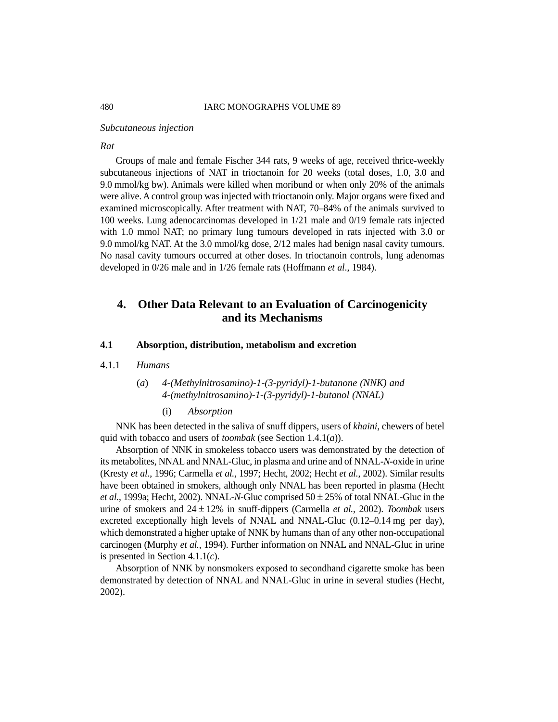#### *Subcutaneous injection*

#### *Rat*

Groups of male and female Fischer 344 rats, 9 weeks of age, received thrice-weekly subcutaneous injections of NAT in trioctanoin for 20 weeks (total doses, 1.0, 3.0 and 9.0 mmol/kg bw). Animals were killed when moribund or when only 20% of the animals were alive. A control group was injected with trioctanoin only. Major organs were fixed and examined microscopically. After treatment with NAT, 70–84% of the animals survived to 100 weeks. Lung adenocarcinomas developed in 1/21 male and 0/19 female rats injected with 1.0 mmol NAT; no primary lung tumours developed in rats injected with 3.0 or 9.0 mmol/kg NAT. At the 3.0 mmol/kg dose, 2/12 males had benign nasal cavity tumours. No nasal cavity tumours occurred at other doses. In trioctanoin controls, lung adenomas developed in 0/26 male and in 1/26 female rats (Hoffmann *et al*., 1984).

# **4. Other Data Relevant to an Evaluation of Carcinogenicity and its Mechanisms**

## **4.1 Absorption, distribution, metabolism and excretion**

## 4.1.1 *Humans*

# (*a*) *4-(Methylnitrosamino)-1-(3-pyridyl)-1-butanone (NNK) and 4-(methylnitrosamino)-1-(3-pyridyl)-1-butanol (NNAL)*

## (i) *Absorption*

NNK has been detected in the saliva of snuff dippers, users of *khaini*, chewers of betel quid with tobacco and users of *toombak* (see Section 1.4.1(*a*)).

Absorption of NNK in smokeless tobacco users was demonstrated by the detection of its metabolites, NNAL and NNAL-Gluc, in plasma and urine and of NNAL-*N*-oxide in urine (Kresty *et al.*, 1996; Carmella *et al.*, 1997; Hecht, 2002; Hecht *et al.*, 2002). Similar results have been obtained in smokers, although only NNAL has been reported in plasma (Hecht *et al.*, 1999a; Hecht, 2002). NNAL-*N*-Gluc comprised 50 ± 25% of total NNAL-Gluc in the urine of smokers and 24 ± 12% in snuff-dippers (Carmella *et al.*, 2002). *Toombak* users excreted exceptionally high levels of NNAL and NNAL-Gluc (0.12–0.14 mg per day), which demonstrated a higher uptake of NNK by humans than of any other non-occupational carcinogen (Murphy *et al.*, 1994). Further information on NNAL and NNAL-Gluc in urine is presented in Section 4.1.1(*c*).

Absorption of NNK by nonsmokers exposed to secondhand cigarette smoke has been demonstrated by detection of NNAL and NNAL-Gluc in urine in several studies (Hecht, 2002).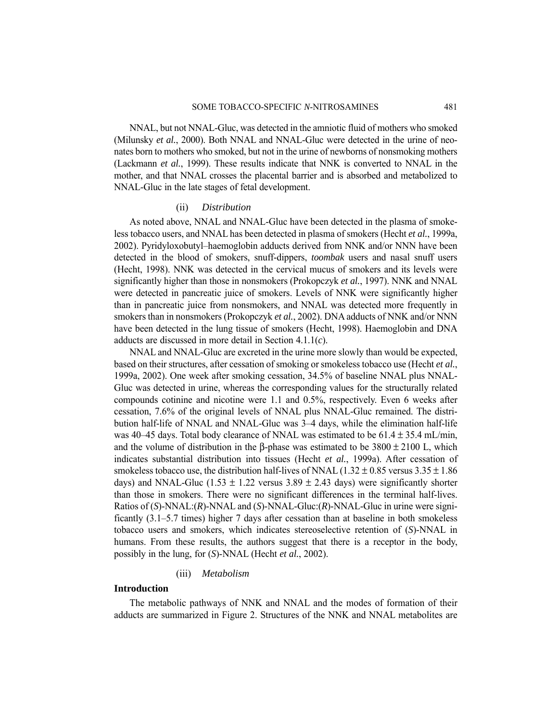NNAL, but not NNAL-Gluc, was detected in the amniotic fluid of mothers who smoked (Milunsky *et al.*, 2000). Both NNAL and NNAL-Gluc were detected in the urine of neonates born to mothers who smoked, but not in the urine of newborns of nonsmoking mothers (Lackmann *et al.*, 1999). These results indicate that NNK is converted to NNAL in the mother, and that NNAL crosses the placental barrier and is absorbed and metabolized to NNAL-Gluc in the late stages of fetal development.

## (ii) *Distribution*

As noted above, NNAL and NNAL-Gluc have been detected in the plasma of smokeless tobacco users, and NNAL has been detected in plasma of smokers (Hecht *et al.*, 1999a, 2002). Pyridyloxobutyl–haemoglobin adducts derived from NNK and/or NNN have been detected in the blood of smokers, snuff-dippers, *toombak* users and nasal snuff users (Hecht, 1998). NNK was detected in the cervical mucus of smokers and its levels were significantly higher than those in nonsmokers (Prokopczyk *et al.*, 1997). NNK and NNAL were detected in pancreatic juice of smokers. Levels of NNK were significantly higher than in pancreatic juice from nonsmokers, and NNAL was detected more frequently in smokers than in nonsmokers (Prokopczyk *et al.*, 2002). DNA adducts of NNK and/or NNN have been detected in the lung tissue of smokers (Hecht, 1998). Haemoglobin and DNA adducts are discussed in more detail in Section 4.1.1(*c*).

NNAL and NNAL-Gluc are excreted in the urine more slowly than would be expected, based on their structures, after cessation of smoking or smokeless tobacco use (Hecht *et al.*, 1999a, 2002). One week after smoking cessation, 34.5% of baseline NNAL plus NNAL-Gluc was detected in urine, whereas the corresponding values for the structurally related compounds cotinine and nicotine were 1.1 and 0.5%, respectively. Even 6 weeks after cessation, 7.6% of the original levels of NNAL plus NNAL-Gluc remained. The distribution half-life of NNAL and NNAL-Gluc was 3–4 days, while the elimination half-life was 40–45 days. Total body clearance of NNAL was estimated to be 61.4 ± 35.4 mL/min, and the volume of distribution in the β-phase was estimated to be  $3800 \pm 2100$  L, which indicates substantial distribution into tissues (Hecht *et al.*, 1999a). After cessation of smokeless tobacco use, the distribution half-lives of NNAL (1.32  $\pm$  0.85 versus 3.35  $\pm$  1.86 days) and NNAL-Gluc (1.53  $\pm$  1.22 versus 3.89  $\pm$  2.43 days) were significantly shorter than those in smokers. There were no significant differences in the terminal half-lives. Ratios of (*S*)-NNAL:(*R*)-NNAL and (*S*)-NNAL-Gluc:(*R*)-NNAL-Gluc in urine were significantly (3.1–5.7 times) higher 7 days after cessation than at baseline in both smokeless tobacco users and smokers, which indicates stereoselective retention of (*S*)-NNAL in humans. From these results, the authors suggest that there is a receptor in the body, possibly in the lung, for (*S*)-NNAL (Hecht *et al.*, 2002).

## (iii) *Metabolism*

## **Introduction**

The metabolic pathways of NNK and NNAL and the modes of formation of their adducts are summarized in Figure 2. Structures of the NNK and NNAL metabolites are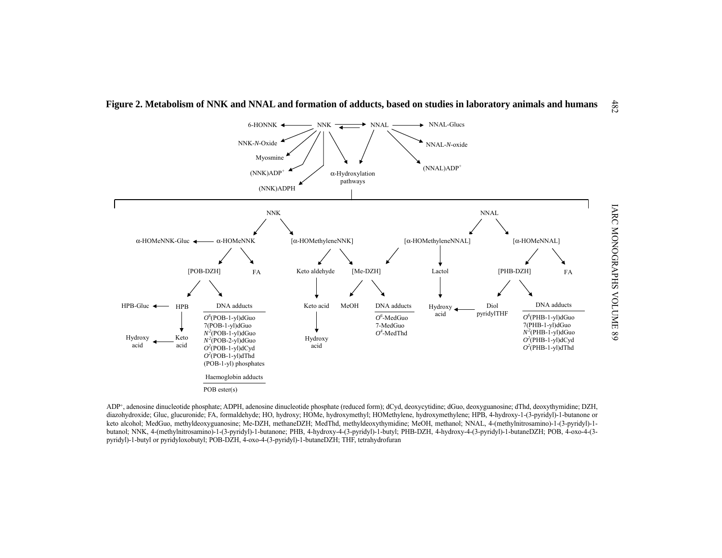

ADP+, adenosine dinucleotide phosphate; ADPH, adenosine dinucleotide phosphate (reduced form); dCyd, deoxycytidine; dGuo, deoxyguanosine; dThd, deoxythymidine; DZH, diazohydroxide; Gluc, glucuronide; FA, formaldehyde; HO, hydroxy; HOMe, hydroxymethyl; HOMethylene, hydroxymethylene; HPB, 4-hydroxy-1-(3-pyridyl)-1-butanone or keto alcohol; MedGuo, methyldeoxyguanosine; Me-DZH, methaneDZH; MedThd, methyldeoxythymidine; MeOH, methanol; NNAL, 4-(methylnitrosamino)-1-(3-pyridyl)-1 butanol; NNK, 4-(methylnitrosamino)-1-(3-pyridyl)-1-butanone; PHB, 4-hydroxy-4-(3-pyridyl)-1-butyl; PHB-DZH, 4-hydroxy-4-(3-pyridyl)-1-butaneDZH; POB, 4-oxo-4-(3 pyridyl)-1-butyl or pyridyloxobutyl; POB-DZH, 4-oxo-4-(3-pyridyl)-1-butaneDZH; THF, tetrahydrofuran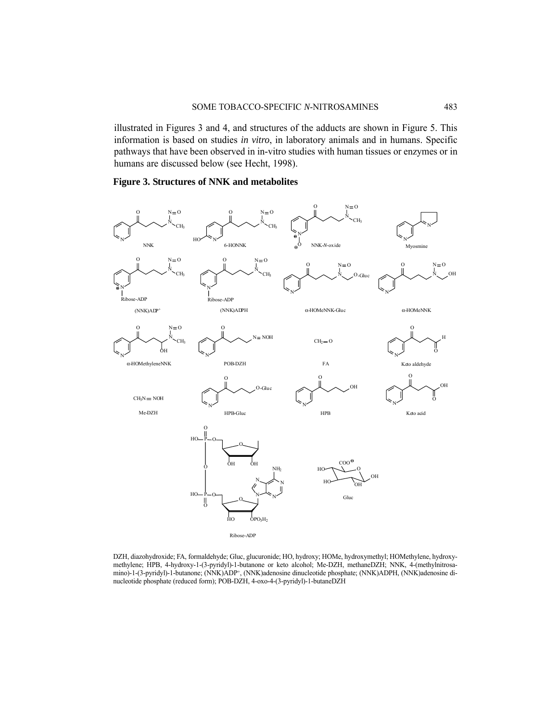illustrated in Figures 3 and 4, and structures of the adducts are shown in Figure 5. This information is based on studies *in vitro*, in laboratory animals and in humans. Specific pathways that have been observed in in-vitro studies with human tissues or enzymes or in humans are discussed below (see Hecht, 1998).

# **Figure 3. Structures of NNK and metabolites**



DZH, diazohydroxide; FA, formaldehyde; Gluc, glucuronide; HO, hydroxy; HOMe, hydroxymethyl; HOMethylene, hydroxymethylene; HPB, 4-hydroxy-1-(3-pyridyl)-1-butanone or keto alcohol; Me-DZH, methaneDZH; NNK, 4-(methylnitrosamino)-1-(3-pyridyl)-1-butanone; (NNK)ADP+, (NNK)adenosine dinucleotide phosphate; (NNK)ADPH, (NNK)adenosine dinucleotide phosphate (reduced form); POB-DZH, 4-oxo-4-(3-pyridyl)-1-butaneDZH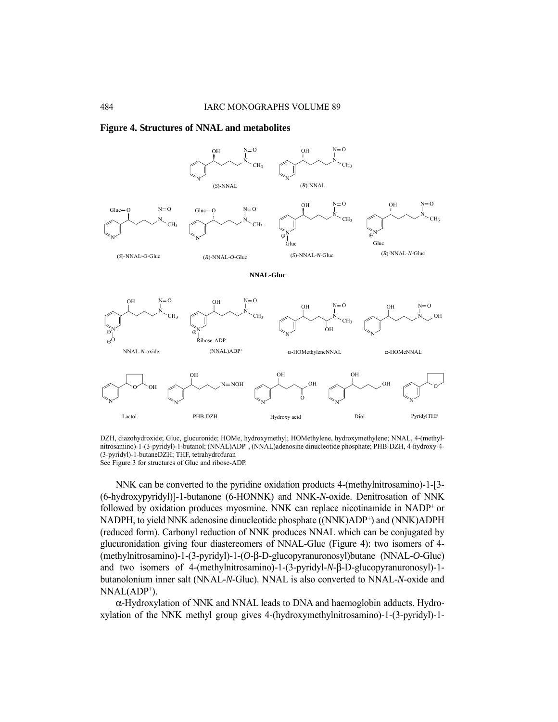**Figure 4. Structures of NNAL and metabolites** 



DZH, diazohydroxide; Gluc, glucuronide; HOMe, hydroxymethyl; HOMethylene, hydroxymethylene; NNAL, 4-(methylnitrosamino)-1-(3-pyridyl)-1-butanol; (NNAL)ADP+, (NNAL)adenosine dinucleotide phosphate; PHB-DZH, 4-hydroxy-4- (3-pyridyl)-1-butaneDZH; THF, tetrahydrofuran See Figure 3 for structures of Gluc and ribose-ADP.

NNK can be converted to the pyridine oxidation products 4-(methylnitrosamino)-1-[3- (6-hydroxypyridyl)]-1-butanone (6-HONNK) and NNK-*N*-oxide. Denitrosation of NNK followed by oxidation produces myosmine. NNK can replace nicotinamide in NADP+ or NADPH, to yield NNK adenosine dinucleotide phosphate ((NNK)ADP<sup>+</sup>) and (NNK)ADPH (reduced form). Carbonyl reduction of NNK produces NNAL which can be conjugated by glucuronidation giving four diastereomers of NNAL-Gluc (Figure 4): two isomers of 4- (methylnitrosamino)-1-(3-pyridyl)-1-(*O*-β-D-glucopyranuronosyl)butane (NNAL-*O*-Gluc) and two isomers of 4-(methylnitrosamino)-1-(3-pyridyl-*N*-β-D-glucopyranuronosyl)-1 butanolonium inner salt (NNAL-*N*-Gluc). NNAL is also converted to NNAL-*N*-oxide and  $NNAL(ADP<sup>+</sup>)$ .

α-Hydroxylation of NNK and NNAL leads to DNA and haemoglobin adducts. Hydroxylation of the NNK methyl group gives 4-(hydroxymethylnitrosamino)-1-(3-pyridyl)-1-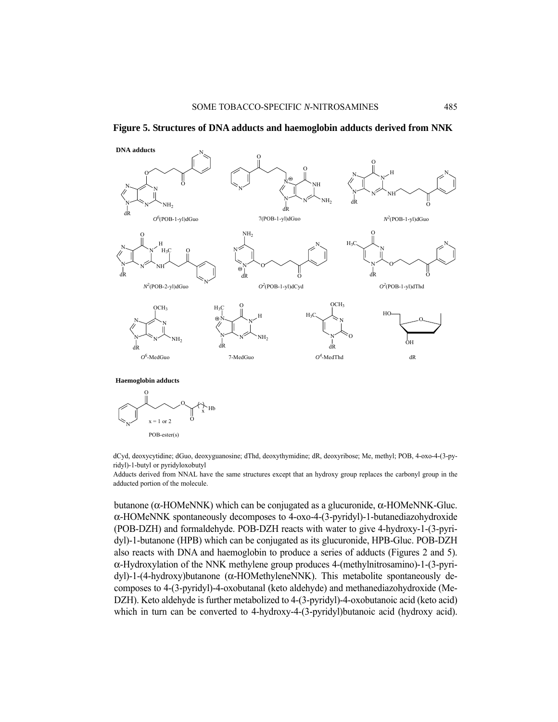



 $x = 1$  or 2 POB-ester(s)  $\circ$ 

N

dCyd, deoxycytidine; dGuo, deoxyguanosine; dThd, deoxythymidine; dR, deoxyribose; Me, methyl; POB, 4-oxo-4-(3-pyridyl)-1-butyl or pyridyloxobutyl

Adducts derived from NNAL have the same structures except that an hydroxy group replaces the carbonyl group in the adducted portion of the molecule.

butanone (α-HOMeNNK) which can be conjugated as a glucuronide, α-HOMeNNK-Gluc. α-HOMeNNK spontaneously decomposes to 4-oxo-4-(3-pyridyl)-1-butanediazohydroxide (POB-DZH) and formaldehyde. POB-DZH reacts with water to give 4-hydroxy-1-(3-pyridyl)-1-butanone (HPB) which can be conjugated as its glucuronide, HPB-Gluc. POB-DZH also reacts with DNA and haemoglobin to produce a series of adducts (Figures 2 and 5). α-Hydroxylation of the NNK methylene group produces 4-(methylnitrosamino)-1-(3-pyridyl)-1-(4-hydroxy)butanone (α-HOMethyleneNNK). This metabolite spontaneously decomposes to 4-(3-pyridyl)-4-oxobutanal (keto aldehyde) and methanediazohydroxide (Me-DZH). Keto aldehyde is further metabolized to 4-(3-pyridyl)-4-oxobutanoic acid (keto acid) which in turn can be converted to 4-hydroxy-4-(3-pyridyl)butanoic acid (hydroxy acid).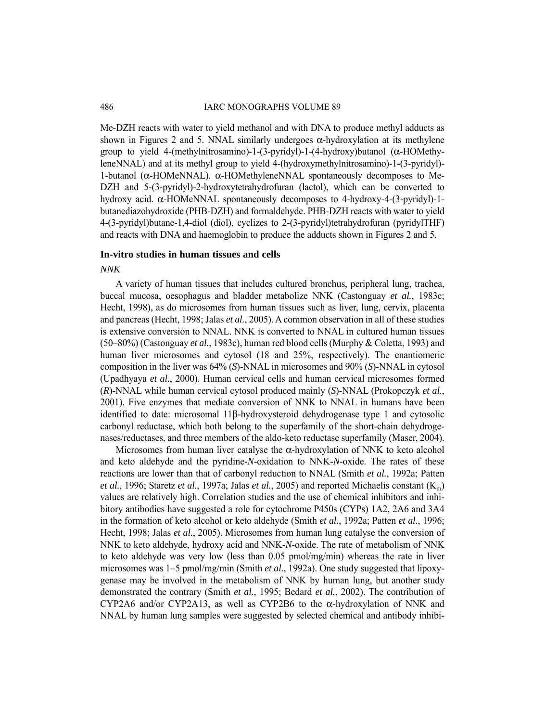Me-DZH reacts with water to yield methanol and with DNA to produce methyl adducts as shown in Figures 2 and 5. NNAL similarly undergoes  $\alpha$ -hydroxylation at its methylene group to yield 4-(methylnitrosamino)-1-(3-pyridyl)-1-(4-hydroxy)butanol (α-HOMethyleneNNAL) and at its methyl group to yield 4-(hydroxymethylnitrosamino)-1-(3-pyridyl)- 1-butanol (α-HOMeNNAL). α-HOMethyleneNNAL spontaneously decomposes to Me-DZH and 5-(3-pyridyl)-2-hydroxytetrahydrofuran (lactol), which can be converted to hydroxy acid. α-HOMeNNAL spontaneously decomposes to 4-hydroxy-4-(3-pyridyl)-1 butanediazohydroxide (PHB-DZH) and formaldehyde. PHB-DZH reacts with water to yield 4-(3-pyridyl)butane-1,4-diol (diol), cyclizes to 2-(3-pyridyl)tetrahydrofuran (pyridylTHF) and reacts with DNA and haemoglobin to produce the adducts shown in Figures 2 and 5.

## **In-vitro studies in human tissues and cells**

#### *NNK*

A variety of human tissues that includes cultured bronchus, peripheral lung, trachea, buccal mucosa, oesophagus and bladder metabolize NNK (Castonguay *et al.*, 1983c; Hecht, 1998), as do microsomes from human tissues such as liver, lung, cervix, placenta and pancreas (Hecht, 1998; Jalas *et al.*, 2005). A common observation in all of these studies is extensive conversion to NNAL. NNK is converted to NNAL in cultured human tissues (50–80%) (Castonguay *et al.*, 1983c), human red blood cells (Murphy & Coletta, 1993) and human liver microsomes and cytosol (18 and 25%, respectively). The enantiomeric composition in the liver was 64% (*S*)-NNAL in microsomes and 90% (*S*)-NNAL in cytosol (Upadhyaya *et al.*, 2000). Human cervical cells and human cervical microsomes formed (*R*)-NNAL while human cervical cytosol produced mainly (*S*)-NNAL (Prokopczyk *et al.*, 2001). Five enzymes that mediate conversion of NNK to NNAL in humans have been identified to date: microsomal 11β-hydroxysteroid dehydrogenase type 1 and cytosolic carbonyl reductase, which both belong to the superfamily of the short-chain dehydrogenases/reductases, and three members of the aldo-keto reductase superfamily (Maser, 2004).

Microsomes from human liver catalyse the  $\alpha$ -hydroxylation of NNK to keto alcohol and keto aldehyde and the pyridine-*N*-oxidation to NNK-*N*-oxide. The rates of these reactions are lower than that of carbonyl reduction to NNAL (Smith *et al.*, 1992a; Patten *et al.*, 1996; Staretz *et al.*, 1997a; Jalas *et al.*, 2005) and reported Michaelis constant (K<sub>m</sub>) values are relatively high. Correlation studies and the use of chemical inhibitors and inhibitory antibodies have suggested a role for cytochrome P450s (CYPs) 1A2, 2A6 and 3A4 in the formation of keto alcohol or keto aldehyde (Smith *et al.*, 1992a; Patten *et al.*, 1996; Hecht, 1998; Jalas *et al.*, 2005). Microsomes from human lung catalyse the conversion of NNK to keto aldehyde, hydroxy acid and NNK-*N*-oxide. The rate of metabolism of NNK to keto aldehyde was very low (less than 0.05 pmol/mg/min) whereas the rate in liver microsomes was 1–5 pmol/mg/min (Smith *et al.*, 1992a). One study suggested that lipoxygenase may be involved in the metabolism of NNK by human lung, but another study demonstrated the contrary (Smith *et al.*, 1995; Bedard *et al.*, 2002). The contribution of CYP2A6 and/or CYP2A13, as well as CYP2B6 to the α-hydroxylation of NNK and NNAL by human lung samples were suggested by selected chemical and antibody inhibi-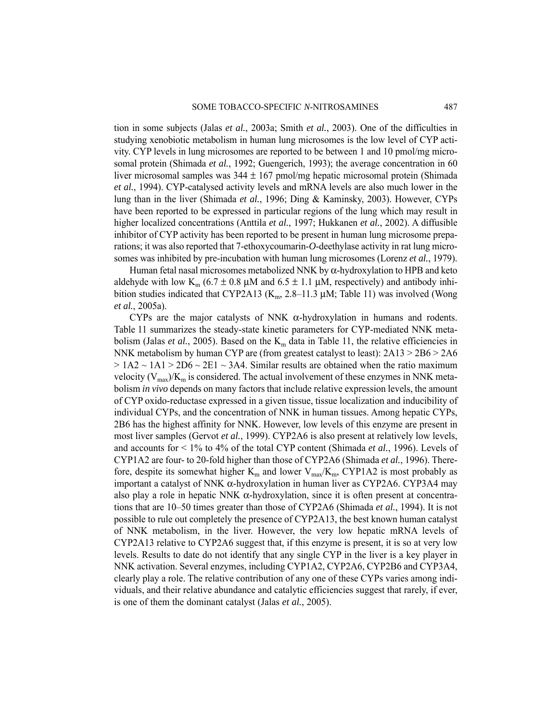tion in some subjects (Jalas *et al.*, 2003a; Smith *et al.*, 2003). One of the difficulties in studying xenobiotic metabolism in human lung microsomes is the low level of CYP activity. CYP levels in lung microsomes are reported to be between 1 and 10 pmol/mg microsomal protein (Shimada *et al.*, 1992; Guengerich, 1993); the average concentration in 60 liver microsomal samples was 344 ± 167 pmol/mg hepatic microsomal protein (Shimada *et al.*, 1994). CYP-catalysed activity levels and mRNA levels are also much lower in the lung than in the liver (Shimada *et al.*, 1996; Ding & Kaminsky, 2003). However, CYPs have been reported to be expressed in particular regions of the lung which may result in higher localized concentrations (Anttila *et al.*, 1997; Hukkanen *et al.*, 2002). A diffusible inhibitor of CYP activity has been reported to be present in human lung microsome preparations; it was also reported that 7-ethoxycoumarin-*O*-deethylase activity in rat lung microsomes was inhibited by pre-incubation with human lung microsomes (Lorenz *et al.*, 1979).

Human fetal nasal microsomes metabolized NNK by α-hydroxylation to HPB and keto aldehyde with low K<sub>m</sub> (6.7  $\pm$  0.8  $\mu$ M and 6.5  $\pm$  1.1  $\mu$ M, respectively) and antibody inhibition studies indicated that CYP2A13 ( $K_m$ , 2.8–11.3  $\mu$ M; Table 11) was involved (Wong *et al.*, 2005a).

CYPs are the major catalysts of NNK α-hydroxylation in humans and rodents. Table 11 summarizes the steady-state kinetic parameters for CYP-mediated NNK metabolism (Jalas *et al.*, 2005). Based on the  $K<sub>m</sub>$  data in Table 11, the relative efficiencies in NNK metabolism by human CYP are (from greatest catalyst to least): 2A13 > 2B6 > 2A6  $> 1A2 \sim 1A1 > 2D6 \sim 2E1 \sim 3A4$ . Similar results are obtained when the ratio maximum velocity  $(V_{max})/K_m$  is considered. The actual involvement of these enzymes in NNK metabolism *in vivo* depends on many factors that include relative expression levels, the amount of CYP oxido-reductase expressed in a given tissue, tissue localization and inducibility of individual CYPs, and the concentration of NNK in human tissues. Among hepatic CYPs, 2B6 has the highest affinity for NNK. However, low levels of this enzyme are present in most liver samples (Gervot *et al.*, 1999). CYP2A6 is also present at relatively low levels, and accounts for < 1% to 4% of the total CYP content (Shimada *et al.*, 1996). Levels of CYP1A2 are four- to 20-fold higher than those of CYP2A6 (Shimada *et al.*, 1996). Therefore, despite its somewhat higher  $K_m$  and lower  $V_{max}/K_m$ , CYP1A2 is most probably as important a catalyst of NNK  $\alpha$ -hydroxylation in human liver as CYP2A6. CYP3A4 may also play a role in hepatic NNK  $\alpha$ -hydroxylation, since it is often present at concentrations that are 10–50 times greater than those of CYP2A6 (Shimada *et al.*, 1994). It is not possible to rule out completely the presence of CYP2A13, the best known human catalyst of NNK metabolism, in the liver. However, the very low hepatic mRNA levels of CYP2A13 relative to CYP2A6 suggest that, if this enzyme is present, it is so at very low levels. Results to date do not identify that any single CYP in the liver is a key player in NNK activation. Several enzymes, including CYP1A2, CYP2A6, CYP2B6 and CYP3A4, clearly play a role. The relative contribution of any one of these CYPs varies among individuals, and their relative abundance and catalytic efficiencies suggest that rarely, if ever, is one of them the dominant catalyst (Jalas *et al.*, 2005).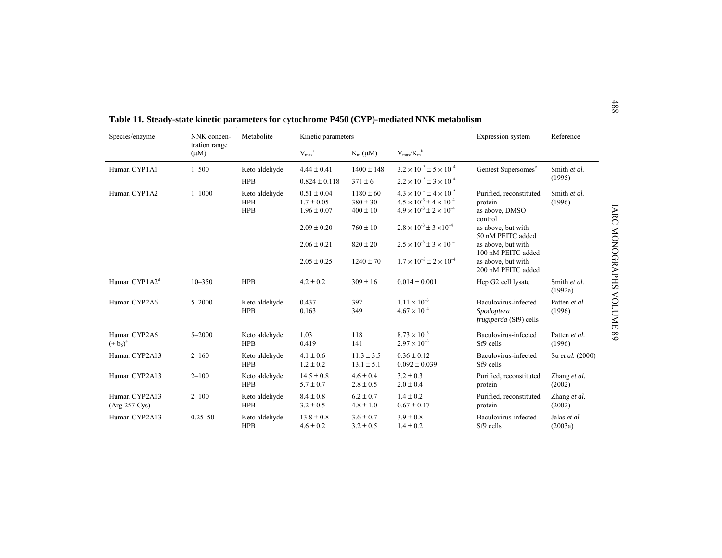| Species/enzyme                 | NNK concen-                | Metabolite                                | Kinetic parameters                                   |                                               |                                                                                                                                     | Expression system                                                                    | Reference               |
|--------------------------------|----------------------------|-------------------------------------------|------------------------------------------------------|-----------------------------------------------|-------------------------------------------------------------------------------------------------------------------------------------|--------------------------------------------------------------------------------------|-------------------------|
|                                | tration range<br>$(\mu M)$ |                                           | $V_{max}^a$                                          | $K_m(\mu M)$                                  | $V_{\text{max}}/K_{\text{m}}^{\phantom{\text{b}}\text{b}}$                                                                          |                                                                                      |                         |
| Human CYP1A1                   | $1 - 500$                  | Keto aldehyde                             | $4.44 \pm 0.41$                                      | $1400 \pm 148$                                | $3.2 \times 10^{-3} \pm 5 \times 10^{-4}$                                                                                           | Gentest Supersomes <sup>c</sup>                                                      | Smith et al.<br>(1995)  |
|                                |                            | <b>HPB</b>                                | $0.824 \pm 0.118$                                    | $371 \pm 6$                                   | $2.2 \times 10^{-3} \pm 3 \times 10^{-4}$                                                                                           |                                                                                      |                         |
| Human CYP1A2                   | $1 - 1000$                 | Keto aldehyde<br><b>HPB</b><br><b>HPB</b> | $0.51 \pm 0.04$<br>$1.7 \pm 0.05$<br>$1.96 \pm 0.07$ | $1180 \pm 60$<br>$380 \pm 30$<br>$400 \pm 10$ | $4.3 \times 10^{-4} \pm 4 \times 10^{-5}$<br>$4.5 \times 10^{-3} \pm 4 \times 10^{-4}$<br>$4.9 \times 10^{-3} \pm 2 \times 10^{-4}$ | Purified, reconstituted<br>protein<br>as above, DMSO<br>control                      | Smith et al.<br>(1996)  |
|                                |                            |                                           | $2.09 \pm 0.20$                                      | $760 \pm 10$                                  | $2.8 \times 10^{-3} \pm 3 \times 10^{-4}$                                                                                           | as above, but with<br>50 nM PEITC added                                              |                         |
|                                |                            |                                           | $2.06 \pm 0.21$                                      | $820\pm20$                                    | $2.5 \times 10^{-3} \pm 3 \times 10^{-4}$                                                                                           | as above, but with<br>100 nM PEITC added<br>as above, but with<br>200 nM PEITC added |                         |
|                                |                            |                                           | $2.05 \pm 0.25$                                      | $1240 \pm 70$                                 | $1.7 \times 10^{-3} \pm 2 \times 10^{-4}$                                                                                           |                                                                                      |                         |
| Human CYP1A2 <sup>d</sup>      | $10 - 350$                 | <b>HPB</b>                                | $4.2 \pm 0.2$                                        | $309 \pm 16$                                  | $0.014 \pm 0.001$                                                                                                                   | Hep G2 cell lysate                                                                   | Smith et al.<br>(1992a) |
| Human CYP2A6                   | $5 - 2000$                 | Keto aldehyde<br><b>HPB</b>               | 0.437<br>0.163                                       | 392<br>349                                    | $1.11 \times 10^{-3}$<br>$4.67 \times 10^{-4}$                                                                                      | Baculovirus-infected<br>Spodoptera<br>frugiperda (Sf9) cells                         | Patten et al.<br>(1996) |
| Human CYP2A6<br>$(+b_5)^e$     | $5 - 2000$                 | Keto aldehyde<br><b>HPB</b>               | 1.03<br>0.419                                        | 118<br>141                                    | $8.73 \times 10^{-3}$<br>$2.97 \times 10^{-3}$                                                                                      | Baculovirus-infected<br>Sf9 cells                                                    | Patten et al.<br>(1996) |
| Human CYP2A13                  | $2 - 160$                  | Keto aldehyde<br><b>HPB</b>               | $4.1 \pm 0.6$<br>$1.2 \pm 0.2$                       | $11.3 \pm 3.5$<br>$13.1 \pm 5.1$              | $0.36 \pm 0.12$<br>$0.092 \pm 0.039$                                                                                                | Baculovirus-infected<br>Sf9 cells                                                    | Su et al. (2000)        |
| Human CYP2A13                  | $2 - 100$                  | Keto aldehyde<br><b>HPB</b>               | $14.5 \pm 0.8$<br>$5.7 \pm 0.7$                      | $4.6 \pm 0.4$<br>$2.8 \pm 0.5$                | $3.2 \pm 0.3$<br>$2.0 \pm 0.4$                                                                                                      | Purified, reconstituted<br>protein                                                   | Zhang et al.<br>(2002)  |
| Human CYP2A13<br>(Arg 257 Cys) | $2 - 100$                  | Keto aldehyde<br><b>HPB</b>               | $8.4 \pm 0.8$<br>$3.2 \pm 0.5$                       | $6.2 \pm 0.7$<br>$4.8 \pm 1.0$                | $1.4 \pm 0.2$<br>$0.67 \pm 0.17$                                                                                                    | Purified, reconstituted<br>protein                                                   | Zhang et al.<br>(2002)  |
| Human CYP2A13                  | $0.25 - 50$                | Keto aldehyde<br><b>HPB</b>               | $13.8 \pm 0.8$<br>$4.6 \pm 0.2$                      | $3.6 \pm 0.7$<br>$3.2 \pm 0.5$                | $3.9 \pm 0.8$<br>$1.4 \pm 0.2$                                                                                                      | Baculovirus-infected<br>Sf9 cells                                                    | Jalas et al.<br>(2003a) |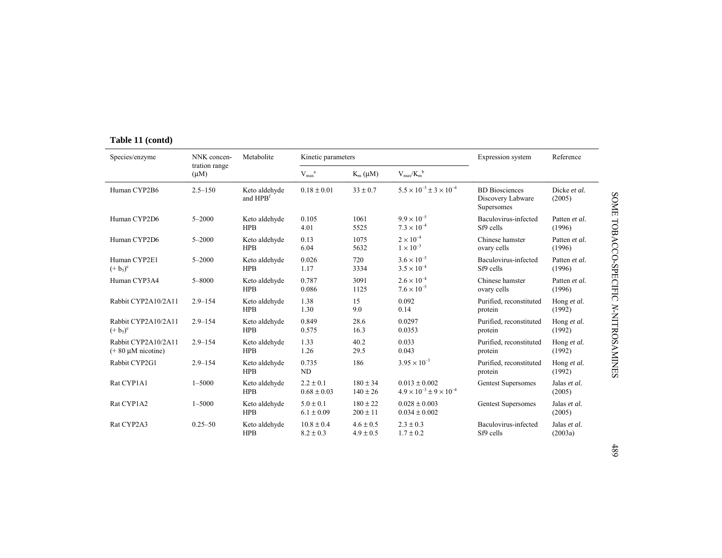| Species/enzyme                                  | NNK concen-                | Metabolite                            | Kinetic parameters               |                                |                                                                | Expression system                                        | Reference               |
|-------------------------------------------------|----------------------------|---------------------------------------|----------------------------------|--------------------------------|----------------------------------------------------------------|----------------------------------------------------------|-------------------------|
|                                                 | tration range<br>$(\mu M)$ |                                       | $V_{\rm max}^{\quad a}$          | $K_m(\mu M)$                   | $V_{\text{max}}\!/\!K_{\text{m}}^{\phantom{\text{m}}\text{b}}$ |                                                          |                         |
| Human CYP2B6                                    | $2.5 - 150$                | Keto aldehyde<br>and HPB <sup>f</sup> | $0.18 \pm 0.01$                  | $33 \pm 0.7$                   | $5.5 \times 10^{-3} \pm 3 \times 10^{-4}$                      | <b>BD</b> Biosciences<br>Discovery Labware<br>Supersomes | Dicke et al.<br>(2005)  |
| Human CYP2D6                                    | $5 - 2000$                 | Keto aldehyde<br><b>HPB</b>           | 0.105<br>4.01                    | 1061<br>5525                   | $9.9 \times 10^{-5}$<br>$7.3 \times 10^{-4}$                   | Baculovirus-infected<br>Sf9 cells                        | Patten et al.<br>(1996) |
| Human CYP2D6                                    | $5 - 2000$                 | Keto aldehyde<br><b>HPB</b>           | 0.13<br>6.04                     | 1075<br>5632                   | $2 \times 10^{-4}$<br>$1 \times 10^{-3}$                       | Chinese hamster<br>ovary cells                           | Patten et al.<br>(1996) |
| Human CYP2E1<br>$(+b_5)^e$                      | $5 - 2000$                 | Keto aldehyde<br><b>HPB</b>           | 0.026<br>1.17                    | 720<br>3334                    | $3.6 \times 10^{-5}$<br>$3.5 \times 10^{-4}$                   | Baculovirus-infected<br>Sf9 cells                        | Patten et al.<br>(1996) |
| Human CYP3A4                                    | $5 - 8000$                 | Keto aldehyde<br><b>HPB</b>           | 0.787<br>0.086                   | 3091<br>1125                   | $2.6 \times 10^{-4}$<br>$7.6 \times 10^{-5}$                   | Chinese hamster<br>ovary cells                           | Patten et al.<br>(1996) |
| Rabbit CYP2A10/2A11                             | $2.9 - 154$                | Keto aldehyde<br><b>HPB</b>           | 1.38<br>1.30                     | 15<br>9.0                      | 0.092<br>0.14                                                  | Purified, reconstituted<br>protein                       | Hong et al.<br>(1992)   |
| Rabbit CYP2A10/2A11<br>$(+b_5)^e$               | $2.9 - 154$                | Keto aldehyde<br><b>HPB</b>           | 0.849<br>0.575                   | 28.6<br>16.3                   | 0.0297<br>0.0353                                               | Purified, reconstituted<br>protein                       | Hong et al.<br>(1992)   |
| Rabbit CYP2A10/2A11<br>$(+ 80 \mu M)$ nicotine) | $2.9 - 154$                | Keto aldehyde<br><b>HPB</b>           | 1.33<br>1.26                     | 40.2<br>29.5                   | 0.033<br>0.043                                                 | Purified, reconstituted<br>protein                       | Hong et al.<br>(1992)   |
| Rabbit CYP2G1                                   | $2.9 - 154$                | Keto aldehyde<br><b>HPB</b>           | 0.735<br>ND                      | 186                            | $3.95 \times 10^{-3}$                                          | Purified, reconstituted<br>protein                       | Hong et al.<br>(1992)   |
| Rat CYP1A1                                      | $1 - 5000$                 | Keto aldehyde<br><b>HPB</b>           | $2.2 \pm 0.1$<br>$0.68 \pm 0.03$ | $180 \pm 34$<br>$140 \pm 26$   | $0.013 \pm 0.002$<br>$4.9 \times 10^{-3} \pm 9 \times 10^{-4}$ | Gentest Supersomes                                       | Jalas et al.<br>(2005)  |
| Rat CYP1A2                                      | $1 - 5000$                 | Keto aldehyde<br><b>HPB</b>           | $5.0 \pm 0.1$<br>$6.1 \pm 0.09$  | $180 \pm 22$<br>$200 \pm 11$   | $0.028 \pm 0.003$<br>$0.034 \pm 0.002$                         | <b>Gentest Supersomes</b>                                | Jalas et al.<br>(2005)  |
| Rat CYP2A3                                      | $0.25 - 50$                | Keto aldehyde<br><b>HPB</b>           | $10.8 \pm 0.4$<br>$8.2 \pm 0.3$  | $4.6 \pm 0.5$<br>$4.9 \pm 0.5$ | $2.3 \pm 0.3$<br>$1.7 \pm 0.2$                                 | Baculovirus-infected<br>Sf9 cells                        | Jalas et al.<br>(2003a) |

# **Table 11 (contd)**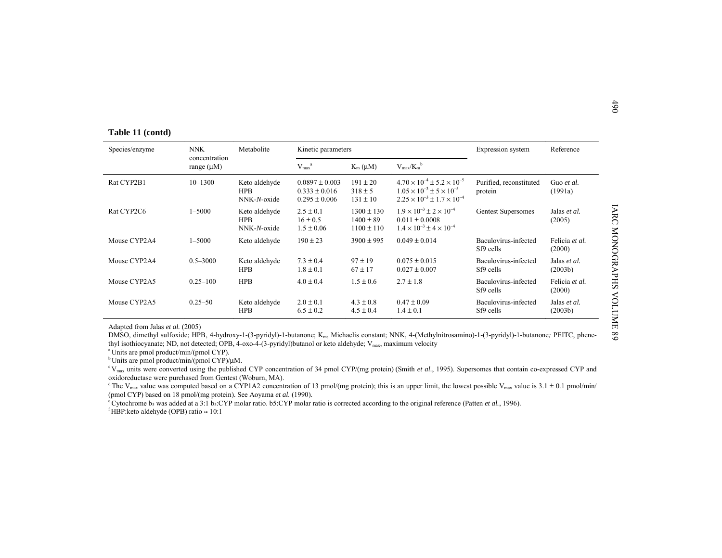| Table 11 (contd) |                             |                                            |                                                              |                                                   |                                                                                                                                            |                                    |                          |  |  |
|------------------|-----------------------------|--------------------------------------------|--------------------------------------------------------------|---------------------------------------------------|--------------------------------------------------------------------------------------------------------------------------------------------|------------------------------------|--------------------------|--|--|
| Species/enzyme   | <b>NNK</b><br>concentration | Metabolite                                 | Kinetic parameters                                           |                                                   | Expression system                                                                                                                          | Reference                          |                          |  |  |
|                  | range $(\mu M)$             |                                            | $V_{\rm max}^{\quad \  a}$                                   | $K_m(\mu M)$                                      | $V_{max}/K_m^b$                                                                                                                            |                                    |                          |  |  |
| Rat CYP2B1       | $10 - 1300$                 | Keto aldehyde<br><b>HPB</b><br>NNK-N-oxide | $0.0897 \pm 0.003$<br>$0.333 \pm 0.016$<br>$0.295 \pm 0.006$ | $191 \pm 20$<br>$318 \pm 5$<br>$131 \pm 10$       | $4.70 \times 10^{-4} \pm 5.2 \times 10^{-5}$<br>$1.05 \times 10^{-3} \pm 5 \times 10^{-5}$<br>$2.25 \times 10^{-3} \pm 1.7 \times 10^{-4}$ | Purified, reconstituted<br>protein | Guo et al.<br>(1991a)    |  |  |
| Rat CYP2C6       | $1 - 5000$                  | Keto aldehyde<br><b>HPB</b><br>NNK-N-oxide | $2.5 \pm 0.1$<br>$16 \pm 0.5$<br>$1.5 \pm 0.06$              | $1300 \pm 130$<br>$1400 \pm 89$<br>$1100 \pm 110$ | $1.9 \times 10^{-3} \pm 2 \times 10^{-4}$<br>$0.011 \pm 0.0008$<br>$1.4 \times 10^{-3} \pm 4 \times 10^{-4}$                               | Gentest Supersomes                 | Jalas et al.<br>(2005)   |  |  |
| Mouse CYP2A4     | $1 - 5000$                  | Keto aldehyde                              | $190 \pm 23$                                                 | $3900 \pm 995$                                    | $0.049 \pm 0.014$                                                                                                                          | Baculovirus-infected<br>Sf9 cells  | Felicia et al.<br>(2000) |  |  |
| Mouse CYP2A4     | $0.5 - 3000$                | Keto aldehyde<br><b>HPB</b>                | $7.3 \pm 0.4$<br>$1.8 \pm 0.1$                               | $97 \pm 19$<br>$67 \pm 17$                        | $0.075 \pm 0.015$<br>$0.027 \pm 0.007$                                                                                                     | Baculovirus-infected<br>Sf9 cells  | Jalas et al.<br>(2003b)  |  |  |
| Mouse CYP2A5     | $0.25 - 100$                | <b>HPB</b>                                 | $4.0 \pm 0.4$                                                | $1.5 \pm 0.6$                                     | $2.7 \pm 1.8$                                                                                                                              | Baculovirus-infected<br>Sf9 cells  | Felicia et al.<br>(2000) |  |  |
| Mouse CYP2A5     | $0.25 - 50$                 | Keto aldehyde<br><b>HPB</b>                | $2.0 \pm 0.1$<br>$6.5 \pm 0.2$                               | $4.3 \pm 0.8$<br>$4.5 \pm 0.4$                    | $0.47 \pm 0.09$<br>$1.4 \pm 0.1$                                                                                                           | Baculovirus-infected<br>Sf9 cells  | Jalas et al.<br>(2003b)  |  |  |

thyl isothiocyanate; ND, not detected; OPB, 4-oxo-4-(3-pyridyl)butanol or keto aldehyde; Vmax, maximum velocity

<sup>a</sup> Units are pmol product/min/(pmol CYP).

 $\mu$ <sup>b</sup> Units are pmol product/min/(pmol CYP)/μM.

<sup>c</sup> V<sub>max</sub> units were converted using the published CYP concentration of 34 pmol CYP/(mg protein) (Smith *et al.*, 1995). Supersomes that contain co-expressed CYP and oxidoreductase were purchased from Gentest (Woburn, MA).

<sup>d</sup> The V<sub>max</sub> value was computed based on a CYP1A2 concentration of 13 pmol/(mg protein); this is an upper limit, the lowest possible V<sub>max</sub> value is 3.1 ± 0.1 pmol/min/ (pmol CYP) based on 18 pmol/(mg protein). See Aoyama *et al.* (1990).

<sup>e</sup> Cytochrome b<sub>5</sub> was added at a 3:1 b<sub>5</sub>:CYP molar ratio. b5:CYP molar ratio is corrected according to the original reference (Patten *et al.*, 1996).

f HBP:keto aldehyde (OPB) ratio  $\approx 10:1$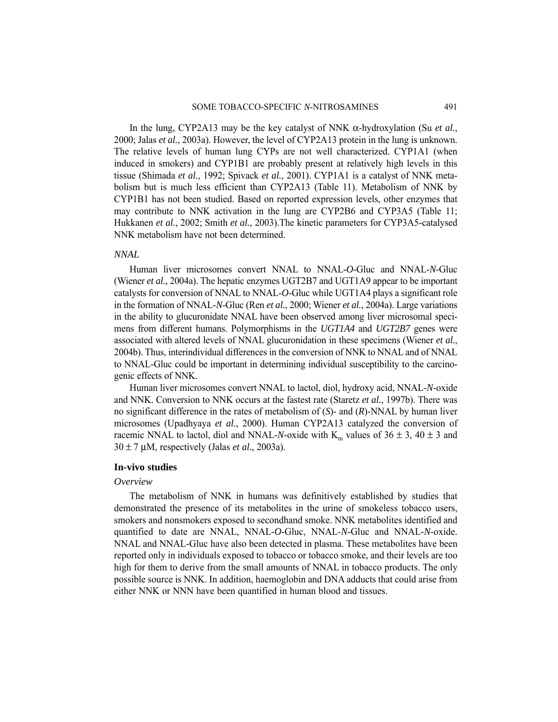#### SOME TOBACCO-SPECIFIC *N*-NITROSAMINES 491

In the lung, CYP2A13 may be the key catalyst of NNK α-hydroxylation (Su *et al.*, 2000; Jalas *et al.*, 2003a). However, the level of CYP2A13 protein in the lung is unknown. The relative levels of human lung CYPs are not well characterized. CYP1A1 (when induced in smokers) and CYP1B1 are probably present at relatively high levels in this tissue (Shimada *et al.*, 1992; Spivack *et al.*, 2001). CYP1A1 is a catalyst of NNK metabolism but is much less efficient than CYP2A13 (Table 11). Metabolism of NNK by CYP1B1 has not been studied. Based on reported expression levels, other enzymes that may contribute to NNK activation in the lung are CYP2B6 and CYP3A5 (Table 11; Hukkanen *et al.*, 2002; Smith *et al.*, 2003).The kinetic parameters for CYP3A5-catalysed NNK metabolism have not been determined.

## *NNAL*

Human liver microsomes convert NNAL to NNAL-*O*-Gluc and NNAL-*N*-Gluc (Wiener *et al.*, 2004a). The hepatic enzymes UGT2B7 and UGT1A9 appear to be important catalysts for conversion of NNAL to NNAL-*O*-Gluc while UGT1A4 plays a significant role in the formation of NNAL-*N*-Gluc (Ren *et al.*, 2000; Wiener *et al.*, 2004a). Large variations in the ability to glucuronidate NNAL have been observed among liver microsomal specimens from different humans. Polymorphisms in the *UGT1A4* and *UGT2B7* genes were associated with altered levels of NNAL glucuronidation in these specimens (Wiener *et al.*, 2004b). Thus, interindividual differences in the conversion of NNK to NNAL and of NNAL to NNAL-Gluc could be important in determining individual susceptibility to the carcinogenic effects of NNK.

Human liver microsomes convert NNAL to lactol, diol, hydroxy acid, NNAL-*N*-oxide and NNK. Conversion to NNK occurs at the fastest rate (Staretz *et al.*, 1997b). There was no significant difference in the rates of metabolism of (*S*)- and (*R*)-NNAL by human liver microsomes (Upadhyaya *et al.*, 2000). Human CYP2A13 catalyzed the conversion of racemic NNAL to lactol, diol and NNAL-*N*-oxide with  $K_m$  values of 36  $\pm$  3, 40  $\pm$  3 and  $30 \pm 7 \mu M$ , respectively (Jalas *et al.*, 2003a).

## **In-vivo studies**

### *Overview*

The metabolism of NNK in humans was definitively established by studies that demonstrated the presence of its metabolites in the urine of smokeless tobacco users, smokers and nonsmokers exposed to secondhand smoke. NNK metabolites identified and quantified to date are NNAL, NNAL-*O*-Gluc, NNAL-*N*-Gluc and NNAL-*N*-oxide. NNAL and NNAL-Gluc have also been detected in plasma. These metabolites have been reported only in individuals exposed to tobacco or tobacco smoke, and their levels are too high for them to derive from the small amounts of NNAL in tobacco products. The only possible source is NNK. In addition, haemoglobin and DNA adducts that could arise from either NNK or NNN have been quantified in human blood and tissues.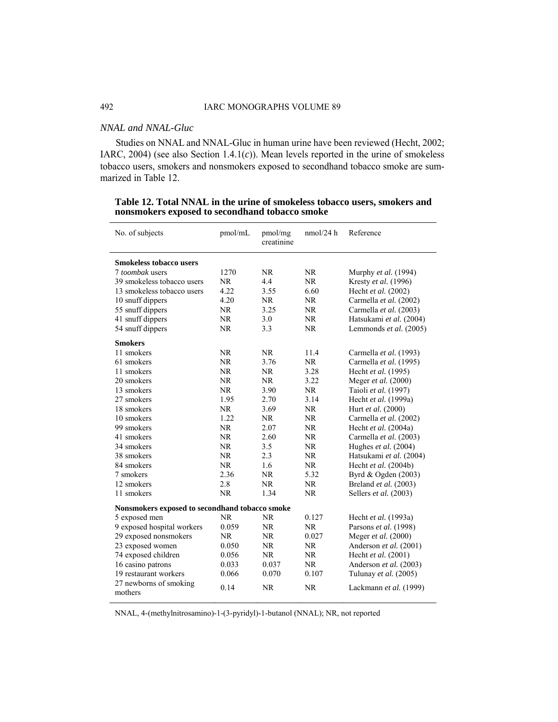# *NNAL and NNAL-Gluc*

Studies on NNAL and NNAL-Gluc in human urine have been reviewed (Hecht, 2002; IARC, 2004) (see also Section 1.4.1(*c*)). Mean levels reported in the urine of smokeless tobacco users, smokers and nonsmokers exposed to secondhand tobacco smoke are summarized in Table 12.

**Table 12. Total NNAL in the urine of smokeless tobacco users, smokers and nonsmokers exposed to secondhand tobacco smoke** 

| No. of subjects                                | pmol/mL   | pmol/mg<br>creatinine | $nmol/24$ h | Reference               |
|------------------------------------------------|-----------|-----------------------|-------------|-------------------------|
| <b>Smokeless tobacco users</b>                 |           |                       |             |                         |
| 7 toombak users                                | 1270      | <b>NR</b>             | <b>NR</b>   | Murphy et al. (1994)    |
| 39 smokeless tobacco users                     | NR.       | 4.4                   | NR.         | Kresty et al. (1996)    |
| 13 smokeless tobacco users                     | 4.22      | 3.55                  | 6.60        | Hecht et al. (2002)     |
| 10 snuff dippers                               | 4.20      | <b>NR</b>             | <b>NR</b>   | Carmella et al. (2002)  |
| 55 snuff dippers                               | <b>NR</b> | 3.25                  | <b>NR</b>   | Carmella et al. (2003)  |
| 41 snuff dippers                               | <b>NR</b> | 3.0                   | <b>NR</b>   | Hatsukami et al. (2004) |
| 54 snuff dippers                               | <b>NR</b> | 3.3                   | <b>NR</b>   | Lemmonds et al. (2005)  |
| <b>Smokers</b>                                 |           |                       |             |                         |
| 11 smokers                                     | <b>NR</b> | <b>NR</b>             | 11.4        | Carmella et al. (1993)  |
| 61 smokers                                     | NR        | 3.76                  | <b>NR</b>   | Carmella et al. (1995)  |
| 11 smokers                                     | <b>NR</b> | <b>NR</b>             | 3.28        | Hecht et al. (1995)     |
| 20 smokers                                     | <b>NR</b> | <b>NR</b>             | 3.22        | Meger et al. (2000)     |
| 13 smokers                                     | NR.       | 3.90                  | NR.         | Taioli et al. (1997)    |
| 27 smokers                                     | 1.95      | 2.70                  | 3.14        | Hecht et al. (1999a)    |
| 18 smokers                                     | <b>NR</b> | 3.69                  | <b>NR</b>   | Hurt et al. (2000)      |
| 10 smokers                                     | 1.22      | <b>NR</b>             | <b>NR</b>   | Carmella et al. (2002)  |
| 99 smokers                                     | <b>NR</b> | 2.07                  | <b>NR</b>   | Hecht et al. (2004a)    |
| 41 smokers                                     | NR        | 2.60                  | <b>NR</b>   | Carmella et al. (2003)  |
| 34 smokers                                     | <b>NR</b> | 3.5                   | NR          | Hughes et al. (2004)    |
| 38 smokers                                     | <b>NR</b> | 2.3                   | <b>NR</b>   | Hatsukami et al. (2004) |
| 84 smokers                                     | <b>NR</b> | 1.6                   | <b>NR</b>   | Hecht et al. (2004b)    |
| 7 smokers                                      | 2.36      | <b>NR</b>             | 5.32        | Byrd & Ogden (2003)     |
| 12 smokers                                     | 2.8       | <b>NR</b>             | <b>NR</b>   | Breland et al. (2003)   |
| 11 smokers                                     | <b>NR</b> | 1.34                  | <b>NR</b>   | Sellers et al. (2003)   |
| Nonsmokers exposed to secondhand tobacco smoke |           |                       |             |                         |
| 5 exposed men                                  | NR.       | NR.                   | 0.127       | Hecht et al. (1993a)    |
| 9 exposed hospital workers                     | 0.059     | NR.                   | <b>NR</b>   | Parsons et al. (1998)   |
| 29 exposed nonsmokers                          | <b>NR</b> | <b>NR</b>             | 0.027       | Meger et al. (2000)     |
| 23 exposed women                               | 0.050     | <b>NR</b>             | <b>NR</b>   | Anderson et al. (2001)  |
| 74 exposed children                            | 0.056     | <b>NR</b>             | NR.         | Hecht et al. (2001)     |
| 16 casino patrons                              | 0.033     | 0.037                 | <b>NR</b>   | Anderson et al. (2003)  |
| 19 restaurant workers                          | 0.066     | 0.070                 | 0.107       | Tulunay et al. (2005)   |
| 27 newborns of smoking<br>mothers              | 0.14      | <b>NR</b>             | <b>NR</b>   | Lackmann et al. (1999)  |

NNAL, 4-(methylnitrosamino)-1-(3-pyridyl)-1-butanol (NNAL); NR, not reported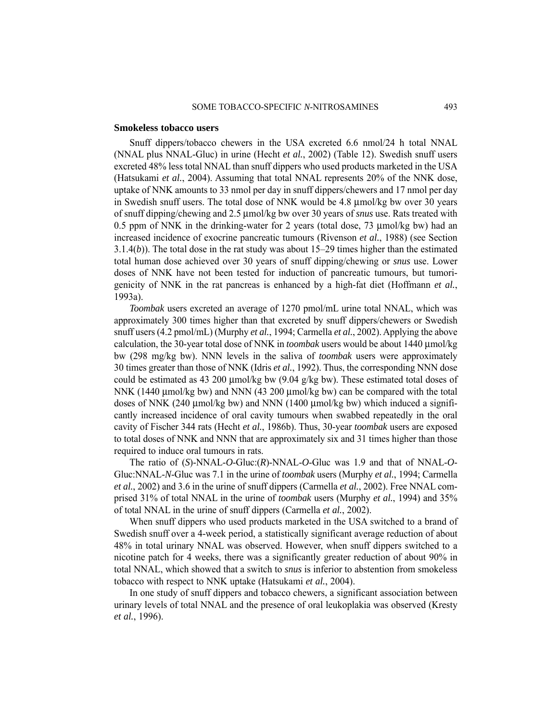#### **Smokeless tobacco users**

Snuff dippers/tobacco chewers in the USA excreted 6.6 nmol/24 h total NNAL (NNAL plus NNAL-Gluc) in urine (Hecht *et al.*, 2002) (Table 12). Swedish snuff users excreted 48% less total NNAL than snuff dippers who used products marketed in the USA (Hatsukami *et al.*, 2004). Assuming that total NNAL represents 20% of the NNK dose, uptake of NNK amounts to 33 nmol per day in snuff dippers/chewers and 17 nmol per day in Swedish snuff users. The total dose of NNK would be 4.8 μmol/kg bw over 30 years of snuff dipping/chewing and 2.5 μmol/kg bw over 30 years of *snus* use. Rats treated with 0.5 ppm of NNK in the drinking-water for 2 years (total dose, 73 μmol/kg bw) had an increased incidence of exocrine pancreatic tumours (Rivenson *et al.*, 1988) (see Section  $3.1.4(b)$ ). The total dose in the rat study was about 15–29 times higher than the estimated total human dose achieved over 30 years of snuff dipping/chewing or *snus* use. Lower doses of NNK have not been tested for induction of pancreatic tumours, but tumorigenicity of NNK in the rat pancreas is enhanced by a high-fat diet (Hoffmann *et al.*, 1993a).

*Toombak* users excreted an average of 1270 pmol/mL urine total NNAL, which was approximately 300 times higher than that excreted by snuff dippers/chewers or Swedish snuff users (4.2 pmol/mL) (Murphy *et al.*, 1994; Carmella *et al.*, 2002). Applying the above calculation, the 30-year total dose of NNK in *toombak* users would be about 1440 μmol/kg bw (298 mg/kg bw). NNN levels in the saliva of *toombak* users were approximately 30 times greater than those of NNK (Idris *et al.*, 1992). Thus, the corresponding NNN dose could be estimated as 43 200 μmol/kg bw (9.04 g/kg bw). These estimated total doses of NNK (1440 μmol/kg bw) and NNN (43 200 μmol/kg bw) can be compared with the total doses of NNK (240 μmol/kg bw) and NNN (1400 μmol/kg bw) which induced a significantly increased incidence of oral cavity tumours when swabbed repeatedly in the oral cavity of Fischer 344 rats (Hecht *et al.*, 1986b). Thus, 30-year *toombak* users are exposed to total doses of NNK and NNN that are approximately six and 31 times higher than those required to induce oral tumours in rats.

The ratio of (*S*)-NNAL-*O*-Gluc:(*R*)-NNAL-*O*-Gluc was 1.9 and that of NNAL-*O*-Gluc:NNAL-*N*-Gluc was 7.1 in the urine of *toombak* users (Murphy *et al.*, 1994; Carmella *et al.*, 2002) and 3.6 in the urine of snuff dippers (Carmella *et al.*, 2002). Free NNAL comprised 31% of total NNAL in the urine of *toombak* users (Murphy *et al.*, 1994) and 35% of total NNAL in the urine of snuff dippers (Carmella *et al.*, 2002).

When snuff dippers who used products marketed in the USA switched to a brand of Swedish snuff over a 4-week period, a statistically significant average reduction of about 48% in total urinary NNAL was observed. However, when snuff dippers switched to a nicotine patch for 4 weeks, there was a significantly greater reduction of about 90% in total NNAL, which showed that a switch to *snus* is inferior to abstention from smokeless tobacco with respect to NNK uptake (Hatsukami *et al.*, 2004).

In one study of snuff dippers and tobacco chewers, a significant association between urinary levels of total NNAL and the presence of oral leukoplakia was observed (Kresty *et al.*, 1996).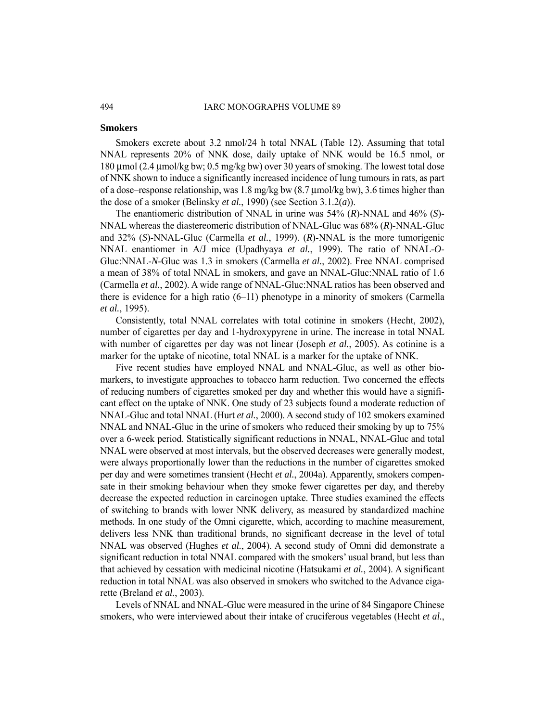## **Smokers**

Smokers excrete about 3.2 nmol/24 h total NNAL (Table 12). Assuming that total NNAL represents 20% of NNK dose, daily uptake of NNK would be 16.5 nmol, or 180 μmol (2.4 μmol/kg bw; 0.5 mg/kg bw) over 30 years of smoking. The lowest total dose of NNK shown to induce a significantly increased incidence of lung tumours in rats, as part of a dose–response relationship, was 1.8 mg/kg bw (8.7 μmol/kg bw), 3.6 times higher than the dose of a smoker (Belinsky *et al.*, 1990) (see Section 3.1.2(*a*)).

The enantiomeric distribution of NNAL in urine was 54% (*R*)-NNAL and 46% (*S*)- NNAL whereas the diastereomeric distribution of NNAL-Gluc was 68% (*R*)-NNAL-Gluc and 32% (*S*)-NNAL-Gluc (Carmella *et al.*, 1999). (*R*)-NNAL is the more tumorigenic NNAL enantiomer in A/J mice (Upadhyaya *et al.*, 1999). The ratio of NNAL-*O*-Gluc:NNAL-*N*-Gluc was 1.3 in smokers (Carmella *et al.*, 2002). Free NNAL comprised a mean of 38% of total NNAL in smokers, and gave an NNAL-Gluc:NNAL ratio of 1.6 (Carmella *et al.*, 2002). A wide range of NNAL-Gluc:NNAL ratios has been observed and there is evidence for a high ratio (6–11) phenotype in a minority of smokers (Carmella *et al.*, 1995).

Consistently, total NNAL correlates with total cotinine in smokers (Hecht, 2002), number of cigarettes per day and 1-hydroxypyrene in urine. The increase in total NNAL with number of cigarettes per day was not linear (Joseph *et al.*, 2005). As cotinine is a marker for the uptake of nicotine, total NNAL is a marker for the uptake of NNK.

Five recent studies have employed NNAL and NNAL-Gluc, as well as other biomarkers, to investigate approaches to tobacco harm reduction. Two concerned the effects of reducing numbers of cigarettes smoked per day and whether this would have a significant effect on the uptake of NNK. One study of 23 subjects found a moderate reduction of NNAL-Gluc and total NNAL (Hurt *et al.*, 2000). A second study of 102 smokers examined NNAL and NNAL-Gluc in the urine of smokers who reduced their smoking by up to 75% over a 6-week period. Statistically significant reductions in NNAL, NNAL-Gluc and total NNAL were observed at most intervals, but the observed decreases were generally modest, were always proportionally lower than the reductions in the number of cigarettes smoked per day and were sometimes transient (Hecht *et al.*, 2004a). Apparently, smokers compensate in their smoking behaviour when they smoke fewer cigarettes per day, and thereby decrease the expected reduction in carcinogen uptake. Three studies examined the effects of switching to brands with lower NNK delivery, as measured by standardized machine methods. In one study of the Omni cigarette, which, according to machine measurement, delivers less NNK than traditional brands, no significant decrease in the level of total NNAL was observed (Hughes *et al.*, 2004). A second study of Omni did demonstrate a significant reduction in total NNAL compared with the smokers' usual brand, but less than that achieved by cessation with medicinal nicotine (Hatsukami *et al.*, 2004). A significant reduction in total NNAL was also observed in smokers who switched to the Advance cigarette (Breland *et al.*, 2003).

Levels of NNAL and NNAL-Gluc were measured in the urine of 84 Singapore Chinese smokers, who were interviewed about their intake of cruciferous vegetables (Hecht *et al.*,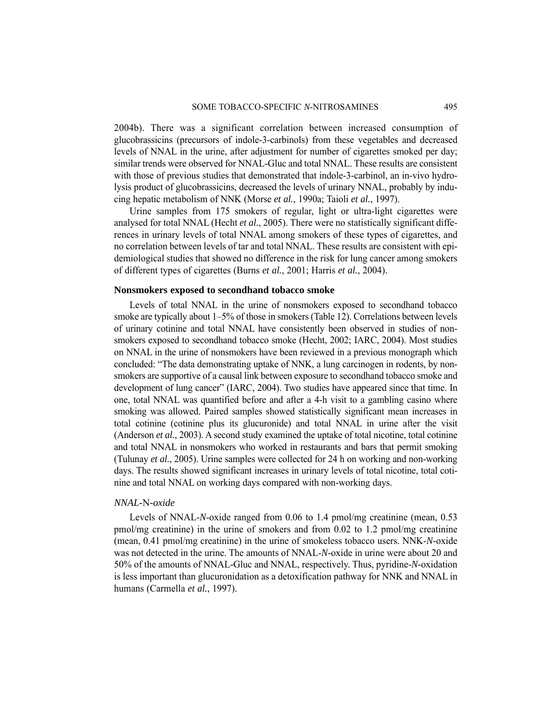2004b). There was a significant correlation between increased consumption of glucobrassicins (precursors of indole-3-carbinols) from these vegetables and decreased levels of NNAL in the urine, after adjustment for number of cigarettes smoked per day; similar trends were observed for NNAL-Gluc and total NNAL. These results are consistent with those of previous studies that demonstrated that indole-3-carbinol, an in-vivo hydrolysis product of glucobrassicins, decreased the levels of urinary NNAL, probably by inducing hepatic metabolism of NNK (Morse *et al.*, 1990a; Taioli *et al.*, 1997).

Urine samples from 175 smokers of regular, light or ultra-light cigarettes were analysed for total NNAL (Hecht *et al.*, 2005). There were no statistically significant differences in urinary levels of total NNAL among smokers of these types of cigarettes, and no correlation between levels of tar and total NNAL. These results are consistent with epidemiological studies that showed no difference in the risk for lung cancer among smokers of different types of cigarettes (Burns *et al.*, 2001; Harris *et al.*, 2004).

## **Nonsmokers exposed to secondhand tobacco smoke**

Levels of total NNAL in the urine of nonsmokers exposed to secondhand tobacco smoke are typically about 1–5% of those in smokers (Table 12). Correlations between levels of urinary cotinine and total NNAL have consistently been observed in studies of nonsmokers exposed to secondhand tobacco smoke (Hecht, 2002; IARC, 2004). Most studies on NNAL in the urine of nonsmokers have been reviewed in a previous monograph which concluded: "The data demonstrating uptake of NNK, a lung carcinogen in rodents, by nonsmokers are supportive of a causal link between exposure to secondhand tobacco smoke and development of lung cancer" (IARC, 2004). Two studies have appeared since that time. In one, total NNAL was quantified before and after a 4-h visit to a gambling casino where smoking was allowed. Paired samples showed statistically significant mean increases in total cotinine (cotinine plus its glucuronide) and total NNAL in urine after the visit (Anderson *et al.*, 2003). A second study examined the uptake of total nicotine, total cotinine and total NNAL in nonsmokers who worked in restaurants and bars that permit smoking (Tulunay *et al.*, 2005). Urine samples were collected for 24 h on working and non-working days. The results showed significant increases in urinary levels of total nicotine, total cotinine and total NNAL on working days compared with non-working days.

#### *NNAL-*N*-oxide*

Levels of NNAL-*N*-oxide ranged from 0.06 to 1.4 pmol/mg creatinine (mean, 0.53 pmol/mg creatinine) in the urine of smokers and from 0.02 to 1.2 pmol/mg creatinine (mean, 0.41 pmol/mg creatinine) in the urine of smokeless tobacco users. NNK-*N*-oxide was not detected in the urine. The amounts of NNAL-*N*-oxide in urine were about 20 and 50% of the amounts of NNAL-Gluc and NNAL, respectively. Thus, pyridine-*N*-oxidation is less important than glucuronidation as a detoxification pathway for NNK and NNAL in humans (Carmella *et al.*, 1997).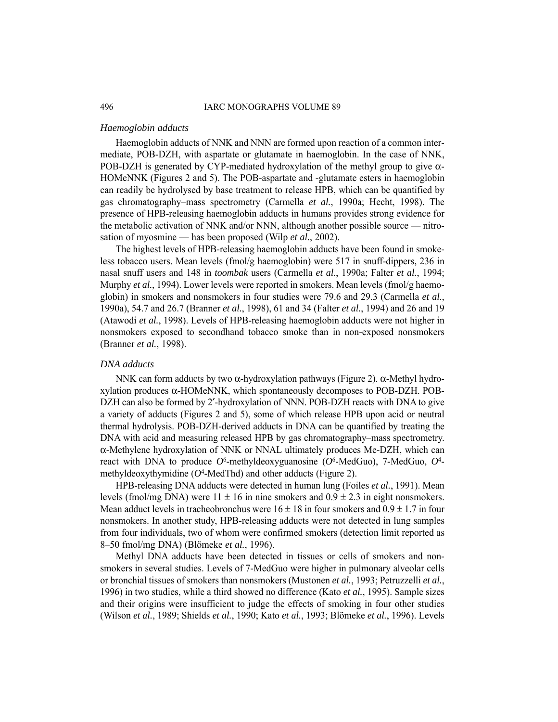#### *Haemoglobin adducts*

Haemoglobin adducts of NNK and NNN are formed upon reaction of a common intermediate, POB-DZH, with aspartate or glutamate in haemoglobin. In the case of NNK, POB-DZH is generated by CYP-mediated hydroxylation of the methyl group to give  $\alpha$ -HOMeNNK (Figures 2 and 5). The POB-aspartate and -glutamate esters in haemoglobin can readily be hydrolysed by base treatment to release HPB, which can be quantified by gas chromatography–mass spectrometry (Carmella *et al.*, 1990a; Hecht, 1998). The presence of HPB-releasing haemoglobin adducts in humans provides strong evidence for the metabolic activation of NNK and/or NNN, although another possible source — nitrosation of myosmine — has been proposed (Wilp *et al.*, 2002).

The highest levels of HPB-releasing haemoglobin adducts have been found in smokeless tobacco users. Mean levels (fmol/g haemoglobin) were 517 in snuff-dippers, 236 in nasal snuff users and 148 in *toombak* users (Carmella *et al.*, 1990a; Falter *et al.*, 1994; Murphy *et al.*, 1994). Lower levels were reported in smokers. Mean levels (fmol/g haemoglobin) in smokers and nonsmokers in four studies were 79.6 and 29.3 (Carmella *et al.*, 1990a), 54.7 and 26.7 (Branner *et al.*, 1998), 61 and 34 (Falter *et al.*, 1994) and 26 and 19 (Atawodi *et al.*, 1998). Levels of HPB-releasing haemoglobin adducts were not higher in nonsmokers exposed to secondhand tobacco smoke than in non-exposed nonsmokers (Branner *et al.*, 1998).

## *DNA adducts*

NNK can form adducts by two α-hydroxylation pathways (Figure 2). α-Methyl hydroxylation produces α-HOMeNNK, which spontaneously decomposes to POB-DZH. POB-DZH can also be formed by 2'-hydroxylation of NNN. POB-DZH reacts with DNA to give a variety of adducts (Figures 2 and 5), some of which release HPB upon acid or neutral thermal hydrolysis. POB-DZH-derived adducts in DNA can be quantified by treating the DNA with acid and measuring released HPB by gas chromatography–mass spectrometry. α-Methylene hydroxylation of NNK or NNAL ultimately produces Me-DZH, which can react with DNA to produce *O*6-methyldeoxyguanosine (*O*6-MedGuo), 7-MedGuo, *O*4 methyldeoxythymidine (*O*4-MedThd) and other adducts (Figure 2).

HPB-releasing DNA adducts were detected in human lung (Foiles *et al.*, 1991). Mean levels (fmol/mg DNA) were  $11 \pm 16$  in nine smokers and  $0.9 \pm 2.3$  in eight nonsmokers. Mean adduct levels in tracheobronchus were  $16 \pm 18$  in four smokers and  $0.9 \pm 1.7$  in four nonsmokers. In another study, HPB-releasing adducts were not detected in lung samples from four individuals, two of whom were confirmed smokers (detection limit reported as 8–50 fmol/mg DNA) (Blömeke *et al.*, 1996).

Methyl DNA adducts have been detected in tissues or cells of smokers and nonsmokers in several studies. Levels of 7-MedGuo were higher in pulmonary alveolar cells or bronchial tissues of smokers than nonsmokers (Mustonen *et al.*, 1993; Petruzzelli *et al.*, 1996) in two studies, while a third showed no difference (Kato *et al.*, 1995). Sample sizes and their origins were insufficient to judge the effects of smoking in four other studies (Wilson *et al.*, 1989; Shields *et al.*, 1990; Kato *et al.*, 1993; Blömeke *et al.*, 1996). Levels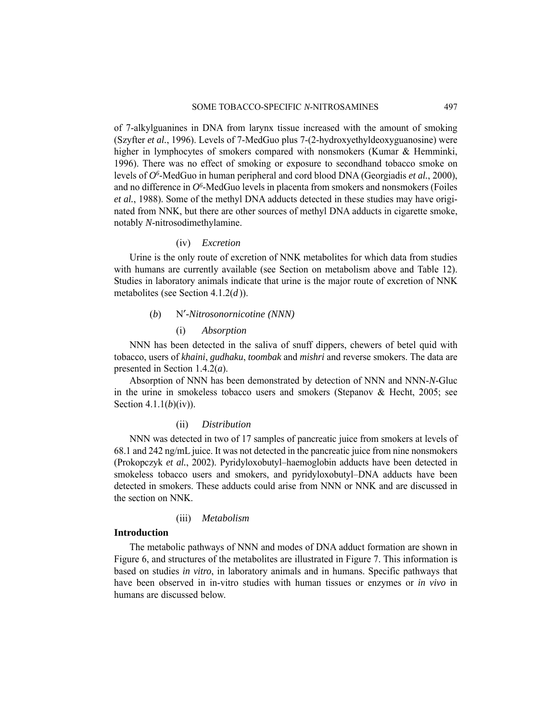#### SOME TOBACCO-SPECIFIC *N*-NITROSAMINES 497

of 7-alkylguanines in DNA from larynx tissue increased with the amount of smoking (Szyfter *et al.*, 1996). Levels of 7-MedGuo plus 7-(2-hydroxyethyldeoxyguanosine) were higher in lymphocytes of smokers compared with nonsmokers (Kumar & Hemminki, 1996). There was no effect of smoking or exposure to secondhand tobacco smoke on levels of *O6*-MedGuo in human peripheral and cord blood DNA (Georgiadis *et al.*, 2000), and no difference in *O6*-MedGuo levels in placenta from smokers and nonsmokers (Foiles *et al.*, 1988). Some of the methyl DNA adducts detected in these studies may have originated from NNK, but there are other sources of methyl DNA adducts in cigarette smoke, notably *N*-nitrosodimethylamine.

# (iv) *Excretion*

Urine is the only route of excretion of NNK metabolites for which data from studies with humans are currently available (see Section on metabolism above and Table 12). Studies in laboratory animals indicate that urine is the major route of excretion of NNK metabolites (see Section 4.1.2(*d* )).

## (*b*) N′*-Nitrosonornicotine (NNN)*

# (i) *Absorption*

NNN has been detected in the saliva of snuff dippers, chewers of betel quid with tobacco, users of *khaini*, *gudhaku*, *toombak* and *mishri* and reverse smokers. The data are presented in Section 1.4.2(*a*).

Absorption of NNN has been demonstrated by detection of NNN and NNN-*N*-Gluc in the urine in smokeless tobacco users and smokers (Stepanov  $\&$  Hecht, 2005; see Section 4.1.1(*b*)(iv)).

# (ii) *Distribution*

NNN was detected in two of 17 samples of pancreatic juice from smokers at levels of 68.1 and 242 ng/mL juice. It was not detected in the pancreatic juice from nine nonsmokers (Prokopczyk *et al.*, 2002). Pyridyloxobutyl–haemoglobin adducts have been detected in smokeless tobacco users and smokers, and pyridyloxobutyl–DNA adducts have been detected in smokers. These adducts could arise from NNN or NNK and are discussed in the section on NNK.

# (iii) *Metabolism*

# **Introduction**

The metabolic pathways of NNN and modes of DNA adduct formation are shown in Figure 6, and structures of the metabolites are illustrated in Figure 7. This information is based on studies *in vitro*, in laboratory animals and in humans. Specific pathways that have been observed in in-vitro studies with human tissues or enzymes or *in vivo* in humans are discussed below.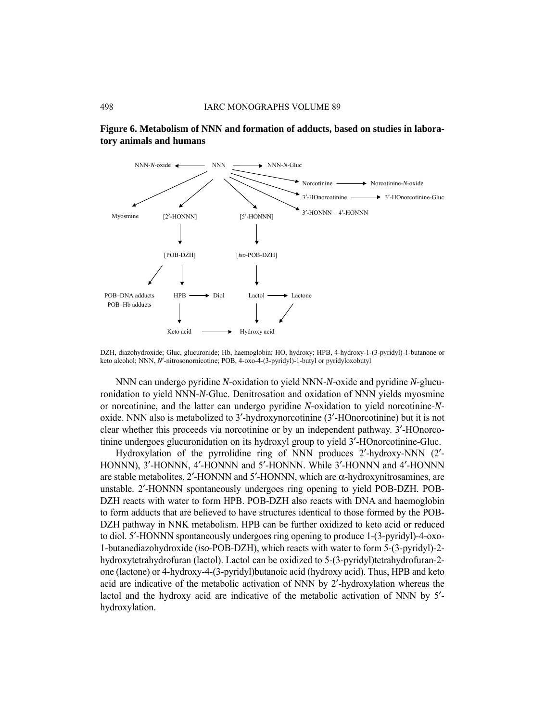



DZH, diazohydroxide; Gluc, glucuronide; Hb, haemoglobin; HO, hydroxy; HPB, 4-hydroxy-1-(3-pyridyl)-1-butanone or keto alcohol; NNN, *N*′-nitrosonornicotine; POB, 4-oxo-4-(3-pyridyl)-1-butyl or pyridyloxobutyl

NNN can undergo pyridine *N*-oxidation to yield NNN-*N*-oxide and pyridine *N*-glucuronidation to yield NNN-*N*-Gluc. Denitrosation and oxidation of NNN yields myosmine or norcotinine, and the latter can undergo pyridine *N*-oxidation to yield norcotinine-*N*oxide. NNN also is metabolized to 3′-hydroxynorcotinine (3′-HOnorcotinine) but it is not clear whether this proceeds via norcotinine or by an independent pathway. 3′-HOnorcotinine undergoes glucuronidation on its hydroxyl group to yield 3′-HOnorcotinine-Gluc.

Hydroxylation of the pyrrolidine ring of NNN produces 2′-hydroxy-NNN (2′- HONNN), 3′-HONNN, 4′-HONNN and 5′-HONNN. While 3′-HONNN and 4′-HONNN are stable metabolites,  $2'$ -HONNN and  $5'$ -HONNN, which are  $\alpha$ -hydroxynitrosamines, are unstable. 2′-HONNN spontaneously undergoes ring opening to yield POB-DZH. POB-DZH reacts with water to form HPB. POB-DZH also reacts with DNA and haemoglobin to form adducts that are believed to have structures identical to those formed by the POB-DZH pathway in NNK metabolism. HPB can be further oxidized to keto acid or reduced to diol. 5′-HONNN spontaneously undergoes ring opening to produce 1-(3-pyridyl)-4-oxo-1-butanediazohydroxide (*iso*-POB-DZH), which reacts with water to form 5-(3-pyridyl)-2 hydroxytetrahydrofuran (lactol). Lactol can be oxidized to 5-(3-pyridyl)tetrahydrofuran-2 one (lactone) or 4-hydroxy-4-(3-pyridyl)butanoic acid (hydroxy acid). Thus, HPB and keto acid are indicative of the metabolic activation of NNN by 2′-hydroxylation whereas the lactol and the hydroxy acid are indicative of the metabolic activation of NNN by 5′ hydroxylation.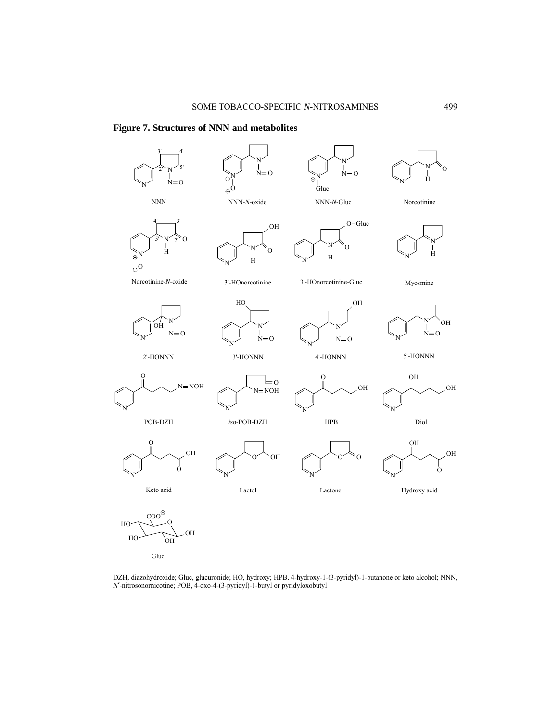# **Figure 7. Structures of NNN and metabolites**



DZH, diazohydroxide; Gluc, glucuronide; HO, hydroxy; HPB, 4-hydroxy-1-(3-pyridyl)-1-butanone or keto alcohol; NNN, *N*′-nitrosonornicotine; POB, 4-oxo-4-(3-pyridyl)-1-butyl or pyridyloxobutyl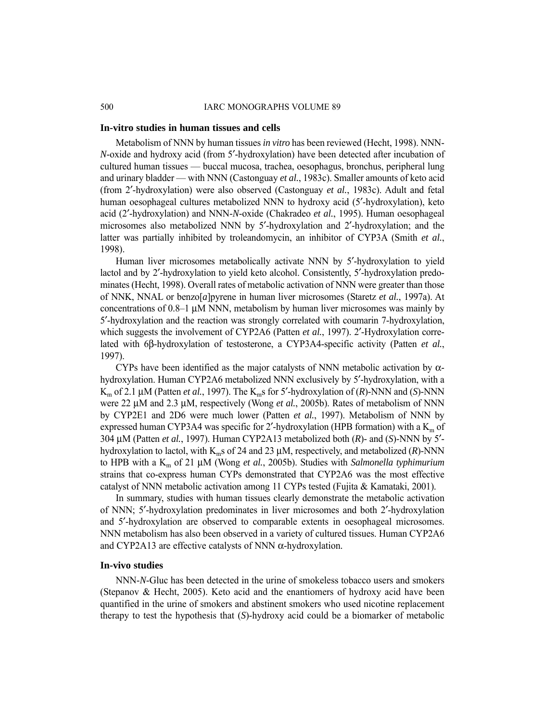#### **In-vitro studies in human tissues and cells**

Metabolism of NNN by human tissues *in vitro* has been reviewed (Hecht, 1998). NNN-*N*-oxide and hydroxy acid (from 5′-hydroxylation) have been detected after incubation of cultured human tissues — buccal mucosa, trachea, oesophagus, bronchus, peripheral lung and urinary bladder — with NNN (Castonguay *et al.*, 1983c). Smaller amounts of keto acid (from 2′-hydroxylation) were also observed (Castonguay *et al.*, 1983c). Adult and fetal human oesophageal cultures metabolized NNN to hydroxy acid (5′-hydroxylation), keto acid (2′-hydroxylation) and NNN-*N*-oxide (Chakradeo *et al.*, 1995). Human oesophageal microsomes also metabolized NNN by 5′-hydroxylation and 2′-hydroxylation; and the latter was partially inhibited by troleandomycin, an inhibitor of CYP3A (Smith *et al.*, 1998).

Human liver microsomes metabolically activate NNN by 5′-hydroxylation to yield lactol and by 2′-hydroxylation to yield keto alcohol. Consistently, 5′-hydroxylation predominates (Hecht, 1998). Overall rates of metabolic activation of NNN were greater than those of NNK, NNAL or benzo[*a*]pyrene in human liver microsomes (Staretz *et al.*, 1997a). At concentrations of  $0.8-1 \mu M$  NNN, metabolism by human liver microsomes was mainly by 5′-hydroxylation and the reaction was strongly correlated with coumarin 7-hydroxylation, which suggests the involvement of CYP2A6 (Patten *et al.*, 1997). 2'-Hydroxylation correlated with 6β-hydroxylation of testosterone, a CYP3A4-specific activity (Patten *et al.*, 1997).

CYPs have been identified as the major catalysts of NNN metabolic activation by  $\alpha$ hydroxylation. Human CYP2A6 metabolized NNN exclusively by 5′-hydroxylation, with a K<sub>m</sub> of 2.1 μM (Patten *et al.*, 1997). The K<sub>m</sub>s for 5'-hydroxylation of (R)-NNN and (S)-NNN were 22 μM and 2.3 μM, respectively (Wong *et al.*, 2005b). Rates of metabolism of NNN by CYP2E1 and 2D6 were much lower (Patten *et al.*, 1997). Metabolism of NNN by expressed human CYP3A4 was specific for 2'-hydroxylation (HPB formation) with a  $K<sub>m</sub>$  of 304 μM (Patten *et al.*, 1997). Human CYP2A13 metabolized both (*R*)- and (*S*)-NNN by 5′ hydroxylation to lactol, with K<sub>m</sub>s of 24 and 23 μM, respectively, and metabolized (R)-NNN to HPB with a Km of 21 μM (Wong *et al.*, 2005b). Studies with *Salmonella typhimurium* strains that co-express human CYPs demonstrated that CYP2A6 was the most effective catalyst of NNN metabolic activation among 11 CYPs tested (Fujita & Kamataki, 2001).

In summary, studies with human tissues clearly demonstrate the metabolic activation of NNN; 5′-hydroxylation predominates in liver microsomes and both 2′-hydroxylation and 5′-hydroxylation are observed to comparable extents in oesophageal microsomes. NNN metabolism has also been observed in a variety of cultured tissues. Human CYP2A6 and CYP2A13 are effective catalysts of NNN  $\alpha$ -hydroxylation.

# **In-vivo studies**

NNN-*N*-Gluc has been detected in the urine of smokeless tobacco users and smokers (Stepanov & Hecht, 2005). Keto acid and the enantiomers of hydroxy acid have been quantified in the urine of smokers and abstinent smokers who used nicotine replacement therapy to test the hypothesis that (*S*)-hydroxy acid could be a biomarker of metabolic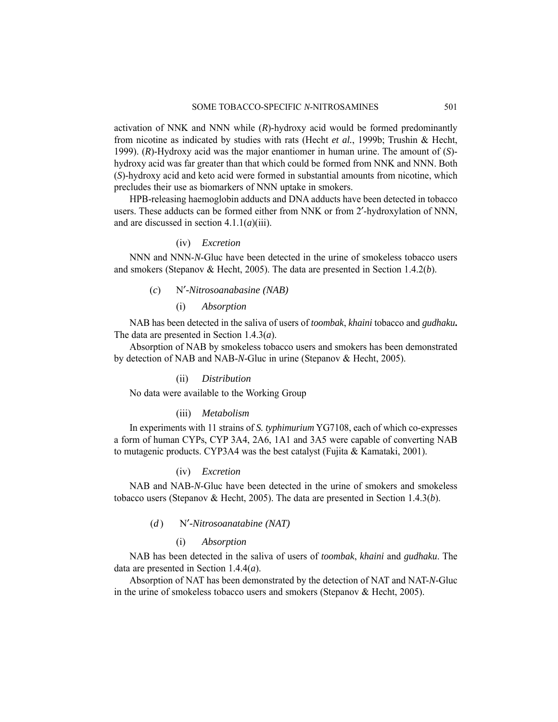## SOME TOBACCO-SPECIFIC *N*-NITROSAMINES 501

activation of NNK and NNN while (*R*)-hydroxy acid would be formed predominantly from nicotine as indicated by studies with rats (Hecht *et al.*, 1999b; Trushin & Hecht, 1999). (*R*)-Hydroxy acid was the major enantiomer in human urine. The amount of (*S*) hydroxy acid was far greater than that which could be formed from NNK and NNN. Both (*S*)-hydroxy acid and keto acid were formed in substantial amounts from nicotine, which precludes their use as biomarkers of NNN uptake in smokers.

HPB-releasing haemoglobin adducts and DNA adducts have been detected in tobacco users. These adducts can be formed either from NNK or from 2′-hydroxylation of NNN, and are discussed in section 4.1.1(*a*)(iii).

# (iv) *Excretion*

NNN and NNN-*N*-Gluc have been detected in the urine of smokeless tobacco users and smokers (Stepanov & Hecht, 2005). The data are presented in Section 1.4.2(*b*).

# (*c*) N′*-Nitrosoanabasine (NAB)*

# (i) *Absorption*

NAB has been detected in the saliva of users of *toombak*, *khaini* tobacco and *gudhaku***.** The data are presented in Section 1.4.3(*a*).

Absorption of NAB by smokeless tobacco users and smokers has been demonstrated by detection of NAB and NAB-*N*-Gluc in urine (Stepanov & Hecht, 2005).

## (ii) *Distribution*

No data were available to the Working Group

# (iii) *Metabolism*

In experiments with 11 strains of *S. typhimurium* YG7108, each of which co-expresses a form of human CYPs, CYP 3A4, 2A6, 1A1 and 3A5 were capable of converting NAB to mutagenic products. CYP3A4 was the best catalyst (Fujita & Kamataki, 2001).

# (iv) *Excretion*

NAB and NAB-*N*-Gluc have been detected in the urine of smokers and smokeless tobacco users (Stepanov & Hecht, 2005). The data are presented in Section 1.4.3(*b*).

## (*d* ) N′*-Nitrosoanatabine (NAT)*

# (i) *Absorption*

NAB has been detected in the saliva of users of *toombak*, *khaini* and *gudhaku*. The data are presented in Section 1.4.4(*a*).

Absorption of NAT has been demonstrated by the detection of NAT and NAT-*N*-Gluc in the urine of smokeless tobacco users and smokers (Stepanov & Hecht, 2005).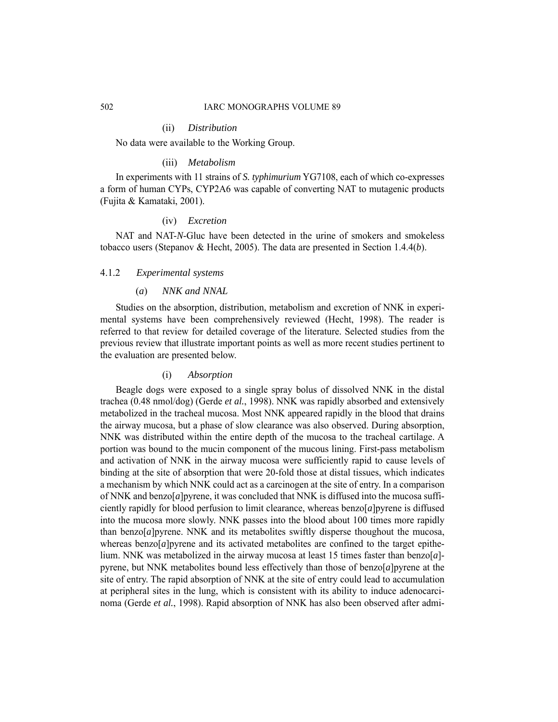# (ii) *Distribution*

No data were available to the Working Group.

#### (iii) *Metabolism*

In experiments with 11 strains of *S. typhimurium* YG7108, each of which co-expresses a form of human CYPs, CYP2A6 was capable of converting NAT to mutagenic products (Fujita & Kamataki, 2001).

# (iv) *Excretion*

NAT and NAT-*N*-Gluc have been detected in the urine of smokers and smokeless tobacco users (Stepanov & Hecht, 2005). The data are presented in Section 1.4.4(*b*).

# 4.1.2 *Experimental systems*

# (*a*) *NNK and NNAL*

Studies on the absorption, distribution, metabolism and excretion of NNK in experimental systems have been comprehensively reviewed (Hecht, 1998). The reader is referred to that review for detailed coverage of the literature. Selected studies from the previous review that illustrate important points as well as more recent studies pertinent to the evaluation are presented below.

## (i) *Absorption*

Beagle dogs were exposed to a single spray bolus of dissolved NNK in the distal trachea (0.48 nmol/dog) (Gerde *et al.*, 1998). NNK was rapidly absorbed and extensively metabolized in the tracheal mucosa. Most NNK appeared rapidly in the blood that drains the airway mucosa, but a phase of slow clearance was also observed. During absorption, NNK was distributed within the entire depth of the mucosa to the tracheal cartilage. A portion was bound to the mucin component of the mucous lining. First-pass metabolism and activation of NNK in the airway mucosa were sufficiently rapid to cause levels of binding at the site of absorption that were 20-fold those at distal tissues, which indicates a mechanism by which NNK could act as a carcinogen at the site of entry. In a comparison of NNK and benzo[*a*]pyrene, it was concluded that NNK is diffused into the mucosa sufficiently rapidly for blood perfusion to limit clearance, whereas benzo[*a*]pyrene is diffused into the mucosa more slowly. NNK passes into the blood about 100 times more rapidly than benzo[*a*]pyrene. NNK and its metabolites swiftly disperse thoughout the mucosa, whereas benzo $[a]$ pyrene and its activated metabolites are confined to the target epithelium. NNK was metabolized in the airway mucosa at least 15 times faster than benzo[*a*] pyrene, but NNK metabolites bound less effectively than those of benzo[*a*]pyrene at the site of entry. The rapid absorption of NNK at the site of entry could lead to accumulation at peripheral sites in the lung, which is consistent with its ability to induce adenocarcinoma (Gerde *et al.*, 1998). Rapid absorption of NNK has also been observed after admi-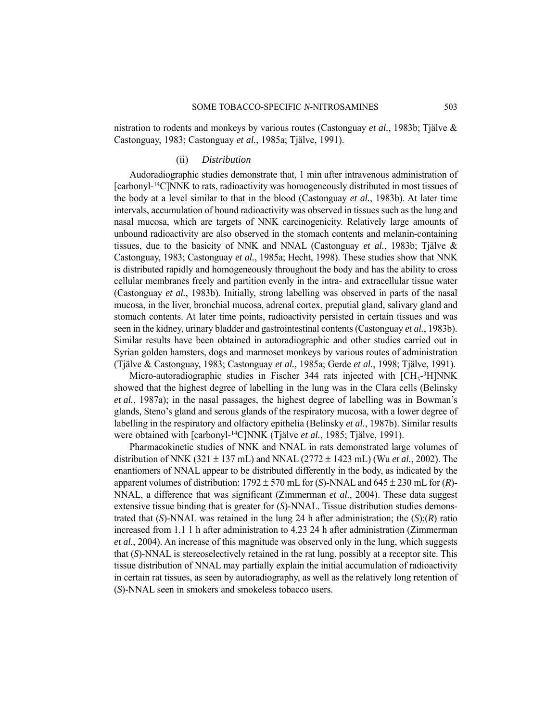nistration to rodents and monkeys by various routes (Castonguay *et al.*, 1983b; Tjälve & Castonguay, 1983; Castonguay *et al.*, 1985a; Tjälve, 1991).

# (ii) *Distribution*

Audoradiographic studies demonstrate that, 1 min after intravenous administration of [carbonyl-14C]NNK to rats, radioactivity was homogeneously distributed in most tissues of the body at a level similar to that in the blood (Castonguay *et al.*, 1983b). At later time intervals, accumulation of bound radioactivity was observed in tissues such as the lung and nasal mucosa, which are targets of NNK carcinogenicity. Relatively large amounts of unbound radioactivity are also observed in the stomach contents and melanin-containing tissues, due to the basicity of NNK and NNAL (Castonguay *et al.*, 1983b; Tjälve & Castonguay, 1983; Castonguay *et al.*, 1985a; Hecht, 1998). These studies show that NNK is distributed rapidly and homogeneously throughout the body and has the ability to cross cellular membranes freely and partition evenly in the intra- and extracellular tissue water (Castonguay *et al.*, 1983b). Initially, strong labelling was observed in parts of the nasal mucosa, in the liver, bronchial mucosa, adrenal cortex, preputial gland, salivary gland and stomach contents. At later time points, radioactivity persisted in certain tissues and was seen in the kidney, urinary bladder and gastrointestinal contents (Castonguay *et al.*, 1983b). Similar results have been obtained in autoradiographic and other studies carried out in Syrian golden hamsters, dogs and marmoset monkeys by various routes of administration (Tjälve & Castonguay, 1983; Castonguay *et al.*, 1985a; Gerde *et al.*, 1998; Tjälve, 1991).

Micro-autoradiographic studies in Fischer 344 rats injected with [CH<sub>3</sub>-<sup>3</sup>H]NNK showed that the highest degree of labelling in the lung was in the Clara cells (Belinsky *et al.*, 1987a); in the nasal passages, the highest degree of labelling was in Bowman's glands, Steno's gland and serous glands of the respiratory mucosa, with a lower degree of labelling in the respiratory and olfactory epithelia (Belinsky *et al.*, 1987b). Similar results were obtained with [carbonyl-14C]NNK (Tjälve *et al.*, 1985; Tjälve, 1991).

Pharmacokinetic studies of NNK and NNAL in rats demonstrated large volumes of distribution of NNK (321  $\pm$  137 mL) and NNAL (2772  $\pm$  1423 mL) (Wu *et al.*, 2002). The enantiomers of NNAL appear to be distributed differently in the body, as indicated by the apparent volumes of distribution:  $1792 \pm 570$  mL for (*S*)-NNAL and  $645 \pm 230$  mL for (*R*)-NNAL, a difference that was significant (Zimmerman *et al.*, 2004). These data suggest extensive tissue binding that is greater for (*S*)-NNAL. Tissue distribution studies demonstrated that (*S*)-NNAL was retained in the lung 24 h after administration; the (*S*):(*R*) ratio increased from 1.1 1 h after administration to 4.23 24 h after administration (Zimmerman *et al.*, 2004). An increase of this magnitude was observed only in the lung, which suggests that (*S*)-NNAL is stereoselectively retained in the rat lung, possibly at a receptor site. This tissue distribution of NNAL may partially explain the initial accumulation of radioactivity in certain rat tissues, as seen by autoradiography, as well as the relatively long retention of (*S*)-NNAL seen in smokers and smokeless tobacco users.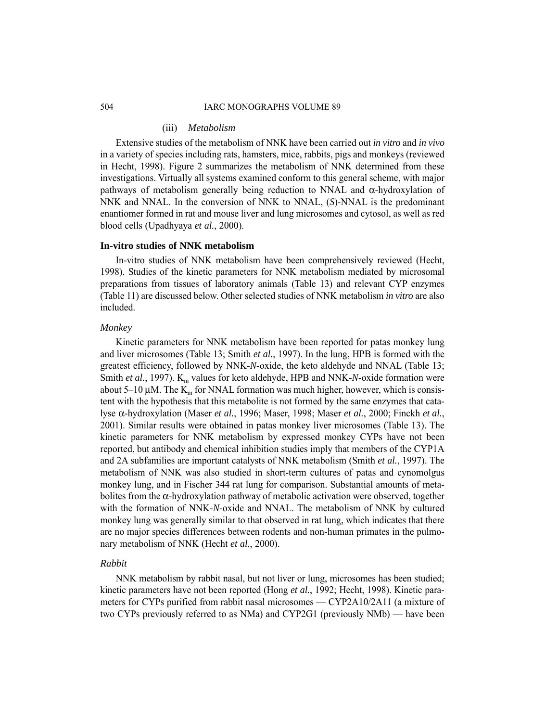#### (iii) *Metabolism*

Extensive studies of the metabolism of NNK have been carried out *in vitro* and *in vivo* in a variety of species including rats, hamsters, mice, rabbits, pigs and monkeys (reviewed in Hecht, 1998). Figure 2 summarizes the metabolism of NNK determined from these investigations. Virtually all systems examined conform to this general scheme, with major pathways of metabolism generally being reduction to NNAL and α-hydroxylation of NNK and NNAL. In the conversion of NNK to NNAL, (*S*)-NNAL is the predominant enantiomer formed in rat and mouse liver and lung microsomes and cytosol, as well as red blood cells (Upadhyaya *et al.*, 2000).

## **In-vitro studies of NNK metabolism**

In-vitro studies of NNK metabolism have been comprehensively reviewed (Hecht, 1998). Studies of the kinetic parameters for NNK metabolism mediated by microsomal preparations from tissues of laboratory animals (Table 13) and relevant CYP enzymes (Table 11) are discussed below. Other selected studies of NNK metabolism *in vitro* are also included.

#### *Monkey*

Kinetic parameters for NNK metabolism have been reported for patas monkey lung and liver microsomes (Table 13; Smith *et al.*, 1997). In the lung, HPB is formed with the greatest efficiency, followed by NNK-*N*-oxide, the keto aldehyde and NNAL (Table 13; Smith *et al.*, 1997). K<sub>m</sub> values for keto aldehyde, HPB and NNK-*N*-oxide formation were about 5–10  $\mu$ M. The K<sub>m</sub> for NNAL formation was much higher, however, which is consistent with the hypothesis that this metabolite is not formed by the same enzymes that catalyse α-hydroxylation (Maser *et al.*, 1996; Maser, 1998; Maser *et al.*, 2000; Finckh *et al.*, 2001). Similar results were obtained in patas monkey liver microsomes (Table 13). The kinetic parameters for NNK metabolism by expressed monkey CYPs have not been reported, but antibody and chemical inhibition studies imply that members of the CYP1A and 2A subfamilies are important catalysts of NNK metabolism (Smith *et al.*, 1997). The metabolism of NNK was also studied in short-term cultures of patas and cynomolgus monkey lung, and in Fischer 344 rat lung for comparison. Substantial amounts of metabolites from the α-hydroxylation pathway of metabolic activation were observed, together with the formation of NNK-*N*-oxide and NNAL. The metabolism of NNK by cultured monkey lung was generally similar to that observed in rat lung, which indicates that there are no major species differences between rodents and non-human primates in the pulmonary metabolism of NNK (Hecht *et al.*, 2000).

# *Rabbit*

NNK metabolism by rabbit nasal, but not liver or lung, microsomes has been studied; kinetic parameters have not been reported (Hong *et al.*, 1992; Hecht, 1998). Kinetic parameters for CYPs purified from rabbit nasal microsomes — CYP2A10/2A11 (a mixture of two CYPs previously referred to as NMa) and CYP2G1 (previously NMb) — have been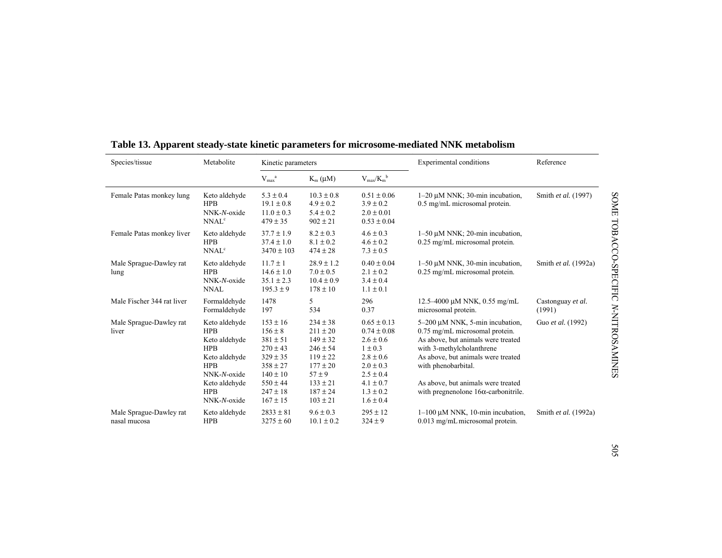| Species/tissue                          | Metabolite                                                                                                                                             | Kinetic parameters                                                                                                                                          |                                                                                                                                                            | Experimental conditions                                                                                                                                                  | Reference                                                                                                                                                                                                                                                                                   |                             |  |
|-----------------------------------------|--------------------------------------------------------------------------------------------------------------------------------------------------------|-------------------------------------------------------------------------------------------------------------------------------------------------------------|------------------------------------------------------------------------------------------------------------------------------------------------------------|--------------------------------------------------------------------------------------------------------------------------------------------------------------------------|---------------------------------------------------------------------------------------------------------------------------------------------------------------------------------------------------------------------------------------------------------------------------------------------|-----------------------------|--|
|                                         |                                                                                                                                                        | $V_{\rm max}^{\quad \  a}$                                                                                                                                  | $V_{\text{max}}/K_{\text{m}}^{\phantom{\text{b}}\text{b}}$<br>$K_m(\mu M)$                                                                                 |                                                                                                                                                                          |                                                                                                                                                                                                                                                                                             |                             |  |
| Female Patas monkey lung                | Keto aldehyde<br><b>HPB</b><br>NNK-N-oxide<br>NNAL <sup>c</sup>                                                                                        | $5.3 \pm 0.4$<br>$19.1 \pm 0.8$<br>$11.0 \pm 0.3$<br>$479 \pm 35$                                                                                           | $10.3 \pm 0.8$<br>$4.9 \pm 0.2$<br>$5.4 \pm 0.2$<br>$902 \pm 21$                                                                                           | $0.51 \pm 0.06$<br>$3.9 \pm 0.2$<br>$2.0 \pm 0.01$<br>$0.53 \pm 0.04$                                                                                                    | 1-20 µM NNK; 30-min incubation,<br>0.5 mg/mL microsomal protein.                                                                                                                                                                                                                            | Smith et al. (1997)         |  |
| Female Patas monkey liver               | Keto aldehyde<br><b>HPB</b><br>NNAL <sup>c</sup>                                                                                                       | $37.7 \pm 1.9$<br>$37.4 \pm 1.0$<br>$3470 \pm 103$                                                                                                          | $8.2 \pm 0.3$<br>$8.1\pm0.2$<br>$474 \pm 28$                                                                                                               | $4.6 \pm 0.3$<br>$4.6 \pm 0.2$<br>$7.3 \pm 0.5$                                                                                                                          | $1-50 \mu M$ NNK; 20-min incubation,<br>0.25 mg/mL microsomal protein.                                                                                                                                                                                                                      |                             |  |
| Male Sprague-Dawley rat<br>lung         | Keto aldehyde<br><b>HPB</b><br>NNK-N-oxide<br><b>NNAL</b>                                                                                              | $11.7 \pm 1$<br>$14.6 \pm 1.0$<br>$35.1 \pm 2.3$<br>$195.3 \pm 9$                                                                                           | $28.9 \pm 1.2$<br>$7.0 \pm 0.5$<br>$10.4 \pm 0.9$<br>$178 \pm 10$                                                                                          | $0.40 \pm 0.04$<br>$2.1 \pm 0.2$<br>$3.4 \pm 0.4$<br>$1.1 \pm 0.1$                                                                                                       | $1-50 \mu M$ NNK, 30-min incubation,<br>0.25 mg/mL microsomal protein.                                                                                                                                                                                                                      | Smith et al. (1992a)        |  |
| Male Fischer 344 rat liver              | Formaldehyde<br>Formaldehyde                                                                                                                           | 1478<br>197                                                                                                                                                 | 5<br>534                                                                                                                                                   | 296<br>0.37                                                                                                                                                              | 12.5–4000 μM NNK, 0.55 mg/mL<br>microsomal protein.                                                                                                                                                                                                                                         | Castonguay et al.<br>(1991) |  |
| Male Sprague-Dawley rat<br>liver        | Keto aldehyde<br><b>HPB</b><br>Keto aldehyde<br><b>HPB</b><br>Keto aldehyde<br><b>HPB</b><br>NNK-N-oxide<br>Keto aldehyde<br><b>HPB</b><br>NNK-N-oxide | $153 \pm 16$<br>$156 \pm 8$<br>$381 \pm 51$<br>$270 \pm 43$<br>$329 \pm 35$<br>$358 \pm 27$<br>$140 \pm 10$<br>$550 \pm 44$<br>$247 \pm 18$<br>$167 \pm 15$ | $234 \pm 38$<br>$211 \pm 20$<br>$149 \pm 32$<br>$246 \pm 54$<br>$119 \pm 22$<br>$177 \pm 20$<br>$57 \pm 9$<br>$133 \pm 21$<br>$187 \pm 24$<br>$103 \pm 21$ | $0.65 \pm 0.13$<br>$0.74 \pm 0.08$<br>$2.6 \pm 0.6$<br>$1 \pm 0.3$<br>$2.8 \pm 0.6$<br>$2.0 \pm 0.3$<br>$2.5 \pm 0.4$<br>$4.1 \pm 0.7$<br>$1.3 \pm 0.2$<br>$1.6 \pm 0.4$ | $5-200 \mu M$ NNK, 5-min incubation,<br>0.75 mg/mL microsomal protein.<br>As above, but animals were treated<br>with 3-methylcholanthrene<br>As above, but animals were treated<br>with phenobarbital.<br>As above, but animals were treated<br>with pregnenolone $16\alpha$ -carbonitrile. | Guo et al. (1992)           |  |
| Male Sprague-Dawley rat<br>nasal mucosa | Keto aldehyde<br><b>HPB</b>                                                                                                                            | $2833 \pm 81$<br>$3275 \pm 60$                                                                                                                              | $9.6 \pm 0.3$<br>$10.1 \pm 0.2$                                                                                                                            | $295 \pm 12$<br>$324 \pm 9$                                                                                                                                              | 1-100 µM NNK, 10-min incubation,<br>0.013 mg/mL microsomal protein.                                                                                                                                                                                                                         | Smith et al. (1992a)        |  |

**Table 13. Apparent steady-state kinetic parameters for microsome-mediated NNK metabolism**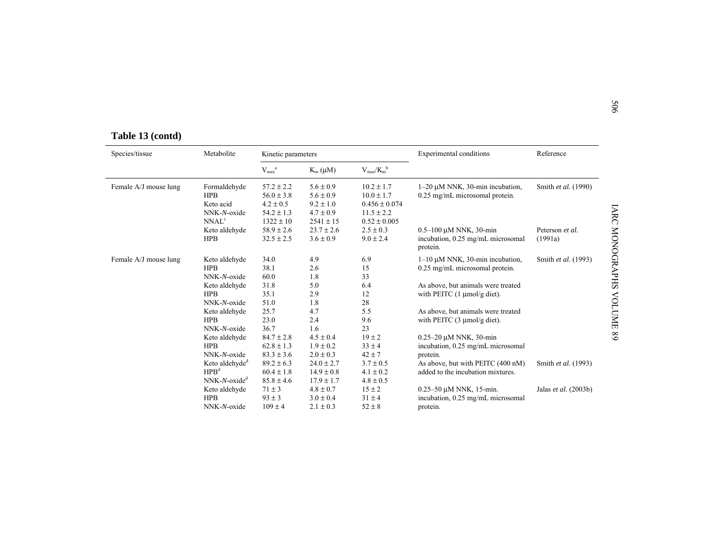|  | Table 13 (contd) |  |
|--|------------------|--|
|  |                  |  |

| Table 13 (contd)<br>Species/tissue | Metabolite                                                                    | Kinetic parameters                                                                   |                                                                                   |                                                                                             | Experimental conditions                                                                                                                                  | Reference                  |
|------------------------------------|-------------------------------------------------------------------------------|--------------------------------------------------------------------------------------|-----------------------------------------------------------------------------------|---------------------------------------------------------------------------------------------|----------------------------------------------------------------------------------------------------------------------------------------------------------|----------------------------|
|                                    |                                                                               | $V_{\text{max}}^{\quad a}$                                                           | $K_m(\mu M)$                                                                      | $V_{max}/K_m^b$                                                                             |                                                                                                                                                          |                            |
| Female A/J mouse lung              | Formaldehyde<br><b>HPB</b><br>Keto acid<br>NNK-N-oxide<br>NNAL <sup>c</sup>   | $57.2 \pm 2.2$<br>$56.0 \pm 3.8$<br>$4.2 \pm 0.5$<br>$54.2 \pm 1.3$<br>$1322 \pm 10$ | $5.6 \pm 0.9$<br>$5.6 \pm 0.9$<br>$9.2 \pm 1.0$<br>$4.7 \pm 0.9$<br>$2541 \pm 15$ | $10.2 \pm 1.7$<br>$10.0 \pm 1.7$<br>$0.456 \pm 0.074$<br>$11.5 \pm 2.2$<br>$0.52 \pm 0.005$ | $1-20 \mu M$ NNK, 30-min incubation,<br>0.25 mg/mL microsomal protein.                                                                                   | Smith et al. (1990)        |
|                                    | Keto aldehyde<br><b>HPB</b>                                                   | $58.9 \pm 2.6$<br>$32.5 \pm 2.5$                                                     | $23.7 \pm 2.6$<br>$3.6 \pm 0.9$                                                   | $2.5 \pm 0.3$<br>$9.0 \pm 2.4$                                                              | $0.5 - 100 \mu M NNK$ , 30-min<br>incubation, 0.25 mg/mL microsomal<br>protein.                                                                          | Peterson et al.<br>(1991a) |
| Female A/J mouse lung              | Keto aldehyde<br><b>HPB</b><br>NNK-N-oxide<br>Keto aldehyde<br><b>HPB</b>     | 34.0<br>38.1<br>60.0<br>31.8<br>35.1                                                 | 4.9<br>2.6<br>1.8<br>5.0<br>2.9                                                   | 6.9<br>15<br>33<br>6.4<br>12                                                                | $1-10 \mu M$ NNK, 30-min incubation,<br>0.25 mg/mL microsomal protein.<br>As above, but animals were treated<br>with PEITC $(1 \mu \text{mol/g diet})$ . | Smith et al. (1993)        |
|                                    | NNK-N-oxide<br>Keto aldehyde<br><b>HPB</b><br>NNK-N-oxide                     | 51.0<br>25.7<br>23.0<br>36.7                                                         | 1.8<br>4.7<br>2.4<br>1.6                                                          | 28<br>5.5<br>9.6<br>23                                                                      | As above, but animals were treated<br>with PEITC $(3 \mu \text{mol/g} \text{ diet})$ .                                                                   |                            |
|                                    | Keto aldehyde<br><b>HPB</b><br>NNK-N-oxide                                    | $84.7 \pm 2.8$<br>$62.8 \pm 1.3$<br>$83.3 \pm 3.6$                                   | $4.5 \pm 0.4$<br>$1.9 \pm 0.2$<br>$2.0 \pm 0.3$                                   | $19 \pm 2$<br>$33 \pm 4$<br>$42 \pm 7$                                                      | $0.25 - 20 \mu M NNK$ , 30-min<br>incubation, 0.25 mg/mL microsomal<br>protein.                                                                          |                            |
|                                    | Keto aldehyde <sup>d</sup><br>HPB <sup>d</sup><br>$NNK-N$ -oxide <sup>d</sup> | $89.2 \pm 6.3$<br>$60.4 \pm 1.8$<br>$85.8 \pm 4.6$                                   | $24.0 \pm 2.7$<br>$14.9 \pm 0.8$<br>$17.9 \pm 1.7$                                | $3.7 \pm 0.5$<br>$4.1 \pm 0.2$<br>$4.8 \pm 0.5$                                             | As above, but with PEITC (400 nM)<br>added to the incubation mixtures.                                                                                   | Smith et al. (1993)        |
|                                    | Keto aldehyde<br><b>HPB</b><br>NNK-N-oxide                                    | $71 \pm 3$<br>$93 \pm 3$<br>$109 \pm 4$                                              | $4.8 \pm 0.7$<br>$3.0 \pm 0.4$<br>$2.1 \pm 0.3$                                   | $15 \pm 2$<br>$31 \pm 4$<br>$52 \pm 8$                                                      | $0.25 - 50 \mu M NNK$ , 15-min.<br>incubation, 0.25 mg/mL microsomal<br>protein.                                                                         | Jalas et al. (2003b)       |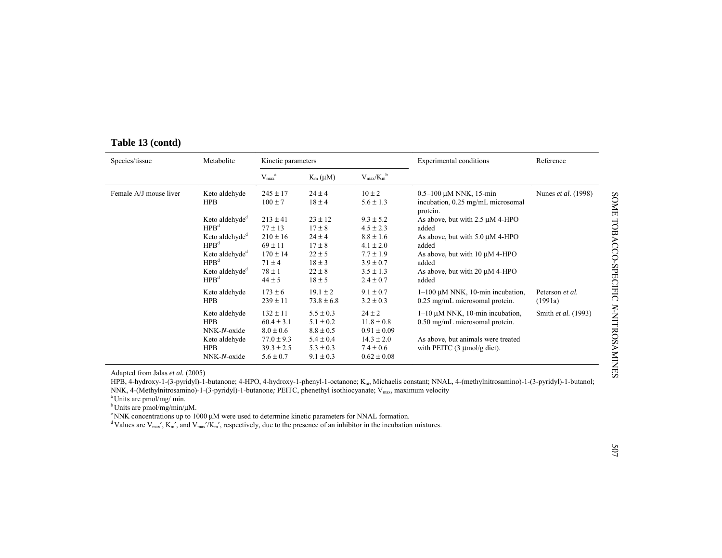|  | Table 13 (contd) |
|--|------------------|
|  |                  |

| Species/tissue         | Metabolite                                                                                                                                                                                           | Kinetic parameters                                                                                                   |                                                                                                               |                                                                                                                                      | <b>Experimental conditions</b>                                                                                                                                                                  | Reference                  |  |
|------------------------|------------------------------------------------------------------------------------------------------------------------------------------------------------------------------------------------------|----------------------------------------------------------------------------------------------------------------------|---------------------------------------------------------------------------------------------------------------|--------------------------------------------------------------------------------------------------------------------------------------|-------------------------------------------------------------------------------------------------------------------------------------------------------------------------------------------------|----------------------------|--|
|                        |                                                                                                                                                                                                      | $V_{\text{max}}/K_{\text{m}}^{\;\;b}$<br>$V_{max}^a$<br>$K_m(\mu M)$                                                 |                                                                                                               |                                                                                                                                      |                                                                                                                                                                                                 |                            |  |
| Female A/J mouse liver | Keto aldehyde<br><b>HPB</b>                                                                                                                                                                          | $245 \pm 17$<br>$100 \pm 7$                                                                                          | $24 \pm 4$<br>$18 \pm 4$                                                                                      | $10 \pm 2$<br>$5.6 \pm 1.3$                                                                                                          | $0.5-100 \mu M NNK$ , 15-min<br>incubation, 0.25 mg/mL microsomal<br>protein.                                                                                                                   | Nunes <i>et al.</i> (1998) |  |
|                        | Keto aldehyde <sup>d</sup><br>HPB <sup>d</sup><br>Keto aldehyde <sup>d</sup><br>HPB <sup>d</sup><br>Keto aldehyde <sup>d</sup><br>HPB <sup>d</sup><br>Keto aldehyde <sup>d</sup><br>HPB <sup>d</sup> | $213 \pm 41$<br>$77 \pm 13$<br>$210 \pm 16$<br>$69 \pm 11$<br>$170 \pm 14$<br>$71 \pm 4$<br>$78 \pm 1$<br>$44 \pm 5$ | $23 \pm 12$<br>$17 \pm 8$<br>$24 \pm 4$<br>$17 \pm 8$<br>$22 \pm 5$<br>$18 \pm 3$<br>$22 \pm 8$<br>$18 \pm 5$ | $9.3 \pm 5.2$<br>$4.5 \pm 2.3$<br>$8.8 \pm 1.6$<br>$4.1 \pm 2.0$<br>$7.7 \pm 1.9$<br>$3.9 \pm 0.7$<br>$3.5 \pm 1.3$<br>$2.4 \pm 0.7$ | As above, but with $2.5 \mu M$ 4-HPO<br>added<br>As above, but with $5.0 \mu M$ 4-HPO<br>added<br>As above, but with $10 \mu M 4$ -HPO<br>added<br>As above, but with 20 $\mu$ M 4-HPO<br>added |                            |  |
|                        | Keto aldehyde<br><b>HPB</b>                                                                                                                                                                          | $173 \pm 6$<br>$239 \pm 11$                                                                                          | $19.1 \pm 2$<br>$73.8 \pm 6.8$                                                                                | $9.1 \pm 0.7$<br>$3.2 \pm 0.3$                                                                                                       | $1-100 \mu M NNK$ , 10-min incubation,<br>0.25 mg/mL microsomal protein.                                                                                                                        | Peterson et al.<br>(1991a) |  |
|                        | Keto aldehyde<br><b>HPB</b><br>NNK-N-oxide<br>Keto aldehyde<br><b>HPB</b><br>NNK-N-oxide                                                                                                             | $132 \pm 11$<br>$60.4 \pm 3.1$<br>$8.0 \pm 0.6$<br>$77.0 \pm 9.3$<br>$39.3 \pm 2.5$<br>$5.6 \pm 0.7$                 | $5.5 \pm 0.3$<br>$5.1 \pm 0.2$<br>$8.8 \pm 0.5$<br>$5.4 \pm 0.4$<br>$5.3 \pm 0.3$<br>$9.1 \pm 0.3$            | $24 \pm 2$<br>$11.8 \pm 0.8$<br>$0.91 \pm 0.09$<br>$14.3 \pm 2.0$<br>$7.4 \pm 0.6$<br>$0.62 \pm 0.08$                                | $1-10 \mu M$ NNK, 10-min incubation,<br>0.50 mg/mL microsomal protein.<br>As above, but animals were treated<br>with PEITC $(3 \mu \text{mol/g diet})$ .                                        | Smith et al. (1993)        |  |

Adapted from Jalas *et al.* (2005)

HPB, 4-hydroxy-1-(3-pyridyl)-1-butanone; 4-HPO, 4-hydroxy-1-phenyl-1-octanone; Km, Michaelis constant; NNAL, 4-(methylnitrosamino)-1-(3-pyridyl)-1-butanol; NNK, 4-(Methylnitrosamino)-1-(3-pyridyl)-1-butanone; PEITC, phenethyl isothiocyanate; V<sub>max</sub>, maximum velocity

a Units are pmol/mg/ min.

b Units are pmol/mg/min/μM.

<sup>c</sup> NNK concentrations up to 1000 μM were used to determine kinetic parameters for NNAL formation.

<sup>d</sup> Values are V<sub>max</sub>', K<sub>m</sub>', and V<sub>max</sub>'/K<sub>m</sub>', respectively, due to the presence of an inhibitor in the incubation mixtures.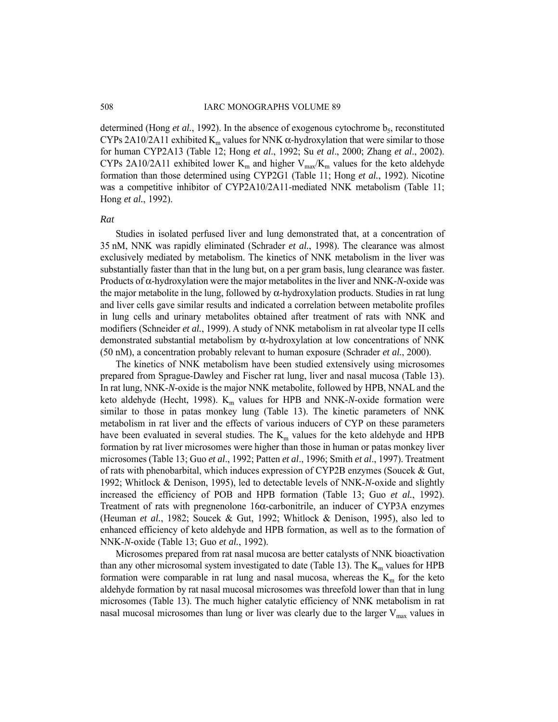determined (Hong  $et$   $al.$ , 1992). In the absence of exogenous cytochrome  $b<sub>5</sub>$ , reconstituted CYPs 2A10/2A11 exhibited  $K_m$  values for NNK  $\alpha$ -hydroxylation that were similar to those for human CYP2A13 (Table 12; Hong *et al*., 1992; Su *et al*., 2000; Zhang *et al*., 2002). CYPs 2A10/2A11 exhibited lower  $K_m$  and higher  $V_{max}/K_m$  values for the keto aldehyde formation than those determined using CYP2G1 (Table 11; Hong *et al.*, 1992). Nicotine was a competitive inhibitor of CYP2A10/2A11-mediated NNK metabolism (Table 11; Hong *et al.*, 1992).

#### *Rat*

Studies in isolated perfused liver and lung demonstrated that, at a concentration of 35 nM, NNK was rapidly eliminated (Schrader *et al.*, 1998). The clearance was almost exclusively mediated by metabolism. The kinetics of NNK metabolism in the liver was substantially faster than that in the lung but, on a per gram basis, lung clearance was faster. Products of α-hydroxylation were the major metabolites in the liver and NNK-*N*-oxide was the major metabolite in the lung, followed by  $\alpha$ -hydroxylation products. Studies in rat lung and liver cells gave similar results and indicated a correlation between metabolite profiles in lung cells and urinary metabolites obtained after treatment of rats with NNK and modifiers (Schneider *et al.*, 1999). A study of NNK metabolism in rat alveolar type II cells demonstrated substantial metabolism by  $\alpha$ -hydroxylation at low concentrations of NNK (50 nM), a concentration probably relevant to human exposure (Schrader *et al.*, 2000).

The kinetics of NNK metabolism have been studied extensively using microsomes prepared from Sprague-Dawley and Fischer rat lung, liver and nasal mucosa (Table 13). In rat lung, NNK-*N*-oxide is the major NNK metabolite, followed by HPB, NNAL and the keto aldehyde (Hecht, 1998).  $K_m$  values for HPB and NNK-*N*-oxide formation were similar to those in patas monkey lung (Table 13). The kinetic parameters of NNK metabolism in rat liver and the effects of various inducers of CYP on these parameters have been evaluated in several studies. The  $K_m$  values for the keto aldehyde and HPB formation by rat liver microsomes were higher than those in human or patas monkey liver microsomes (Table 13; Guo *et al*., 1992; Patten *et al*., 1996; Smith *et al*., 1997). Treatment of rats with phenobarbital, which induces expression of CYP2B enzymes (Soucek  $\&$  Gut, 1992; Whitlock & Denison, 1995), led to detectable levels of NNK-*N*-oxide and slightly increased the efficiency of POB and HPB formation (Table 13; Guo *et al.*, 1992). Treatment of rats with pregnenolone 16α-carbonitrile, an inducer of CYP3A enzymes (Heuman *et al.*, 1982; Soucek & Gut, 1992; Whitlock & Denison, 1995), also led to enhanced efficiency of keto aldehyde and HPB formation, as well as to the formation of NNK-*N*-oxide (Table 13; Guo *et al.*, 1992).

Microsomes prepared from rat nasal mucosa are better catalysts of NNK bioactivation than any other microsomal system investigated to date (Table 13). The  $K<sub>m</sub>$  values for HPB formation were comparable in rat lung and nasal mucosa, whereas the  $K<sub>m</sub>$  for the keto aldehyde formation by rat nasal mucosal microsomes was threefold lower than that in lung microsomes (Table 13). The much higher catalytic efficiency of NNK metabolism in rat nasal mucosal microsomes than lung or liver was clearly due to the larger  $V_{\text{max}}$  values in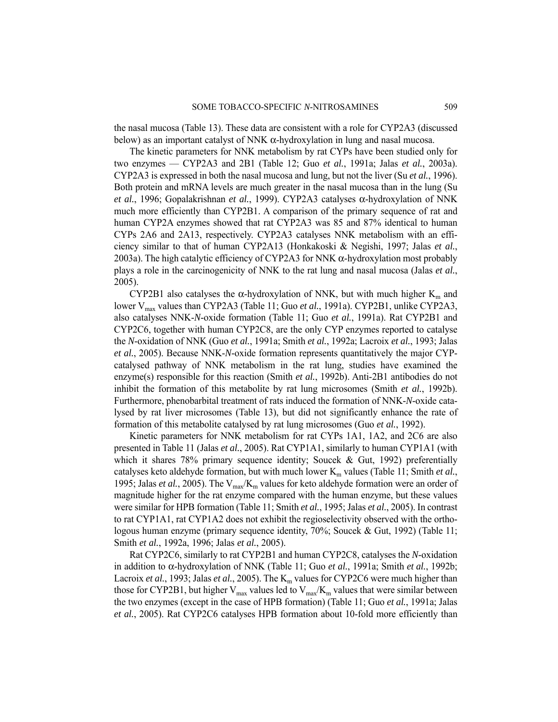the nasal mucosa (Table 13). These data are consistent with a role for CYP2A3 (discussed below) as an important catalyst of NNK α-hydroxylation in lung and nasal mucosa.

The kinetic parameters for NNK metabolism by rat CYPs have been studied only for two enzymes — CYP2A3 and 2B1 (Table 12; Guo *et al.*, 1991a; Jalas *et al.*, 2003a). CYP2A3 is expressed in both the nasal mucosa and lung, but not the liver (Su *et al.*, 1996). Both protein and mRNA levels are much greater in the nasal mucosa than in the lung (Su *et al.*, 1996; Gopalakrishnan *et al.*, 1999). CYP2A3 catalyses α-hydroxylation of NNK much more efficiently than CYP2B1. A comparison of the primary sequence of rat and human CYP2A enzymes showed that rat CYP2A3 was 85 and 87% identical to human CYPs 2A6 and 2A13, respectively. CYP2A3 catalyses NNK metabolism with an efficiency similar to that of human CYP2A13 (Honkakoski & Negishi, 1997; Jalas *et al.*, 2003a). The high catalytic efficiency of CYP2A3 for NNK α-hydroxylation most probably plays a role in the carcinogenicity of NNK to the rat lung and nasal mucosa (Jalas *et al.*, 2005).

CYP2B1 also catalyses the  $\alpha$ -hydroxylation of NNK, but with much higher K<sub>m</sub> and lower V<sub>max</sub> values than CYP2A3 (Table 11; Guo *et al.*, 1991a). CYP2B1, unlike CYP2A3, also catalyses NNK-*N*-oxide formation (Table 11; Guo *et al.*, 1991a). Rat CYP2B1 and CYP2C6, together with human CYP2C8, are the only CYP enzymes reported to catalyse the *N*-oxidation of NNK (Guo *et al.*, 1991a; Smith *et al.*, 1992a; Lacroix *et al.*, 1993; Jalas *et al.*, 2005). Because NNK-*N*-oxide formation represents quantitatively the major CYPcatalysed pathway of NNK metabolism in the rat lung, studies have examined the enzyme(s) responsible for this reaction (Smith *et al.*, 1992b). Anti-2B1 antibodies do not inhibit the formation of this metabolite by rat lung microsomes (Smith *et al.*, 1992b). Furthermore, phenobarbital treatment of rats induced the formation of NNK-*N*-oxide catalysed by rat liver microsomes (Table 13), but did not significantly enhance the rate of formation of this metabolite catalysed by rat lung microsomes (Guo *et al.*, 1992).

Kinetic parameters for NNK metabolism for rat CYPs 1A1, 1A2, and 2C6 are also presented in Table 11 (Jalas *et al.*, 2005). Rat CYP1A1, similarly to human CYP1A1 (with which it shares 78% primary sequence identity; Soucek & Gut, 1992) preferentially catalyses keto aldehyde formation, but with much lower  $K_m$  values (Table 11; Smith *et al.*, 1995; Jalas *et al.*, 2005). The  $V_{\text{max}}/K_{\text{m}}$  values for keto aldehyde formation were an order of magnitude higher for the rat enzyme compared with the human enzyme, but these values were similar for HPB formation (Table 11; Smith *et al.*, 1995; Jalas *et al.*, 2005). In contrast to rat CYP1A1, rat CYP1A2 does not exhibit the regioselectivity observed with the orthologous human enzyme (primary sequence identity, 70%; Soucek & Gut, 1992) (Table 11; Smith *et al.*, 1992a, 1996; Jalas *et al.*, 2005).

Rat CYP2C6, similarly to rat CYP2B1 and human CYP2C8, catalyses the *N*-oxidation in addition to α-hydroxylation of NNK (Table 11; Guo *et al.*, 1991a; Smith *et al.*, 1992b; Lacroix *et al.*, 1993; Jalas *et al.*, 2005). The K<sub>m</sub> values for CYP2C6 were much higher than those for CYP2B1, but higher  $V_{max}$  values led to  $V_{max}/K_m$  values that were similar between the two enzymes (except in the case of HPB formation) (Table 11; Guo *et al.*, 1991a; Jalas *et al.*, 2005). Rat CYP2C6 catalyses HPB formation about 10-fold more efficiently than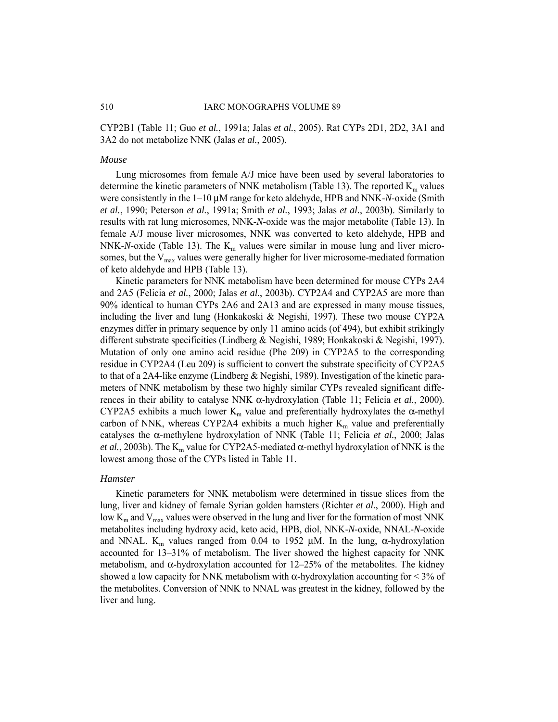CYP2B1 (Table 11; Guo *et al.*, 1991a; Jalas *et al.*, 2005). Rat CYPs 2D1, 2D2, 3A1 and 3A2 do not metabolize NNK (Jalas *et al.*, 2005).

## *Mouse*

Lung microsomes from female A/J mice have been used by several laboratories to determine the kinetic parameters of NNK metabolism (Table 13). The reported  $K_m$  values were consistently in the 1–10 μM range for keto aldehyde, HPB and NNK-*N*-oxide (Smith *et al.*, 1990; Peterson *et al.*, 1991a; Smith *et al.*, 1993; Jalas *et al.*, 2003b). Similarly to results with rat lung microsomes, NNK-*N*-oxide was the major metabolite (Table 13). In female A/J mouse liver microsomes, NNK was converted to keto aldehyde, HPB and NNK-*N*-oxide (Table 13). The  $K<sub>m</sub>$  values were similar in mouse lung and liver microsomes, but the  $V_{\text{max}}$  values were generally higher for liver microsome-mediated formation of keto aldehyde and HPB (Table 13).

Kinetic parameters for NNK metabolism have been determined for mouse CYPs 2A4 and 2A5 (Felicia *et al.*, 2000; Jalas *et al.*, 2003b). CYP2A4 and CYP2A5 are more than 90% identical to human CYPs 2A6 and 2A13 and are expressed in many mouse tissues, including the liver and lung (Honkakoski & Negishi, 1997). These two mouse CYP2A enzymes differ in primary sequence by only 11 amino acids (of 494), but exhibit strikingly different substrate specificities (Lindberg & Negishi, 1989; Honkakoski & Negishi, 1997). Mutation of only one amino acid residue (Phe 209) in CYP2A5 to the corresponding residue in CYP2A4 (Leu 209) is sufficient to convert the substrate specificity of CYP2A5 to that of a 2A4-like enzyme (Lindberg & Negishi, 1989). Investigation of the kinetic parameters of NNK metabolism by these two highly similar CYPs revealed significant differences in their ability to catalyse NNK  $\alpha$ -hydroxylation (Table 11; Felicia *et al.*, 2000). CYP2A5 exhibits a much lower K<sub>m</sub> value and preferentially hydroxylates the  $\alpha$ -methyl carbon of NNK, whereas CYP2A4 exhibits a much higher  $K<sub>m</sub>$  value and preferentially catalyses the α-methylene hydroxylation of NNK (Table 11; Felicia *et al.*, 2000; Jalas *et al.*, 2003b). The K<sub>m</sub> value for CYP2A5-mediated  $\alpha$ -methyl hydroxylation of NNK is the lowest among those of the CYPs listed in Table 11.

## *Hamster*

Kinetic parameters for NNK metabolism were determined in tissue slices from the lung, liver and kidney of female Syrian golden hamsters (Richter *et al.*, 2000). High and low  $K_m$  and  $V_{max}$  values were observed in the lung and liver for the formation of most NNK metabolites including hydroxy acid, keto acid, HPB, diol, NNK-*N*-oxide, NNAL-*N*-oxide and NNAL.  $K_m$  values ranged from 0.04 to 1952  $\mu$ M. In the lung,  $\alpha$ -hydroxylation accounted for 13–31% of metabolism. The liver showed the highest capacity for NNK metabolism, and α-hydroxylation accounted for 12–25% of the metabolites. The kidney showed a low capacity for NNK metabolism with  $\alpha$ -hydroxylation accounting for  $\leq 3\%$  of the metabolites. Conversion of NNK to NNAL was greatest in the kidney, followed by the liver and lung.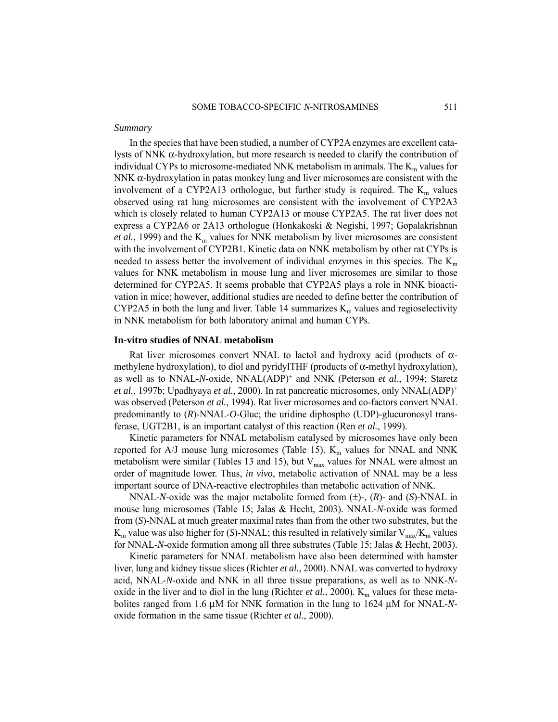#### *Summary*

In the species that have been studied, a number of CYP2A enzymes are excellent catalysts of NNK α-hydroxylation, but more research is needed to clarify the contribution of individual CYPs to microsome-mediated NNK metabolism in animals. The  $K<sub>m</sub>$  values for NNK α-hydroxylation in patas monkey lung and liver microsomes are consistent with the involvement of a CYP2A13 orthologue, but further study is required. The  $K<sub>m</sub>$  values observed using rat lung microsomes are consistent with the involvement of CYP2A3 which is closely related to human CYP2A13 or mouse CYP2A5. The rat liver does not express a CYP2A6 or 2A13 orthologue (Honkakoski & Negishi, 1997; Gopalakrishnan *et al.*, 1999) and the  $K_m$  values for NNK metabolism by liver microsomes are consistent with the involvement of CYP2B1. Kinetic data on NNK metabolism by other rat CYPs is needed to assess better the involvement of individual enzymes in this species. The  $K_m$ values for NNK metabolism in mouse lung and liver microsomes are similar to those determined for CYP2A5. It seems probable that CYP2A5 plays a role in NNK bioactivation in mice; however, additional studies are needed to define better the contribution of CYP2A5 in both the lung and liver. Table 14 summarizes  $K_m$  values and regioselectivity in NNK metabolism for both laboratory animal and human CYPs.

## **In-vitro studies of NNAL metabolism**

Rat liver microsomes convert NNAL to lactol and hydroxy acid (products of αmethylene hydroxylation), to diol and pyridylTHF (products of α-methyl hydroxylation), as well as to NNAL-*N*-oxide, NNAL(ADP)+ and NNK (Peterson *et al.*, 1994; Staretz *et al.*, 1997b; Upadhyaya *et al.*, 2000). In rat pancreatic microsomes, only NNAL(ADP)+ was observed (Peterson *et al.*, 1994). Rat liver microsomes and co-factors convert NNAL predominantly to (*R*)-NNAL-*O*-Gluc; the uridine diphospho (UDP)-glucuronosyl transferase, UGT2B1, is an important catalyst of this reaction (Ren *et al.*, 1999).

Kinetic parameters for NNAL metabolism catalysed by microsomes have only been reported for A/J mouse lung microsomes (Table 15).  $K_m$  values for NNAL and NNK metabolism were similar (Tables 13 and 15), but  $V_{max}$  values for NNAL were almost an order of magnitude lower. Thus, *in vivo*, metabolic activation of NNAL may be a less important source of DNA-reactive electrophiles than metabolic activation of NNK.

NNAL-*N*-oxide was the major metabolite formed from (±)-, (*R*)- and (*S*)-NNAL in mouse lung microsomes (Table 15; Jalas & Hecht, 2003). NNAL-*N*-oxide was formed from (*S*)-NNAL at much greater maximal rates than from the other two substrates, but the  $K_m$  value was also higher for (*S*)-NNAL; this resulted in relatively similar  $V_{max}/K_m$  values for NNAL-*N*-oxide formation among all three substrates (Table 15; Jalas & Hecht, 2003).

Kinetic parameters for NNAL metabolism have also been determined with hamster liver, lung and kidney tissue slices (Richter *et al.*, 2000). NNAL was converted to hydroxy acid, NNAL-*N*-oxide and NNK in all three tissue preparations, as well as to NNK-*N*oxide in the liver and to diol in the lung (Richter *et al.*, 2000).  $K_m$  values for these metabolites ranged from 1.6 μM for NNK formation in the lung to 1624 μM for NNAL-*N*oxide formation in the same tissue (Richter *et al.*, 2000).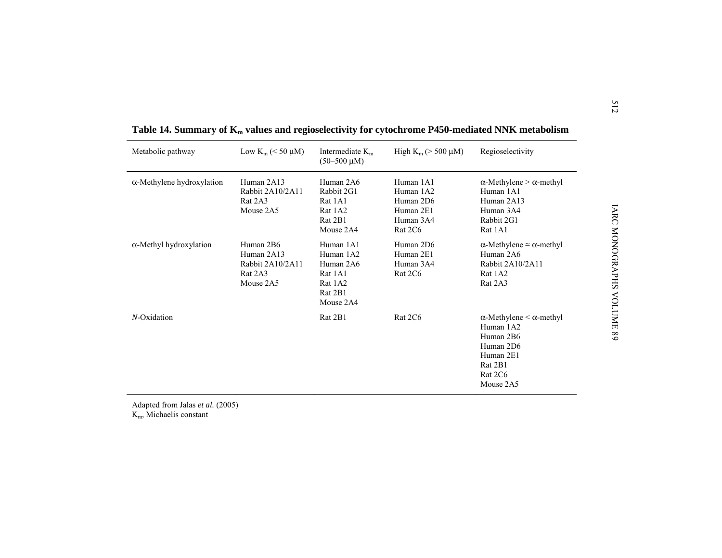| Metabolic pathway                 | Low $K_m \left( \leq 50 \mu M \right)$                              | Intermediate $Km$<br>$(50-500 \mu M)$                                             | High $K_m$ (> 500 µM)                                                    | Regioselectivity                                                                                                              |
|-----------------------------------|---------------------------------------------------------------------|-----------------------------------------------------------------------------------|--------------------------------------------------------------------------|-------------------------------------------------------------------------------------------------------------------------------|
| $\alpha$ -Methylene hydroxylation | Human 2A13<br>Rabbit 2A10/2A11<br>Rat 2A3<br>Mouse 2A5              | Human 2A6<br>Rabbit 2G1<br>Rat 1A1<br>Rat 1A2<br>Rat 2B1<br>Mouse 2A4             | Human 1A1<br>Human 1A2<br>Human 2D6<br>Human 2E1<br>Human 3A4<br>Rat 2C6 | $\alpha$ -Methylene > $\alpha$ -methyl<br>Human 1A1<br>Human 2A13<br>Human 3A4<br>Rabbit 2G1<br>Rat 1A1                       |
| $\alpha$ -Methyl hydroxylation    | Human 2B6<br>Human 2A13<br>Rabbit 2A10/2A11<br>Rat 2A3<br>Mouse 2A5 | Human 1A1<br>Human 1A2<br>Human 2A6<br>Rat 1A1<br>Rat 1A2<br>Rat 2B1<br>Mouse 2A4 | Human 2D6<br>Human 2E1<br>Human 3A4<br>Rat 2C6                           | $\alpha$ -Methylene $\approx \alpha$ -methyl<br>Human 2A6<br>Rabbit 2A10/2A11<br>Rat 1A2<br>Rat 2A3                           |
| $N$ -Oxidation                    |                                                                     | Rat 2B1                                                                           | Rat 2C6                                                                  | $\alpha$ -Methylene < $\alpha$ -methyl<br>Human 1A2<br>Human 2B6<br>Human 2D6<br>Human 2E1<br>Rat 2B1<br>Rat 2C6<br>Mouse 2A5 |

Adapted from Jalas *et al.* (2005) Km, Michaelis constant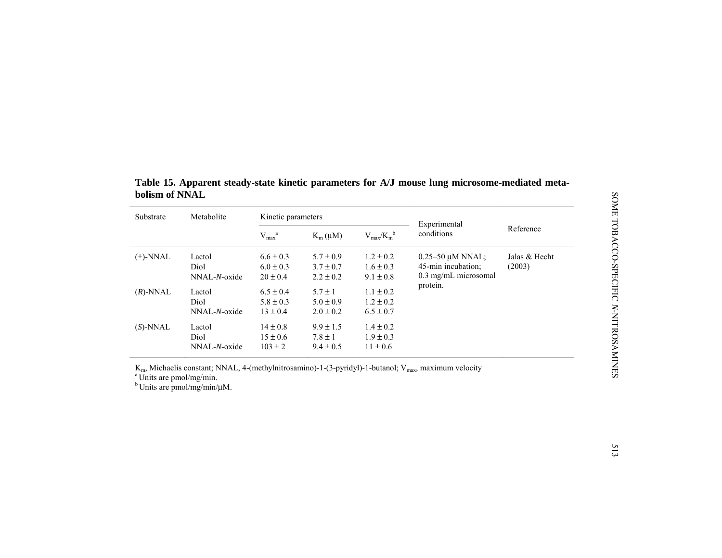| Substrate<br>Metabolite |                                   | Kinetic parameters |               |                 | Experimental             |               |
|-------------------------|-----------------------------------|--------------------|---------------|-----------------|--------------------------|---------------|
|                         |                                   | $V_{max}^a$        | $K_m(\mu M)$  | $V_{max}/K_m^b$ | conditions               | Reference     |
| $(\pm)$ -NNAL           | Lactol                            | $6.6 \pm 0.3$      | $5.7 \pm 0.9$ | $1.2 \pm 0.2$   | $0.25 - 50 \mu M NNAL$ ; | Jalas & Hecht |
|                         | Diol                              | $6.0 \pm 0.3$      | $3.7 \pm 0.7$ | $1.6 \pm 0.3$   | 45-min incubation;       | (2003)        |
|                         | $NNAI$ <sub>-</sub> $N$ - $oxide$ | $20 \pm 0.4$       | $2.2 \pm 0.2$ | $9.1 \pm 0.8$   | 0.3 mg/mL microsomal     |               |
| $(R)$ -NNAL             | Lactol                            | $6.5 \pm 0.4$      | $5.7 \pm 1$   | $1.1 \pm 0.2$   | protein.                 |               |
|                         | Diol                              | $5.8 \pm 0.3$      | $5.0 \pm 0.9$ | $1.2 \pm 0.2$   |                          |               |
|                         | $NNAI$ - $N$ -oxide               | $13 \pm 0.4$       | $2.0 \pm 0.2$ | $6.5 \pm 0.7$   |                          |               |
| $(S)$ -NNAL             | Lactol                            | $14 \pm 0.8$       | $9.9 \pm 1.5$ | $1.4 \pm 0.2$   |                          |               |
|                         | Diol                              | $15 \pm 0.6$       | $7.8 \pm 1$   | $1.9 \pm 0.3$   |                          |               |
|                         | NNAL-N-oxide                      | $103 \pm 2$        | $9.4 \pm 0.5$ | $11 \pm 0.6$    |                          |               |

**Table 15. Apparent steady-state kinetic parameters for A/J mouse lung microsome-mediated metabolism of NNAL**

K<sub>m</sub>, Michaelis constant; NNAL, 4-(methylnitrosamino)-1-(3-pyridyl)-1-butanol; V<sub>max</sub>, maximum velocity<br><sup>a</sup> Units are pmol/mg/min.<br><sup>b</sup> Units are pmol/mg/min/μM.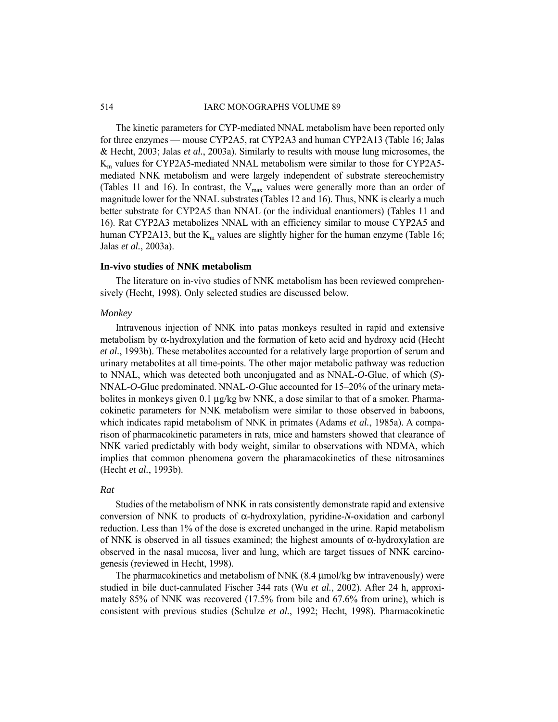The kinetic parameters for CYP-mediated NNAL metabolism have been reported only for three enzymes — mouse CYP2A5, rat CYP2A3 and human CYP2A13 (Table 16; Jalas & Hecht, 2003; Jalas *et al.*, 2003a). Similarly to results with mouse lung microsomes, the  $K<sub>m</sub>$  values for CYP2A5-mediated NNAL metabolism were similar to those for CYP2A5mediated NNK metabolism and were largely independent of substrate stereochemistry (Tables 11 and 16). In contrast, the  $V_{max}$  values were generally more than an order of magnitude lower for the NNAL substrates (Tables 12 and 16). Thus, NNK is clearly a much better substrate for CYP2A5 than NNAL (or the individual enantiomers) (Tables 11 and 16). Rat CYP2A3 metabolizes NNAL with an efficiency similar to mouse CYP2A5 and human CYP2A13, but the  $K_m$  values are slightly higher for the human enzyme (Table 16; Jalas *et al.*, 2003a).

## **In-vivo studies of NNK metabolism**

The literature on in-vivo studies of NNK metabolism has been reviewed comprehensively (Hecht, 1998). Only selected studies are discussed below.

## *Monkey*

Intravenous injection of NNK into patas monkeys resulted in rapid and extensive metabolism by α-hydroxylation and the formation of keto acid and hydroxy acid (Hecht *et al.*, 1993b). These metabolites accounted for a relatively large proportion of serum and urinary metabolites at all time-points. The other major metabolic pathway was reduction to NNAL, which was detected both unconjugated and as NNAL-*O*-Gluc, of which (*S*)- NNAL-*O*-Gluc predominated. NNAL-*O*-Gluc accounted for 15–20% of the urinary metabolites in monkeys given 0.1 μg/kg bw NNK, a dose similar to that of a smoker. Pharmacokinetic parameters for NNK metabolism were similar to those observed in baboons, which indicates rapid metabolism of NNK in primates (Adams *et al.*, 1985a). A comparison of pharmacokinetic parameters in rats, mice and hamsters showed that clearance of NNK varied predictably with body weight, similar to observations with NDMA, which implies that common phenomena govern the pharamacokinetics of these nitrosamines (Hecht *et al.*, 1993b).

#### *Rat*

Studies of the metabolism of NNK in rats consistently demonstrate rapid and extensive conversion of NNK to products of α-hydroxylation, pyridine-*N*-oxidation and carbonyl reduction. Less than 1% of the dose is excreted unchanged in the urine. Rapid metabolism of NNK is observed in all tissues examined; the highest amounts of α-hydroxylation are observed in the nasal mucosa, liver and lung, which are target tissues of NNK carcinogenesis (reviewed in Hecht, 1998).

The pharmacokinetics and metabolism of NNK (8.4 μmol/kg bw intravenously) were studied in bile duct-cannulated Fischer 344 rats (Wu *et al.*, 2002). After 24 h, approximately 85% of NNK was recovered (17.5% from bile and 67.6% from urine), which is consistent with previous studies (Schulze *et al.*, 1992; Hecht, 1998). Pharmacokinetic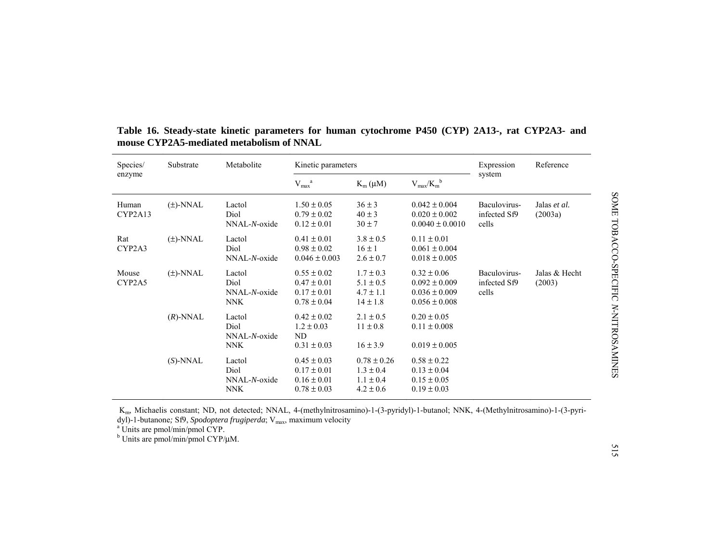| Species/<br>Substrate |               | Metabolite                                   | Kinetic parameters                                                       |                                                                    |                                                                                | Expression                            | Reference               |
|-----------------------|---------------|----------------------------------------------|--------------------------------------------------------------------------|--------------------------------------------------------------------|--------------------------------------------------------------------------------|---------------------------------------|-------------------------|
| enzyme                |               |                                              | $V_{max}^a$                                                              | $K_m(\mu M)$                                                       | $V_{max}/K_m^b$                                                                | system                                |                         |
| Human<br>CYP2A13      | $(\pm)$ -NNAL | Lactol<br>Diol<br>NNAL-N-oxide               | $1.50 \pm 0.05$<br>$0.79 \pm 0.02$<br>$0.12 \pm 0.01$                    | $36 \pm 3$<br>$40 \pm 3$<br>$30 \pm 7$                             | $0.042 \pm 0.004$<br>$0.020 \pm 0.002$<br>$0.0040 \pm 0.0010$                  | Baculovirus-<br>infected Sf9<br>cells | Jalas et al.<br>(2003a) |
| Rat<br>CYP2A3         | $(\pm)$ -NNAL | Lactol<br>Diol<br>NNAL-N-oxide               | $0.41 \pm 0.01$<br>$0.98 \pm 0.02$<br>$0.046 \pm 0.003$                  | $3.8 \pm 0.5$<br>$16 \pm 1$<br>$2.6 \pm 0.7$                       | $0.11 \pm 0.01$<br>$0.061 \pm 0.004$<br>$0.018 \pm 0.005$                      |                                       |                         |
| Mouse<br>CYP2A5       | $(\pm)$ -NNAL | Lactol<br>Diol<br>NNAL-N-oxide<br>NNK        | $0.55 \pm 0.02$<br>$0.47 \pm 0.01$<br>$0.17 \pm 0.01$<br>$0.78 \pm 0.04$ | $1.7 \pm 0.3$<br>$5.1 \pm 0.5$<br>$4.7 \pm 1.1$<br>$14 \pm 1.8$    | $0.32 \pm 0.06$<br>$0.092 \pm 0.009$<br>$0.036 \pm 0.009$<br>$0.056 \pm 0.008$ | Baculovirus-<br>infected Sf9<br>cells | Jalas & Hecht<br>(2003) |
|                       | $(R)$ -NNAL   | Lactol<br>Diol<br>NNAL-N-oxide<br>NNK        | $0.42 \pm 0.02$<br>$1.2 \pm 0.03$<br>ND<br>$0.31 \pm 0.03$               | $2.1 \pm 0.5$<br>$11 \pm 0.8$<br>$16 \pm 3.9$                      | $0.20 \pm 0.05$<br>$0.11 \pm 0.008$<br>$0.019 \pm 0.005$                       |                                       |                         |
|                       | $(S)$ -NNAL   | Lactol<br>Diol<br>NNAL-N-oxide<br><b>NNK</b> | $0.45 \pm 0.03$<br>$0.17 \pm 0.01$<br>$0.16 \pm 0.01$<br>$0.78 \pm 0.03$ | $0.78 \pm 0.26$<br>$1.3 \pm 0.4$<br>$1.1 \pm 0.4$<br>$4.2 \pm 0.6$ | $0.58 \pm 0.22$<br>$0.13 \pm 0.04$<br>$0.15 \pm 0.05$<br>$0.19 \pm 0.03$       |                                       |                         |

**Table 16. Steady-state kinetic parameters for human cytochrome P450 (CYP) 2A13-, rat CYP2A3- and mouse CYP2A5-mediated metabolism of NNAL** 

Km, Michaelis constant; ND, not detected; NNAL, 4-(methylnitrosamino)-1-(3-pyridyl)-1-butanol; NNK, 4-(Methylnitrosamino)-1-(3-pyri-

dyl)-1-butanone; Sf9, *Spodoptera frugiperda*; V<sub>max</sub>, maximum velocity

<sup>a</sup> Units are pmol/min/pmol CYP.

 $<sup>b</sup>$  Units are pmol/min/pmol CYP/ $\mu$ M.</sup>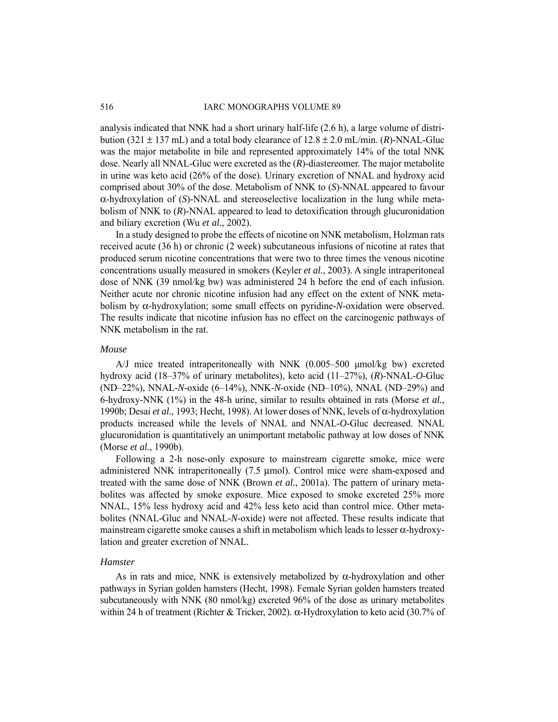analysis indicated that NNK had a short urinary half-life (2.6 h), a large volume of distribution (321  $\pm$  137 mL) and a total body clearance of 12.8  $\pm$  2.0 mL/min. (*R*)-NNAL-Gluc was the major metabolite in bile and represented approximately 14% of the total NNK dose. Nearly all NNAL-Gluc were excreted as the (*R*)-diastereomer. The major metabolite in urine was keto acid (26% of the dose). Urinary excretion of NNAL and hydroxy acid comprised about 30% of the dose. Metabolism of NNK to (*S*)-NNAL appeared to favour α-hydroxylation of (*S*)-NNAL and stereoselective localization in the lung while metabolism of NNK to (*R*)-NNAL appeared to lead to detoxification through glucuronidation and biliary excretion (Wu *et al.*, 2002).

In a study designed to probe the effects of nicotine on NNK metabolism, Holzman rats received acute (36 h) or chronic (2 week) subcutaneous infusions of nicotine at rates that produced serum nicotine concentrations that were two to three times the venous nicotine concentrations usually measured in smokers (Keyler *et al.*, 2003). A single intraperitoneal dose of NNK (39 nmol/kg bw) was administered 24 h before the end of each infusion. Neither acute nor chronic nicotine infusion had any effect on the extent of NNK metabolism by α-hydroxylation; some small effects on pyridine-*N*-oxidation were observed. The results indicate that nicotine infusion has no effect on the carcinogenic pathways of NNK metabolism in the rat.

#### *Mouse*

A/J mice treated intraperitoneally with NNK (0.005–500 μmol/kg bw) excreted hydroxy acid (18–37% of urinary metabolites), keto acid (11–27%), (*R*)-NNAL-*O*-Gluc (ND–22%), NNAL-*N*-oxide (6–14%), NNK-*N*-oxide (ND–10%), NNAL (ND–29%) and 6-hydroxy-NNK (1%) in the 48-h urine, similar to results obtained in rats (Morse *et al.*, 1990b; Desai *et al.*, 1993; Hecht, 1998). At lower doses of NNK, levels of α-hydroxylation products increased while the levels of NNAL and NNAL-*O*-Gluc decreased. NNAL glucuronidation is quantitatively an unimportant metabolic pathway at low doses of NNK (Morse *et al.*, 1990b).

Following a 2-h nose-only exposure to mainstream cigarette smoke, mice were administered NNK intraperitoneally (7.5 μmol). Control mice were sham-exposed and treated with the same dose of NNK (Brown *et al.*, 2001a). The pattern of urinary metabolites was affected by smoke exposure. Mice exposed to smoke excreted 25% more NNAL, 15% less hydroxy acid and 42% less keto acid than control mice. Other metabolites (NNAL-Gluc and NNAL-*N*-oxide) were not affected. These results indicate that mainstream cigarette smoke causes a shift in metabolism which leads to lesser α-hydroxylation and greater excretion of NNAL.

## *Hamster*

As in rats and mice, NNK is extensively metabolized by  $\alpha$ -hydroxylation and other pathways in Syrian golden hamsters (Hecht, 1998). Female Syrian golden hamsters treated subcutaneously with NNK (80 nmol/kg) excreted 96% of the dose as urinary metabolites within 24 h of treatment (Richter & Tricker, 2002). α-Hydroxylation to keto acid (30.7% of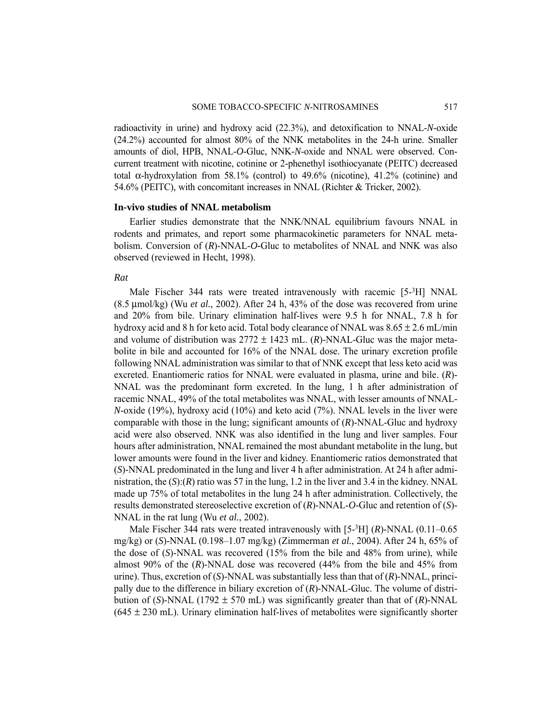radioactivity in urine) and hydroxy acid (22.3%), and detoxification to NNAL-*N*-oxide (24.2%) accounted for almost 80% of the NNK metabolites in the 24-h urine. Smaller amounts of diol, HPB, NNAL-*O*-Gluc, NNK-*N*-oxide and NNAL were observed. Concurrent treatment with nicotine, cotinine or 2-phenethyl isothiocyanate (PEITC) decreased total α-hydroxylation from 58.1% (control) to 49.6% (nicotine), 41.2% (cotinine) and 54.6% (PEITC), with concomitant increases in NNAL (Richter & Tricker, 2002).

## **In-vivo studies of NNAL metabolism**

Earlier studies demonstrate that the NNK/NNAL equilibrium favours NNAL in rodents and primates, and report some pharmacokinetic parameters for NNAL metabolism. Conversion of (*R*)-NNAL-*O-*Gluc to metabolites of NNAL and NNK was also observed (reviewed in Hecht, 1998).

# *Rat*

Male Fischer 344 rats were treated intravenously with racemic [5-3H] NNAL (8.5 μmol/kg) (Wu *et al.*, 2002). After 24 h, 43% of the dose was recovered from urine and 20% from bile. Urinary elimination half-lives were 9.5 h for NNAL, 7.8 h for hydroxy acid and 8 h for keto acid. Total body clearance of NNAL was  $8.65 \pm 2.6$  mL/min and volume of distribution was  $2772 \pm 1423$  mL. (*R*)-NNAL-Gluc was the major metabolite in bile and accounted for 16% of the NNAL dose. The urinary excretion profile following NNAL administration was similar to that of NNK except that less keto acid was excreted. Enantiomeric ratios for NNAL were evaluated in plasma, urine and bile. (*R*)- NNAL was the predominant form excreted. In the lung, 1 h after administration of racemic NNAL, 49% of the total metabolites was NNAL, with lesser amounts of NNAL-*N*-oxide (19%), hydroxy acid (10%) and keto acid (7%). NNAL levels in the liver were comparable with those in the lung; significant amounts of (*R*)-NNAL-Gluc and hydroxy acid were also observed. NNK was also identified in the lung and liver samples. Four hours after administration, NNAL remained the most abundant metabolite in the lung, but lower amounts were found in the liver and kidney. Enantiomeric ratios demonstrated that (*S*)-NNAL predominated in the lung and liver 4 h after administration. At 24 h after administration, the  $(S)(R)$  ratio was 57 in the lung, 1.2 in the liver and 3.4 in the kidney. NNAL made up 75% of total metabolites in the lung 24 h after administration. Collectively, the results demonstrated stereoselective excretion of (*R*)-NNAL-*O*-Gluc and retention of (*S*)- NNAL in the rat lung (Wu *et al.*, 2002).

Male Fischer 344 rats were treated intravenously with [5-3H] (*R*)-NNAL (0.11–0.65 mg/kg) or (*S*)-NNAL (0.198–1.07 mg/kg) (Zimmerman *et al.*, 2004). After 24 h, 65% of the dose of (*S*)-NNAL was recovered (15% from the bile and 48% from urine), while almost 90% of the (*R*)-NNAL dose was recovered (44% from the bile and 45% from urine). Thus, excretion of (*S*)-NNAL was substantially less than that of (*R*)-NNAL, principally due to the difference in biliary excretion of (*R*)-NNAL-Gluc. The volume of distribution of (*S*)-NNAL (1792  $\pm$  570 mL) was significantly greater than that of (*R*)-NNAL  $(645 \pm 230 \text{ mL})$ . Urinary elimination half-lives of metabolites were significantly shorter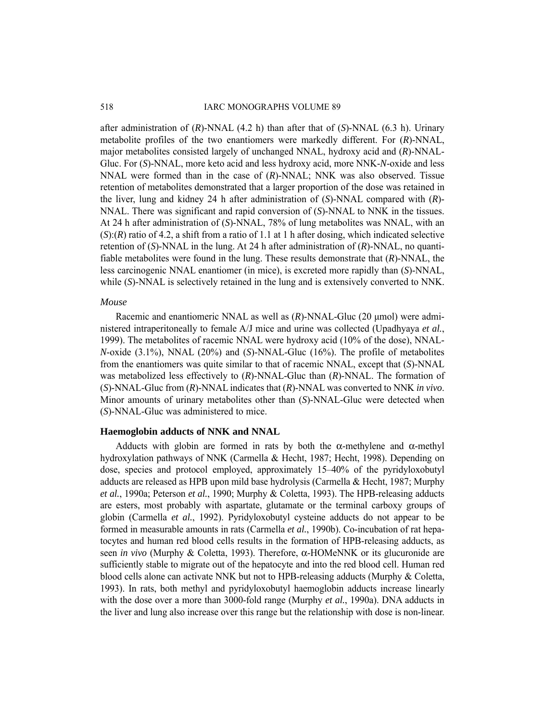after administration of (*R*)-NNAL (4.2 h) than after that of (*S*)-NNAL (6.3 h). Urinary metabolite profiles of the two enantiomers were markedly different. For (*R*)-NNAL, major metabolites consisted largely of unchanged NNAL, hydroxy acid and (*R*)-NNAL-Gluc. For (*S*)-NNAL, more keto acid and less hydroxy acid, more NNK-*N*-oxide and less NNAL were formed than in the case of (*R*)-NNAL; NNK was also observed. Tissue retention of metabolites demonstrated that a larger proportion of the dose was retained in the liver, lung and kidney 24 h after administration of (*S*)-NNAL compared with (*R*)- NNAL. There was significant and rapid conversion of (*S*)-NNAL to NNK in the tissues. At 24 h after administration of (*S*)-NNAL, 78% of lung metabolites was NNAL, with an (*S*):(*R*) ratio of 4.2, a shift from a ratio of 1.1 at 1 h after dosing, which indicated selective retention of (*S*)-NNAL in the lung. At 24 h after administration of (*R*)-NNAL, no quantifiable metabolites were found in the lung. These results demonstrate that (*R*)-NNAL, the less carcinogenic NNAL enantiomer (in mice), is excreted more rapidly than (*S*)-NNAL, while (*S*)-NNAL is selectively retained in the lung and is extensively converted to NNK.

## *Mouse*

Racemic and enantiomeric NNAL as well as (*R*)-NNAL-Gluc (20 μmol) were administered intraperitoneally to female A/J mice and urine was collected (Upadhyaya *et al.*, 1999). The metabolites of racemic NNAL were hydroxy acid (10% of the dose), NNAL-*N*-oxide (3.1%), NNAL (20%) and (*S*)-NNAL-Gluc (16%). The profile of metabolites from the enantiomers was quite similar to that of racemic NNAL, except that (*S*)-NNAL was metabolized less effectively to (*R*)-NNAL-Gluc than (*R*)-NNAL. The formation of (*S*)-NNAL-Gluc from (*R*)-NNAL indicates that (*R*)-NNAL was converted to NNK *in vivo*. Minor amounts of urinary metabolites other than (*S*)-NNAL-Gluc were detected when (*S*)-NNAL-Gluc was administered to mice.

## **Haemoglobin adducts of NNK and NNAL**

Adducts with globin are formed in rats by both the  $\alpha$ -methylene and  $\alpha$ -methyl hydroxylation pathways of NNK (Carmella & Hecht, 1987; Hecht, 1998). Depending on dose, species and protocol employed, approximately 15–40% of the pyridyloxobutyl adducts are released as HPB upon mild base hydrolysis (Carmella & Hecht, 1987; Murphy *et al.*, 1990a; Peterson *et al.*, 1990; Murphy & Coletta, 1993). The HPB-releasing adducts are esters, most probably with aspartate, glutamate or the terminal carboxy groups of globin (Carmella *et al.*, 1992). Pyridyloxobutyl cysteine adducts do not appear to be formed in measurable amounts in rats (Carmella *et al.*, 1990b). Co-incubation of rat hepatocytes and human red blood cells results in the formation of HPB-releasing adducts, as seen *in vivo* (Murphy & Coletta, 1993). Therefore, α-HOMeNNK or its glucuronide are sufficiently stable to migrate out of the hepatocyte and into the red blood cell. Human red blood cells alone can activate NNK but not to HPB-releasing adducts (Murphy & Coletta, 1993). In rats, both methyl and pyridyloxobutyl haemoglobin adducts increase linearly with the dose over a more than 3000-fold range (Murphy *et al.*, 1990a). DNA adducts in the liver and lung also increase over this range but the relationship with dose is non-linear.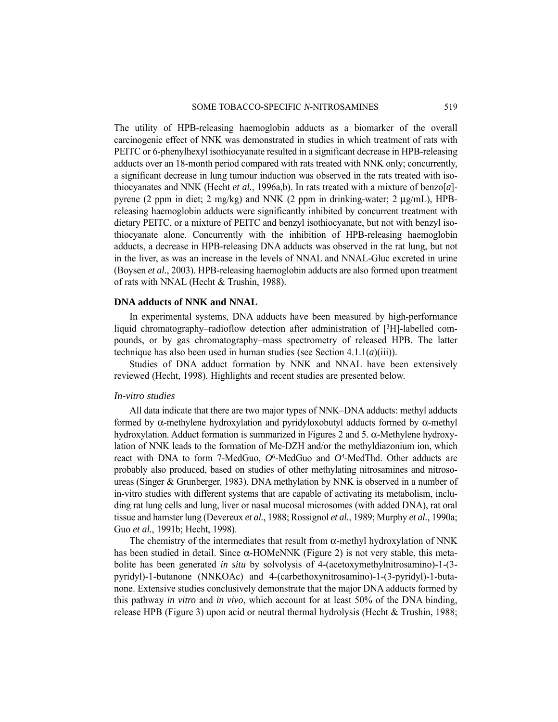## SOME TOBACCO-SPECIFIC *N*-NITROSAMINES 519

The utility of HPB-releasing haemoglobin adducts as a biomarker of the overall carcinogenic effect of NNK was demonstrated in studies in which treatment of rats with PEITC or 6-phenylhexyl isothiocyanate resulted in a significant decrease in HPB-releasing adducts over an 18-month period compared with rats treated with NNK only; concurrently, a significant decrease in lung tumour induction was observed in the rats treated with isothiocyanates and NNK (Hecht *et al.*, 1996a,b). In rats treated with a mixture of benzo[*a*] pyrene (2 ppm in diet; 2 mg/kg) and NNK (2 ppm in drinking-water; 2 μg/mL), HPBreleasing haemoglobin adducts were significantly inhibited by concurrent treatment with dietary PEITC, or a mixture of PEITC and benzyl isothiocyanate, but not with benzyl isothiocyanate alone. Concurrently with the inhibition of HPB-releasing haemoglobin adducts, a decrease in HPB-releasing DNA adducts was observed in the rat lung, but not in the liver, as was an increase in the levels of NNAL and NNAL-Gluc excreted in urine (Boysen *et al.*, 2003). HPB-releasing haemoglobin adducts are also formed upon treatment of rats with NNAL (Hecht & Trushin, 1988).

# **DNA adducts of NNK and NNAL**

In experimental systems, DNA adducts have been measured by high-performance liquid chromatography–radioflow detection after administration of [3H]-labelled compounds, or by gas chromatography–mass spectrometry of released HPB. The latter technique has also been used in human studies (see Section 4.1.1(*a*)(iii)).

Studies of DNA adduct formation by NNK and NNAL have been extensively reviewed (Hecht, 1998). Highlights and recent studies are presented below.

## *In-vitro studies*

All data indicate that there are two major types of NNK–DNA adducts: methyl adducts formed by α-methylene hydroxylation and pyridyloxobutyl adducts formed by α-methyl hydroxylation. Adduct formation is summarized in Figures 2 and 5. α-Methylene hydroxylation of NNK leads to the formation of Me-DZH and/or the methyldiazonium ion, which react with DNA to form 7-MedGuo, *O6*-MedGuo and *O4*-MedThd. Other adducts are probably also produced, based on studies of other methylating nitrosamines and nitrosoureas (Singer & Grunberger, 1983). DNA methylation by NNK is observed in a number of in-vitro studies with different systems that are capable of activating its metabolism, including rat lung cells and lung, liver or nasal mucosal microsomes (with added DNA), rat oral tissue and hamster lung (Devereux *et al.*, 1988; Rossignol *et al.*, 1989; Murphy *et al.*, 1990a; Guo *et al.*, 1991b; Hecht, 1998).

The chemistry of the intermediates that result from  $\alpha$ -methyl hydroxylation of NNK has been studied in detail. Since  $\alpha$ -HOMeNNK (Figure 2) is not very stable, this metabolite has been generated *in situ* by solvolysis of 4-(acetoxymethylnitrosamino)-1-(3 pyridyl)-1-butanone (NNKOAc) and 4-(carbethoxynitrosamino)-1-(3-pyridyl)-1-butanone. Extensive studies conclusively demonstrate that the major DNA adducts formed by this pathway *in vitro* and *in vivo*, which account for at least 50% of the DNA binding, release HPB (Figure 3) upon acid or neutral thermal hydrolysis (Hecht & Trushin, 1988;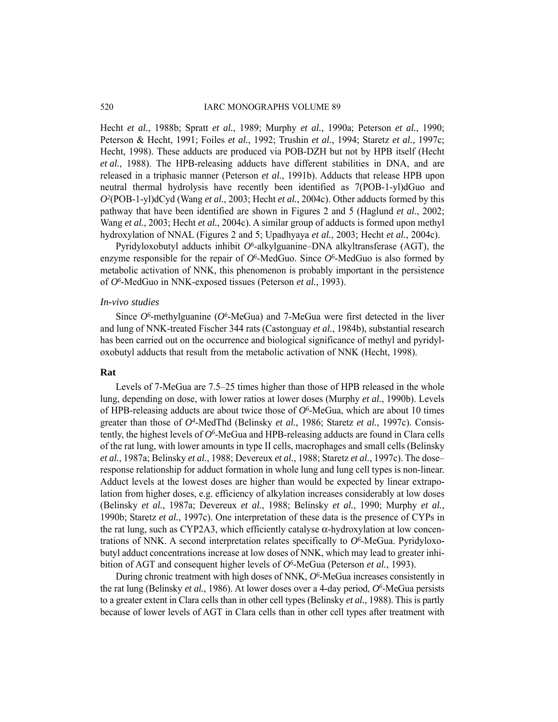Hecht *et al.*, 1988b; Spratt *et al.*, 1989; Murphy *et al.*, 1990a; Peterson *et al.*, 1990; Peterson & Hecht, 1991; Foiles *et al.*, 1992; Trushin *et al.*, 1994; Staretz *et al.*, 1997c; Hecht, 1998). These adducts are produced via POB-DZH but not by HPB itself (Hecht *et al.*, 1988). The HPB-releasing adducts have different stabilities in DNA, and are released in a triphasic manner (Peterson *et al.*, 1991b). Adducts that release HPB upon neutral thermal hydrolysis have recently been identified as 7(POB-1-yl)dGuo and *O2*(POB-1-yl)dCyd (Wang *et al.*, 2003; Hecht *et al.*, 2004c). Other adducts formed by this pathway that have been identified are shown in Figures 2 and 5 (Haglund *et al.*, 2002; Wang *et al.*, 2003; Hecht *et al.*, 2004c). A similar group of adducts is formed upon methyl hydroxylation of NNAL (Figures 2 and 5; Upadhyaya *et al.*, 2003; Hecht *et al.*, 2004c).

Pyridyloxobutyl adducts inhibit *O*6-alkylguanine–DNA alkyltransferase (AGT), the enzyme responsible for the repair of  $O^6$ -MedGuo. Since  $O^6$ -MedGuo is also formed by metabolic activation of NNK, this phenomenon is probably important in the persistence of *O6*-MedGuo in NNK-exposed tissues (Peterson *et al.*, 1993).

#### *In-vivo studies*

Since *O6*-methylguanine (*O*6-MeGua) and 7-MeGua were first detected in the liver and lung of NNK-treated Fischer 344 rats (Castonguay *et al.*, 1984b), substantial research has been carried out on the occurrence and biological significance of methyl and pyridyloxobutyl adducts that result from the metabolic activation of NNK (Hecht, 1998).

## **Rat**

Levels of 7-MeGua are 7.5–25 times higher than those of HPB released in the whole lung, depending on dose, with lower ratios at lower doses (Murphy *et al.*, 1990b). Levels of HPB-releasing adducts are about twice those of  $O<sup>6</sup>$ -MeGua, which are about 10 times greater than those of *O4*-MedThd (Belinsky *et al.*, 1986; Staretz *et al.*, 1997c). Consistently, the highest levels of  $O<sup>6</sup>$ -MeGua and HPB-releasing adducts are found in Clara cells of the rat lung, with lower amounts in type II cells, macrophages and small cells (Belinsky *et al.*, 1987a; Belinsky *et al.*, 1988; Devereux *et al.*, 1988; Staretz *et al.*, 1997c). The dose– response relationship for adduct formation in whole lung and lung cell types is non-linear. Adduct levels at the lowest doses are higher than would be expected by linear extrapolation from higher doses, e.g. efficiency of alkylation increases considerably at low doses (Belinsky *et al.*, 1987a; Devereux *et al.*, 1988; Belinsky *et al.*, 1990; Murphy *et al.*, 1990b; Staretz *et al.*, 1997c). One interpretation of these data is the presence of CYPs in the rat lung, such as CYP2A3, which efficiently catalyse  $\alpha$ -hydroxylation at low concentrations of NNK. A second interpretation relates specifically to *O6*-MeGua. Pyridyloxobutyl adduct concentrations increase at low doses of NNK, which may lead to greater inhibition of AGT and consequent higher levels of *O6*-MeGua (Peterson *et al.*, 1993).

During chronic treatment with high doses of NNK, *O6*-MeGua increases consistently in the rat lung (Belinsky *et al.*, 1986). At lower doses over a 4-day period, *O6*-MeGua persists to a greater extent in Clara cells than in other cell types (Belinsky *et al.*, 1988). This is partly because of lower levels of AGT in Clara cells than in other cell types after treatment with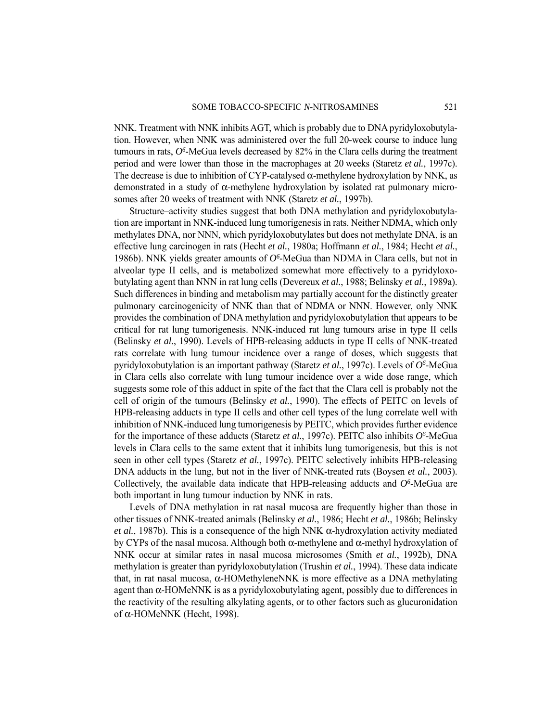NNK. Treatment with NNK inhibits AGT, which is probably due to DNA pyridyloxobutylation. However, when NNK was administered over the full 20-week course to induce lung tumours in rats, *O6*-MeGua levels decreased by 82% in the Clara cells during the treatment period and were lower than those in the macrophages at 20 weeks (Staretz *et al.*, 1997c). The decrease is due to inhibition of CYP-catalysed  $\alpha$ -methylene hydroxylation by NNK, as demonstrated in a study of α-methylene hydroxylation by isolated rat pulmonary microsomes after 20 weeks of treatment with NNK (Staretz *et al.*, 1997b).

Structure–activity studies suggest that both DNA methylation and pyridyloxobutylation are important in NNK-induced lung tumorigenesis in rats. Neither NDMA, which only methylates DNA, nor NNN, which pyridyloxobutylates but does not methylate DNA, is an effective lung carcinogen in rats (Hecht *et al.*, 1980a; Hoffmann *et al.*, 1984; Hecht *et al.*, 1986b). NNK yields greater amounts of *O6*-MeGua than NDMA in Clara cells, but not in alveolar type II cells, and is metabolized somewhat more effectively to a pyridyloxobutylating agent than NNN in rat lung cells (Devereux *et al.*, 1988; Belinsky *et al.*, 1989a). Such differences in binding and metabolism may partially account for the distinctly greater pulmonary carcinogenicity of NNK than that of NDMA or NNN. However, only NNK provides the combination of DNA methylation and pyridyloxobutylation that appears to be critical for rat lung tumorigenesis. NNK-induced rat lung tumours arise in type II cells (Belinsky *et al.*, 1990). Levels of HPB-releasing adducts in type II cells of NNK-treated rats correlate with lung tumour incidence over a range of doses, which suggests that pyridyloxobutylation is an important pathway (Staretz *et al.*, 1997c). Levels of *O6*-MeGua in Clara cells also correlate with lung tumour incidence over a wide dose range, which suggests some role of this adduct in spite of the fact that the Clara cell is probably not the cell of origin of the tumours (Belinsky *et al.*, 1990). The effects of PEITC on levels of HPB-releasing adducts in type II cells and other cell types of the lung correlate well with inhibition of NNK-induced lung tumorigenesis by PEITC, which provides further evidence for the importance of these adducts (Staretz *et al.*, 1997c). PEITC also inhibits *O6*-MeGua levels in Clara cells to the same extent that it inhibits lung tumorigenesis, but this is not seen in other cell types (Staretz *et al.*, 1997c). PEITC selectively inhibits HPB-releasing DNA adducts in the lung, but not in the liver of NNK-treated rats (Boysen *et al.*, 2003). Collectively, the available data indicate that HPB-releasing adducts and *O6*-MeGua are both important in lung tumour induction by NNK in rats.

Levels of DNA methylation in rat nasal mucosa are frequently higher than those in other tissues of NNK-treated animals (Belinsky *et al.*, 1986; Hecht *et al.*, 1986b; Belinsky *et al.*, 1987b). This is a consequence of the high NNK  $\alpha$ -hydroxylation activity mediated by CYPs of the nasal mucosa. Although both  $\alpha$ -methylene and  $\alpha$ -methyl hydroxylation of NNK occur at similar rates in nasal mucosa microsomes (Smith *et al.*, 1992b), DNA methylation is greater than pyridyloxobutylation (Trushin *et al.*, 1994). These data indicate that, in rat nasal mucosa,  $α$ -HOMethyleneNNK is more effective as a DNA methylating agent than  $\alpha$ -HOMeNNK is as a pyridyloxobutylating agent, possibly due to differences in the reactivity of the resulting alkylating agents, or to other factors such as glucuronidation of α-HOMeNNK (Hecht, 1998).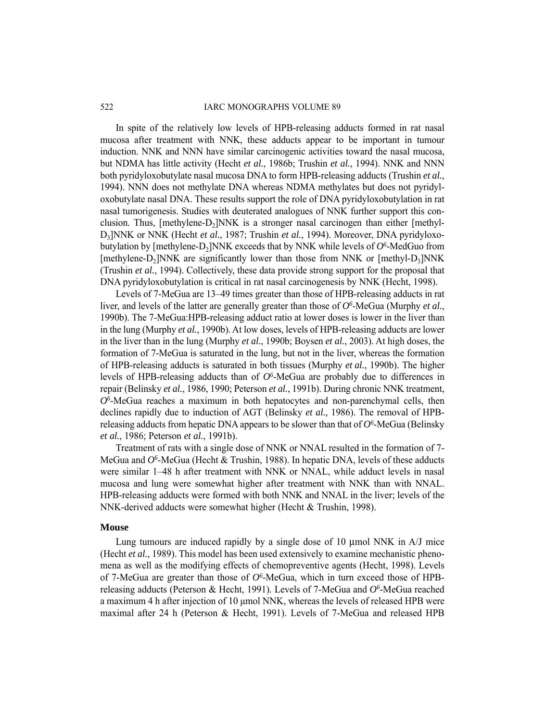In spite of the relatively low levels of HPB-releasing adducts formed in rat nasal mucosa after treatment with NNK, these adducts appear to be important in tumour induction. NNK and NNN have similar carcinogenic activities toward the nasal mucosa, but NDMA has little activity (Hecht *et al.*, 1986b; Trushin *et al.*, 1994). NNK and NNN both pyridyloxobutylate nasal mucosa DNA to form HPB-releasing adducts (Trushin *et al.*, 1994). NNN does not methylate DNA whereas NDMA methylates but does not pyridyloxobutylate nasal DNA. These results support the role of DNA pyridyloxobutylation in rat nasal tumorigenesis. Studies with deuterated analogues of NNK further support this conclusion. Thus,  $[methylene-D<sub>2</sub>]NNK$  is a stronger nasal carcinogen than either  $[methyl-$ D3]NNK or NNK (Hecht *et al.*, 1987; Trushin *et al.*, 1994). Moreover, DNA pyridyloxobutylation by [methylene-D<sub>2</sub>]NNK exceeds that by NNK while levels of  $O^6$ -MedGuo from [methylene-D<sub>2</sub>]NNK are significantly lower than those from NNK or [methyl-D<sub>3</sub>]NNK (Trushin *et al.*, 1994). Collectively, these data provide strong support for the proposal that DNA pyridyloxobutylation is critical in rat nasal carcinogenesis by NNK (Hecht, 1998).

Levels of 7-MeGua are 13–49 times greater than those of HPB-releasing adducts in rat liver, and levels of the latter are generally greater than those of *O6*-MeGua (Murphy *et al.*, 1990b). The 7-MeGua:HPB-releasing adduct ratio at lower doses is lower in the liver than in the lung (Murphy *et al.*, 1990b). At low doses, levels of HPB-releasing adducts are lower in the liver than in the lung (Murphy *et al.*, 1990b; Boysen *et al.*, 2003). At high doses, the formation of 7-MeGua is saturated in the lung, but not in the liver, whereas the formation of HPB-releasing adducts is saturated in both tissues (Murphy *et al.*, 1990b). The higher levels of HPB-releasing adducts than of  $O<sup>6</sup>$ -MeGua are probably due to differences in repair (Belinsky *et al.*, 1986, 1990; Peterson *et al.*, 1991b). During chronic NNK treatment, *O6*-MeGua reaches a maximum in both hepatocytes and non-parenchymal cells, then declines rapidly due to induction of AGT (Belinsky *et al.*, 1986). The removal of HPBreleasing adducts from hepatic DNA appears to be slower than that of  $O<sup>6</sup>$ -MeGua (Belinsky *et al.*, 1986; Peterson *et al.*, 1991b).

Treatment of rats with a single dose of NNK or NNAL resulted in the formation of 7- MeGua and  $O^6$ -MeGua (Hecht & Trushin, 1988). In hepatic DNA, levels of these adducts were similar 1–48 h after treatment with NNK or NNAL, while adduct levels in nasal mucosa and lung were somewhat higher after treatment with NNK than with NNAL. HPB-releasing adducts were formed with both NNK and NNAL in the liver; levels of the NNK-derived adducts were somewhat higher (Hecht & Trushin, 1998).

# **Mouse**

Lung tumours are induced rapidly by a single dose of 10 μmol NNK in A/J mice (Hecht *et al.*, 1989). This model has been used extensively to examine mechanistic phenomena as well as the modifying effects of chemopreventive agents (Hecht, 1998). Levels of 7-MeGua are greater than those of  $O^6$ -MeGua, which in turn exceed those of HPBreleasing adducts (Peterson & Hecht, 1991). Levels of 7-MeGua and *O6*-MeGua reached a maximum 4 h after injection of 10 μmol NNK, whereas the levels of released HPB were maximal after 24 h (Peterson & Hecht, 1991). Levels of 7-MeGua and released HPB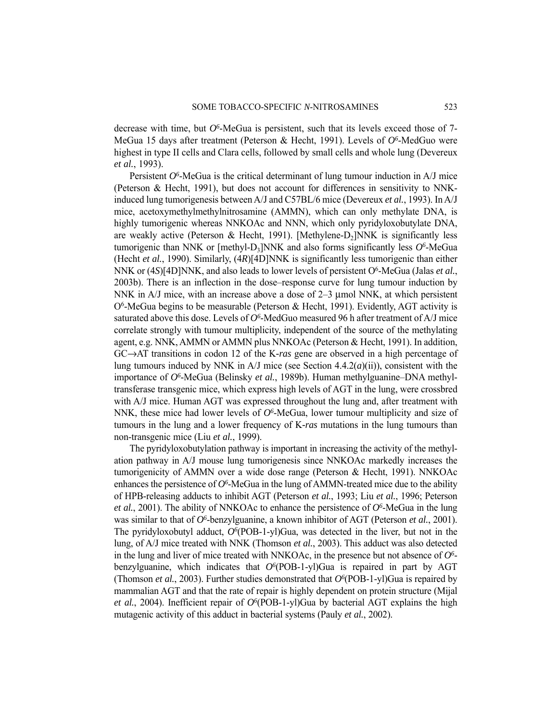decrease with time, but  $O^6$ -MeGua is persistent, such that its levels exceed those of 7-MeGua 15 days after treatment (Peterson & Hecht, 1991). Levels of *O6*-MedGuo were highest in type II cells and Clara cells, followed by small cells and whole lung (Devereux *et al.*, 1993).

Persistent *O6*-MeGua is the critical determinant of lung tumour induction in A/J mice (Peterson & Hecht, 1991), but does not account for differences in sensitivity to NNKinduced lung tumorigenesis between A/J and C57BL/6 mice (Devereux *et al.*, 1993). In A/J mice, acetoxymethylmethylnitrosamine (AMMN), which can only methylate DNA, is highly tumorigenic whereas NNKOAc and NNN, which only pyridyloxobutylate DNA, are weakly active (Peterson & Hecht, 1991). [Methylene-D<sub>2</sub>]NNK is significantly less tumorigenic than NNK or  $[methyl-D<sub>3</sub>]NNK$  and also forms significantly less  $O<sup>6</sup>$ -MeGua (Hecht *et al.*, 1990). Similarly, (4*R*)[4D]NNK is significantly less tumorigenic than either NNK or (4*S*)[4D]NNK, and also leads to lower levels of persistent O<sup>6</sup>-MeGua (Jalas *et al.*, 2003b). There is an inflection in the dose–response curve for lung tumour induction by NNK in A/J mice, with an increase above a dose of 2–3 μmol NNK, at which persistent  $O<sup>6</sup>$ -MeGua begins to be measurable (Peterson & Hecht, 1991). Evidently, AGT activity is saturated above this dose. Levels of  $O^6$ -MedGuo measured 96 h after treatment of A/J mice correlate strongly with tumour multiplicity, independent of the source of the methylating agent, e.g. NNK, AMMN or AMMN plus NNKOAc (Peterson & Hecht, 1991). In addition, GC→AT transitions in codon 12 of the K*-ras* gene are observed in a high percentage of lung tumours induced by NNK in A/J mice (see Section 4.4.2(*a*)(ii)), consistent with the importance of *O6*-MeGua (Belinsky *et al.*, 1989b). Human methylguanine–DNA methyltransferase transgenic mice, which express high levels of AGT in the lung, were crossbred with A/J mice. Human AGT was expressed throughout the lung and, after treatment with NNK, these mice had lower levels of  $O^6$ -MeGua, lower tumour multiplicity and size of tumours in the lung and a lower frequency of K*-ras* mutations in the lung tumours than non-transgenic mice (Liu *et al.*, 1999).

The pyridyloxobutylation pathway is important in increasing the activity of the methylation pathway in A/J mouse lung tumorigenesis since NNKOAc markedly increases the tumorigenicity of AMMN over a wide dose range (Peterson & Hecht, 1991). NNKOAc enhances the persistence of  $O<sup>6</sup>$ -MeGua in the lung of AMMN-treated mice due to the ability of HPB-releasing adducts to inhibit AGT (Peterson *et al.*, 1993; Liu *et al.*, 1996; Peterson *et al.*, 2001). The ability of NNKOAc to enhance the persistence of  $O^6$ -MeGua in the lung was similar to that of  $O^6$ -benzylguanine, a known inhibitor of AGT (Peterson *et al.*, 2001). The pyridyloxobutyl adduct,  $O^6$ (POB-1-yl)Gua, was detected in the liver, but not in the lung, of A/J mice treated with NNK (Thomson *et al.*, 2003). This adduct was also detected in the lung and liver of mice treated with NNKOAc, in the presence but not absence of *O6* benzylguanine, which indicates that  $O<sup>6</sup>(POB-1-yI)G$ ua is repaired in part by AGT (Thomson *et al.*, 2003). Further studies demonstrated that *O6*(POB-1-yl)Gua is repaired by mammalian AGT and that the rate of repair is highly dependent on protein structure (Mijal *et al.*, 2004). Inefficient repair of  $O^6$ (POB-1-yl)Gua by bacterial AGT explains the high mutagenic activity of this adduct in bacterial systems (Pauly *et al.*, 2002).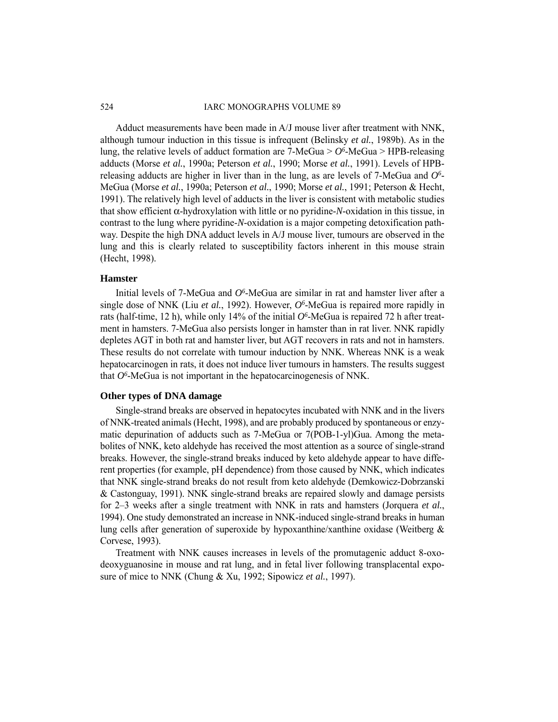Adduct measurements have been made in A/J mouse liver after treatment with NNK, although tumour induction in this tissue is infrequent (Belinsky *et al.*, 1989b). As in the lung, the relative levels of adduct formation are 7-MeGua > *O6*-MeGua > HPB-releasing adducts (Morse *et al.*, 1990a; Peterson *et al.*, 1990; Morse *et al.*, 1991). Levels of HPBreleasing adducts are higher in liver than in the lung, as are levels of 7-MeGua and *O6*- MeGua (Morse *et al.*, 1990a; Peterson *et al.*, 1990; Morse *et al.*, 1991; Peterson & Hecht, 1991). The relatively high level of adducts in the liver is consistent with metabolic studies that show efficient α-hydroxylation with little or no pyridine-*N*-oxidation in this tissue, in contrast to the lung where pyridine-*N*-oxidation is a major competing detoxification pathway. Despite the high DNA adduct levels in A/J mouse liver, tumours are observed in the lung and this is clearly related to susceptibility factors inherent in this mouse strain (Hecht, 1998).

# **Hamster**

Initial levels of 7-MeGua and *O6*-MeGua are similar in rat and hamster liver after a single dose of NNK (Liu *et al.*, 1992). However, *O6*-MeGua is repaired more rapidly in rats (half-time, 12 h), while only 14% of the initial  $O<sup>6</sup>$ -MeGua is repaired 72 h after treatment in hamsters. 7-MeGua also persists longer in hamster than in rat liver. NNK rapidly depletes AGT in both rat and hamster liver, but AGT recovers in rats and not in hamsters. These results do not correlate with tumour induction by NNK. Whereas NNK is a weak hepatocarcinogen in rats, it does not induce liver tumours in hamsters. The results suggest that *O6*-MeGua is not important in the hepatocarcinogenesis of NNK.

# **Other types of DNA damage**

Single-strand breaks are observed in hepatocytes incubated with NNK and in the livers of NNK-treated animals (Hecht, 1998), and are probably produced by spontaneous or enzymatic depurination of adducts such as 7-MeGua or 7(POB-1-yl)Gua. Among the metabolites of NNK, keto aldehyde has received the most attention as a source of single-strand breaks. However, the single-strand breaks induced by keto aldehyde appear to have different properties (for example, pH dependence) from those caused by NNK, which indicates that NNK single-strand breaks do not result from keto aldehyde (Demkowicz-Dobrzanski & Castonguay, 1991). NNK single-strand breaks are repaired slowly and damage persists for 2–3 weeks after a single treatment with NNK in rats and hamsters (Jorquera *et al.*, 1994). One study demonstrated an increase in NNK-induced single-strand breaks in human lung cells after generation of superoxide by hypoxanthine/xanthine oxidase (Weitberg  $\&$ Corvese, 1993).

Treatment with NNK causes increases in levels of the promutagenic adduct 8-oxodeoxyguanosine in mouse and rat lung, and in fetal liver following transplacental exposure of mice to NNK (Chung & Xu, 1992; Sipowicz *et al.*, 1997).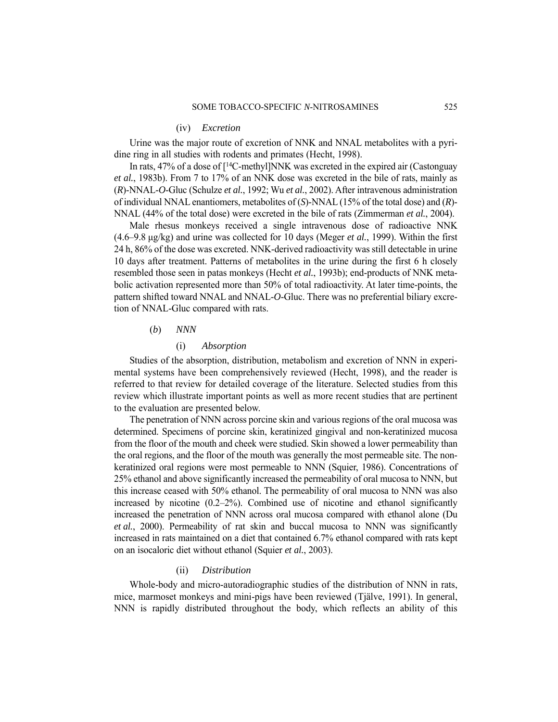# (iv) *Excretion*

Urine was the major route of excretion of NNK and NNAL metabolites with a pyridine ring in all studies with rodents and primates (Hecht, 1998).

In rats, 47% of a dose of  $[14C$ -methyl]NNK was excreted in the expired air (Castonguay *et al.*, 1983b). From 7 to 17% of an NNK dose was excreted in the bile of rats, mainly as (*R*)-NNAL-*O*-Gluc (Schulze *et al.*, 1992; Wu *et al.*, 2002). After intravenous administration of individual NNAL enantiomers, metabolites of (*S*)-NNAL (15% of the total dose) and (*R*)- NNAL (44% of the total dose) were excreted in the bile of rats (Zimmerman *et al.*, 2004).

Male rhesus monkeys received a single intravenous dose of radioactive NNK (4.6–9.8 μg/kg) and urine was collected for 10 days (Meger *et al.*, 1999). Within the first 24 h, 86% of the dose was excreted. NNK-derived radioactivity was still detectable in urine 10 days after treatment. Patterns of metabolites in the urine during the first 6 h closely resembled those seen in patas monkeys (Hecht *et al.*, 1993b); end-products of NNK metabolic activation represented more than 50% of total radioactivity. At later time-points, the pattern shifted toward NNAL and NNAL-*O*-Gluc. There was no preferential biliary excretion of NNAL-Gluc compared with rats.

## (*b*) *NNN*

## (i) *Absorption*

Studies of the absorption, distribution, metabolism and excretion of NNN in experimental systems have been comprehensively reviewed (Hecht, 1998), and the reader is referred to that review for detailed coverage of the literature. Selected studies from this review which illustrate important points as well as more recent studies that are pertinent to the evaluation are presented below.

The penetration of NNN across porcine skin and various regions of the oral mucosa was determined. Specimens of porcine skin, keratinized gingival and non-keratinized mucosa from the floor of the mouth and cheek were studied. Skin showed a lower permeability than the oral regions, and the floor of the mouth was generally the most permeable site. The nonkeratinized oral regions were most permeable to NNN (Squier, 1986). Concentrations of 25% ethanol and above significantly increased the permeability of oral mucosa to NNN, but this increase ceased with 50% ethanol. The permeability of oral mucosa to NNN was also increased by nicotine  $(0.2-2\%)$ . Combined use of nicotine and ethanol significantly increased the penetration of NNN across oral mucosa compared with ethanol alone (Du *et al.*, 2000). Permeability of rat skin and buccal mucosa to NNN was significantly increased in rats maintained on a diet that contained 6.7% ethanol compared with rats kept on an isocaloric diet without ethanol (Squier *et al.*, 2003).

# (ii) *Distribution*

Whole-body and micro-autoradiographic studies of the distribution of NNN in rats, mice, marmoset monkeys and mini-pigs have been reviewed (Tjälve, 1991). In general, NNN is rapidly distributed throughout the body, which reflects an ability of this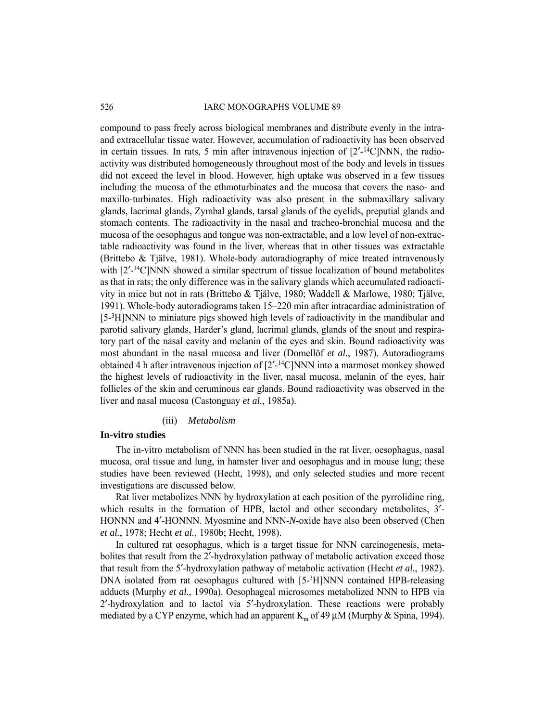compound to pass freely across biological membranes and distribute evenly in the intraand extracellular tissue water. However, accumulation of radioactivity has been observed in certain tissues. In rats, 5 min after intravenous injection of  $[2'$ -<sup>14</sup>C]NNN, the radioactivity was distributed homogeneously throughout most of the body and levels in tissues did not exceed the level in blood. However, high uptake was observed in a few tissues including the mucosa of the ethmoturbinates and the mucosa that covers the naso- and maxillo-turbinates. High radioactivity was also present in the submaxillary salivary glands, lacrimal glands, Zymbal glands, tarsal glands of the eyelids, preputial glands and stomach contents. The radioactivity in the nasal and tracheo-bronchial mucosa and the mucosa of the oesophagus and tongue was non-extractable, and a low level of non-extractable radioactivity was found in the liver, whereas that in other tissues was extractable (Brittebo & Tjälve, 1981). Whole-body autoradiography of mice treated intravenously with  $[2'$ -<sup>14</sup>C]NNN showed a similar spectrum of tissue localization of bound metabolites as that in rats; the only difference was in the salivary glands which accumulated radioactivity in mice but not in rats (Brittebo & Tjälve, 1980; Waddell & Marlowe, 1980; Tjälve, 1991). Whole-body autoradiograms taken 15–220 min after intracardiac administration of [5-3H]NNN to miniature pigs showed high levels of radioactivity in the mandibular and parotid salivary glands, Harder's gland, lacrimal glands, glands of the snout and respiratory part of the nasal cavity and melanin of the eyes and skin. Bound radioactivity was most abundant in the nasal mucosa and liver (Domellöf *et al.*, 1987). Autoradiograms obtained 4 h after intravenous injection of [2′-14C]NNN into a marmoset monkey showed the highest levels of radioactivity in the liver, nasal mucosa, melanin of the eyes, hair follicles of the skin and ceruminous ear glands. Bound radioactivity was observed in the liver and nasal mucosa (Castonguay *et al.*, 1985a).

## (iii) *Metabolism*

# **In-vitro studies**

The in-vitro metabolism of NNN has been studied in the rat liver, oesophagus, nasal mucosa, oral tissue and lung, in hamster liver and oesophagus and in mouse lung; these studies have been reviewed (Hecht, 1998), and only selected studies and more recent investigations are discussed below.

Rat liver metabolizes NNN by hydroxylation at each position of the pyrrolidine ring, which results in the formation of HPB, lactol and other secondary metabolites, 3'-HONNN and 4′-HONNN. Myosmine and NNN-*N*-oxide have also been observed (Chen *et al.*, 1978; Hecht *et al.*, 1980b; Hecht, 1998).

In cultured rat oesophagus, which is a target tissue for NNN carcinogenesis, metabolites that result from the 2′-hydroxylation pathway of metabolic activation exceed those that result from the 5′-hydroxylation pathway of metabolic activation (Hecht *et al.*, 1982). DNA isolated from rat oesophagus cultured with [5-<sup>3</sup>H]NNN contained HPB-releasing adducts (Murphy *et al.*, 1990a). Oesophageal microsomes metabolized NNN to HPB via 2′-hydroxylation and to lactol via 5′-hydroxylation. These reactions were probably mediated by a CYP enzyme, which had an apparent  $K<sub>m</sub>$  of 49  $\mu$ M (Murphy & Spina, 1994).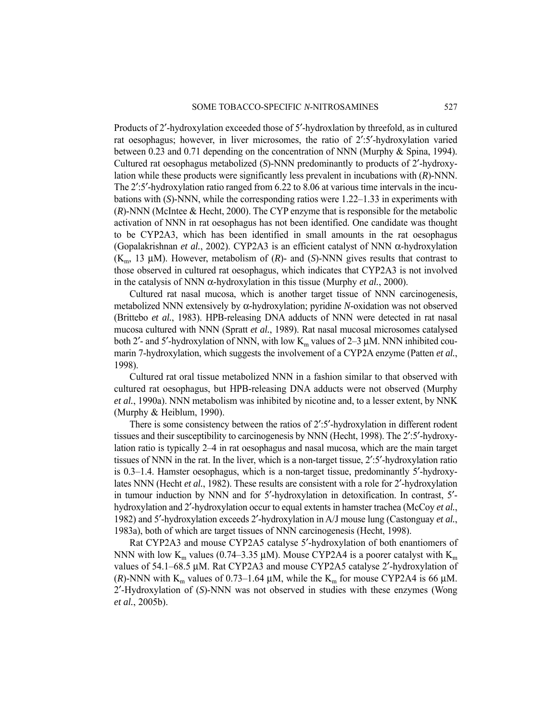Products of 2′-hydroxylation exceeded those of 5′-hydroxlation by threefold, as in cultured rat oesophagus; however, in liver microsomes, the ratio of 2′:5′-hydroxylation varied between 0.23 and 0.71 depending on the concentration of NNN (Murphy & Spina, 1994). Cultured rat oesophagus metabolized (*S*)-NNN predominantly to products of 2′-hydroxylation while these products were significantly less prevalent in incubations with (*R*)-NNN. The 2':5'-hydroxylation ratio ranged from 6.22 to 8.06 at various time intervals in the incubations with (*S*)-NNN, while the corresponding ratios were 1.22–1.33 in experiments with (*R*)-NNN (McIntee & Hecht, 2000). The CYP enzyme that is responsible for the metabolic activation of NNN in rat oesophagus has not been identified. One candidate was thought to be CYP2A3, which has been identified in small amounts in the rat oesophagus (Gopalakrishnan *et al.*, 2002). CYP2A3 is an efficient catalyst of NNN  $\alpha$ -hydroxylation  $(K<sub>m</sub>, 13 \mu M)$ . However, metabolism of  $(R)$ - and  $(S)$ -NNN gives results that contrast to those observed in cultured rat oesophagus, which indicates that CYP2A3 is not involved in the catalysis of NNN  $\alpha$ -hydroxylation in this tissue (Murphy *et al.*, 2000).

Cultured rat nasal mucosa, which is another target tissue of NNN carcinogenesis, metabolized NNN extensively by α-hydroxylation; pyridine *N*-oxidation was not observed (Brittebo *et al.*, 1983). HPB-releasing DNA adducts of NNN were detected in rat nasal mucosa cultured with NNN (Spratt *et al.*, 1989). Rat nasal mucosal microsomes catalysed both 2'- and 5'-hydroxylation of NNN, with low  $K_m$  values of 2–3  $\mu$ M. NNN inhibited coumarin 7-hydroxylation, which suggests the involvement of a CYP2A enzyme (Patten *et al.*, 1998).

Cultured rat oral tissue metabolized NNN in a fashion similar to that observed with cultured rat oesophagus, but HPB-releasing DNA adducts were not observed (Murphy *et al.*, 1990a). NNN metabolism was inhibited by nicotine and, to a lesser extent, by NNK (Murphy & Heiblum, 1990).

There is some consistency between the ratios of 2':5'-hydroxylation in different rodent tissues and their susceptibility to carcinogenesis by NNN (Hecht, 1998). The 2′:5′-hydroxylation ratio is typically 2–4 in rat oesophagus and nasal mucosa, which are the main target tissues of NNN in the rat. In the liver, which is a non-target tissue, 2′:5′-hydroxylation ratio is 0.3–1.4. Hamster oesophagus, which is a non-target tissue, predominantly 5′-hydroxylates NNN (Hecht *et al.*, 1982). These results are consistent with a role for 2′-hydroxylation in tumour induction by NNN and for 5'-hydroxylation in detoxification. In contrast, 5'hydroxylation and 2′-hydroxylation occur to equal extents in hamster trachea (McCoy *et al.*, 1982) and 5′-hydroxylation exceeds 2′-hydroxylation in A/J mouse lung (Castonguay *et al.*, 1983a), both of which are target tissues of NNN carcinogenesis (Hecht, 1998).

Rat CYP2A3 and mouse CYP2A5 catalyse 5′-hydroxylation of both enantiomers of NNN with low  $K_m$  values (0.74–3.35 µM). Mouse CYP2A4 is a poorer catalyst with  $K_m$ values of 54.1–68.5 μM. Rat CYP2A3 and mouse CYP2A5 catalyse 2′-hydroxylation of (*R*)-NNN with K<sub>m</sub> values of 0.73–1.64  $\mu$ M, while the K<sub>m</sub> for mouse CYP2A4 is 66  $\mu$ M. 2′-Hydroxylation of (*S*)-NNN was not observed in studies with these enzymes (Wong *et al.*, 2005b).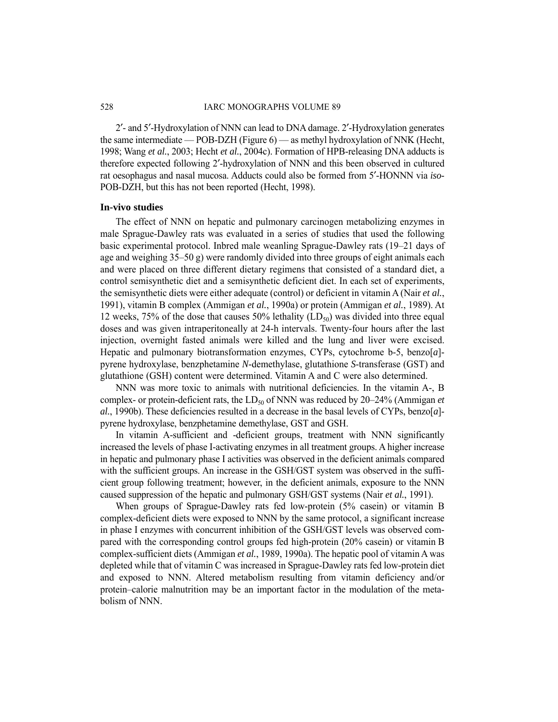2′- and 5′-Hydroxylation of NNN can lead to DNA damage. 2′-Hydroxylation generates the same intermediate — POB-DZH (Figure 6) — as methyl hydroxylation of NNK (Hecht, 1998; Wang *et al.*, 2003; Hecht *et al.*, 2004c). Formation of HPB-releasing DNA adducts is therefore expected following 2′-hydroxylation of NNN and this been observed in cultured rat oesophagus and nasal mucosa. Adducts could also be formed from 5′-HONNN via *iso*-POB-DZH, but this has not been reported (Hecht, 1998).

## **In-vivo studies**

The effect of NNN on hepatic and pulmonary carcinogen metabolizing enzymes in male Sprague-Dawley rats was evaluated in a series of studies that used the following basic experimental protocol. Inbred male weanling Sprague-Dawley rats (19–21 days of age and weighing  $35-50$  g) were randomly divided into three groups of eight animals each and were placed on three different dietary regimens that consisted of a standard diet, a control semisynthetic diet and a semisynthetic deficient diet. In each set of experiments, the semisynthetic diets were either adequate (control) or deficient in vitamin A (Nair *et al.*, 1991), vitamin B complex (Ammigan *et al.*, 1990a) or protein (Ammigan *et al.*, 1989). At 12 weeks, 75% of the dose that causes 50% lethality ( $LD<sub>50</sub>$ ) was divided into three equal doses and was given intraperitoneally at 24-h intervals. Twenty-four hours after the last injection, overnight fasted animals were killed and the lung and liver were excised. Hepatic and pulmonary biotransformation enzymes, CYPs, cytochrome b-5, benzo[*a*] pyrene hydroxylase, benzphetamine *N*-demethylase, glutathione *S*-transferase (GST) and glutathione (GSH) content were determined. Vitamin A and C were also determined.

NNN was more toxic to animals with nutritional deficiencies. In the vitamin A-, B complex- or protein-deficient rats, the  $LD_{50}$  of NNN was reduced by 20–24% (Ammigan *et al.*, 1990b). These deficiencies resulted in a decrease in the basal levels of CYPs, benzo[*a*] pyrene hydroxylase, benzphetamine demethylase, GST and GSH.

In vitamin A-sufficient and -deficient groups, treatment with NNN significantly increased the levels of phase I-activating enzymes in all treatment groups. A higher increase in hepatic and pulmonary phase I activities was observed in the deficient animals compared with the sufficient groups. An increase in the GSH/GST system was observed in the sufficient group following treatment; however, in the deficient animals, exposure to the NNN caused suppression of the hepatic and pulmonary GSH/GST systems (Nair *et al.*, 1991).

When groups of Sprague-Dawley rats fed low-protein (5% casein) or vitamin B complex-deficient diets were exposed to NNN by the same protocol, a significant increase in phase I enzymes with concurrent inhibition of the GSH/GST levels was observed compared with the corresponding control groups fed high-protein (20% casein) or vitamin B complex-sufficient diets (Ammigan *et al.*, 1989, 1990a). The hepatic pool of vitamin A was depleted while that of vitamin C was increased in Sprague-Dawley rats fed low-protein diet and exposed to NNN. Altered metabolism resulting from vitamin deficiency and/or protein–calorie malnutrition may be an important factor in the modulation of the metabolism of NNN.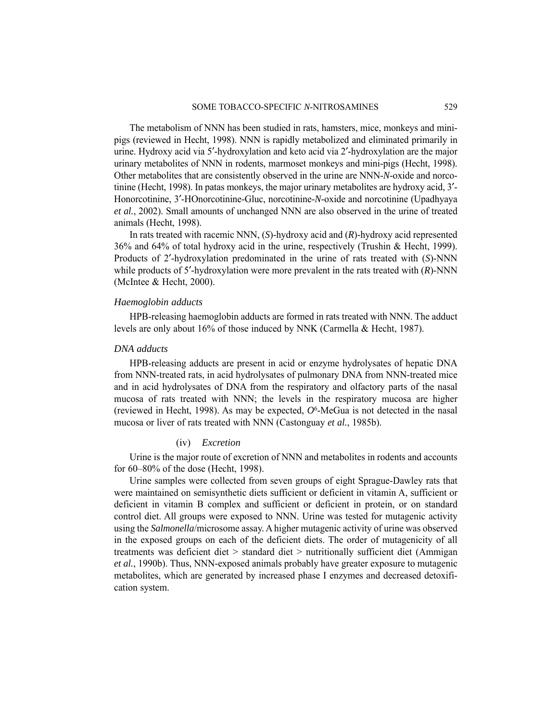## SOME TOBACCO-SPECIFIC *N*-NITROSAMINES 529

The metabolism of NNN has been studied in rats, hamsters, mice, monkeys and minipigs (reviewed in Hecht, 1998). NNN is rapidly metabolized and eliminated primarily in urine. Hydroxy acid via 5′-hydroxylation and keto acid via 2′-hydroxylation are the major urinary metabolites of NNN in rodents, marmoset monkeys and mini-pigs (Hecht, 1998). Other metabolites that are consistently observed in the urine are NNN-*N*-oxide and norcotinine (Hecht, 1998). In patas monkeys, the major urinary metabolites are hydroxy acid, 3′- Honorcotinine, 3′-HOnorcotinine-Gluc, norcotinine-*N*-oxide and norcotinine (Upadhyaya *et al.*, 2002). Small amounts of unchanged NNN are also observed in the urine of treated animals (Hecht, 1998).

In rats treated with racemic NNN, (*S*)-hydroxy acid and (*R*)-hydroxy acid represented 36% and 64% of total hydroxy acid in the urine, respectively (Trushin & Hecht, 1999). Products of 2′-hydroxylation predominated in the urine of rats treated with (*S*)-NNN while products of 5<sup>'</sup>-hydroxylation were more prevalent in the rats treated with (*R*)-NNN (McIntee & Hecht, 2000).

# *Haemoglobin adducts*

HPB-releasing haemoglobin adducts are formed in rats treated with NNN. The adduct levels are only about 16% of those induced by NNK (Carmella & Hecht, 1987).

## *DNA adducts*

HPB-releasing adducts are present in acid or enzyme hydrolysates of hepatic DNA from NNN-treated rats, in acid hydrolysates of pulmonary DNA from NNN-treated mice and in acid hydrolysates of DNA from the respiratory and olfactory parts of the nasal mucosa of rats treated with NNN; the levels in the respiratory mucosa are higher (reviewed in Hecht, 1998). As may be expected,  $O<sup>6</sup>$ -MeGua is not detected in the nasal mucosa or liver of rats treated with NNN (Castonguay *et al.*, 1985b).

## (iv) *Excretion*

Urine is the major route of excretion of NNN and metabolites in rodents and accounts for 60–80% of the dose (Hecht, 1998).

Urine samples were collected from seven groups of eight Sprague-Dawley rats that were maintained on semisynthetic diets sufficient or deficient in vitamin A, sufficient or deficient in vitamin B complex and sufficient or deficient in protein, or on standard control diet. All groups were exposed to NNN. Urine was tested for mutagenic activity using the *Salmonella*/microsome assay. A higher mutagenic activity of urine was observed in the exposed groups on each of the deficient diets. The order of mutagenicity of all treatments was deficient diet > standard diet > nutritionally sufficient diet (Ammigan *et al.*, 1990b). Thus, NNN-exposed animals probably have greater exposure to mutagenic metabolites, which are generated by increased phase I enzymes and decreased detoxification system.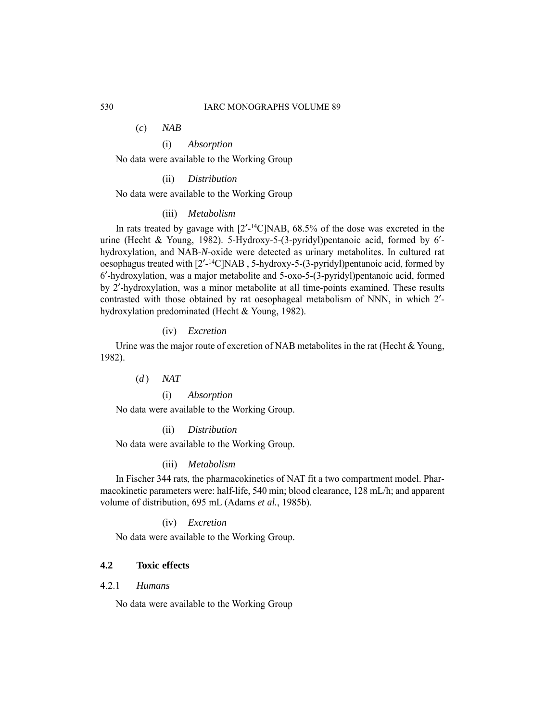# (*c*) *NAB*

# (i) *Absorption*

No data were available to the Working Group

# (ii) *Distribution*

No data were available to the Working Group

## (iii) *Metabolism*

In rats treated by gavage with  $[2'$ -<sup>14</sup>C]NAB, 68.5% of the dose was excreted in the urine (Hecht & Young, 1982). 5-Hydroxy-5-(3-pyridyl)pentanoic acid, formed by 6′ hydroxylation, and NAB-*N*-oxide were detected as urinary metabolites. In cultured rat oesophagus treated with [2′-14C]NAB , 5-hydroxy-5-(3-pyridyl)pentanoic acid, formed by 6′-hydroxylation, was a major metabolite and 5-oxo-5-(3-pyridyl)pentanoic acid, formed by 2′-hydroxylation, was a minor metabolite at all time-points examined. These results contrasted with those obtained by rat oesophageal metabolism of NNN, in which 2′ hydroxylation predominated (Hecht & Young, 1982).

# (iv) *Excretion*

Urine was the major route of excretion of NAB metabolites in the rat (Hecht & Young, 1982).

## (*d* ) *NAT*

# (i) *Absorption*

No data were available to the Working Group.

# (ii) *Distribution*

No data were available to the Working Group.

## (iii) *Metabolism*

In Fischer 344 rats, the pharmacokinetics of NAT fit a two compartment model. Pharmacokinetic parameters were: half-life, 540 min; blood clearance, 128 mL/h; and apparent volume of distribution, 695 mL (Adams *et al.*, 1985b).

# (iv) *Excretion*

No data were available to the Working Group.

# **4.2 Toxic effects**

## 4.2.1 *Humans*

No data were available to the Working Group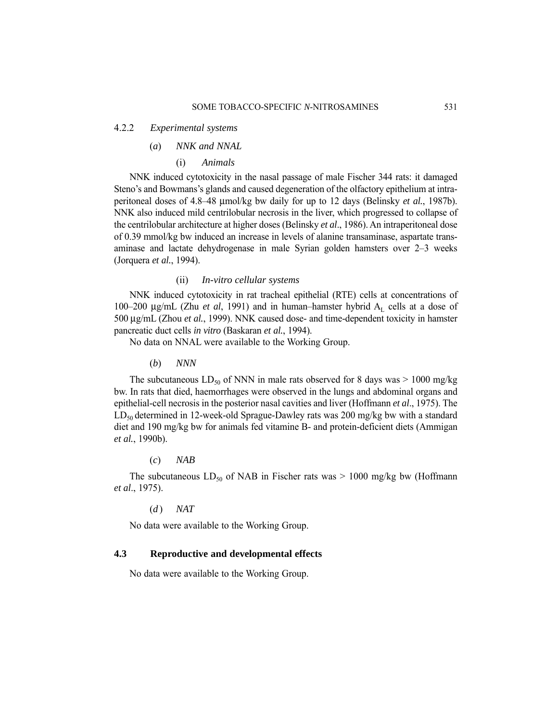## 4.2.2 *Experimental systems*

## (*a*) *NNK and NNAL*

## (i) *Animals*

NNK induced cytotoxicity in the nasal passage of male Fischer 344 rats: it damaged Steno's and Bowmans's glands and caused degeneration of the olfactory epithelium at intraperitoneal doses of 4.8–48 μmol/kg bw daily for up to 12 days (Belinsky *et al.*, 1987b). NNK also induced mild centrilobular necrosis in the liver, which progressed to collapse of the centrilobular architecture at higher doses (Belinsky *et al*., 1986). An intraperitoneal dose of 0.39 mmol/kg bw induced an increase in levels of alanine transaminase, aspartate transaminase and lactate dehydrogenase in male Syrian golden hamsters over 2–3 weeks (Jorquera *et al.*, 1994).

# (ii) *In-vitro cellular systems*

NNK induced cytotoxicity in rat tracheal epithelial (RTE) cells at concentrations of 100–200 μg/mL (Zhu *et al*, 1991) and in human–hamster hybrid A<sub>L</sub> cells at a dose of 500 μg/mL (Zhou *et al.*, 1999). NNK caused dose- and time-dependent toxicity in hamster pancreatic duct cells *in vitro* (Baskaran *et al.*, 1994).

No data on NNAL were available to the Working Group.

(*b*) *NNN*

The subcutaneous  $LD_{50}$  of NNN in male rats observed for 8 days was  $> 1000$  mg/kg bw. In rats that died, haemorrhages were observed in the lungs and abdominal organs and epithelial-cell necrosis in the posterior nasal cavities and liver (Hoffmann *et al*., 1975). The  $LD_{50}$  determined in 12-week-old Sprague-Dawley rats was 200 mg/kg bw with a standard diet and 190 mg/kg bw for animals fed vitamine B- and protein-deficient diets (Ammigan *et al.*, 1990b).

(*c*) *NAB*

The subcutaneous  $LD_{50}$  of NAB in Fischer rats was > 1000 mg/kg bw (Hoffmann *et al*., 1975).

(*d* ) *NAT*

No data were available to the Working Group.

# **4.3 Reproductive and developmental effects**

No data were available to the Working Group.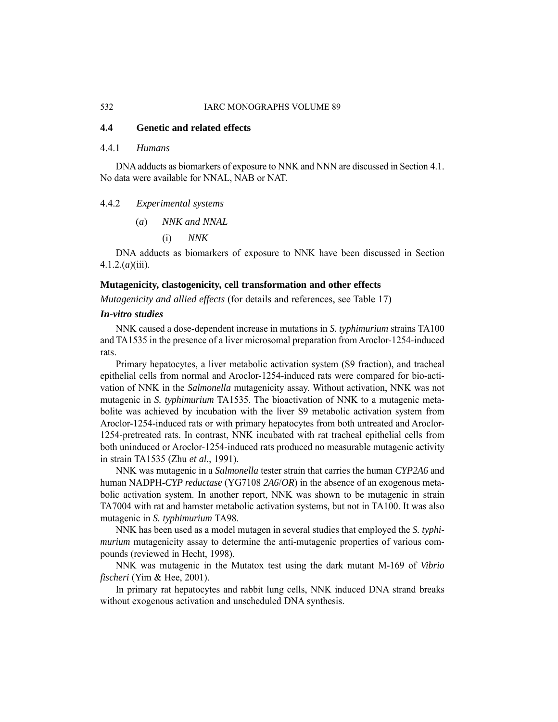## **4.4 Genetic and related effects**

# 4.4.1 *Humans*

DNA adducts as biomarkers of exposure to NNK and NNN are discussed in Section 4.1. No data were available for NNAL, NAB or NAT.

#### 4.4.2 *Experimental systems*

- (*a*) *NNK and NNAL*
	- (i) *NNK*

DNA adducts as biomarkers of exposure to NNK have been discussed in Section 4.1.2.(*a*)(iii).

# **Mutagenicity, clastogenicity, cell transformation and other effects**

*Mutagenicity and allied effects* (for details and references, see Table 17)

# *In-vitro studies*

NNK caused a dose-dependent increase in mutations in *S. typhimurium* strains TA100 and TA1535 in the presence of a liver microsomal preparation from Aroclor-1254-induced rats.

Primary hepatocytes, a liver metabolic activation system (S9 fraction), and tracheal epithelial cells from normal and Aroclor-1254-induced rats were compared for bio-activation of NNK in the *Salmonella* mutagenicity assay. Without activation, NNK was not mutagenic in *S. typhimurium* TA1535. The bioactivation of NNK to a mutagenic metabolite was achieved by incubation with the liver S9 metabolic activation system from Aroclor-1254-induced rats or with primary hepatocytes from both untreated and Aroclor-1254-pretreated rats. In contrast, NNK incubated with rat tracheal epithelial cells from both uninduced or Aroclor-1254-induced rats produced no measurable mutagenic activity in strain TA1535 (Zhu *et al*., 1991).

NNK was mutagenic in a *Salmonella* tester strain that carries the human *CYP2A6* and human NADPH-*CYP reductase* (YG7108 *2A6*/*OR*) in the absence of an exogenous metabolic activation system. In another report, NNK was shown to be mutagenic in strain TA7004 with rat and hamster metabolic activation systems, but not in TA100. It was also mutagenic in *S. typhimurium* TA98.

NNK has been used as a model mutagen in several studies that employed the *S. typhimurium* mutagenicity assay to determine the anti-mutagenic properties of various compounds (reviewed in Hecht, 1998).

NNK was mutagenic in the Mutatox test using the dark mutant M-169 of *Vibrio fischeri* (Yim & Hee, 2001).

In primary rat hepatocytes and rabbit lung cells, NNK induced DNA strand breaks without exogenous activation and unscheduled DNA synthesis.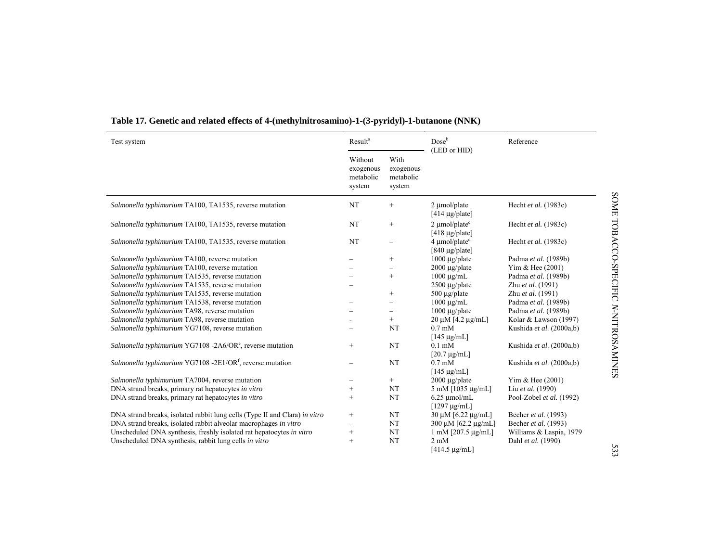| Test system                                                                | Result <sup>a</sup>                         |                                          | $Dose^b$<br>(LED or HID)                                           | Reference                |
|----------------------------------------------------------------------------|---------------------------------------------|------------------------------------------|--------------------------------------------------------------------|--------------------------|
|                                                                            | Without<br>exogenous<br>metabolic<br>system | With<br>exogenous<br>metabolic<br>system |                                                                    |                          |
| Salmonella typhimurium TA100, TA1535, reverse mutation                     | <b>NT</b>                                   | $^{+}$                                   | $2 \mu$ mol/plate<br>$[414 \mu g$ /plate]                          | Hecht et al. (1983c)     |
| Salmonella typhimurium TA100, TA1535, reverse mutation                     | NT                                          | $^{+}$                                   | $2 \mu$ mol/plate <sup>c</sup><br>$[418 \mu g$ <sub>/plate</sub> ] | Hecht et al. (1983c)     |
| Salmonella typhimurium TA100, TA1535, reverse mutation                     | <b>NT</b>                                   | $\qquad \qquad -$                        | $4 \mu$ mol/plate <sup>d</sup><br>$[840 \mu g$ <sub>/plate</sub> ] | Hecht et al. (1983c)     |
| Salmonella typhimurium TA100, reverse mutation                             | $\equiv$                                    | $\qquad \qquad +$                        | $1000 \mu g$ plate                                                 | Padma et al. (1989b)     |
| Salmonella typhimurium TA100, reverse mutation                             |                                             |                                          | $2000 \mu g$ plate                                                 | Yim & Hee (2001)         |
| Salmonella typhimurium TA1535, reverse mutation                            |                                             | $^{+}$                                   | $1000 \mu g/mL$                                                    | Padma et al. (1989b)     |
| Salmonella typhimurium TA1535, reverse mutation                            |                                             |                                          | $2500 \mu g$ plate                                                 | Zhu et al. (1991)        |
| Salmonella typhimurium TA1535, reverse mutation                            |                                             | $^{+}$                                   | $500 \mu g$ plate                                                  | Zhu et al. (1991)        |
| Salmonella typhimurium TA1538, reverse mutation                            | $\overline{\phantom{0}}$                    | -                                        | $1000 \mu g/mL$                                                    | Padma et al. (1989b)     |
| Salmonella typhimurium TA98, reverse mutation                              |                                             | -                                        | $1000 \mu g$ plate                                                 | Padma et al. (1989b)     |
| Salmonella typhimurium TA98, reverse mutation                              |                                             | $^{+}$                                   | 20 μM [4.2 μg/mL]                                                  | Kolar & Lawson (1997)    |
| Salmonella typhimurium YG7108, reverse mutation                            |                                             | NT                                       | $0.7 \text{ mM}$<br>[ $145 \mu g/mL$ ]                             | Kushida et al. (2000a,b) |
| Salmonella typhimurium YG7108 -2A6/OR <sup>e</sup> , reverse mutation      | $^{+}$                                      | NT                                       | $0.1 \text{ mM}$<br>[ $20.7 \mu g/mL$ ]                            | Kushida et al. (2000a,b) |
| Salmonella typhimurium YG7108 -2E1/OR <sup>f</sup> , reverse mutation      | $\qquad \qquad$                             | NT                                       | $0.7$ mM<br>$[145 \mu g/mL]$                                       | Kushida et al. (2000a,b) |
| Salmonella typhimurium TA7004, reverse mutation                            |                                             | $^{+}$                                   | 2000 µg/plate                                                      | $Yim \& Hee (2001)$      |
| DNA strand breaks, primary rat hepatocytes in vitro                        | $^{+}$                                      | NT                                       | 5 mM $[1035 \mu g/mL]$                                             | Liu et al. (1990)        |
| DNA strand breaks, primary rat hepatocytes in vitro                        | $^{+}$                                      | NT                                       | $6.25 \mu$ mol/mL<br>$[1297 \mu g/mL]$                             | Pool-Zobel et al. (1992) |
| DNA strand breaks, isolated rabbit lung cells (Type II and Clara) in vitro | $^{+}$                                      | NT                                       | $30 \mu M$ [6.22 $\mu$ g/mL]                                       | Becher et al. (1993)     |
| DNA strand breaks, isolated rabbit alveolar macrophages in vitro           |                                             | NT                                       | 300 μM [62.2 μg/mL]                                                | Becher et al. (1993)     |
| Unscheduled DNA synthesis, freshly isolated rat hepatocytes in vitro       | $\qquad \qquad +$                           | NT                                       | $1 \text{ mM}$ [207.5 $\mu$ g/mL]                                  | Williams & Laspia, 1979  |
| Unscheduled DNA synthesis, rabbit lung cells in vitro                      | $^{+}$                                      | NT                                       | $2 \text{ mM}$<br>$[414.5 \mu g/mL]$                               | Dahl et al. (1990)       |

# **Table 17. Genetic and related effects of 4-(methylnitrosamino)-1-(3-pyridyl)-1-butanone (NNK)**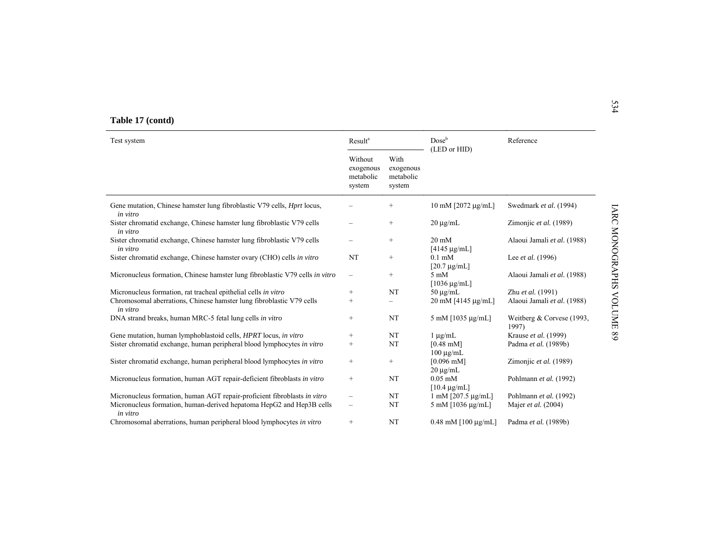| Table 17 (contd)                                                                           |                                             |                                          |                                       |                                                  |  |  |  |
|--------------------------------------------------------------------------------------------|---------------------------------------------|------------------------------------------|---------------------------------------|--------------------------------------------------|--|--|--|
| Test system                                                                                |                                             |                                          | $Dose^b$<br>(LED or HID)              | Reference                                        |  |  |  |
|                                                                                            | Without<br>exogenous<br>metabolic<br>system | With<br>exogenous<br>metabolic<br>system |                                       |                                                  |  |  |  |
| Gene mutation, Chinese hamster lung fibroblastic V79 cells, <i>Hprt</i> locus,<br>in vitro |                                             | $\begin{array}{c} + \end{array}$         | $10 \text{ mM}$ [2072 µg/mL]          | Swedmark et al. (1994)                           |  |  |  |
| Sister chromatid exchange, Chinese hamster lung fibroblastic V79 cells<br>in vitro         |                                             | $\! + \!\!\!\!$                          | $20 \mu g/mL$                         | <b>IARC MONOGRAPHS</b><br>Zimonjic et al. (1989) |  |  |  |
| Sister chromatid exchange, Chinese hamster lung fibroblastic V79 cells<br>in vitro         |                                             | $\! + \!\!\!\!$                          | $20 \text{ mM}$<br>$[4145 \mu g/mL]$  | Alaoui Jamali et al. (1988)                      |  |  |  |
| Sister chromatid exchange, Chinese hamster ovary (CHO) cells in vitro                      | NT                                          | $\! + \!\!\!\!$                          | $0.1 \text{ mM}$<br>$[20.7 \mu g/mL]$ | Lee et al. (1996)                                |  |  |  |
| Micronucleus formation, Chinese hamster lung fibroblastic V79 cells in vitro               | $\overline{\phantom{0}}$                    | $\! + \!\!\!\!$                          | $5 \text{ mM}$<br>$[1036 \mu g/mL]$   | Alaoui Jamali et al. (1988)                      |  |  |  |
| Micronucleus formation, rat tracheal epithelial cells in vitro                             | $^{+}$                                      | NT                                       | $50 \mu g/mL$                         | Zhu et al. (1991)                                |  |  |  |
| Chromosomal aberrations, Chinese hamster lung fibroblastic V79 cells<br>in vitro           | $^{+}$                                      |                                          | 20 mM [4145 μg/mL]                    | <b>NOLUME</b><br>Alaoui Jamali et al. (1988)     |  |  |  |
| DNA strand breaks, human MRC-5 fetal lung cells in vitro                                   | $^{+}$                                      | NT                                       | 5 mM [1035 μg/mL]                     | Weitberg $&$ Corvese (1993,<br>1997)             |  |  |  |
| Gene mutation, human lymphoblastoid cells, HPRT locus, in vitro                            | $^{+}$                                      | NT                                       | $1 \mu g/mL$                          | 68<br>Krause et al. (1999)                       |  |  |  |
| Sister chromatid exchange, human peripheral blood lymphocytes in vitro                     | $\qquad \qquad +$                           | NT                                       | $[0.48 \text{ mM}]$<br>$100 \mu g/mL$ | Padma et al. (1989b)                             |  |  |  |
| Sister chromatid exchange, human peripheral blood lymphocytes in vitro                     | $^{+}$                                      | $\qquad \qquad +$                        | $[0.096 \text{ mM}]$<br>$20 \mu g/mL$ | Zimonjic et al. (1989)                           |  |  |  |
| Micronucleus formation, human AGT repair-deficient fibroblasts in vitro                    | $\! + \!\!\!\!$                             | NT                                       | $0.05$ mM<br>$[10.4 \text{ µg/mL}]$   | Pohlmann et al. (1992)                           |  |  |  |
| Micronucleus formation, human AGT repair-proficient fibroblasts in vitro                   |                                             | NT                                       | $1 \text{ mM}$ [207.5 $\mu$ g/mL]     | Pohlmann et al. (1992)                           |  |  |  |
| Micronucleus formation, human-derived hepatoma HepG2 and Hep3B cells<br>in vitro           | $\qquad \qquad -$                           | NT                                       | 5 mM [1036 μg/mL]                     | Majer et al. (2004)                              |  |  |  |
| Chromosomal aberrations, human peripheral blood lymphocytes in vitro                       | $\begin{array}{c} + \end{array}$            | NT                                       | $0.48$ mM [100 $\mu$ g/mL]            | Padma et al. (1989b)                             |  |  |  |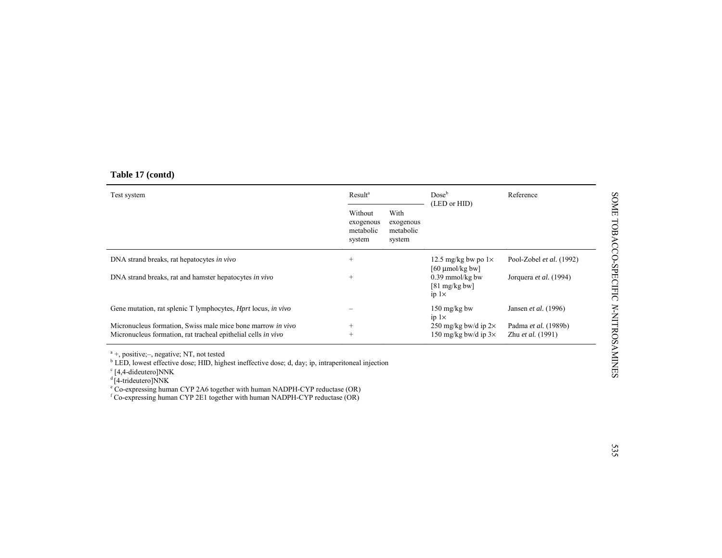| Table 17 (contd) |  |
|------------------|--|
|------------------|--|

| Test system                                                                                                                  | Result <sup>a</sup>                         |                                          | Dose <sup>b</sup><br>(LED or HID)                            | Reference                                 |
|------------------------------------------------------------------------------------------------------------------------------|---------------------------------------------|------------------------------------------|--------------------------------------------------------------|-------------------------------------------|
|                                                                                                                              | Without<br>exogenous<br>metabolic<br>system | With<br>exogenous<br>metabolic<br>system |                                                              |                                           |
| DNA strand breaks, rat hepatocytes in vivo                                                                                   | $^{+}$                                      |                                          | 12.5 mg/kg bw po $1\times$<br>$[60 \mu \text{mol/kg bw}]$    | Pool-Zobel et al. (1992)                  |
| DNA strand breaks, rat and hamster hepatocytes in vivo                                                                       | $^{+}$                                      |                                          | $0.39$ mmol/kg bw<br>$[81 \text{ mg/kg bw}]$<br>ip $1\times$ | Jorquera et al. (1994)                    |
| Gene mutation, rat splenic T lymphocytes, <i>Hprt</i> locus, in vivo                                                         |                                             |                                          | $150 \text{ mg/kg}$ bw<br>ip $1\times$                       | Jansen et al. (1996)                      |
| Micronucleus formation, Swiss male mice bone marrow in vivo<br>Micronucleus formation, rat tracheal epithelial cells in vivo | $^{+}$<br>$^{+}$                            |                                          | 250 mg/kg bw/d ip $2\times$<br>150 mg/kg bw/d ip $3\times$   | Padma et al. (1989b)<br>Zhu et al. (1991) |

<sup>a</sup> +, positive;-, negative; NT, not tested<br><sup>b</sup> LED, lowest effective dose; HID, highest ineffective dose; d, day; ip, intraperitoneal injection

 $\degree$  [4,4-dideutero]NNK

<sup>d</sup> [4-trideutero]NNK<br>° Co-expressing human CYP 2A6 together with human NADPH-CYP reductase (OR)<br><sup>f</sup> Co-expressing human CYP 2E1 together with human NADPH-CYP reductase (OR)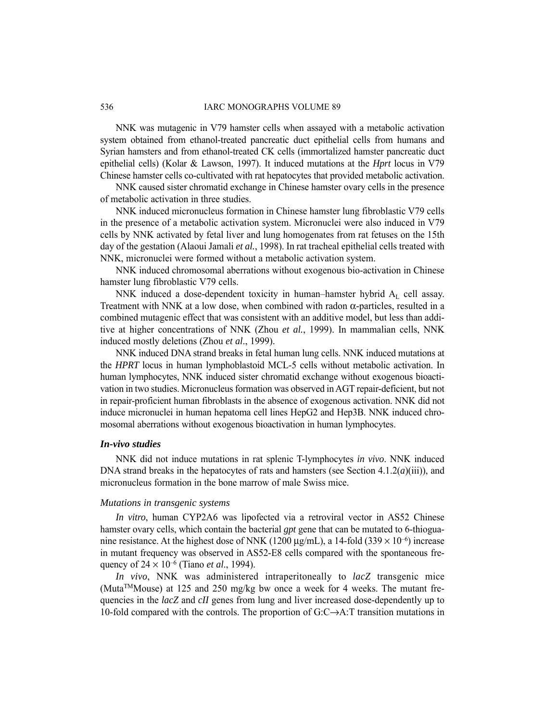NNK was mutagenic in V79 hamster cells when assayed with a metabolic activation system obtained from ethanol-treated pancreatic duct epithelial cells from humans and Syrian hamsters and from ethanol-treated CK cells (immortalized hamster pancreatic duct epithelial cells) (Kolar & Lawson, 1997). It induced mutations at the *Hprt* locus in V79 Chinese hamster cells co-cultivated with rat hepatocytes that provided metabolic activation.

NNK caused sister chromatid exchange in Chinese hamster ovary cells in the presence of metabolic activation in three studies.

NNK induced micronucleus formation in Chinese hamster lung fibroblastic V79 cells in the presence of a metabolic activation system. Micronuclei were also induced in V79 cells by NNK activated by fetal liver and lung homogenates from rat fetuses on the 15th day of the gestation (Alaoui Jamali *et al.*, 1998). In rat tracheal epithelial cells treated with NNK, micronuclei were formed without a metabolic activation system.

NNK induced chromosomal aberrations without exogenous bio-activation in Chinese hamster lung fibroblastic V79 cells.

NNK induced a dose-dependent toxicity in human–hamster hybrid  $A_L$  cell assay. Treatment with NNK at a low dose, when combined with radon  $\alpha$ -particles, resulted in a combined mutagenic effect that was consistent with an additive model, but less than additive at higher concentrations of NNK (Zhou *et al.*, 1999). In mammalian cells, NNK induced mostly deletions (Zhou *et al*., 1999).

NNK induced DNA strand breaks in fetal human lung cells. NNK induced mutations at the *HPRT* locus in human lymphoblastoid MCL-5 cells without metabolic activation. In human lymphocytes, NNK induced sister chromatid exchange without exogenous bioactivation in two studies. Micronucleus formation was observed in AGT repair-deficient, but not in repair-proficient human fibroblasts in the absence of exogenous activation. NNK did not induce micronuclei in human hepatoma cell lines HepG2 and Hep3B. NNK induced chromosomal aberrations without exogenous bioactivation in human lymphocytes.

## *In-vivo studies*

NNK did not induce mutations in rat splenic T-lymphocytes *in vivo*. NNK induced DNA strand breaks in the hepatocytes of rats and hamsters (see Section 4.1.2( $a$ )(iii)), and micronucleus formation in the bone marrow of male Swiss mice.

#### *Mutations in transgenic systems*

*In vitro*, human CYP2A6 was lipofected via a retroviral vector in AS52 Chinese hamster ovary cells, which contain the bacterial *gpt* gene that can be mutated to 6-thioguanine resistance. At the highest dose of NNK (1200  $\mu$ g/mL), a 14-fold (339 × 10<sup>-6</sup>) increase in mutant frequency was observed in AS52-E8 cells compared with the spontaneous frequency of 24 × 10–6 (Tiano *et al*., 1994).

*In vivo*, NNK was administered intraperitoneally to *lacZ* transgenic mice (Muta<sup>TM</sup>Mouse) at 125 and 250 mg/kg bw once a week for 4 weeks. The mutant frequencies in the *lacZ* and *cII* genes from lung and liver increased dose-dependently up to 10-fold compared with the controls. The proportion of G:C→A:T transition mutations in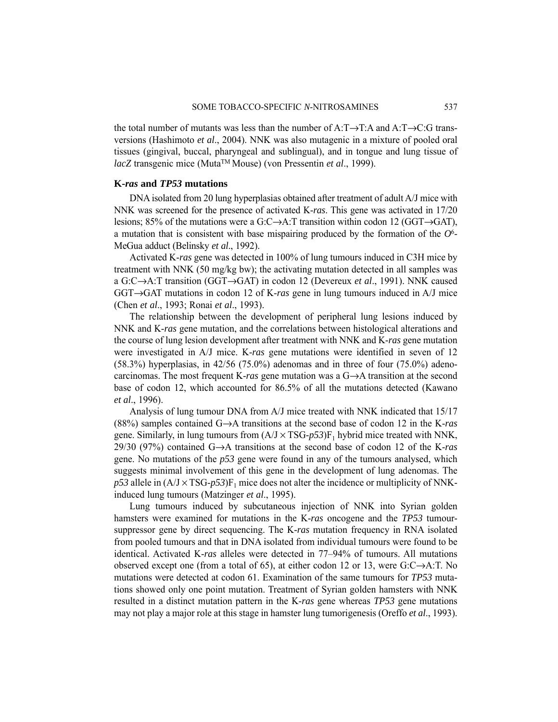the total number of mutants was less than the number of A:T→T:A and A:T→C:G transversions (Hashimoto *et al*., 2004). NNK was also mutagenic in a mixture of pooled oral tissues (gingival, buccal, pharyngeal and sublingual), and in tongue and lung tissue of *lacZ* transgenic mice (Muta™ Mouse) (von Pressentin *et al.*, 1999).

# **K-***ras* **and** *TP53* **mutations**

DNA isolated from 20 lung hyperplasias obtained after treatment of adult A/J mice with NNK was screened for the presence of activated K-*ras*. This gene was activated in 17/20 lesions; 85% of the mutations were a G:C→A:T transition within codon 12 (GGT→GAT), a mutation that is consistent with base mispairing produced by the formation of the *O*6- MeGua adduct (Belinsky *et al*., 1992).

Activated K-*ras* gene was detected in 100% of lung tumours induced in C3H mice by treatment with NNK (50 mg/kg bw); the activating mutation detected in all samples was a G:C→A:T transition (GGT→GAT) in codon 12 (Devereux *et al*., 1991). NNK caused GGT→GAT mutations in codon 12 of K-*ras* gene in lung tumours induced in A/J mice (Chen *et al*., 1993; Ronai *et al*., 1993).

The relationship between the development of peripheral lung lesions induced by NNK and K-*ras* gene mutation, and the correlations between histological alterations and the course of lung lesion development after treatment with NNK and K-*ras* gene mutation were investigated in A/J mice. K-*ras* gene mutations were identified in seven of 12 (58.3%) hyperplasias, in 42/56 (75.0%) adenomas and in three of four (75.0%) adenocarcinomas. The most frequent K-*ras* gene mutation was a G→A transition at the second base of codon 12, which accounted for 86.5% of all the mutations detected (Kawano *et al*., 1996).

Analysis of lung tumour DNA from A/J mice treated with NNK indicated that 15/17 (88%) samples contained G→A transitions at the second base of codon 12 in the K-*ras* gene. Similarly, in lung tumours from  $(A/J \times TSG-p53)F_1$  hybrid mice treated with NNK, 29/30 (97%) contained G→A transitions at the second base of codon 12 of the K-*ras* gene. No mutations of the *p53* gene were found in any of the tumours analysed, which suggests minimal involvement of this gene in the development of lung adenomas. The  $p53$  allele in  $(A/J \times TSG-p53)F_1$  mice does not alter the incidence or multiplicity of NNKinduced lung tumours (Matzinger *et al*., 1995).

Lung tumours induced by subcutaneous injection of NNK into Syrian golden hamsters were examined for mutations in the K-*ras* oncogene and the *TP53* tumoursuppressor gene by direct sequencing. The K-*ras* mutation frequency in RNA isolated from pooled tumours and that in DNA isolated from individual tumours were found to be identical. Activated K-*ras* alleles were detected in 77–94% of tumours. All mutations observed except one (from a total of 65), at either codon 12 or 13, were G:C→A:T. No mutations were detected at codon 61. Examination of the same tumours for *TP53* mutations showed only one point mutation. Treatment of Syrian golden hamsters with NNK resulted in a distinct mutation pattern in the K-*ras* gene whereas *TP53* gene mutations may not play a major role at this stage in hamster lung tumorigenesis (Oreffo *et al*., 1993).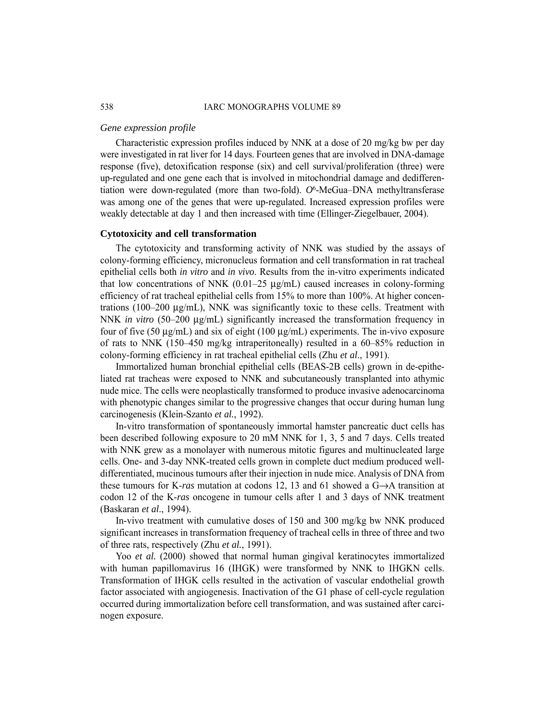## *Gene expression profile*

Characteristic expression profiles induced by NNK at a dose of 20 mg/kg bw per day were investigated in rat liver for 14 days. Fourteen genes that are involved in DNA-damage response (five), detoxification response (six) and cell survival/proliferation (three) were up-regulated and one gene each that is involved in mitochondrial damage and dedifferentiation were down-regulated (more than two-fold).  $O<sup>6</sup>$ -MeGua–DNA methyltransferase was among one of the genes that were up-regulated. Increased expression profiles were weakly detectable at day 1 and then increased with time (Ellinger-Ziegelbauer, 2004).

## **Cytotoxicity and cell transformation**

The cytotoxicity and transforming activity of NNK was studied by the assays of colony-forming efficiency, micronucleus formation and cell transformation in rat tracheal epithelial cells both *in vitro* and *in vivo*. Results from the in-vitro experiments indicated that low concentrations of NNK  $(0.01-25 \mu g/mL)$  caused increases in colony-forming efficiency of rat tracheal epithelial cells from 15% to more than 100%. At higher concentrations (100–200 μg/mL), NNK was significantly toxic to these cells. Treatment with NNK *in vitro* (50–200 μg/mL) significantly increased the transformation frequency in four of five (50 μg/mL) and six of eight (100 μg/mL) experiments. The in-vivo exposure of rats to NNK (150–450 mg/kg intraperitoneally) resulted in a 60–85% reduction in colony-forming efficiency in rat tracheal epithelial cells (Zhu *et al*., 1991).

Immortalized human bronchial epithelial cells (BEAS-2B cells) grown in de-epitheliated rat tracheas were exposed to NNK and subcutaneously transplanted into athymic nude mice. The cells were neoplastically transformed to produce invasive adenocarcinoma with phenotypic changes similar to the progressive changes that occur during human lung carcinogenesis (Klein-Szanto *et al.*, 1992).

In-vitro transformation of spontaneously immortal hamster pancreatic duct cells has been described following exposure to 20 mM NNK for 1, 3, 5 and 7 days. Cells treated with NNK grew as a monolayer with numerous mitotic figures and multinucleated large cells. One- and 3-day NNK-treated cells grown in complete duct medium produced welldifferentiated, mucinous tumours after their injection in nude mice. Analysis of DNA from these tumours for K-*ras* mutation at codons 12, 13 and 61 showed a G→A transition at codon 12 of the K-*ras* oncogene in tumour cells after 1 and 3 days of NNK treatment (Baskaran *et al*., 1994).

In-vivo treatment with cumulative doses of 150 and 300 mg/kg bw NNK produced significant increases in transformation frequency of tracheal cells in three of three and two of three rats, respectively (Zhu *et al.*, 1991).

Yoo *et al.* (2000) showed that normal human gingival keratinocytes immortalized with human papillomavirus 16 (IHGK) were transformed by NNK to IHGKN cells. Transformation of IHGK cells resulted in the activation of vascular endothelial growth factor associated with angiogenesis. Inactivation of the G1 phase of cell-cycle regulation occurred during immortalization before cell transformation, and was sustained after carcinogen exposure.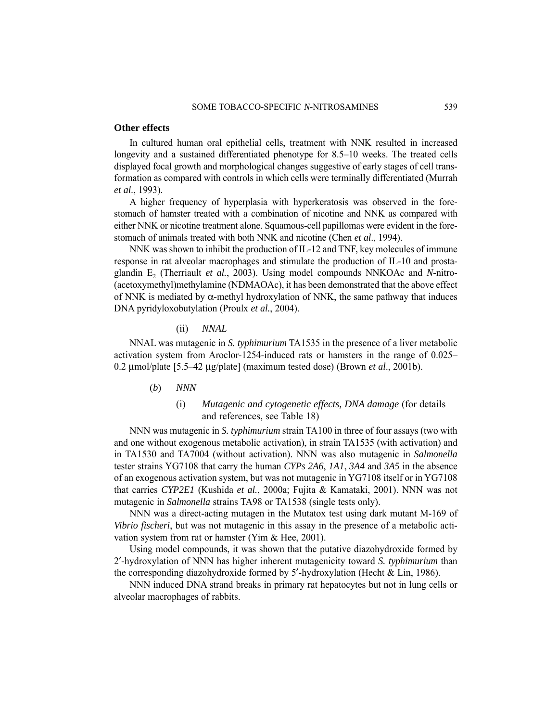# **Other effects**

In cultured human oral epithelial cells, treatment with NNK resulted in increased longevity and a sustained differentiated phenotype for 8.5–10 weeks. The treated cells displayed focal growth and morphological changes suggestive of early stages of cell transformation as compared with controls in which cells were terminally differentiated (Murrah *et al*., 1993).

A higher frequency of hyperplasia with hyperkeratosis was observed in the forestomach of hamster treated with a combination of nicotine and NNK as compared with either NNK or nicotine treatment alone. Squamous-cell papillomas were evident in the forestomach of animals treated with both NNK and nicotine (Chen *et al*., 1994).

NNK was shown to inhibit the production of IL-12 and TNF, key molecules of immune response in rat alveolar macrophages and stimulate the production of IL-10 and prostaglandin E2 (Therriault *et al.*, 2003). Using model compounds NNKOAc and *N*-nitro- (acetoxymethyl)methylamine (NDMAOAc), it has been demonstrated that the above effect of NNK is mediated by α-methyl hydroxylation of NNK, the same pathway that induces DNA pyridyloxobutylation (Proulx *et al.*, 2004).

# (ii) *NNAL*

NNAL was mutagenic in *S. typhimurium* TA1535 in the presence of a liver metabolic activation system from Aroclor-1254-induced rats or hamsters in the range of 0.025– 0.2 μmol/plate [5.5–42 μg/plate] (maximum tested dose) (Brown *et al*., 2001b).

# (*b*) *NNN*

# (i) *Mutagenic and cytogenetic effects, DNA damage* (for details and references, see Table 18)

NNN was mutagenic in *S. typhimurium* strain TA100 in three of four assays (two with and one without exogenous metabolic activation), in strain TA1535 (with activation) and in TA1530 and TA7004 (without activation). NNN was also mutagenic in *Salmonella* tester strains YG7108 that carry the human *CYPs 2A6*, *1A1*, *3A4* and *3A5* in the absence of an exogenous activation system, but was not mutagenic in YG7108 itself or in YG7108 that carries *CYP2E1* (Kushida *et al.*, 2000a; Fujita & Kamataki, 2001). NNN was not mutagenic in *Salmonella* strains TA98 or TA1538 (single tests only).

NNN was a direct-acting mutagen in the Mutatox test using dark mutant M-169 of *Vibrio fischeri*, but was not mutagenic in this assay in the presence of a metabolic activation system from rat or hamster (Yim & Hee, 2001).

Using model compounds, it was shown that the putative diazohydroxide formed by 2′-hydroxylation of NNN has higher inherent mutagenicity toward *S. typhimurium* than the corresponding diazohydroxide formed by 5′-hydroxylation (Hecht & Lin, 1986).

NNN induced DNA strand breaks in primary rat hepatocytes but not in lung cells or alveolar macrophages of rabbits.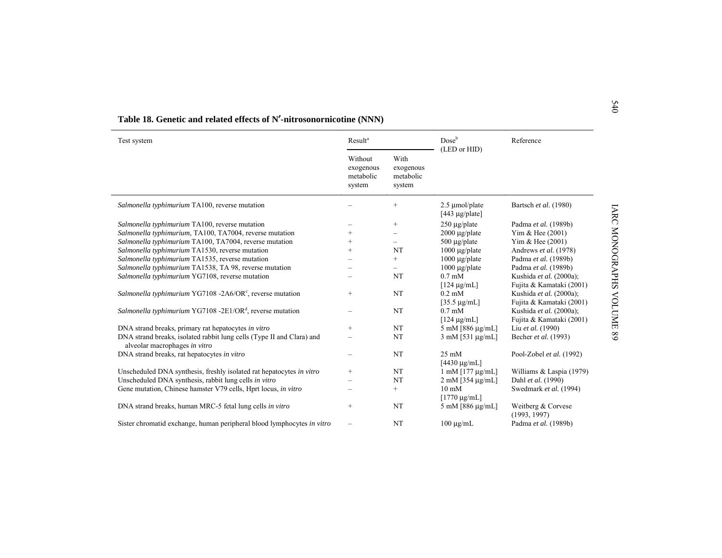| Test system                                                                                            | Result <sup>a</sup>                         |                                          | Dose <sup>b</sup><br>(LED or HID)          | Reference                                           |
|--------------------------------------------------------------------------------------------------------|---------------------------------------------|------------------------------------------|--------------------------------------------|-----------------------------------------------------|
|                                                                                                        | Without<br>exogenous<br>metabolic<br>system | With<br>exogenous<br>metabolic<br>system |                                            |                                                     |
| Salmonella typhimurium TA100, reverse mutation                                                         |                                             | $^{+}$                                   | $2.5 \mu$ mol/plate<br>[443 $\mu$ g/plate] | Bartsch et al. (1980)                               |
| Salmonella typhimurium TA100, reverse mutation                                                         |                                             | $\begin{array}{c} + \end{array}$         | $250 \mu g$ plate                          | Padma et al. (1989b)                                |
| Salmonella typhimurium, TA100, TA7004, reverse mutation                                                | $^{+}$                                      |                                          | $2000 \mu g$ /plate                        | $Yim \& Hee (2001)$                                 |
| Salmonella typhimurium TA100, TA7004, reverse mutation                                                 | $^{+}$                                      | $\overline{\phantom{0}}$                 | 500 µg/plate                               | Yim & Hee (2001)                                    |
| Salmonella typhimurium TA1530, reverse mutation                                                        | $^{+}$                                      | <b>NT</b>                                | $1000 \mu g$ /plate                        | Andrews et al. (1978)                               |
| Salmonella typhimurium TA1535, reverse mutation                                                        |                                             | $\! + \!\!\!\!$                          | $1000 \mu g$ /plate                        | Padma et al. (1989b)                                |
| Salmonella typhimurium TA1538, TA 98, reverse mutation                                                 |                                             |                                          | $1000 \mu g$ plate                         | Padma et al. (1989b)                                |
| Salmonella typhimurium YG7108, reverse mutation                                                        |                                             | NT                                       | $0.7$ mM<br>$[124 \mu g/mL]$               | Kushida et al. (2000a);<br>Fujita & Kamataki (2001) |
| Salmonella typhimurium YG7108 -2A6/OR <sup>c</sup> , reverse mutation                                  | $^{+}$                                      | NT                                       | $0.2 \text{ mM}$<br>[ $35.5 \mu$ g/mL]     | Kushida et al. (2000a);<br>Fujita & Kamataki (2001) |
| Salmonella typhimurium YG7108 -2E1/OR <sup>d</sup> , reverse mutation                                  | $\overline{\phantom{0}}$                    | NT                                       | $0.7$ mM<br>$[124 \mu g/mL]$               | Kushida et al. (2000a);<br>Fujita & Kamataki (2001) |
| DNA strand breaks, primary rat hepatocytes in vitro                                                    | $^{+}$                                      | NT                                       | $5 \text{ mM}$ [886 µg/mL]                 | Liu et al. (1990)                                   |
| DNA strand breaks, isolated rabbit lung cells (Type II and Clara) and<br>alveolar macrophages in vitro |                                             | NT                                       | $3 \text{ mM}$ [531 $\mu$ g/mL]            | Becher et al. (1993)                                |
| DNA strand breaks, rat hepatocytes in vitro                                                            |                                             | NT                                       | 25 mM<br>[4430 $\mu$ g/mL]                 | Pool-Zobel et al. (1992)                            |
| Unscheduled DNA synthesis, freshly isolated rat hepatocytes in vitro                                   | $^{+}$                                      | NT                                       | $1 \text{ mM} [177 \text{ µg/mL}]$         | Williams & Laspia (1979)                            |
| Unscheduled DNA synthesis, rabbit lung cells in vitro                                                  |                                             | NT                                       | $2 \text{ mM}$ [354 $\mu$ g/mL]            | Dahl et al. (1990)                                  |
| Gene mutation, Chinese hamster V79 cells, Hprt locus, in vitro                                         |                                             | $\qquad \qquad +$                        | $10 \text{ mM}$<br>$[1770 \mu g/mL]$       | Swedmark et al. (1994)                              |
| DNA strand breaks, human MRC-5 fetal lung cells in vitro                                               | $^{+}$                                      | NT                                       | 5 mM [886 μg/mL]                           | Weitberg & Corvese<br>(1993, 1997)                  |
| Sister chromatid exchange, human peripheral blood lymphocytes in vitro                                 |                                             | <b>NT</b>                                | $100 \mu g/mL$                             | Padma et al. (1989b)                                |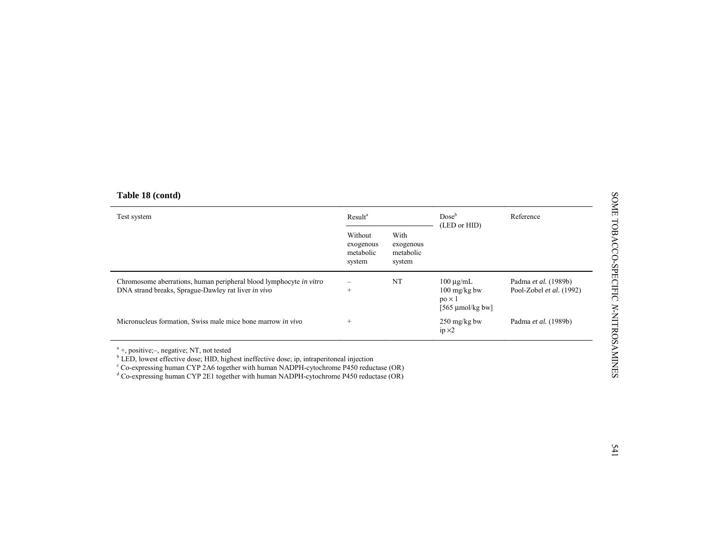# **Table 18 (contd)**

| Test system                                                                                                               | Result <sup>a</sup>                         |                                          | Dose <sup>b</sup><br>(LED or HID)                                                  | Reference                                        |
|---------------------------------------------------------------------------------------------------------------------------|---------------------------------------------|------------------------------------------|------------------------------------------------------------------------------------|--------------------------------------------------|
|                                                                                                                           | Without<br>exogenous<br>metabolic<br>system | With<br>exogenous<br>metabolic<br>system |                                                                                    |                                                  |
| Chromosome aberrations, human peripheral blood lymphocyte in vitro<br>DNA strand breaks, Sprague-Dawley rat liver in vivo | $^{+}$                                      | NT                                       | $100 \mu g/mL$<br>$100 \text{ mg/kg}$ bw<br>$po \times 1$<br>[565 $\mu$ mol/kg bw] | Padma et al. (1989b)<br>Pool-Zobel et al. (1992) |
| Micronucleus formation, Swiss male mice bone marrow in vivo                                                               | $^{+}$                                      |                                          | $250 \text{ mg/kg}$ bw<br>$ip \times 2$                                            | Padma et al. (1989b)                             |

<sup>a</sup> +, positive;--, negative; NT, not tested<br><sup>b</sup> LED, lowest effective dose; HID, highest ineffective dose; ip, intraperitoneal injection<br><sup>c</sup> Co-expressing human CYP 2A6 together with human NADPH-cytochrome P450 reductase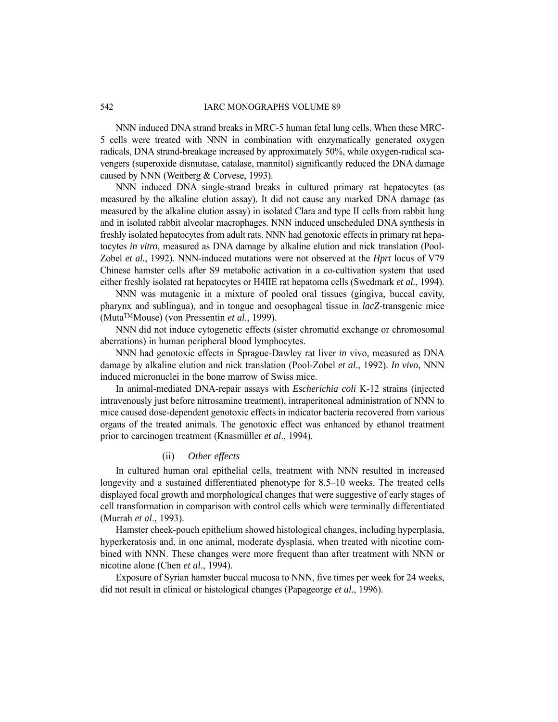NNN induced DNA strand breaks in MRC-5 human fetal lung cells. When these MRC-5 cells were treated with NNN in combination with enzymatically generated oxygen radicals, DNA strand-breakage increased by approximately 50%, while oxygen-radical scavengers (superoxide dismutase, catalase, mannitol) significantly reduced the DNA damage caused by NNN (Weitberg & Corvese, 1993).

NNN induced DNA single-strand breaks in cultured primary rat hepatocytes (as measured by the alkaline elution assay). It did not cause any marked DNA damage (as measured by the alkaline elution assay) in isolated Clara and type II cells from rabbit lung and in isolated rabbit alveolar macrophages. NNN induced unscheduled DNA synthesis in freshly isolated hepatocytes from adult rats. NNN had genotoxic effects in primary rat hepatocytes *in vitro*, measured as DNA damage by alkaline elution and nick translation (Pool-Zobel *et al.*, 1992). NNN-induced mutations were not observed at the *Hprt* locus of V79 Chinese hamster cells after S9 metabolic activation in a co-cultivation system that used either freshly isolated rat hepatocytes or H4IIE rat hepatoma cells (Swedmark *et al.*, 1994).

NNN was mutagenic in a mixture of pooled oral tissues (gingiva, buccal cavity, pharynx and sublingua), and in tongue and oesophageal tissue in *lacZ*-transgenic mice (MutaTMMouse) (von Pressentin *et al*., 1999).

NNN did not induce cytogenetic effects (sister chromatid exchange or chromosomal aberrations) in human peripheral blood lymphocytes.

NNN had genotoxic effects in Sprague-Dawley rat liver *in* vivo, measured as DNA damage by alkaline elution and nick translation (Pool-Zobel *et al*., 1992). *In vivo*, NNN induced micronuclei in the bone marrow of Swiss mice.

In animal-mediated DNA-repair assays with *Escherichia coli* K-12 strains (injected intravenously just before nitrosamine treatment), intraperitoneal administration of NNN to mice caused dose-dependent genotoxic effects in indicator bacteria recovered from various organs of the treated animals. The genotoxic effect was enhanced by ethanol treatment prior to carcinogen treatment (Knasmüller *et al*., 1994).

# (ii) *Other effects*

In cultured human oral epithelial cells, treatment with NNN resulted in increased longevity and a sustained differentiated phenotype for 8.5–10 weeks. The treated cells displayed focal growth and morphological changes that were suggestive of early stages of cell transformation in comparison with control cells which were terminally differentiated (Murrah *et al*., 1993).

Hamster cheek-pouch epithelium showed histological changes, including hyperplasia, hyperkeratosis and, in one animal, moderate dysplasia, when treated with nicotine combined with NNN. These changes were more frequent than after treatment with NNN or nicotine alone (Chen *et al*., 1994).

Exposure of Syrian hamster buccal mucosa to NNN, five times per week for 24 weeks, did not result in clinical or histological changes (Papageorge *et al*., 1996).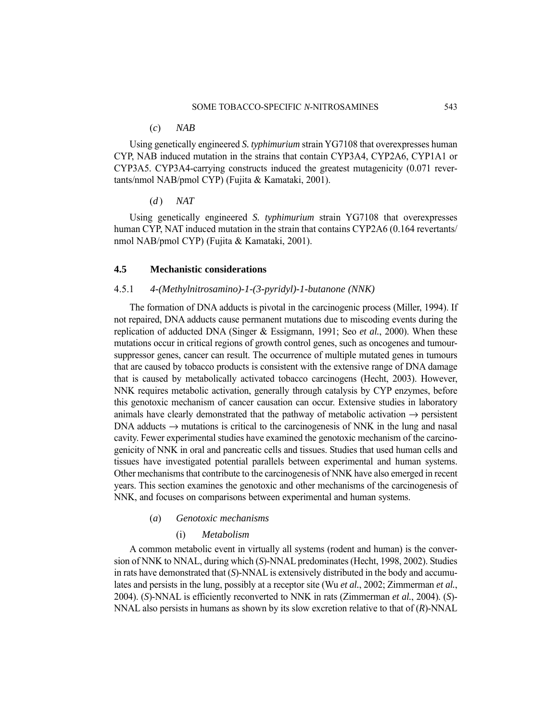## (*c*) *NAB*

Using genetically engineered *S. typhimurium* strain YG7108 that overexpresses human CYP, NAB induced mutation in the strains that contain CYP3A4, CYP2A6, CYP1A1 or CYP3A5. CYP3A4-carrying constructs induced the greatest mutagenicity (0.071 revertants/nmol NAB/pmol CYP) (Fujita & Kamataki, 2001).

## (*d* ) *NAT*

Using genetically engineered *S. typhimurium* strain YG7108 that overexpresses human CYP, NAT induced mutation in the strain that contains CYP2A6 (0.164 revertants/ nmol NAB/pmol CYP) (Fujita & Kamataki, 2001).

## **4.5 Mechanistic considerations**

## 4.5.1 *4-(Methylnitrosamino)-1-(3-pyridyl)-1-butanone (NNK)*

The formation of DNA adducts is pivotal in the carcinogenic process (Miller, 1994). If not repaired, DNA adducts cause permanent mutations due to miscoding events during the replication of adducted DNA (Singer & Essigmann, 1991; Seo *et al.*, 2000). When these mutations occur in critical regions of growth control genes, such as oncogenes and tumoursuppressor genes, cancer can result. The occurrence of multiple mutated genes in tumours that are caused by tobacco products is consistent with the extensive range of DNA damage that is caused by metabolically activated tobacco carcinogens (Hecht, 2003). However, NNK requires metabolic activation, generally through catalysis by CYP enzymes, before this genotoxic mechanism of cancer causation can occur. Extensive studies in laboratory animals have clearly demonstrated that the pathway of metabolic activation  $\rightarrow$  persistent DNA adducts  $\rightarrow$  mutations is critical to the carcinogenesis of NNK in the lung and nasal cavity. Fewer experimental studies have examined the genotoxic mechanism of the carcinogenicity of NNK in oral and pancreatic cells and tissues. Studies that used human cells and tissues have investigated potential parallels between experimental and human systems. Other mechanisms that contribute to the carcinogenesis of NNK have also emerged in recent years. This section examines the genotoxic and other mechanisms of the carcinogenesis of NNK, and focuses on comparisons between experimental and human systems.

## (*a*) *Genotoxic mechanisms*

## (i) *Metabolism*

A common metabolic event in virtually all systems (rodent and human) is the conversion of NNK to NNAL, during which (*S*)-NNAL predominates (Hecht, 1998, 2002). Studies in rats have demonstrated that (*S*)-NNAL is extensively distributed in the body and accumulates and persists in the lung, possibly at a receptor site (Wu *et al.*, 2002; Zimmerman *et al.*, 2004). (*S*)-NNAL is efficiently reconverted to NNK in rats (Zimmerman *et al.*, 2004). (*S*)- NNAL also persists in humans as shown by its slow excretion relative to that of (*R*)-NNAL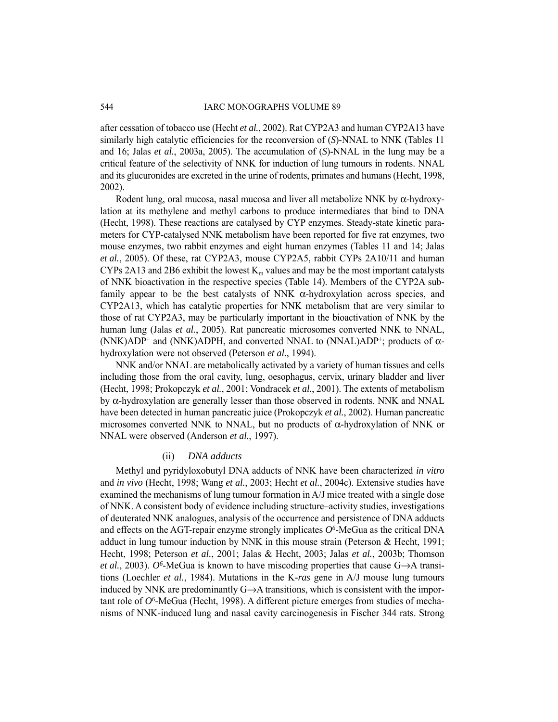after cessation of tobacco use (Hecht *et al.*, 2002). Rat CYP2A3 and human CYP2A13 have similarly high catalytic efficiencies for the reconversion of (*S*)-NNAL to NNK (Tables 11 and 16; Jalas *et al.*, 2003a, 2005). The accumulation of (*S*)-NNAL in the lung may be a critical feature of the selectivity of NNK for induction of lung tumours in rodents. NNAL and its glucuronides are excreted in the urine of rodents, primates and humans (Hecht, 1998, 2002).

Rodent lung, oral mucosa, nasal mucosa and liver all metabolize NNK by  $\alpha$ -hydroxylation at its methylene and methyl carbons to produce intermediates that bind to DNA (Hecht, 1998). These reactions are catalysed by CYP enzymes. Steady-state kinetic parameters for CYP-catalysed NNK metabolism have been reported for five rat enzymes, two mouse enzymes, two rabbit enzymes and eight human enzymes (Tables 11 and 14; Jalas *et al.*, 2005). Of these, rat CYP2A3, mouse CYP2A5, rabbit CYPs 2A10/11 and human CYPs 2A13 and 2B6 exhibit the lowest  $K<sub>m</sub>$  values and may be the most important catalysts of NNK bioactivation in the respective species (Table 14). Members of the CYP2A subfamily appear to be the best catalysts of NNK  $\alpha$ -hydroxylation across species, and CYP2A13, which has catalytic properties for NNK metabolism that are very similar to those of rat CYP2A3, may be particularly important in the bioactivation of NNK by the human lung (Jalas *et al.*, 2005). Rat pancreatic microsomes converted NNK to NNAL, (NNK)ADP<sup>+</sup> and (NNK)ADPH, and converted NNAL to (NNAL)ADP<sup>+</sup>; products of  $\alpha$ hydroxylation were not observed (Peterson *et al.*, 1994).

NNK and/or NNAL are metabolically activated by a variety of human tissues and cells including those from the oral cavity, lung, oesophagus, cervix, urinary bladder and liver (Hecht, 1998; Prokopczyk *et al.*, 2001; Vondracek *et al.*, 2001). The extents of metabolism by  $\alpha$ -hydroxylation are generally lesser than those observed in rodents. NNK and NNAL have been detected in human pancreatic juice (Prokopczyk *et al.*, 2002). Human pancreatic microsomes converted NNK to NNAL, but no products of  $\alpha$ -hydroxylation of NNK or NNAL were observed (Anderson *et al.*, 1997).

## (ii) *DNA adducts*

Methyl and pyridyloxobutyl DNA adducts of NNK have been characterized *in vitro* and *in vivo* (Hecht, 1998; Wang *et al.*, 2003; Hecht *et al.*, 2004c). Extensive studies have examined the mechanisms of lung tumour formation in A/J mice treated with a single dose of NNK. A consistent body of evidence including structure–activity studies, investigations of deuterated NNK analogues, analysis of the occurrence and persistence of DNA adducts and effects on the AGT-repair enzyme strongly implicates *O6*-MeGua as the critical DNA adduct in lung tumour induction by NNK in this mouse strain (Peterson & Hecht, 1991; Hecht, 1998; Peterson *et al.*, 2001; Jalas & Hecht, 2003; Jalas *et al.*, 2003b; Thomson *et al.*, 2003). *O*<sup>6</sup>-MeGua is known to have miscoding properties that cause G→A transitions (Loechler *et al.*, 1984). Mutations in the K*-ras* gene in A/J mouse lung tumours induced by NNK are predominantly  $G \rightarrow A$  transitions, which is consistent with the important role of *O6*-MeGua (Hecht, 1998). A different picture emerges from studies of mechanisms of NNK-induced lung and nasal cavity carcinogenesis in Fischer 344 rats. Strong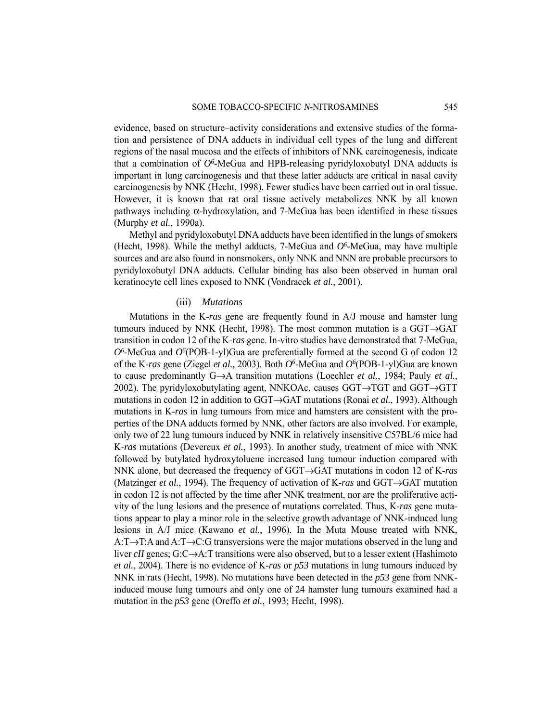## SOME TOBACCO-SPECIFIC *N*-NITROSAMINES 545

evidence, based on structure–activity considerations and extensive studies of the formation and persistence of DNA adducts in individual cell types of the lung and different regions of the nasal mucosa and the effects of inhibitors of NNK carcinogenesis, indicate that a combination of  $O^6$ -MeGua and HPB-releasing pyridyloxobutyl DNA adducts is important in lung carcinogenesis and that these latter adducts are critical in nasal cavity carcinogenesis by NNK (Hecht, 1998). Fewer studies have been carried out in oral tissue. However, it is known that rat oral tissue actively metabolizes NNK by all known pathways including α-hydroxylation, and 7-MeGua has been identified in these tissues (Murphy *et al.*, 1990a).

Methyl and pyridyloxobutyl DNA adducts have been identified in the lungs of smokers (Hecht, 1998). While the methyl adducts, 7-MeGua and  $O<sup>6</sup>$ -MeGua, may have multiple sources and are also found in nonsmokers, only NNK and NNN are probable precursors to pyridyloxobutyl DNA adducts. Cellular binding has also been observed in human oral keratinocyte cell lines exposed to NNK (Vondracek *et al.*, 2001).

#### (iii) *Mutations*

Mutations in the K-*ras* gene are frequently found in A/J mouse and hamster lung tumours induced by NNK (Hecht, 1998). The most common mutation is a GGT→GAT transition in codon 12 of the K-*ras* gene. In-vitro studies have demonstrated that 7-MeGua,  $O^6$ -MeGua and  $O^6$ (POB-1-yl)Gua are preferentially formed at the second G of codon 12 of the K-*ras* gene (Ziegel *et al.*, 2003). Both *O6*-MeGua and *O6*(POB-1-yl)Gua are known to cause predominantly G→A transition mutations (Loechler *et al.*, 1984; Pauly *et al.*, 2002). The pyridyloxobutylating agent, NNKOAc, causes GGT→TGT and GGT→GTT mutations in codon 12 in addition to GGT→GAT mutations (Ronai *et al.*, 1993). Although mutations in K-*ras* in lung tumours from mice and hamsters are consistent with the properties of the DNA adducts formed by NNK, other factors are also involved. For example, only two of 22 lung tumours induced by NNK in relatively insensitive C57BL/6 mice had K-*ras* mutations (Devereux *et al.*, 1993). In another study, treatment of mice with NNK followed by butylated hydroxytoluene increased lung tumour induction compared with NNK alone, but decreased the frequency of GGT→GAT mutations in codon 12 of K-*ras* (Matzinger *et al.*, 1994). The frequency of activation of K-*ras* and GGT→GAT mutation in codon 12 is not affected by the time after NNK treatment, nor are the proliferative activity of the lung lesions and the presence of mutations correlated. Thus, K-*ras* gene mutations appear to play a minor role in the selective growth advantage of NNK-induced lung lesions in A/J mice (Kawano *et al.*, 1996). In the Muta Mouse treated with NNK, A:T→T:A and A:T→C:G transversions were the major mutations observed in the lung and liver *cII* genes; G:C→A:T transitions were also observed, but to a lesser extent (Hashimoto *et al.*, 2004). There is no evidence of K-*ras* or *p53* mutations in lung tumours induced by NNK in rats (Hecht, 1998). No mutations have been detected in the *p53* gene from NNKinduced mouse lung tumours and only one of 24 hamster lung tumours examined had a mutation in the *p53* gene (Oreffo *et al.*, 1993; Hecht, 1998).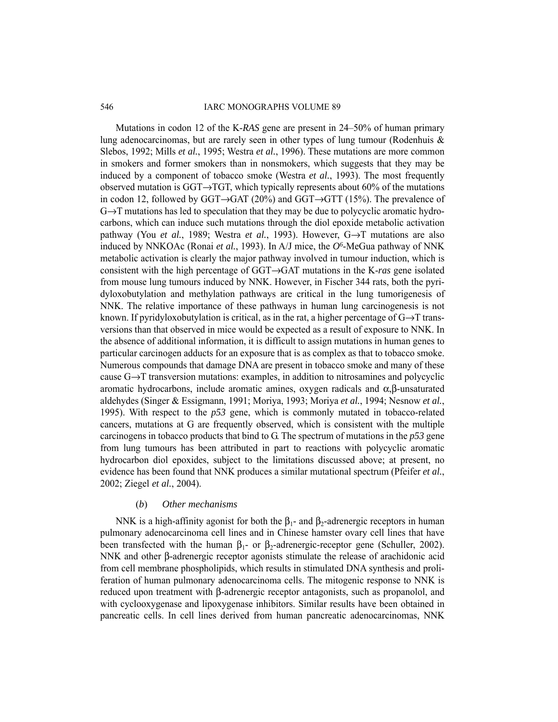Mutations in codon 12 of the K-*RAS* gene are present in 24–50% of human primary lung adenocarcinomas, but are rarely seen in other types of lung tumour (Rodenhuis  $\&$ Slebos, 1992; Mills *et al.*, 1995; Westra *et al.*, 1996). These mutations are more common in smokers and former smokers than in nonsmokers, which suggests that they may be induced by a component of tobacco smoke (Westra *et al.*, 1993). The most frequently observed mutation is GGT→TGT, which typically represents about 60% of the mutations in codon 12, followed by GGT→GAT (20%) and GGT→GTT (15%). The prevalence of  $G \rightarrow T$  mutations has led to speculation that they may be due to polycyclic aromatic hydrocarbons, which can induce such mutations through the diol epoxide metabolic activation pathway (You *et al.*, 1989; Westra *et al.*, 1993). However, G→T mutations are also induced by NNKOAc (Ronai *et al.*, 1993). In A/J mice, the *O6*-MeGua pathway of NNK metabolic activation is clearly the major pathway involved in tumour induction, which is consistent with the high percentage of GGT→GAT mutations in the K-*ras* gene isolated from mouse lung tumours induced by NNK. However, in Fischer 344 rats, both the pyridyloxobutylation and methylation pathways are critical in the lung tumorigenesis of NNK. The relative importance of these pathways in human lung carcinogenesis is not known. If pyridyloxobutylation is critical, as in the rat, a higher percentage of  $G\rightarrow T$  transversions than that observed in mice would be expected as a result of exposure to NNK. In the absence of additional information, it is difficult to assign mutations in human genes to particular carcinogen adducts for an exposure that is as complex as that to tobacco smoke. Numerous compounds that damage DNA are present in tobacco smoke and many of these cause G→T transversion mutations: examples, in addition to nitrosamines and polycyclic aromatic hydrocarbons, include aromatic amines, oxygen radicals and  $\alpha$ ,β-unsaturated aldehydes (Singer & Essigmann, 1991; Moriya, 1993; Moriya *et al.*, 1994; Nesnow *et al.*, 1995). With respect to the *p53* gene, which is commonly mutated in tobacco-related cancers, mutations at G are frequently observed, which is consistent with the multiple carcinogens in tobacco products that bind to G. The spectrum of mutations in the *p53* gene from lung tumours has been attributed in part to reactions with polycyclic aromatic hydrocarbon diol epoxides, subject to the limitations discussed above; at present, no evidence has been found that NNK produces a similar mutational spectrum (Pfeifer *et al.*, 2002; Ziegel *et al.*, 2004).

## (*b*) *Other mechanisms*

NNK is a high-affinity agonist for both the  $β_1$ - and  $β_2$ -adrenergic receptors in human pulmonary adenocarcinoma cell lines and in Chinese hamster ovary cell lines that have been transfected with the human  $β_1$ - or  $β_2$ -adrenergic-receptor gene (Schuller, 2002). NNK and other β-adrenergic receptor agonists stimulate the release of arachidonic acid from cell membrane phospholipids, which results in stimulated DNA synthesis and proliferation of human pulmonary adenocarcinoma cells. The mitogenic response to NNK is reduced upon treatment with β-adrenergic receptor antagonists, such as propanolol, and with cyclooxygenase and lipoxygenase inhibitors. Similar results have been obtained in pancreatic cells. In cell lines derived from human pancreatic adenocarcinomas, NNK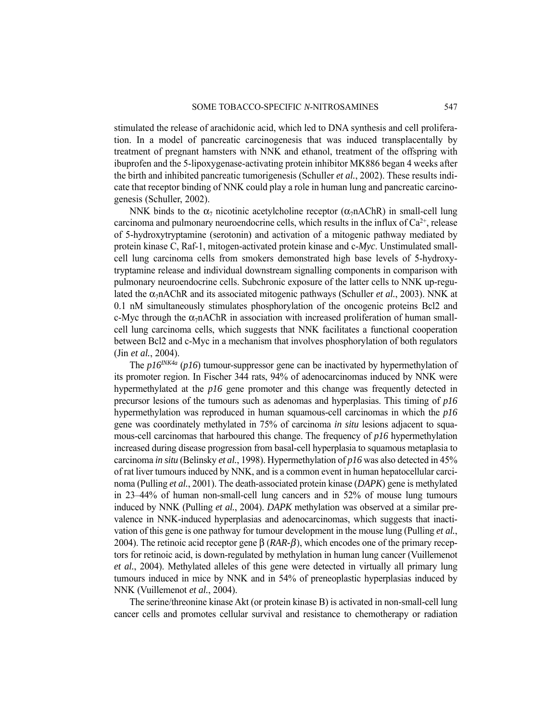stimulated the release of arachidonic acid, which led to DNA synthesis and cell proliferation. In a model of pancreatic carcinogenesis that was induced transplacentally by treatment of pregnant hamsters with NNK and ethanol, treatment of the offspring with ibuprofen and the 5-lipoxygenase-activating protein inhibitor MK886 began 4 weeks after the birth and inhibited pancreatic tumorigenesis (Schuller *et al.*, 2002). These results indicate that receptor binding of NNK could play a role in human lung and pancreatic carcinogenesis (Schuller, 2002).

NNK binds to the  $\alpha_7$  nicotinic acetylcholine receptor ( $\alpha_7$ nAChR) in small-cell lung carcinoma and pulmonary neuroendocrine cells, which results in the influx of  $Ca^{2+}$ , release of 5-hydroxytryptamine (serotonin) and activation of a mitogenic pathway mediated by protein kinase C, Raf-1, mitogen-activated protein kinase and c-*Myc*. Unstimulated smallcell lung carcinoma cells from smokers demonstrated high base levels of 5-hydroxytryptamine release and individual downstream signalling components in comparison with pulmonary neuroendocrine cells. Subchronic exposure of the latter cells to NNK up-regulated the  $\alpha_7$ nAChR and its associated mitogenic pathways (Schuller *et al.*, 2003). NNK at 0.1 nM simultaneously stimulates phosphorylation of the oncogenic proteins Bcl2 and c-Myc through the  $\alpha_7$ nAChR in association with increased proliferation of human smallcell lung carcinoma cells, which suggests that NNK facilitates a functional cooperation between Bcl2 and c-Myc in a mechanism that involves phosphorylation of both regulators (Jin *et al.*, 2004).

The *p16INK4a* (*p16*) tumour-suppressor gene can be inactivated by hypermethylation of its promoter region. In Fischer 344 rats, 94% of adenocarcinomas induced by NNK were hypermethylated at the *p16* gene promoter and this change was frequently detected in precursor lesions of the tumours such as adenomas and hyperplasias. This timing of *p16* hypermethylation was reproduced in human squamous-cell carcinomas in which the *p16* gene was coordinately methylated in 75% of carcinoma *in situ* lesions adjacent to squamous-cell carcinomas that harboured this change. The frequency of *p16* hypermethylation increased during disease progression from basal-cell hyperplasia to squamous metaplasia to carcinoma *in situ* (Belinsky *et al.*, 1998). Hypermethylation of *p16* was also detected in 45% of rat liver tumours induced by NNK, and is a common event in human hepatocellular carcinoma (Pulling *et al.*, 2001). The death-associated protein kinase (*DAPK*) gene is methylated in 23–44% of human non-small-cell lung cancers and in 52% of mouse lung tumours induced by NNK (Pulling *et al.*, 2004). *DAPK* methylation was observed at a similar prevalence in NNK-induced hyperplasias and adenocarcinomas, which suggests that inactivation of this gene is one pathway for tumour development in the mouse lung (Pulling *et al.*, 2004). The retinoic acid receptor gene β (*RAR-*β), which encodes one of the primary receptors for retinoic acid, is down-regulated by methylation in human lung cancer (Vuillemenot *et al.*, 2004). Methylated alleles of this gene were detected in virtually all primary lung tumours induced in mice by NNK and in 54% of preneoplastic hyperplasias induced by NNK (Vuillemenot *et al.*, 2004).

The serine/threonine kinase Akt (or protein kinase B) is activated in non-small-cell lung cancer cells and promotes cellular survival and resistance to chemotherapy or radiation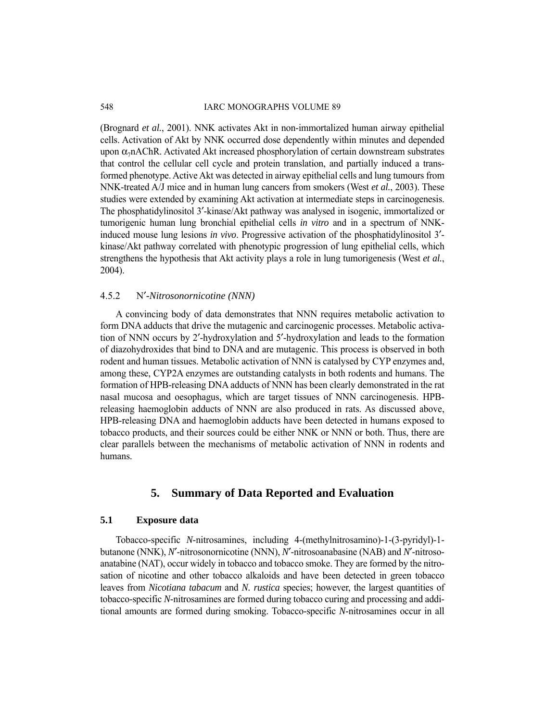(Brognard *et al.*, 2001). NNK activates Akt in non-immortalized human airway epithelial cells. Activation of Akt by NNK occurred dose dependently within minutes and depended upon  $\alpha_7$ nAChR. Activated Akt increased phosphorylation of certain downstream substrates that control the cellular cell cycle and protein translation, and partially induced a transformed phenotype. Active Akt was detected in airway epithelial cells and lung tumours from NNK-treated A/J mice and in human lung cancers from smokers (West *et al.*, 2003). These studies were extended by examining Akt activation at intermediate steps in carcinogenesis. The phosphatidylinositol 3′-kinase/Akt pathway was analysed in isogenic, immortalized or tumorigenic human lung bronchial epithelial cells *in vitro* and in a spectrum of NNKinduced mouse lung lesions *in vivo*. Progressive activation of the phosphatidylinositol 3′ kinase/Akt pathway correlated with phenotypic progression of lung epithelial cells, which strengthens the hypothesis that Akt activity plays a role in lung tumorigenesis (West *et al.*, 2004).

## 4.5.2 N′*-Nitrosonornicotine (NNN)*

A convincing body of data demonstrates that NNN requires metabolic activation to form DNA adducts that drive the mutagenic and carcinogenic processes. Metabolic activation of NNN occurs by 2′-hydroxylation and 5′-hydroxylation and leads to the formation of diazohydroxides that bind to DNA and are mutagenic. This process is observed in both rodent and human tissues. Metabolic activation of NNN is catalysed by CYP enzymes and, among these, CYP2A enzymes are outstanding catalysts in both rodents and humans. The formation of HPB-releasing DNA adducts of NNN has been clearly demonstrated in the rat nasal mucosa and oesophagus, which are target tissues of NNN carcinogenesis. HPBreleasing haemoglobin adducts of NNN are also produced in rats. As discussed above, HPB-releasing DNA and haemoglobin adducts have been detected in humans exposed to tobacco products, and their sources could be either NNK or NNN or both. Thus, there are clear parallels between the mechanisms of metabolic activation of NNN in rodents and humans.

# **5. Summary of Data Reported and Evaluation**

## **5.1 Exposure data**

Tobacco-specific *N*-nitrosamines, including 4-(methylnitrosamino)-1-(3-pyridyl)-1 butanone (NNK), *N*′-nitrosonornicotine (NNN), *N*′-nitrosoanabasine (NAB) and *N*′-nitrosoanatabine (NAT), occur widely in tobacco and tobacco smoke. They are formed by the nitrosation of nicotine and other tobacco alkaloids and have been detected in green tobacco leaves from *Nicotiana tabacum* and *N. rustica* species; however, the largest quantities of tobacco-specific *N*-nitrosamines are formed during tobacco curing and processing and additional amounts are formed during smoking. Tobacco-specific *N*-nitrosamines occur in all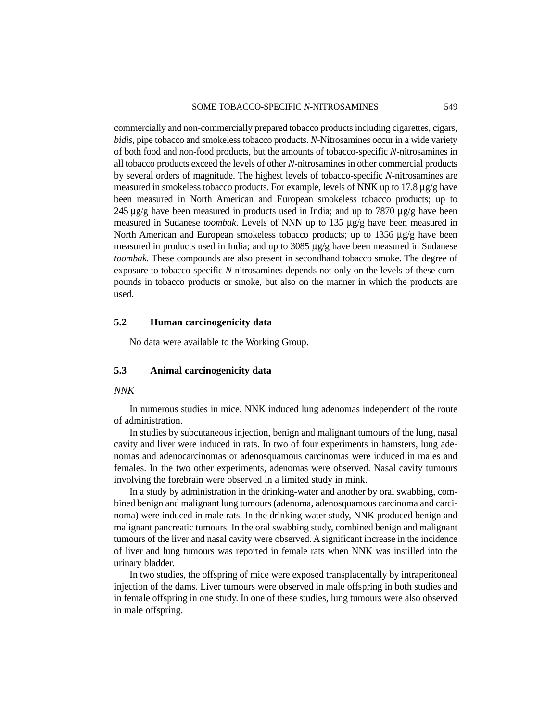# SOME TOBACCO-SPECIFIC *N*-NITROSAMINES 549

commercially and non-commercially prepared tobacco products including cigarettes, cigars, *bidis*, pipe tobacco and smokeless tobacco products. *N*-Nitrosamines occur in a wide variety of both food and non-food products, but the amounts of tobacco-specific *N*-nitrosamines in all tobacco products exceed the levels of other *N*-nitrosamines in other commercial products by several orders of magnitude. The highest levels of tobacco-specific *N*-nitrosamines are measured in smokeless tobacco products. For example, levels of NNK up to 17.8  $\mu$ g/g have been measured in North American and European smokeless tobacco products; up to 245 μg/g have been measured in products used in India; and up to 7870 μg/g have been measured in Sudanese *toombak*. Levels of NNN up to 135 μg/g have been measured in North American and European smokeless tobacco products; up to 1356 μg/g have been measured in products used in India; and up to 3085 μg/g have been measured in Sudanese *toombak*. These compounds are also present in secondhand tobacco smoke. The degree of exposure to tobacco-specific *N*-nitrosamines depends not only on the levels of these compounds in tobacco products or smoke, but also on the manner in which the products are used.

# **5.2 Human carcinogenicity data**

No data were available to the Working Group.

# **5.3 Animal carcinogenicity data**

# *NNK*

In numerous studies in mice, NNK induced lung adenomas independent of the route of administration.

In studies by subcutaneous injection, benign and malignant tumours of the lung, nasal cavity and liver were induced in rats. In two of four experiments in hamsters, lung adenomas and adenocarcinomas or adenosquamous carcinomas were induced in males and females. In the two other experiments, adenomas were observed. Nasal cavity tumours involving the forebrain were observed in a limited study in mink.

In a study by administration in the drinking-water and another by oral swabbing, combined benign and malignant lung tumours (adenoma, adenosquamous carcinoma and carcinoma) were induced in male rats. In the drinking-water study, NNK produced benign and malignant pancreatic tumours. In the oral swabbing study, combined benign and malignant tumours of the liver and nasal cavity were observed. A significant increase in the incidence of liver and lung tumours was reported in female rats when NNK was instilled into the urinary bladder.

In two studies, the offspring of mice were exposed transplacentally by intraperitoneal injection of the dams. Liver tumours were observed in male offspring in both studies and in female offspring in one study. In one of these studies, lung tumours were also observed in male offspring.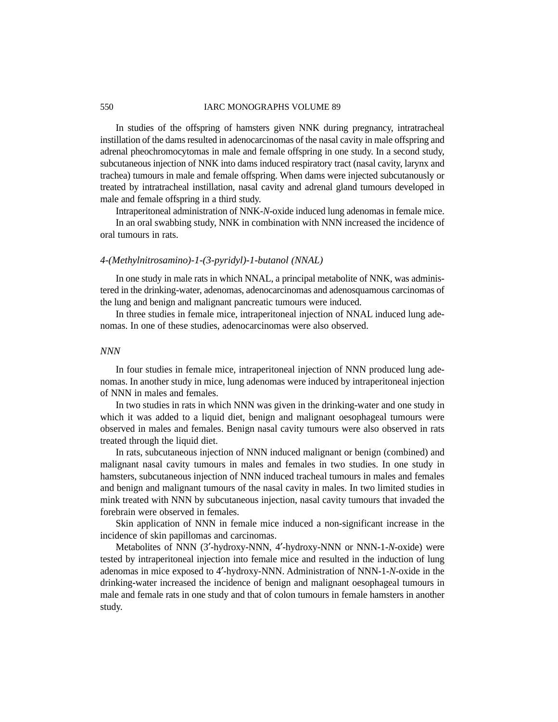In studies of the offspring of hamsters given NNK during pregnancy, intratracheal instillation of the dams resulted in adenocarcinomas of the nasal cavity in male offspring and adrenal pheochromocytomas in male and female offspring in one study. In a second study, subcutaneous injection of NNK into dams induced respiratory tract (nasal cavity, larynx and trachea) tumours in male and female offspring. When dams were injected subcutanously or treated by intratracheal instillation, nasal cavity and adrenal gland tumours developed in male and female offspring in a third study.

Intraperitoneal administration of NNK-*N*-oxide induced lung adenomas in female mice.

In an oral swabbing study, NNK in combination with NNN increased the incidence of oral tumours in rats.

## *4-(Methylnitrosamino)-1-(3-pyridyl)-1-butanol (NNAL)*

In one study in male rats in which NNAL, a principal metabolite of NNK, was administered in the drinking-water, adenomas, adenocarcinomas and adenosquamous carcinomas of the lung and benign and malignant pancreatic tumours were induced.

In three studies in female mice, intraperitoneal injection of NNAL induced lung adenomas. In one of these studies, adenocarcinomas were also observed.

## *NNN*

In four studies in female mice, intraperitoneal injection of NNN produced lung adenomas. In another study in mice, lung adenomas were induced by intraperitoneal injection of NNN in males and females.

In two studies in rats in which NNN was given in the drinking-water and one study in which it was added to a liquid diet, benign and malignant oesophageal tumours were observed in males and females. Benign nasal cavity tumours were also observed in rats treated through the liquid diet.

In rats, subcutaneous injection of NNN induced malignant or benign (combined) and malignant nasal cavity tumours in males and females in two studies. In one study in hamsters, subcutaneous injection of NNN induced tracheal tumours in males and females and benign and malignant tumours of the nasal cavity in males. In two limited studies in mink treated with NNN by subcutaneous injection, nasal cavity tumours that invaded the forebrain were observed in females.

Skin application of NNN in female mice induced a non-significant increase in the incidence of skin papillomas and carcinomas.

Metabolites of NNN (3′-hydroxy-NNN, 4′-hydroxy-NNN or NNN-1-*N*-oxide) were tested by intraperitoneal injection into female mice and resulted in the induction of lung adenomas in mice exposed to 4′-hydroxy-NNN. Administration of NNN-1-*N*-oxide in the drinking-water increased the incidence of benign and malignant oesophageal tumours in male and female rats in one study and that of colon tumours in female hamsters in another study.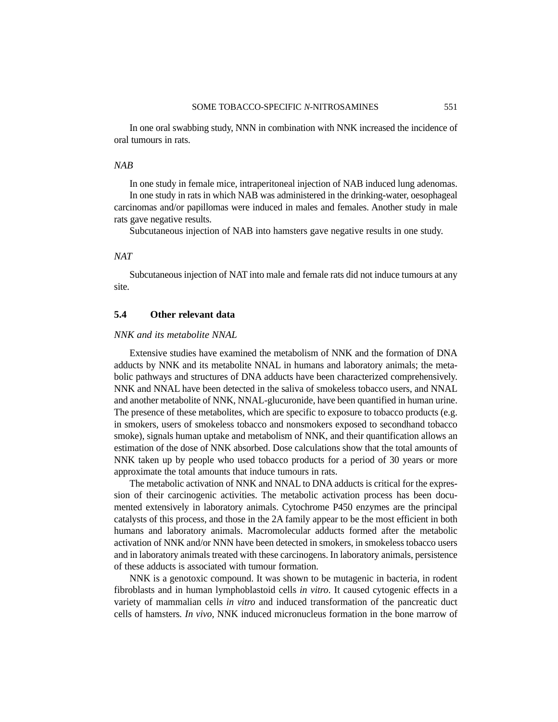In one oral swabbing study, NNN in combination with NNK increased the incidence of oral tumours in rats.

## *NAB*

In one study in female mice, intraperitoneal injection of NAB induced lung adenomas. In one study in rats in which NAB was administered in the drinking-water, oesophageal carcinomas and/or papillomas were induced in males and females. Another study in male rats gave negative results.

Subcutaneous injection of NAB into hamsters gave negative results in one study.

# *NAT*

Subcutaneous injection of NAT into male and female rats did not induce tumours at any site.

# **5.4 Other relevant data**

# *NNK and its metabolite NNAL*

Extensive studies have examined the metabolism of NNK and the formation of DNA adducts by NNK and its metabolite NNAL in humans and laboratory animals; the metabolic pathways and structures of DNA adducts have been characterized comprehensively. NNK and NNAL have been detected in the saliva of smokeless tobacco users, and NNAL and another metabolite of NNK, NNAL-glucuronide, have been quantified in human urine. The presence of these metabolites, which are specific to exposure to tobacco products (e.g. in smokers, users of smokeless tobacco and nonsmokers exposed to secondhand tobacco smoke), signals human uptake and metabolism of NNK, and their quantification allows an estimation of the dose of NNK absorbed. Dose calculations show that the total amounts of NNK taken up by people who used tobacco products for a period of 30 years or more approximate the total amounts that induce tumours in rats.

The metabolic activation of NNK and NNAL to DNA adducts is critical for the expression of their carcinogenic activities. The metabolic activation process has been documented extensively in laboratory animals. Cytochrome P450 enzymes are the principal catalysts of this process, and those in the 2A family appear to be the most efficient in both humans and laboratory animals. Macromolecular adducts formed after the metabolic activation of NNK and/or NNN have been detected in smokers, in smokeless tobacco users and in laboratory animals treated with these carcinogens. In laboratory animals, persistence of these adducts is associated with tumour formation.

NNK is a genotoxic compound. It was shown to be mutagenic in bacteria, in rodent fibroblasts and in human lymphoblastoid cells *in vitro*. It caused cytogenic effects in a variety of mammalian cells *in vitro* and induced transformation of the pancreatic duct cells of hamsters*. In vivo,* NNK induced micronucleus formation in the bone marrow of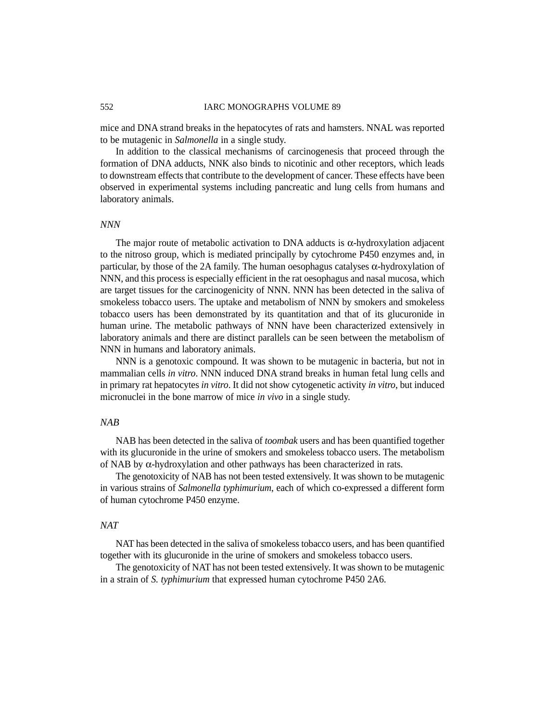mice and DNA strand breaks in the hepatocytes of rats and hamsters. NNAL was reported to be mutagenic in *Salmonella* in a single study.

In addition to the classical mechanisms of carcinogenesis that proceed through the formation of DNA adducts, NNK also binds to nicotinic and other receptors, which leads to downstream effects that contribute to the development of cancer. These effects have been observed in experimental systems including pancreatic and lung cells from humans and laboratory animals.

## *NNN*

The major route of metabolic activation to DNA adducts is  $\alpha$ -hydroxylation adjacent to the nitroso group, which is mediated principally by cytochrome P450 enzymes and, in particular, by those of the 2A family. The human oesophagus catalyses  $\alpha$ -hydroxylation of NNN, and this process is especially efficient in the rat oesophagus and nasal mucosa, which are target tissues for the carcinogenicity of NNN. NNN has been detected in the saliva of smokeless tobacco users. The uptake and metabolism of NNN by smokers and smokeless tobacco users has been demonstrated by its quantitation and that of its glucuronide in human urine. The metabolic pathways of NNN have been characterized extensively in laboratory animals and there are distinct parallels can be seen between the metabolism of NNN in humans and laboratory animals.

NNN is a genotoxic compound. It was shown to be mutagenic in bacteria, but not in mammalian cells *in vitro*. NNN induced DNA strand breaks in human fetal lung cells and in primary rat hepatocytes *in vitro*. It did not show cytogenetic activity *in vitro*, but induced micronuclei in the bone marrow of mice *in vivo* in a single study.

## *NAB*

NAB has been detected in the saliva of *toombak* users and has been quantified together with its glucuronide in the urine of smokers and smokeless tobacco users. The metabolism of NAB by  $\alpha$ -hydroxylation and other pathways has been characterized in rats.

The genotoxicity of NAB has not been tested extensively. It was shown to be mutagenic in various strains of *Salmonella typhimurium*, each of which co-expressed a different form of human cytochrome P450 enzyme.

## *NAT*

NAT has been detected in the saliva of smokeless tobacco users, and has been quantified together with its glucuronide in the urine of smokers and smokeless tobacco users.

The genotoxicity of NAT has not been tested extensively. It was shown to be mutagenic in a strain of *S. typhimurium* that expressed human cytochrome P450 2A6.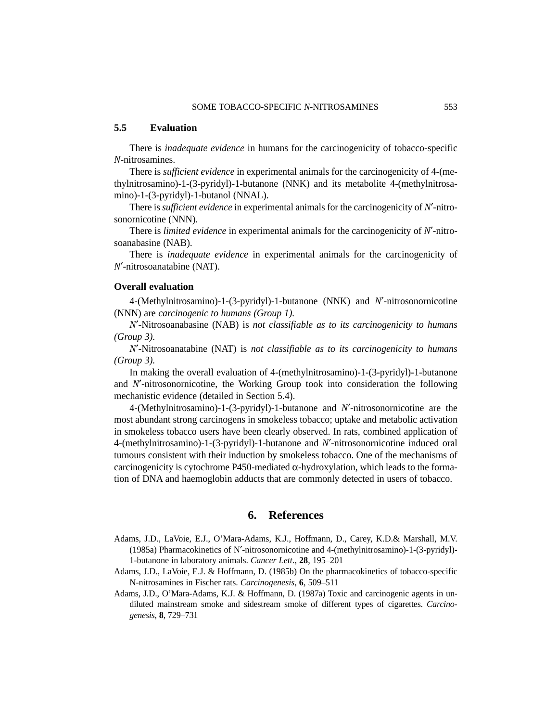## **5.5 Evaluation**

There is *inadequate evidence* in humans for the carcinogenicity of tobacco-specific *N*-nitrosamines.

There is *sufficient evidence* in experimental animals for the carcinogenicity of 4-(methylnitrosamino)-1-(3-pyridyl)-1-butanone (NNK) and its metabolite 4-(methylnitrosamino)-1-(3-pyridyl)-1-butanol (NNAL).

There is *sufficient evidence* in experimental animals for the carcinogenicity of *N*′-nitrosonornicotine (NNN).

There is *limited evidence* in experimental animals for the carcinogenicity of *N*′-nitrosoanabasine (NAB).

There is *inadequate evidence* in experimental animals for the carcinogenicity of *N*′-nitrosoanatabine (NAT).

# **Overall evaluation**

4-(Methylnitrosamino)-1-(3-pyridyl)-1-butanone (NNK) and *N*′-nitrosonornicotine (NNN) are *carcinogenic to humans (Group 1).*

*N*′-Nitrosoanabasine (NAB) is *not classifiable as to its carcinogenicity to humans (Group 3).*

*N*′-Nitrosoanatabine (NAT) is *not classifiable as to its carcinogenicity to humans (Group 3).*

In making the overall evaluation of 4-(methylnitrosamino)-1-(3-pyridyl)-1-butanone and *N*′-nitrosonornicotine, the Working Group took into consideration the following mechanistic evidence (detailed in Section 5.4).

4-(Methylnitrosamino)-1-(3-pyridyl)-1-butanone and *N*′-nitrosonornicotine are the most abundant strong carcinogens in smokeless tobacco; uptake and metabolic activation in smokeless tobacco users have been clearly observed. In rats, combined application of 4-(methylnitrosamino)-1-(3-pyridyl)-1-butanone and *N*′-nitrosonornicotine induced oral tumours consistent with their induction by smokeless tobacco. One of the mechanisms of carcinogenicity is cytochrome P450-mediated α-hydroxylation, which leads to the formation of DNA and haemoglobin adducts that are commonly detected in users of tobacco.

# **6. References**

- Adams, J.D., LaVoie, E.J., O'Mara-Adams, K.J., Hoffmann, D., Carey, K.D.& Marshall, M.V. (1985a) Pharmacokinetics of N′-nitrosonornicotine and 4-(methylnitrosamino)-1-(3-pyridyl)- 1-butanone in laboratory animals. *Cancer Lett*., **28**, 195–201
- Adams, J.D., LaVoie, E.J. & Hoffmann, D. (1985b) On the pharmacokinetics of tobacco-specific N-nitrosamines in Fischer rats. *Carcinogenesis*, **6**, 509–511
- Adams, J.D., O'Mara-Adams, K.J. & Hoffmann, D. (1987a) Toxic and carcinogenic agents in undiluted mainstream smoke and sidestream smoke of different types of cigarettes. *Carcinogenesis*, **8**, 729–731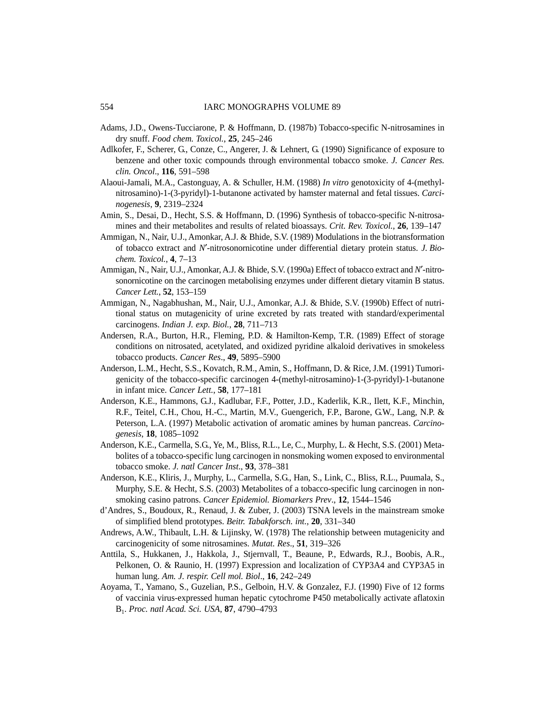- Adams, J.D., Owens-Tucciarone, P. & Hoffmann, D. (1987b) Tobacco-specific N-nitrosamines in dry snuff. *Food chem. Toxicol.*, **25**, 245–246
- Adlkofer, F., Scherer, G., Conze, C., Angerer, J. & Lehnert, G. (1990) Significance of exposure to benzene and other toxic compounds through environmental tobacco smoke. *J. Cancer Res. clin. Oncol*., **116**, 591–598
- Alaoui-Jamali, M.A., Castonguay, A. & Schuller, H.M. (1988) *In vitro* genotoxicity of 4-(methylnitrosamino)-1-(3-pyridyl)-1-butanone activated by hamster maternal and fetal tissues. *Carcinogenesis*, **9**, 2319–2324
- Amin, S., Desai, D., Hecht, S.S. & Hoffmann, D. (1996) Synthesis of tobacco-specific N-nitrosamines and their metabolites and results of related bioassays. *Crit. Rev. Toxicol.*, **26**, 139–147
- Ammigan, N., Nair, U.J., Amonkar, A.J. & Bhide, S.V. (1989) Modulations in the biotransformation of tobacco extract and *N*′-nitrosonornicotine under differential dietary protein status. *J. Biochem. Toxicol.*, **4**, 7–13
- Ammigan, N., Nair, U.J., Amonkar, A.J. & Bhide, S.V. (1990a) Effect of tobacco extract and *N*′-nitrosonornicotine on the carcinogen metabolising enzymes under different dietary vitamin B status. *Cancer Lett.*, **52**, 153–159
- Ammigan, N., Nagabhushan, M., Nair, U.J., Amonkar, A.J. & Bhide, S.V. (1990b) Effect of nutritional status on mutagenicity of urine excreted by rats treated with standard/experimental carcinogens. *Indian J. exp. Biol.*, **28**, 711–713
- Andersen, R.A., Burton, H.R., Fleming, P.D. & Hamilton-Kemp, T.R. (1989) Effect of storage conditions on nitrosated, acetylated, and oxidized pyridine alkaloid derivatives in smokeless tobacco products. *Cancer Res*., **49**, 5895–5900
- Anderson, L.M., Hecht, S.S., Kovatch, R.M., Amin, S., Hoffmann, D. & Rice, J.M. (1991) Tumorigenicity of the tobacco-specific carcinogen 4-(methyl-nitrosamino)-1-(3-pyridyl)-1-butanone in infant mice. *Cancer Lett.*, **58**, 177–181
- Anderson, K.E., Hammons, G.J., Kadlubar, F.F., Potter, J.D., Kaderlik, K.R., Ilett, K.F., Minchin, R.F., Teitel, C.H., Chou, H.-C., Martin, M.V., Guengerich, F.P., Barone, G.W., Lang, N.P. & Peterson, L.A. (1997) Metabolic activation of aromatic amines by human pancreas. *Carcinogenesis*, **18**, 1085–1092
- Anderson, K.E., Carmella, S.G., Ye, M., Bliss, R.L., Le, C., Murphy, L. & Hecht, S.S. (2001) Metabolites of a tobacco-specific lung carcinogen in nonsmoking women exposed to environmental tobacco smoke. *J. natl Cancer Inst*., **93**, 378–381
- Anderson, K.E., Kliris, J., Murphy, L., Carmella, S.G., Han, S., Link, C., Bliss, R.L., Puumala, S., Murphy, S.E. & Hecht, S.S. (2003) Metabolites of a tobacco-specific lung carcinogen in nonsmoking casino patrons. *Cancer Epidemiol. Biomarkers Prev*., **12**, 1544–1546
- d'Andres, S., Boudoux, R., Renaud, J. & Zuber, J. (2003) TSNA levels in the mainstream smoke of simplified blend prototypes. *Beitr. Tabakforsch. int.*, **20**, 331–340
- Andrews, A.W., Thibault, L.H. & Lijinsky, W. (1978) The relationship between mutagenicity and carcinogenicity of some nitrosamines. *Mutat. Res*., **51**, 319–326
- Anttila, S., Hukkanen, J., Hakkola, J., Stjernvall, T., Beaune, P., Edwards, R.J., Boobis, A.R., Pelkonen, O. & Raunio, H. (1997) Expression and localization of CYP3A4 and CYP3A5 in human lung. *Am. J. respir. Cell mol. Biol*., **16**, 242–249
- Aoyama, T., Yamano, S., Guzelian, P.S., Gelboin, H.V. & Gonzalez, F.J. (1990) Five of 12 forms of vaccinia virus-expressed human hepatic cytochrome P450 metabolically activate aflatoxin B1. *Proc. natl Acad. Sci. USA*, **87**, 4790–4793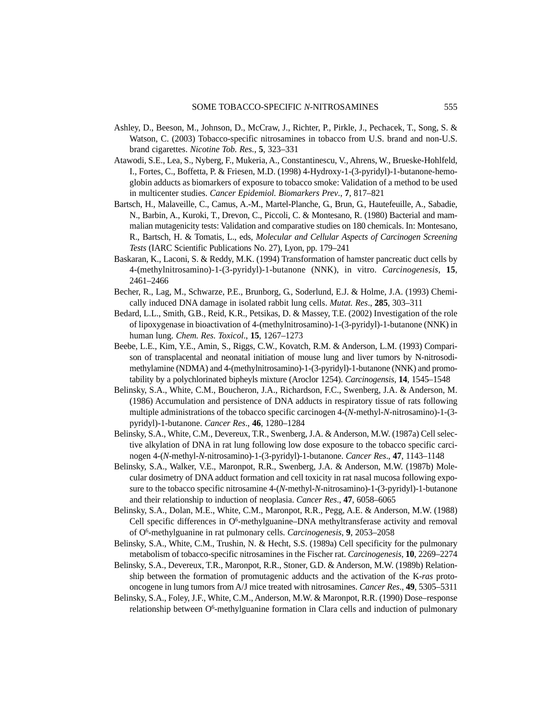- Ashley, D., Beeson, M., Johnson, D., McCraw, J., Richter, P., Pirkle, J., Pechacek, T., Song, S. & Watson, C. (2003) Tobacco-specific nitrosamines in tobacco from U.S. brand and non-U.S. brand cigarettes. *Nicotine Tob. Res.*, **5**, 323–331
- Atawodi, S.E., Lea, S., Nyberg, F., Mukeria, A., Constantinescu, V., Ahrens, W., Brueske-Hohlfeld, I., Fortes, C., Boffetta, P. & Friesen, M.D. (1998) 4-Hydroxy-1-(3-pyridyl)-1-butanone-hemoglobin adducts as biomarkers of exposure to tobacco smoke: Validation of a method to be used in multicenter studies. *Cancer Epidemiol. Biomarkers Prev*., **7**, 817–821
- Bartsch, H., Malaveille, C., Camus, A.-M., Martel-Planche, G., Brun, G., Hautefeuille, A., Sabadie, N., Barbin, A., Kuroki, T., Drevon, C., Piccoli, C. & Montesano, R. (1980) Bacterial and mammalian mutagenicity tests: Validation and comparative studies on 180 chemicals. In: Montesano, R., Bartsch, H. & Tomatis, L., eds, *Molecular and Cellular Aspects of Carcinogen Screening Tests* (IARC Scientific Publications No. 27), Lyon, pp. 179–241
- Baskaran, K., Laconi, S. & Reddy, M.K. (1994) Transformation of hamster pancreatic duct cells by 4-(methylnitrosamino)-1-(3-pyridyl)-1-butanone (NNK), in vitro. *Carcinogenesis*, **15**, 2461–2466
- Becher, R., Lag, M., Schwarze, P.E., Brunborg, G., Soderlund, E.J. & Holme, J.A. (1993) Chemically induced DNA damage in isolated rabbit lung cells. *Mutat. Res*., **285**, 303–311
- Bedard, L.L., Smith, G.B., Reid, K.R., Petsikas, D. & Massey, T.E. (2002) Investigation of the role of lipoxygenase in bioactivation of 4-(methylnitrosamino)-1-(3-pyridyl)-1-butanone (NNK) in human lung. *Chem. Res. Toxicol*., **15**, 1267–1273
- Beebe, L.E., Kim, Y.E., Amin, S., Riggs, C.W., Kovatch, R.M. & Anderson, L.M. (1993) Comparison of transplacental and neonatal initiation of mouse lung and liver tumors by N-nitrosodimethylamine (NDMA) and 4-(methylnitrosamino)-1-(3-pyridyl)-1-butanone (NNK) and promotability by a polychlorinated bipheyls mixture (Aroclor 1254). *Carcinogensis*, **14**, 1545–1548
- Belinsky, S.A., White, C.M., Boucheron, J.A., Richardson, F.C., Swenberg, J.A. & Anderson, M. (1986) Accumulation and persistence of DNA adducts in respiratory tissue of rats following multiple administrations of the tobacco specific carcinogen 4-(*N*-methyl-*N*-nitrosamino)-1-(3 pyridyl)-1-butanone. *Cancer Res*., **46**, 1280–1284
- Belinsky, S.A., White, C.M., Devereux, T.R., Swenberg, J.A. & Anderson, M.W. (1987a) Cell selective alkylation of DNA in rat lung following low dose exposure to the tobacco specific carcinogen 4-(*N*-methyl-*N*-nitrosamino)-1-(3-pyridyl)-1-butanone. *Cancer Res*., **47**, 1143–1148
- Belinsky, S.A., Walker, V.E., Maronpot, R.R., Swenberg, J.A. & Anderson, M.W. (1987b) Molecular dosimetry of DNA adduct formation and cell toxicity in rat nasal mucosa following exposure to the tobacco specific nitrosamine 4-(*N*-methyl-*N*-nitrosamino)-1-(3-pyridyl)-1-butanone and their relationship to induction of neoplasia. *Cancer Res*., **47**, 6058–6065
- Belinsky, S.A., Dolan, M.E., White, C.M., Maronpot, R.R., Pegg, A.E. & Anderson, M.W. (1988) Cell specific differences in O<sup>6</sup>-methylguanine–DNA methyltransferase activity and removal of O6-methylguanine in rat pulmonary cells. *Carcinogenesis*, **9**, 2053–2058
- Belinsky, S.A., White, C.M., Trushin, N. & Hecht, S.S. (1989a) Cell specificity for the pulmonary metabolism of tobacco-specific nitrosamines in the Fischer rat. *Carcinogenesis*, **10**, 2269–2274
- Belinsky, S.A., Devereux, T.R., Maronpot, R.R., Stoner, G.D. & Anderson, M.W. (1989b) Relationship between the formation of promutagenic adducts and the activation of the K-*ras* protooncogene in lung tumors from A/J mice treated with nitrosamines. *Cancer Res*., **49**, 5305–5311
- Belinsky, S.A., Foley, J.F., White, C.M., Anderson, M.W. & Maronpot, R.R. (1990) Dose–response relationship between  $O<sup>6</sup>$ -methylguanine formation in Clara cells and induction of pulmonary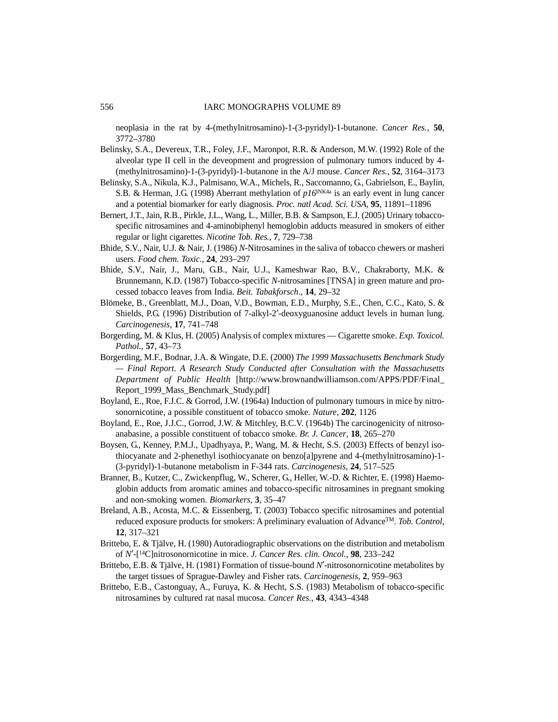neoplasia in the rat by 4-(methylnitrosamino)-1-(3-pyridyl)-1-butanone. *Cancer Res.*, **50**, 3772–3780

- Belinsky, S.A., Devereux, T.R., Foley, J.F., Maronpot, R.R. & Anderson, M.W. (1992) Role of the alveolar type II cell in the deveopment and progression of pulmonary tumors induced by 4- (methylnitrosamino)-1-(3-pyridyl)-1-butanone in the A/J mouse. *Cancer Res.*, **52**, 3164–3173
- Belinsky, S.A., Nikula, K.J., Palmisano, W.A., Michels, R., Saccomanno, G., Gabrielson, E., Baylin, S.B. & Herman, J.G. (1998) Aberrant methylation of  $p16^{INK4a}$  is an early event in lung cancer and a potential biomarker for early diagnosis. *Proc. natl Acad. Sci. USA*, **95**, 11891–11896
- Bernert, J.T., Jain, R.B., Pirkle, J.L., Wang, L., Miller, B.B. & Sampson, E.J. (2005) Urinary tobaccospecific nitrosamines and 4-aminobiphenyl hemoglobin adducts measured in smokers of either regular or light cigarettes. *Nicotine Tob. Res.*, **7**, 729–738
- Bhide, S.V., Nair, U.J. & Nair, J. (1986) *N*-Nitrosamines in the saliva of tobacco chewers or masheri users. *Food chem. Toxic.*, **24**, 293–297
- Bhide, S.V., Nair, J., Maru, G.B., Nair, U.J., Kameshwar Rao, B.V., Chakraborty, M.K. & Brunnemann, K.D. (1987) Tobacco-specific *N*-nitrosamines [TNSA] in green mature and processed tobacco leaves from India. *Beit. Tabakforsch*., **14**, 29–32
- Blömeke, B., Greenblatt, M.J., Doan, V.D., Bowman, E.D., Murphy, S.E., Chen, C.C., Kato, S. & Shields, P.G. (1996) Distribution of 7-alkyl-2′-deoxyguanosine adduct levels in human lung. *Carcinogenesis*, **17**, 741–748
- Borgerding, M. & Klus, H. (2005) Analysis of complex mixtures Cigarette smoke. *Exp. Toxicol. Pathol.*, **57**, 43–73
- Borgerding, M.F., Bodnar, J.A. & Wingate, D.E. (2000) *The 1999 Massachusetts Benchmark Study — Final Report. A Research Study Conducted after Consultation with the Massachusetts Department of Public Health* [http://www.brownandwilliamson.com/APPS/PDF/Final\_ Report\_1999\_Mass\_Benchmark\_Study.pdf]
- Boyland, E., Roe, F.J.C. & Gorrod, J.W. (1964a) Induction of pulmonary tumours in mice by nitrosonornicotine, a possible constituent of tobacco smoke. *Nature*, **202**, 1126
- Boyland, E., Roe, J.J.C., Gorrod, J.W. & Mitchley, B.C.V. (1964b) The carcinogenicity of nitrosoanabasine, a possible constituent of tobacco smoke. *Br. J. Cancer*, **18**, 265–270
- Boysen, G., Kenney, P.M.J., Upadhyaya, P., Wang, M. & Hecht, S.S. (2003) Effects of benzyl isothiocyanate and 2-phenethyl isothiocyanate on benzo[a]pyrene and 4-(methylnitrosamino)-1- (3-pyridyl)-1-butanone metabolism in F-344 rats. *Carcinogenesis*, **24**, 517–525
- Branner, B., Kutzer, C., Zwickenpflug, W., Scherer, G., Heller, W.-D. & Richter, E. (1998) Haemoglobin adducts from aromatic amines and tobacco-specific nitrosamines in pregnant smoking and non-smoking women. *Biomarkers*, **3**, 35–47
- Breland, A.B., Acosta, M.C. & Eissenberg, T. (2003) Tobacco specific nitrosamines and potential reduced exposure products for smokers: A preliminary evaluation of AdvanceTM. *Tob. Control*, **12**, 317–321
- Brittebo, E. & Tjälve, H. (1980) Autoradiographic observations on the distribution and metabolism of *N*′-[14C]nitrosonornicotine in mice. *J. Cancer Res. clin. Oncol.*, **98**, 233–242
- Brittebo, E.B. & Tjälve, H. (1981) Formation of tissue-bound *N*′-nitrosonornicotine metabolites by the target tissues of Sprague-Dawley and Fisher rats. *Carcinogenesis*, **2**, 959–963
- Brittebo, E.B., Castonguay, A., Furuya, K. & Hecht, S.S. (1983) Metabolism of tobacco-specific nitrosamines by cultured rat nasal mucosa. *Cancer Res.*, **43**, 4343–4348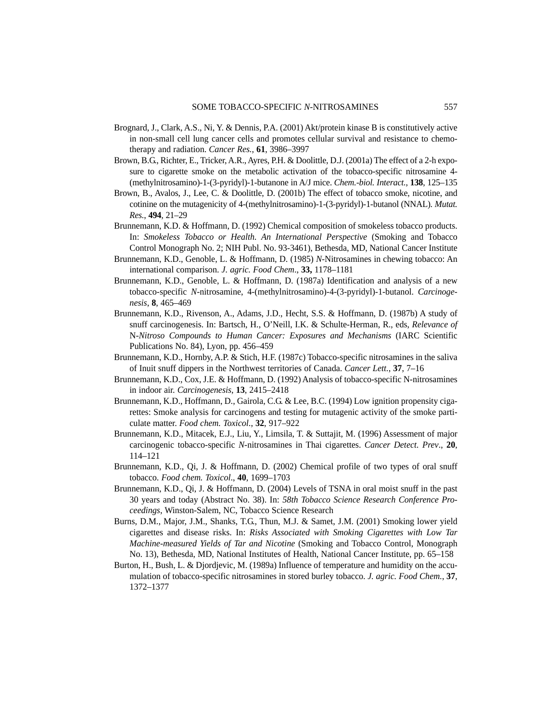- Brognard, J., Clark, A.S., Ni, Y. & Dennis, P.A. (2001) Akt/protein kinase B is constitutively active in non-small cell lung cancer cells and promotes cellular survival and resistance to chemotherapy and radiation. *Cancer Res.*, **61**, 3986–3997
- Brown, B.G., Richter, E., Tricker, A.R., Ayres, P.H. & Doolittle, D.J. (2001a) The effect of a 2-h exposure to cigarette smoke on the metabolic activation of the tobacco-specific nitrosamine 4- (methylnitrosamino)-1-(3-pyridyl)-1-butanone in A/J mice. *Chem.-biol. Interact.*, **138**, 125–135
- Brown, B., Avalos, J., Lee, C. & Doolittle, D. (2001b) The effect of tobacco smoke, nicotine, and cotinine on the mutagenicity of 4-(methylnitrosamino)-1-(3-pyridyl)-1-butanol (NNAL)*. Mutat. Res.*, **494**, 21–29
- Brunnemann, K.D. & Hoffmann, D. (1992) Chemical composition of smokeless tobacco products. In: *Smokeless Tobacco or Health. An International Perspective* (Smoking and Tobacco Control Monograph No. 2; NIH Publ. No. 93-3461), Bethesda, MD, National Cancer Institute
- Brunnemann, K.D., Genoble, L. & Hoffmann, D. (1985) *N*-Nitrosamines in chewing tobacco: An international comparison. *J. agric. Food Chem*., **33,** 1178–1181
- Brunnemann, K.D., Genoble, L. & Hoffmann, D. (1987a) Identification and analysis of a new tobacco-specific *N*-nitrosamine, 4-(methylnitrosamino)-4-(3-pyridyl)-1-butanol. *Carcinogenesis*, **8**, 465–469
- Brunnemann, K.D., Rivenson, A., Adams, J.D., Hecht, S.S. & Hoffmann, D. (1987b) A study of snuff carcinogenesis. In: Bartsch, H., O'Neill, I.K. & Schulte-Herman, R., eds, *Relevance of* N*-Nitroso Compounds to Human Cancer: Exposures and Mechanisms* (IARC Scientific Publications No. 84), Lyon, pp. 456–459
- Brunnemann, K.D., Hornby, A.P. & Stich, H.F. (1987c) Tobacco-specific nitrosamines in the saliva of Inuit snuff dippers in the Northwest territories of Canada. *Cancer Lett.*, **37**, 7–16
- Brunnemann, K.D., Cox, J.E. & Hoffmann, D. (1992) Analysis of tobacco-specific N-nitrosamines in indoor air. *Carcinogenesis*, **13**, 2415–2418
- Brunnemann, K.D., Hoffmann, D., Gairola, C.G. & Lee, B.C. (1994) Low ignition propensity cigarettes: Smoke analysis for carcinogens and testing for mutagenic activity of the smoke particulate matter. *Food chem. Toxicol*., **32**, 917–922
- Brunnemann, K.D., Mitacek, E.J., Liu, Y., Limsila, T. & Suttajit, M. (1996) Assessment of major carcinogenic tobacco-specific *N*-nitrosamines in Thai cigarettes. *Cancer Detect. Prev*., **20**, 114–121
- Brunnemann, K.D., Qi, J. & Hoffmann, D. (2002) Chemical profile of two types of oral snuff tobacco. *Food chem. Toxicol*., **40**, 1699–1703
- Brunnemann, K.D., Qi, J. & Hoffmann, D. (2004) Levels of TSNA in oral moist snuff in the past 30 years and today (Abstract No. 38). In: *58th Tobacco Science Research Conference Proceedings*, Winston-Salem, NC, Tobacco Science Research
- Burns, D.M., Major, J.M., Shanks, T.G., Thun, M.J. & Samet, J.M. (2001) Smoking lower yield cigarettes and disease risks. In: *Risks Associated with Smoking Cigarettes with Low Tar Machine-measured Yields of Tar and Nicotine* (Smoking and Tobacco Control, Monograph No. 13), Bethesda, MD, National Institutes of Health, National Cancer Institute, pp. 65–158
- Burton, H., Bush, L. & Djordjevic, M. (1989a) Influence of temperature and humidity on the accumulation of tobacco-specific nitrosamines in stored burley tobacco. *J. agric. Food Chem.*, **37**, 1372–1377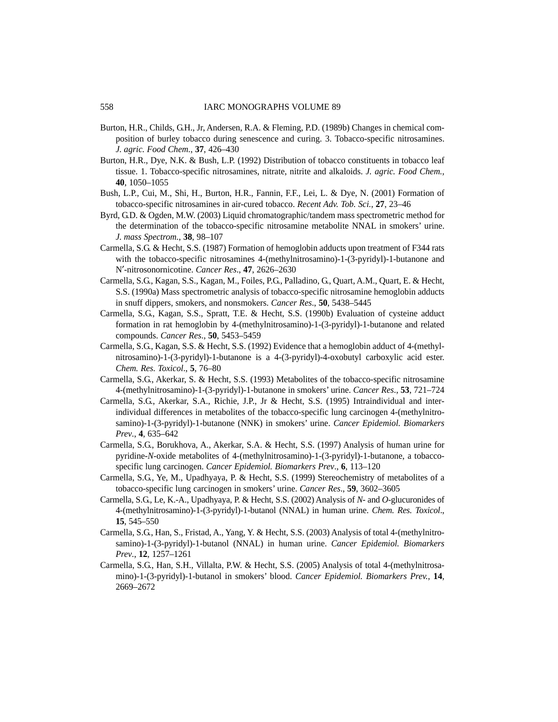- Burton, H.R., Childs, G.H., Jr, Andersen, R.A. & Fleming, P.D. (1989b) Changes in chemical composition of burley tobacco during senescence and curing. 3. Tobacco-specific nitrosamines. *J. agric. Food Chem*., **37**, 426–430
- Burton, H.R., Dye, N.K. & Bush, L.P. (1992) Distribution of tobacco constituents in tobacco leaf tissue. 1. Tobacco-specific nitrosamines, nitrate, nitrite and alkaloids. *J. agric. Food Chem.,* **40**, 1050–1055
- Bush, L.P., Cui, M., Shi, H., Burton, H.R., Fannin, F.F., Lei, L. & Dye, N. (2001) Formation of tobacco-specific nitrosamines in air-cured tobacco. *Recent Adv. Tob. Sci.*, **27**, 23–46
- Byrd, G.D. & Ogden, M.W. (2003) Liquid chromatographic/tandem mass spectrometric method for the determination of the tobacco-specific nitrosamine metabolite NNAL in smokers' urine. *J. mass Spectrom.*, **38**, 98–107
- Carmella, S.G. & Hecht, S.S. (1987) Formation of hemoglobin adducts upon treatment of F344 rats with the tobacco-specific nitrosamines 4-(methylnitrosamino)-1-(3-pyridyl)-1-butanone and N′-nitrosonornicotine. *Cancer Res*., **47**, 2626–2630
- Carmella, S.G., Kagan, S.S., Kagan, M., Foiles, P.G., Palladino, G., Quart, A.M., Quart, E. & Hecht, S.S. (1990a) Mass spectrometric analysis of tobacco-specific nitrosamine hemoglobin adducts in snuff dippers, smokers, and nonsmokers. *Cancer Res*., **50**, 5438–5445
- Carmella, S.G., Kagan, S.S., Spratt, T.E. & Hecht, S.S. (1990b) Evaluation of cysteine adduct formation in rat hemoglobin by 4-(methylnitrosamino)-1-(3-pyridyl)-1-butanone and related compounds. *Cancer Res*., **50**, 5453–5459
- Carmella, S.G., Kagan, S.S. & Hecht, S.S. (1992) Evidence that a hemoglobin adduct of 4-(methylnitrosamino)-1-(3-pyridyl)-1-butanone is a 4-(3-pyridyl)-4-oxobutyl carboxylic acid ester. *Chem. Res. Toxicol*., **5**, 76–80
- Carmella, S.G., Akerkar, S. & Hecht, S.S. (1993) Metabolites of the tobacco-specific nitrosamine 4-(methylnitrosamino)-1-(3-pyridyl)-1-butanone in smokers' urine. *Cancer Res*., **53**, 721–724
- Carmella, S.G., Akerkar, S.A., Richie, J.P., Jr & Hecht, S.S. (1995) Intraindividual and interindividual differences in metabolites of the tobacco-specific lung carcinogen 4-(methylnitrosamino)-1-(3-pyridyl)-1-butanone (NNK) in smokers' urine. *Cancer Epidemiol. Biomarkers Prev*., **4**, 635–642
- Carmella, S.G., Borukhova, A., Akerkar, S.A. & Hecht, S.S. (1997) Analysis of human urine for pyridine-*N*-oxide metabolites of 4-(methylnitrosamino)-1-(3-pyridyl)-1-butanone, a tobaccospecific lung carcinogen. *Cancer Epidemiol. Biomarkers Prev*., **6**, 113–120
- Carmella, S.G., Ye, M., Upadhyaya, P. & Hecht, S.S. (1999) Stereochemistry of metabolites of a tobacco-specific lung carcinogen in smokers' urine. *Cancer Res*., **59**, 3602–3605
- Carmella, S.G., Le, K.-A., Upadhyaya, P. & Hecht, S.S. (2002) Analysis of *N* and *O*-glucuronides of 4-(methylnitrosamino)-1-(3-pyridyl)-1-butanol (NNAL) in human urine. *Chem. Res. Toxicol*., **15**, 545–550
- Carmella, S.G., Han, S., Fristad, A., Yang, Y. & Hecht, S.S. (2003) Analysis of total 4-(methylnitrosamino)-1-(3-pyridyl)-1-butanol (NNAL) in human urine. *Cancer Epidemiol. Biomarkers Prev*., **12**, 1257–1261
- Carmella, S.G., Han, S.H., Villalta, P.W. & Hecht, S.S. (2005) Analysis of total 4-(methylnitrosamino)-1-(3-pyridyl)-1-butanol in smokers' blood. *Cancer Epidemiol. Biomarkers Prev.*, **14**, 2669–2672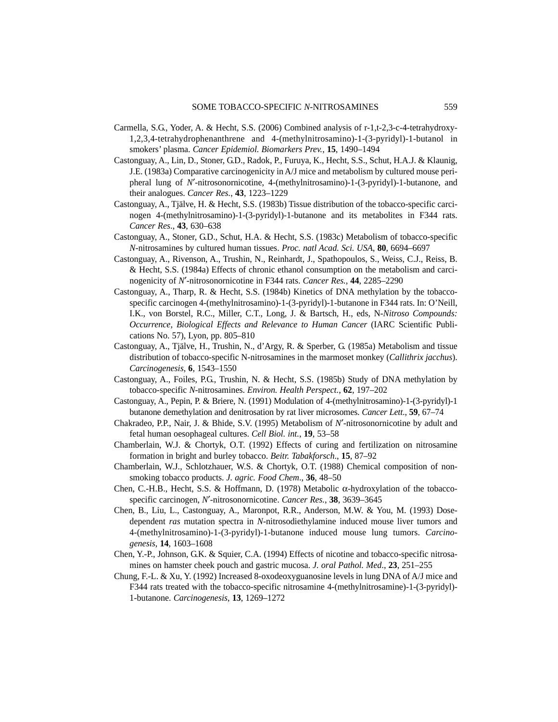- Carmella, S.G., Yoder, A. & Hecht, S.S. (2006) Combined analysis of r-1,t-2,3-c-4-tetrahydroxy-1,2,3,4-tetrahydrophenanthrene and 4-(methylnitrosamino)-1-(3-pyridyl)-1-butanol in smokers' plasma. *Cancer Epidemiol. Biomarkers Prev.*, **15**, 1490–1494
- Castonguay, A., Lin, D., Stoner, G.D., Radok, P., Furuya, K., Hecht, S.S., Schut, H.A.J. & Klaunig, J.E. (1983a) Comparative carcinogenicity in A/J mice and metabolism by cultured mouse peripheral lung of *N*′-nitrosonornicotine, 4-(methylnitrosamino)-1-(3-pyridyl)-1-butanone, and their analogues. *Cancer Res.*, **43**, 1223–1229
- Castonguay, A., Tjälve, H. & Hecht, S.S. (1983b) Tissue distribution of the tobacco-specific carcinogen 4-(methylnitrosamino)-1-(3-pyridyl)-1-butanone and its metabolites in F344 rats. *Cancer Res*., **43**, 630–638
- Castonguay, A., Stoner, G.D., Schut, H.A. & Hecht, S.S. (1983c) Metabolism of tobacco-specific *N*-nitrosamines by cultured human tissues. *Proc. natl Acad. Sci. USA*, **80**, 6694–6697
- Castonguay, A., Rivenson, A., Trushin, N., Reinhardt, J., Spathopoulos, S., Weiss, C.J., Reiss, B. & Hecht, S.S. (1984a) Effects of chronic ethanol consumption on the metabolism and carcinogenicity of *N*′-nitrosonornicotine in F344 rats. *Cancer Res.*, **44**, 2285–2290
- Castonguay, A., Tharp, R. & Hecht, S.S. (1984b) Kinetics of DNA methylation by the tobaccospecific carcinogen 4-(methylnitrosamino)-1-(3-pyridyl)-1-butanone in F344 rats. In: O'Neill, I.K., von Borstel, R.C., Miller, C.T., Long, J. & Bartsch, H., eds, N*-Nitroso Compounds: Occurrence, Biological Effects and Relevance to Human Cancer* (IARC Scientific Publications No. 57), Lyon, pp. 805–810
- Castonguay, A., Tjälve, H., Trushin, N., d'Argy, R. & Sperber, G. (1985a) Metabolism and tissue distribution of tobacco-specific N-nitrosamines in the marmoset monkey (*Callithrix jacchus*). *Carcinogenesis*, **6**, 1543–1550
- Castonguay, A., Foiles, P.G., Trushin, N. & Hecht, S.S. (1985b) Study of DNA methylation by tobacco-specific *N*-nitrosamines. *Environ. Health Perspect.*, **62**, 197–202
- Castonguay, A., Pepin, P. & Briere, N. (1991) Modulation of 4-(methylnitrosamino)-1-(3-pyridyl)-1 butanone demethylation and denitrosation by rat liver microsomes. *Cancer Lett*., **59**, 67–74
- Chakradeo, P.P., Nair, J. & Bhide, S.V. (1995) Metabolism of *N*′-nitrosonornicotine by adult and fetal human oesophageal cultures. *Cell Biol. int.*, **19**, 53–58
- Chamberlain, W.J. & Chortyk, O.T. (1992) Effects of curing and fertilization on nitrosamine formation in bright and burley tobacco. *Beitr. Tabakforsch*., **15**, 87–92
- Chamberlain, W.J., Schlotzhauer, W.S. & Chortyk, O.T. (1988) Chemical composition of nonsmoking tobacco products. *J. agric. Food Chem*., **36**, 48–50
- Chen, C.-H.B., Hecht, S.S. & Hoffmann, D. (1978) Metabolic α-hydroxylation of the tobaccospecific carcinogen, *N*′-nitrosonornicotine. *Cancer Res.*, **38**, 3639–3645
- Chen, B., Liu, L., Castonguay, A., Maronpot, R.R., Anderson, M.W. & You, M. (1993) Dosedependent *ras* mutation spectra in *N*-nitrosodiethylamine induced mouse liver tumors and 4-(methylnitrosamino)-1-(3-pyridyl)-1-butanone induced mouse lung tumors. *Carcinogenesis*, **14**, 1603–1608
- Chen, Y.-P., Johnson, G.K. & Squier, C.A. (1994) Effects of nicotine and tobacco-specific nitrosamines on hamster cheek pouch and gastric mucosa. *J. oral Pathol. Med*., **23**, 251–255
- Chung, F.-L. & Xu, Y. (1992) Increased 8-oxodeoxyguanosine levels in lung DNA of A/J mice and F344 rats treated with the tobacco-specific nitrosamine 4-(methylnitrosamine)-1-(3-pyridyl)- 1-butanone. *Carcinogenesis*, **13**, 1269–1272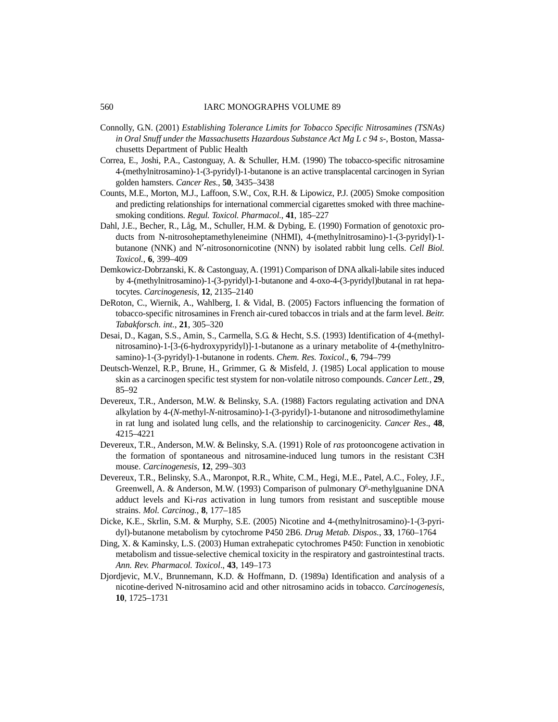- Connolly, G.N. (2001) *Establishing Tolerance Limits for Tobacco Specific Nitrosamines (TSNAs) in Oral Snuff under the Massachusetts Hazardous Substance Act Mg L c 94 s-*, Boston, Massachusetts Department of Public Health
- Correa, E., Joshi, P.A., Castonguay, A. & Schuller, H.M. (1990) The tobacco-specific nitrosamine 4-(methylnitrosamino)-1-(3-pyridyl)-1-butanone is an active transplacental carcinogen in Syrian golden hamsters. *Cancer Res.*, **50**, 3435–3438
- Counts, M.E., Morton, M.J., Laffoon, S.W., Cox, R.H. & Lipowicz, P.J. (2005) Smoke composition and predicting relationships for international commercial cigarettes smoked with three machinesmoking conditions. *Regul. Toxicol. Pharmacol.*, **41**, 185–227
- Dahl, J.E., Becher, R., Låg, M., Schuller, H.M. & Dybing, E. (1990) Formation of genotoxic products from N-nitrosoheptamethyleneimine (NHMI), 4-(methylnitrosamino)-1-(3-pyridyl)-1 butanone (NNK) and N′-nitrosonornicotine (NNN) by isolated rabbit lung cells. *Cell Biol. Toxicol.*, **6**, 399–409
- Demkowicz-Dobrzanski, K. & Castonguay, A. (1991) Comparison of DNA alkali-labile sites induced by 4-(methylnitrosamino)-1-(3-pyridyl)-1-butanone and 4-oxo-4-(3-pyridyl)butanal in rat hepatocytes. *Carcinogenesis*, **12**, 2135–2140
- DeRoton, C., Wiernik, A., Wahlberg, I. & Vidal, B. (2005) Factors influencing the formation of tobacco-specific nitrosamines in French air-cured tobaccos in trials and at the farm level. *Beitr. Tabakforsch. int.*, **21**, 305–320
- Desai, D., Kagan, S.S., Amin, S., Carmella, S.G. & Hecht, S.S. (1993) Identification of 4-(methylnitrosamino)-1-[3-(6-hydroxypyridyl)]-1-butanone as a urinary metabolite of 4-(methylnitrosamino)-1-(3-pyridyl)-1-butanone in rodents. *Chem. Res. Toxicol*., **6**, 794–799
- Deutsch-Wenzel, R.P., Brune, H., Grimmer, G. & Misfeld, J. (1985) Local application to mouse skin as a carcinogen specific test stystem for non-volatile nitroso compounds. *Cancer Lett.*, **29**, 85–92
- Devereux, T.R., Anderson, M.W. & Belinsky, S.A. (1988) Factors regulating activation and DNA alkylation by 4-(*N*-methyl-*N*-nitrosamino)-1-(3-pyridyl)-1-butanone and nitrosodimethylamine in rat lung and isolated lung cells, and the relationship to carcinogenicity. *Cancer Res*., **48**, 4215–4221
- Devereux, T.R., Anderson, M.W. & Belinsky, S.A. (1991) Role of *ras* protooncogene activation in the formation of spontaneous and nitrosamine-induced lung tumors in the resistant C3H mouse. *Carcinogenesis*, **12**, 299–303
- Devereux, T.R., Belinsky, S.A., Maronpot, R.R., White, C.M., Hegi, M.E., Patel, A.C., Foley, J.F., Greenwell, A. & Anderson, M.W. (1993) Comparison of pulmonary  $O<sup>6</sup>$ -methylguanine DNA adduct levels and Ki-*ras* activation in lung tumors from resistant and susceptible mouse strains. *Mol. Carcinog.*, **8**, 177–185
- Dicke, K.E., Skrlin, S.M. & Murphy, S.E. (2005) Nicotine and 4-(methylnitrosamino)-1-(3-pyridyl)-butanone metabolism by cytochrome P450 2B6. *Drug Metab. Dispos.*, **33**, 1760–1764
- Ding, X. & Kaminsky, L.S. (2003) Human extrahepatic cytochromes P450: Function in xenobiotic metabolism and tissue-selective chemical toxicity in the respiratory and gastrointestinal tracts. *Ann. Rev. Pharmacol. Toxicol*., **43**, 149–173
- Djordjevic, M.V., Brunnemann, K.D. & Hoffmann, D. (1989a) Identification and analysis of a nicotine-derived N-nitrosamino acid and other nitrosamino acids in tobacco. *Carcinogenesis*, **10**, 1725–1731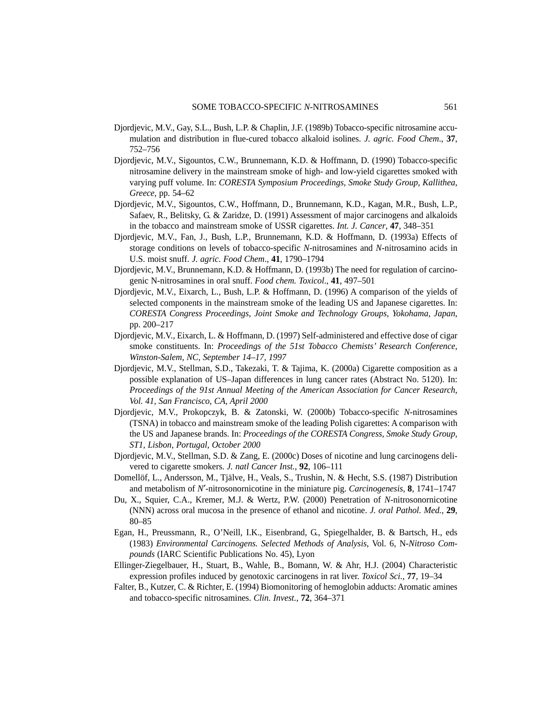- Djordjevic, M.V., Gay, S.L., Bush, L.P. & Chaplin, J.F. (1989b) Tobacco-specific nitrosamine accumulation and distribution in flue-cured tobacco alkaloid isolines. *J. agric. Food Chem*., **37**, 752–756
- Djordjevic, M.V., Sigountos, C.W., Brunnemann, K.D. & Hoffmann, D. (1990) Tobacco-specific nitrosamine delivery in the mainstream smoke of high- and low-yield cigarettes smoked with varying puff volume. In: *CORESTA Symposium Proceedings, Smoke Study Group, Kallithea, Greece*, pp. 54–62
- Djordjevic, M.V., Sigountos, C.W., Hoffmann, D., Brunnemann, K.D., Kagan, M.R., Bush, L.P., Safaev, R., Belitsky, G. & Zaridze, D. (1991) Assessment of major carcinogens and alkaloids in the tobacco and mainstream smoke of USSR cigarettes. *Int. J. Cancer*, **47**, 348–351
- Djordjevic, M.V., Fan, J., Bush, L.P., Brunnemann, K.D. & Hoffmann, D. (1993a) Effects of storage conditions on levels of tobacco-specific *N*-nitrosamines and *N*-nitrosamino acids in U.S. moist snuff. *J. agric. Food Chem*., **41**, 1790–1794
- Djordjevic, M.V., Brunnemann, K.D. & Hoffmann, D. (1993b) The need for regulation of carcinogenic N-nitrosamines in oral snuff. *Food chem. Toxicol*., **41**, 497–501
- Djordjevic, M.V., Eixarch, L., Bush, L.P. & Hoffmann, D. (1996) A comparison of the yields of selected components in the mainstream smoke of the leading US and Japanese cigarettes. In: *CORESTA Congress Proceedings, Joint Smoke and Technology Groups, Yokohama, Japan*, pp. 200–217
- Djordjevic, M.V., Eixarch, L. & Hoffmann, D. (1997) Self-administered and effective dose of cigar smoke constituents. In: *Proceedings of the 51st Tobacco Chemists' Research Conference, Winston-Salem, NC, September 14–17, 1997*
- Djordjevic, M.V., Stellman, S.D., Takezaki, T. & Tajima, K. (2000a) Cigarette composition as a possible explanation of US–Japan differences in lung cancer rates (Abstract No. 5120). In: *Proceedings of the 91st Annual Meeting of the American Association for Cancer Research, Vol. 41, San Francisco, CA, April 2000*
- Djordjevic, M.V., Prokopczyk, B. & Zatonski, W. (2000b) Tobacco-specific *N*-nitrosamines (TSNA) in tobacco and mainstream smoke of the leading Polish cigarettes: A comparison with the US and Japanese brands. In: *Proceedings of the CORESTA Congress, Smoke Study Group, ST1, Lisbon, Portugal, October 2000*
- Djordjevic, M.V., Stellman, S.D. & Zang, E. (2000c) Doses of nicotine and lung carcinogens delivered to cigarette smokers. *J. natl Cancer Inst.*, **92**, 106–111
- Domellöf, L., Andersson, M., Tjälve, H., Veals, S., Trushin, N. & Hecht, S.S. (1987) Distribution and metabolism of *N*′-nitrosonornicotine in the miniature pig. *Carcinogenesis*, **8**, 1741–1747
- Du, X., Squier, C.A., Kremer, M.J. & Wertz, P.W. (2000) Penetration of *N*-nitrosonornicotine (NNN) across oral mucosa in the presence of ethanol and nicotine. *J. oral Pathol. Med.*, **29**, 80–85
- Egan, H., Preussmann, R., O'Neill, I.K., Eisenbrand, G., Spiegelhalder, B. & Bartsch, H., eds (1983) *Environmental Carcinogens. Selected Methods of Analysis*, Vol. 6, N-*Nitroso Compounds* (IARC Scientific Publications No. 45), Lyon
- Ellinger-Ziegelbauer, H., Stuart, B., Wahle, B., Bomann, W. & Ahr, H.J. (2004) Characteristic expression profiles induced by genotoxic carcinogens in rat liver. *Toxicol Sci.*, **77**, 19–34
- Falter, B., Kutzer, C. & Richter, E. (1994) Biomonitoring of hemoglobin adducts: Aromatic amines and tobacco-specific nitrosamines. *Clin. Invest.*, **72**, 364–371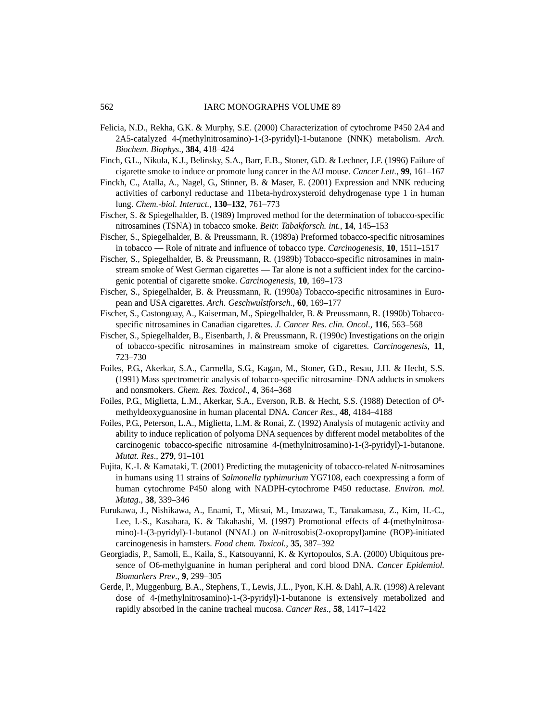- Felicia, N.D., Rekha, G.K. & Murphy, S.E. (2000) Characterization of cytochrome P450 2A4 and 2A5-catalyzed 4-(methylnitrosamino)-1-(3-pyridyl)-1-butanone (NNK) metabolism. *Arch. Biochem. Biophys*., **384**, 418–424
- Finch, G.L., Nikula, K.J., Belinsky, S.A., Barr, E.B., Stoner, G.D. & Lechner, J.F. (1996) Failure of cigarette smoke to induce or promote lung cancer in the A/J mouse. *Cancer Lett.*, **99**, 161–167
- Finckh, C., Atalla, A., Nagel, G., Stinner, B. & Maser, E. (2001) Expression and NNK reducing activities of carbonyl reductase and 11beta-hydroxysteroid dehydrogenase type 1 in human lung. *Chem.-biol. Interact.*, **130–132**, 761–773
- Fischer, S. & Spiegelhalder, B. (1989) Improved method for the determination of tobacco-specific nitrosamines (TSNA) in tobacco smoke. *Beitr. Tabakforsch. int.*, **14**, 145–153
- Fischer, S., Spiegelhalder, B. & Preussmann, R. (1989a) Preformed tobacco-specific nitrosamines in tobacco — Role of nitrate and influence of tobacco type. *Carcinogenesis*, **10**, 1511–1517
- Fischer, S., Spiegelhalder, B. & Preussmann, R. (1989b) Tobacco-specific nitrosamines in mainstream smoke of West German cigarettes — Tar alone is not a sufficient index for the carcinogenic potential of cigarette smoke. *Carcinogenesis*, **10**, 169–173
- Fischer, S., Spiegelhalder, B. & Preussmann, R. (1990a) Tobacco-specific nitrosamines in European and USA cigarettes. *Arch. Geschwulstforsch.*, **60**, 169–177
- Fischer, S., Castonguay, A., Kaiserman, M., Spiegelhalder, B. & Preussmann, R. (1990b) Tobaccospecific nitrosamines in Canadian cigarettes. *J. Cancer Res. clin. Oncol*., **116**, 563–568
- Fischer, S., Spiegelhalder, B., Eisenbarth, J. & Preussmann, R. (1990c) Investigations on the origin of tobacco-specific nitrosamines in mainstream smoke of cigarettes. *Carcinogenesis*, **11**, 723–730
- Foiles, P.G., Akerkar, S.A., Carmella, S.G., Kagan, M., Stoner, G.D., Resau, J.H. & Hecht, S.S. (1991) Mass spectrometric analysis of tobacco-specific nitrosamine–DNA adducts in smokers and nonsmokers. *Chem. Res. Toxicol*., **4**, 364–368
- Foiles, P.G., Miglietta, L.M., Akerkar, S.A., Everson, R.B. & Hecht, S.S. (1988) Detection of *O*6 methyldeoxyguanosine in human placental DNA. *Cancer Res*., **48**, 4184–4188
- Foiles, P.G., Peterson, L.A., Miglietta, L.M. & Ronai, Z. (1992) Analysis of mutagenic activity and ability to induce replication of polyoma DNA sequences by different model metabolites of the carcinogenic tobacco-specific nitrosamine 4-(methylnitrosamino)-1-(3-pyridyl)-1-butanone. *Mutat. Res*., **279**, 91–101
- Fujita, K.-I. & Kamataki, T. (2001) Predicting the mutagenicity of tobacco-related *N*-nitrosamines in humans using 11 strains of *Salmonella typhimurium* YG7108, each coexpressing a form of human cytochrome P450 along with NADPH-cytochrome P450 reductase. *Environ. mol. Mutag*., **38**, 339–346
- Furukawa, J., Nishikawa, A., Enami, T., Mitsui, M., Imazawa, T., Tanakamasu, Z., Kim, H.-C., Lee, I.-S., Kasahara, K. & Takahashi, M. (1997) Promotional effects of 4-(methylnitrosamino)-1-(3-pyridyl)-1-butanol (NNAL) on *N*-nitrosobis(2-oxopropyl)amine (BOP)-initiated carcinogenesis in hamsters. *Food chem. Toxicol.*, **35**, 387–392
- Georgiadis, P., Samoli, E., Kaila, S., Katsouyanni, K. & Kyrtopoulos, S.A. (2000) Ubiquitous presence of O6-methylguanine in human peripheral and cord blood DNA. *Cancer Epidemiol. Biomarkers Prev*., **9**, 299–305
- Gerde, P., Muggenburg, B.A., Stephens, T., Lewis, J.L., Pyon, K.H. & Dahl, A.R. (1998) A relevant dose of 4-(methylnitrosamino)-1-(3-pyridyl)-1-butanone is extensively metabolized and rapidly absorbed in the canine tracheal mucosa. *Cancer Res*., **58**, 1417–1422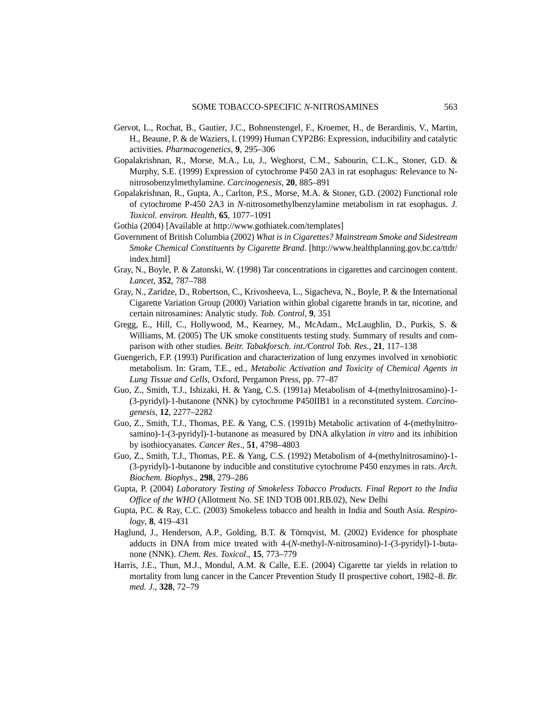- Gervot, L., Rochat, B., Gautier, J.C., Bohnenstengel, F., Kroemer, H., de Berardinis, V., Martin, H., Beaune, P. & de Waziers, I. (1999) Human CYP2B6: Expression, inducibility and catalytic activities. *Pharmacogenetics*, **9**, 295–306
- Gopalakrishnan, R., Morse, M.A., Lu, J., Weghorst, C.M., Sabourin, C.L.K., Stoner, G.D. & Murphy, S.E. (1999) Expression of cytochrome P450 2A3 in rat esophagus: Relevance to Nnitrosobenzylmethylamine. *Carcinogenesis*, **20**, 885–891
- Gopalakrishnan, R., Gupta, A., Carlton, P.S., Morse, M.A. & Stoner, G.D. (2002) Functional role of cytochrome P-450 2A3 in *N*-nitrosomethylbenzylamine metabolism in rat esophagus. *J. Toxicol. environ. Health*, **65**, 1077–1091
- Gothia (2004) [Available at http://www.gothiatek.com/templates]
- Government of British Columbia (2002) *What is in Cigarettes? Mainstream Smoke and Sidestream Smoke Chemical Constituents by Cigarette Brand*. [http://www.healthplanning.gov.bc.ca/ttdr/ index.html]
- Gray, N., Boyle, P. & Zatonski, W. (1998) Tar concentrations in cigarettes and carcinogen content. *Lancet*, **352**, 787–788
- Gray, N., Zaridze, D., Robertson, C., Krivosheeva, L., Sigacheva, N., Boyle, P. & the International Cigarette Variation Group (2000) Variation within global cigarette brands in tar, nicotine, and certain nitrosamines: Analytic study. *Tob. Control*, **9**, 351
- Gregg, E., Hill, C., Hollywood, M., Kearney, M., McAdam., McLaughlin, D., Purkis, S. & Williams, M. (2005) The UK smoke constituents testing study. Summary of results and comparison with other studies. *Beitr. Tabakforsch. int./Control Tob. Res*., **21**, 117–138
- Guengerich, F.P. (1993) Purification and characterization of lung enzymes involved in xenobiotic metabolism*.* In: Gram, T.E., ed., *Metabolic Activation and Toxicity of Chemical Agents in Lung Tissue and Cells*, Oxford, Pergamon Press, pp. 77–87
- Guo, Z., Smith, T.J., Ishizaki, H. & Yang, C.S. (1991a) Metabolism of 4-(methylnitrosamino)-1- (3-pyridyl)-1-butanone (NNK) by cytochrome P450IIB1 in a reconstituted system. *Carcinogenesis*, **12**, 2277–2282
- Guo, Z., Smith, T.J., Thomas, P.E. & Yang, C.S. (1991b) Metabolic activation of 4-(methylnitrosamino)-1-(3-pyridyl)-1-butanone as measured by DNA alkylation *in vitro* and its inhibition by isothiocyanates. *Cancer Res*., **51**, 4798–4803
- Guo, Z., Smith, T.J., Thomas, P.E. & Yang, C.S. (1992) Metabolism of 4-(methylnitrosamino)-1- (3-pyridyl)-1-butanone by inducible and constitutive cytochrome P450 enzymes in rats. *Arch. Biochem. Biophys*., **298**, 279–286
- Gupta, P. (2004) *Laboratory Testing of Smokeless Tobacco Products. Final Report to the India Office of the WHO* (Allotment No. SE IND TOB 001.RB.02), New Delhi
- Gupta, P.C. & Ray, C.C. (2003) Smokeless tobacco and health in India and South Asia. *Respirology*, **8**, 419–431
- Haglund, J., Henderson, A.P., Golding, B.T. & Törnqvist, M. (2002) Evidence for phosphate adducts in DNA from mice treated with 4-(*N*-methyl-*N*-nitrosamino)-1-(3-pyridyl)-1-butanone (NNK). *Chem. Res. Toxicol*., **15**, 773–779
- Harris, J.E., Thun, M.J., Mondul, A.M. & Calle, E.E. (2004) Cigarette tar yields in relation to mortality from lung cancer in the Cancer Prevention Study II prospective cohort, 1982–8. *Br. med. J*., **328**, 72–79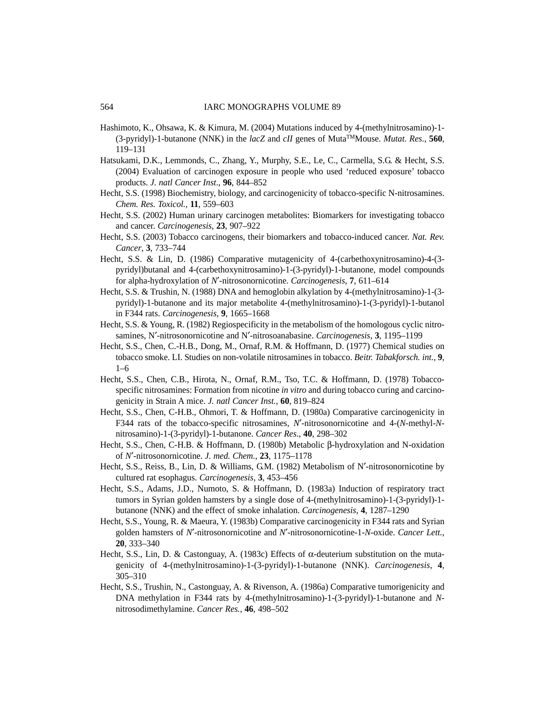- Hashimoto, K., Ohsawa, K. & Kimura, M. (2004) Mutations induced by 4-(methylnitrosamino)-1- (3-pyridyl)-1-butanone (NNK) in the *lacZ* and *cII* genes of MutaTMMouse. *Mutat. Res*., **560**, 119–131
- Hatsukami, D.K., Lemmonds, C., Zhang, Y., Murphy, S.E., Le, C., Carmella, S.G. & Hecht, S.S. (2004) Evaluation of carcinogen exposure in people who used 'reduced exposure' tobacco products. *J. natl Cancer Inst*., **96**, 844–852
- Hecht, S.S. (1998) Biochemistry, biology, and carcinogenicity of tobacco-specific N-nitrosamines. *Chem. Res. Toxicol.*, **11**, 559–603
- Hecht, S.S. (2002) Human urinary carcinogen metabolites: Biomarkers for investigating tobacco and cancer. *Carcinogenesis*, **23**, 907–922
- Hecht, S.S. (2003) Tobacco carcinogens, their biomarkers and tobacco-induced cancer. *Nat. Rev. Cancer*, **3**, 733–744
- Hecht, S.S. & Lin, D. (1986) Comparative mutagenicity of 4-(carbethoxynitrosamino)-4-(3 pyridyl)butanal and 4-(carbethoxynitrosamino)-1-(3-pyridyl)-1-butanone, model compounds for alpha-hydroxylation of *N*′-nitrosonornicotine. *Carcinogenesis*, **7**, 611–614
- Hecht, S.S. & Trushin, N. (1988) DNA and hemoglobin alkylation by 4-(methylnitrosamino)-1-(3 pyridyl)-1-butanone and its major metabolite 4-(methylnitrosamino)-1-(3-pyridyl)-1-butanol in F344 rats. *Carcinogenesis*, **9**, 1665–1668
- Hecht, S.S. & Young, R. (1982) Regiospecificity in the metabolism of the homologous cyclic nitrosamines, N′-nitrosonornicotine and N′-nitrosoanabasine. *Carcinogenesis*, **3**, 1195–1199
- Hecht, S.S., Chen, C.-H.B., Dong, M., Ornaf, R.M. & Hoffmann, D. (1977) Chemical studies on tobacco smoke. LI. Studies on non-volatile nitrosamines in tobacco. *Beitr. Tabakforsch. int.*, **9**, 1–6
- Hecht, S.S., Chen, C.B., Hirota, N., Ornaf, R.M., Tso, T.C. & Hoffmann, D. (1978) Tobaccospecific nitrosamines: Formation from nicotine *in vitro* and during tobacco curing and carcinogenicity in Strain A mice. *J. natl Cancer Inst.*, **60**, 819–824
- Hecht, S.S., Chen, C-H.B., Ohmori, T. & Hoffmann, D. (1980a) Comparative carcinogenicity in F344 rats of the tobacco-specific nitrosamines, *N*′-nitrosonornicotine and 4-(*N*-methyl-*N*nitrosamino)-1-(3-pyridyl)-1-butanone. *Cancer Res*., **40**, 298–302
- Hecht, S.S., Chen, C-H.B. & Hoffmann, D. (1980b) Metabolic β-hydroxylation and N-oxidation of *N*′-nitrosonornicotine. *J. med. Chem.*, **23**, 1175–1178
- Hecht, S.S., Reiss, B., Lin, D. & Williams, G.M. (1982) Metabolism of N'-nitrosonornicotine by cultured rat esophagus. *Carcinogenesis*, **3**, 453–456
- Hecht, S.S., Adams, J.D., Numoto, S. & Hoffmann, D. (1983a) Induction of respiratory tract tumors in Syrian golden hamsters by a single dose of 4-(methylnitrosamino)-1-(3-pyridyl)-1 butanone (NNK) and the effect of smoke inhalation. *Carcinogenesis*, **4**, 1287–1290
- Hecht, S.S., Young, R. & Maeura, Y. (1983b) Comparative carcinogenicity in F344 rats and Syrian golden hamsters of *N*′-nitrosonornicotine and *N*′-nitrosonornicotine-1-*N*-oxide. *Cancer Lett.*, **20**, 333–340
- Hecht, S.S., Lin, D. & Castonguay, A. (1983c) Effects of  $\alpha$ -deuterium substitution on the mutagenicity of 4-(methylnitrosamino)-1-(3-pyridyl)-1-butanone (NNK). *Carcinogenesis*, **4**, 305–310
- Hecht, S.S., Trushin, N., Castonguay, A. & Rivenson, A. (1986a) Comparative tumorigenicity and DNA methylation in F344 rats by 4-(methylnitrosamino)-1-(3-pyridyl)-1-butanone and *N*nitrosodimethylamine. *Cancer Res.*, **46**, 498–502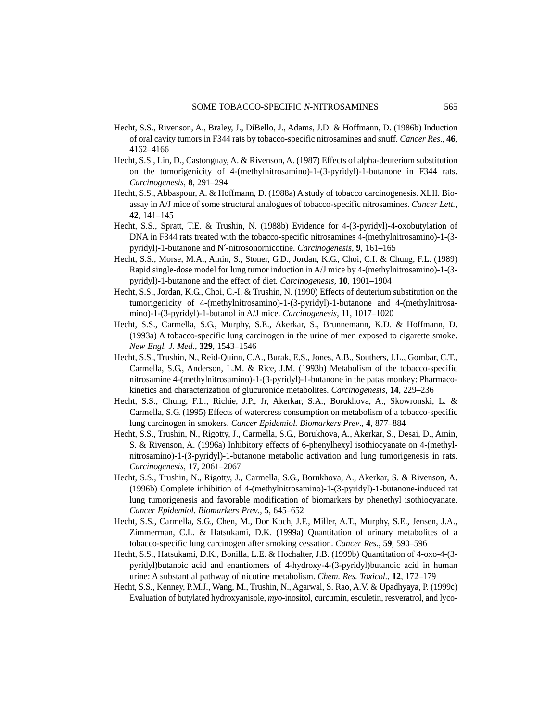- Hecht, S.S., Rivenson, A., Braley, J., DiBello, J., Adams, J.D. & Hoffmann, D. (1986b) Induction of oral cavity tumors in F344 rats by tobacco-specific nitrosamines and snuff. *Cancer Res*., **46**, 4162–4166
- Hecht, S.S., Lin, D., Castonguay, A. & Rivenson, A. (1987) Effects of alpha-deuterium substitution on the tumorigenicity of 4-(methylnitrosamino)-1-(3-pyridyl)-1-butanone in F344 rats. *Carcinogenesis*, **8**, 291–294
- Hecht, S.S., Abbaspour, A. & Hoffmann, D. (1988a) A study of tobacco carcinogenesis. XLII. Bioassay in A/J mice of some structural analogues of tobacco-specific nitrosamines. *Cancer Lett.*, **42**, 141–145
- Hecht, S.S., Spratt, T.E. & Trushin, N. (1988b) Evidence for 4-(3-pyridyl)-4-oxobutylation of DNA in F344 rats treated with the tobacco-specific nitrosamines 4-(methylnitrosamino)-1-(3 pyridyl)-1-butanone and N′-nitrosonornicotine. *Carcinogenesis*, **9**, 161–165
- Hecht, S.S., Morse, M.A., Amin, S., Stoner, G.D., Jordan, K.G., Choi, C.I. & Chung, F.L. (1989) Rapid single-dose model for lung tumor induction in A/J mice by 4-(methylnitrosamino)-1-(3 pyridyl)-1-butanone and the effect of diet. *Carcinogenesis*, **10**, 1901–1904
- Hecht, S.S., Jordan, K.G., Choi, C.-I. & Trushin, N. (1990) Effects of deuterium substitution on the tumorigenicity of 4-(methylnitrosamino)-1-(3-pyridyl)-1-butanone and 4-(methylnitrosamino)-1-(3-pyridyl)-1-butanol in A/J mice. *Carcinogenesis*, **11**, 1017–1020
- Hecht, S.S., Carmella, S.G., Murphy, S.E., Akerkar, S., Brunnemann, K.D. & Hoffmann, D. (1993a) A tobacco-specific lung carcinogen in the urine of men exposed to cigarette smoke. *New Engl. J. Med*., **329**, 1543–1546
- Hecht, S.S., Trushin, N., Reid-Quinn, C.A., Burak, E.S., Jones, A.B., Southers, J.L., Gombar, C.T., Carmella, S.G., Anderson, L.M. & Rice, J.M. (1993b) Metabolism of the tobacco-specific nitrosamine 4-(methylnitrosamino)-1-(3-pyridyl)-1-butanone in the patas monkey: Pharmacokinetics and characterization of glucuronide metabolites. *Carcinogenesis*, **14**, 229–236
- Hecht, S.S., Chung, F.L., Richie, J.P., Jr, Akerkar, S.A., Borukhova, A., Skowronski, L. & Carmella, S.G. (1995) Effects of watercress consumption on metabolism of a tobacco-specific lung carcinogen in smokers. *Cancer Epidemiol. Biomarkers Prev*., **4**, 877–884
- Hecht, S.S., Trushin, N., Rigotty, J., Carmella, S.G., Borukhova, A., Akerkar, S., Desai, D., Amin, S. & Rivenson, A. (1996a) Inhibitory effects of 6-phenylhexyl isothiocyanate on 4-(methylnitrosamino)-1-(3-pyridyl)-1-butanone metabolic activation and lung tumorigenesis in rats. *Carcinogenesis*, **17**, 2061–2067
- Hecht, S.S., Trushin, N., Rigotty, J., Carmella, S.G., Borukhova, A., Akerkar, S. & Rivenson, A. (1996b) Complete inhibition of 4-(methylnitrosamino)-1-(3-pyridyl)-1-butanone-induced rat lung tumorigenesis and favorable modification of biomarkers by phenethyl isothiocyanate. *Cancer Epidemiol. Biomarkers Prev*., **5**, 645–652
- Hecht, S.S., Carmella, S.G., Chen, M., Dor Koch, J.F., Miller, A.T., Murphy, S.E., Jensen, J.A., Zimmerman, C.L. & Hatsukami, D.K. (1999a) Quantitation of urinary metabolites of a tobacco-specific lung carcinogen after smoking cessation. *Cancer Res*., **59**, 590–596
- Hecht, S.S., Hatsukami, D.K., Bonilla, L.E. & Hochalter, J.B. (1999b) Quantitation of 4-oxo-4-(3 pyridyl)butanoic acid and enantiomers of 4-hydroxy-4-(3-pyridyl)butanoic acid in human urine: A substantial pathway of nicotine metabolism. *Chem. Res. Toxicol.*, **12**, 172–179
- Hecht, S.S., Kenney, P.M.J., Wang, M., Trushin, N., Agarwal, S. Rao, A.V. & Upadhyaya, P. (1999c) Evaluation of butylated hydroxyanisole, *myo*-inositol, curcumin, esculetin, resveratrol, and lyco-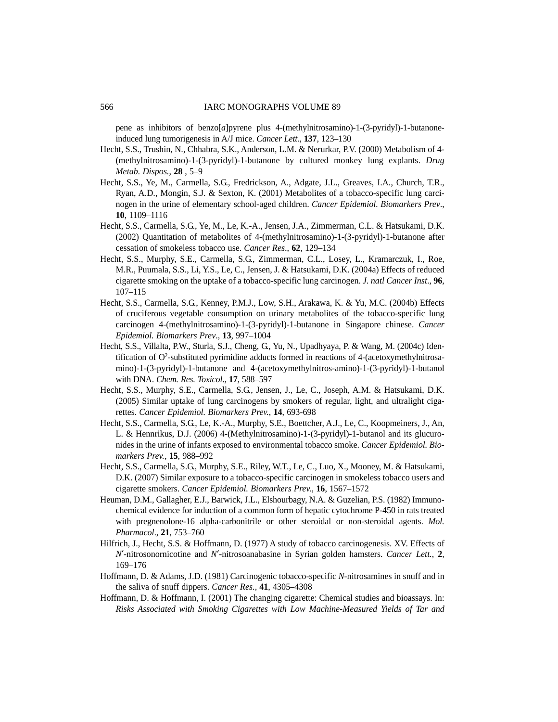pene as inhibitors of benzo[*a*]pyrene plus 4-(methylnitrosamino)-1-(3-pyridyl)-1-butanoneinduced lung tumorigenesis in A/J mice. *Cancer Lett.*, **137**, 123–130

- Hecht, S.S., Trushin, N., Chhabra, S.K., Anderson, L.M. & Nerurkar, P.V. (2000) Metabolism of 4- (methylnitrosamino)-1-(3-pyridyl)-1-butanone by cultured monkey lung explants. *Drug Metab. Dispos.*, **28** , 5–9
- Hecht, S.S., Ye, M., Carmella, S.G., Fredrickson, A., Adgate, J.L., Greaves, I.A., Church, T.R., Ryan, A.D., Mongin, S.J. & Sexton, K. (2001) Metabolites of a tobacco-specific lung carcinogen in the urine of elementary school-aged children. *Cancer Epidemiol. Biomarkers Prev*., **10**, 1109–1116
- Hecht, S.S., Carmella, S.G., Ye, M., Le, K.-A., Jensen, J.A., Zimmerman, C.L. & Hatsukami, D.K. (2002) Quantitation of metabolites of 4-(methylnitrosamino)-1-(3-pyridyl)-1-butanone after cessation of smokeless tobacco use. *Cancer Res*., **62**, 129–134
- Hecht, S.S., Murphy, S.E., Carmella, S.G., Zimmerman, C.L., Losey, L., Kramarczuk, I., Roe, M.R., Puumala, S.S., Li, Y.S., Le, C., Jensen, J. & Hatsukami, D.K. (2004a) Effects of reduced cigarette smoking on the uptake of a tobacco-specific lung carcinogen. *J. natl Cancer Inst*., **96**, 107–115
- Hecht, S.S., Carmella, S.G., Kenney, P.M.J., Low, S.H., Arakawa, K. & Yu, M.C. (2004b) Effects of cruciferous vegetable consumption on urinary metabolites of the tobacco-specific lung carcinogen 4-(methylnitrosamino)-1-(3-pyridyl)-1-butanone in Singapore chinese. *Cancer Epidemiol. Biomarkers Prev*., **13**, 997–1004
- Hecht, S.S., Villalta, P.W., Sturla, S.J., Cheng, G., Yu, N., Upadhyaya, P. & Wang, M. (2004c) Identification of O2-substituted pyrimidine adducts formed in reactions of 4-(acetoxymethylnitrosamino)-1-(3-pyridyl)-1-butanone and 4-(acetoxymethylnitros-amino)-1-(3-pyridyl)-1-butanol with DNA. *Chem. Res. Toxicol*., **17**, 588–597
- Hecht, S.S., Murphy, S.E., Carmella, S.G., Jensen, J., Le, C., Joseph, A.M. & Hatsukami, D.K. (2005) Similar uptake of lung carcinogens by smokers of regular, light, and ultralight cigarettes. *Cancer Epidemiol. Biomarkers Prev.*, **14**, 693-698
- Hecht, S.S., Carmella, S.G., Le, K.-A., Murphy, S.E., Boettcher, A.J., Le, C., Koopmeiners, J., An, L. & Hennrikus, D.J. (2006) 4-(Methylnitrosamino)-1-(3-pyridyl)-1-butanol and its glucuronides in the urine of infants exposed to environmental tobacco smoke. *Cancer Epidemiol. Biomarkers Prev.*, **15**, 988–992
- Hecht, S.S., Carmella, S.G., Murphy, S.E., Riley, W.T., Le, C., Luo, X., Mooney, M. & Hatsukami, D.K. (2007) Similar exposure to a tobacco-specific carcinogen in smokeless tobacco users and cigarette smokers. *Cancer Epidemiol. Biomarkers Prev.*, **16**, 1567–1572
- Heuman, D.M., Gallagher, E.J., Barwick, J.L., Elshourbagy, N.A. & Guzelian, P.S. (1982) Immunochemical evidence for induction of a common form of hepatic cytochrome P-450 in rats treated with pregnenolone-16 alpha-carbonitrile or other steroidal or non-steroidal agents. *Mol. Pharmacol*., **21**, 753–760
- Hilfrich, J., Hecht, S.S. & Hoffmann, D. (1977) A study of tobacco carcinogenesis. XV. Effects of *N*′-nitrosonornicotine and *N*′-nitrosoanabasine in Syrian golden hamsters. *Cancer Lett.*, **2**, 169–176
- Hoffmann, D. & Adams, J.D. (1981) Carcinogenic tobacco-specific *N*-nitrosamines in snuff and in the saliva of snuff dippers. *Cancer Res.*, **41**, 4305–4308
- Hoffmann, D. & Hoffmann, I. (2001) The changing cigarette: Chemical studies and bioassays. In: *Risks Associated with Smoking Cigarettes with Low Machine-Measured Yields of Tar and*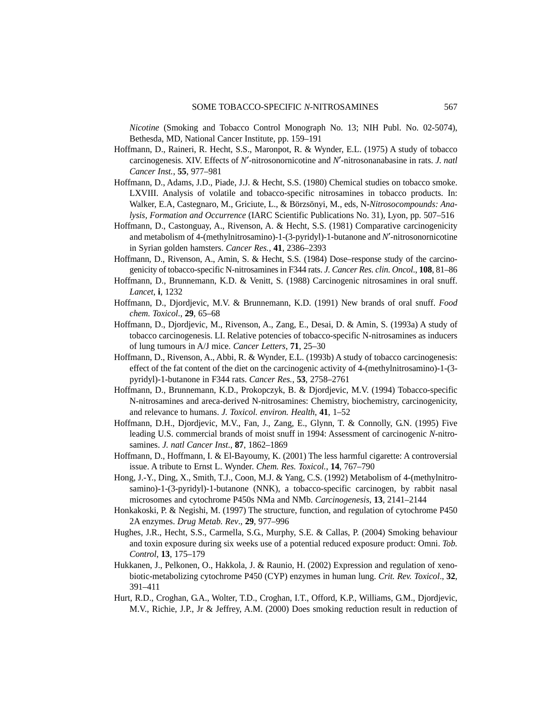*Nicotine* (Smoking and Tobacco Control Monograph No. 13; NIH Publ. No. 02-5074), Bethesda, MD, National Cancer Institute, pp. 159–191

- Hoffmann, D., Raineri, R. Hecht, S.S., Maronpot, R. & Wynder, E.L. (1975) A study of tobacco carcinogenesis. XIV. Effects of *N*′-nitrosonornicotine and *N*′-nitrosonanabasine in rats. *J. natl Cancer Inst.*, **55**, 977–981
- Hoffmann, D., Adams, J.D., Piade, J.J. & Hecht, S.S. (1980) Chemical studies on tobacco smoke. LXVIII. Analysis of volatile and tobacco-specific nitrosamines in tobacco products. In: Walker, E.A, Castegnaro, M., Griciute, L., & Börzsönyi, M., eds, N-*Nitrosocompounds: Analysis, Formation and Occurrence* (IARC Scientific Publications No. 31), Lyon, pp. 507–516
- Hoffmann, D., Castonguay, A., Rivenson, A. & Hecht, S.S. (1981) Comparative carcinogenicity and metabolism of 4-(methylnitrosamino)-1-(3-pyridyl)-1-butanone and *N*′-nitrosonornicotine in Syrian golden hamsters. *Cancer Res.*, **41**, 2386–2393
- Hoffmann, D., Rivenson, A., Amin, S. & Hecht, S.S. (1984) Dose–response study of the carcinogenicity of tobacco-specific N-nitrosamines in F344 rats. *J. Cancer Res. clin. Oncol*., **108**, 81–86
- Hoffmann, D., Brunnemann, K.D. & Venitt, S. (1988) Carcinogenic nitrosamines in oral snuff. *Lancet*, **i**, 1232
- Hoffmann, D., Djordjevic, M.V. & Brunnemann, K.D. (1991) New brands of oral snuff. *Food chem. Toxicol*., **29**, 65–68
- Hoffmann, D., Djordjevic, M., Rivenson, A., Zang, E., Desai, D. & Amin, S. (1993a) A study of tobacco carcinogenesis. LI. Relative potencies of tobacco-specific N-nitrosamines as inducers of lung tumours in A/J mice. *Cancer Letters*, **71**, 25–30
- Hoffmann, D., Rivenson, A., Abbi, R. & Wynder, E.L. (1993b) A study of tobacco carcinogenesis: effect of the fat content of the diet on the carcinogenic activity of 4-(methylnitrosamino)-1-(3 pyridyl)-1-butanone in F344 rats. *Cancer Res.*, **53**, 2758–2761
- Hoffmann, D., Brunnemann, K.D., Prokopczyk, B. & Djordjevic, M.V. (1994) Tobacco-specific N-nitrosamines and areca-derived N-nitrosamines: Chemistry, biochemistry, carcinogenicity, and relevance to humans. *J. Toxicol. environ. Health*, **41**, 1–52
- Hoffmann, D.H., Djordjevic, M.V., Fan, J., Zang, E., Glynn, T. & Connolly, G.N. (1995) Five leading U.S. commercial brands of moist snuff in 1994: Assessment of carcinogenic *N*-nitrosamines. *J. natl Cancer Inst*., **87**, 1862–1869
- Hoffmann, D., Hoffmann, I. & El-Bayoumy, K. (2001) The less harmful cigarette: A controversial issue. A tribute to Ernst L. Wynder. *Chem. Res. Toxicol.*, **14**, 767–790
- Hong, J.-Y., Ding, X., Smith, T.J., Coon, M.J. & Yang, C.S. (1992) Metabolism of 4-(methylnitrosamino)-1-(3-pyridyl)-1-butanone (NNK), a tobacco-specific carcinogen, by rabbit nasal microsomes and cytochrome P450s NMa and NMb. *Carcinogenesis*, **13**, 2141–2144
- Honkakoski, P. & Negishi, M. (1997) The structure, function, and regulation of cytochrome P450 2A enzymes. *Drug Metab. Rev*., **29**, 977–996
- Hughes, J.R., Hecht, S.S., Carmella, S.G., Murphy, S.E. & Callas, P. (2004) Smoking behaviour and toxin exposure during six weeks use of a potential reduced exposure product: Omni. *Tob. Control*, **13**, 175–179
- Hukkanen, J., Pelkonen, O., Hakkola, J. & Raunio, H. (2002) Expression and regulation of xenobiotic-metabolizing cytochrome P450 (CYP) enzymes in human lung. *Crit. Rev. Toxicol*., **32**, 391–411
- Hurt, R.D., Croghan, G.A., Wolter, T.D., Croghan, I.T., Offord, K.P., Williams, G.M., Djordjevic, M.V., Richie, J.P., Jr & Jeffrey, A.M. (2000) Does smoking reduction result in reduction of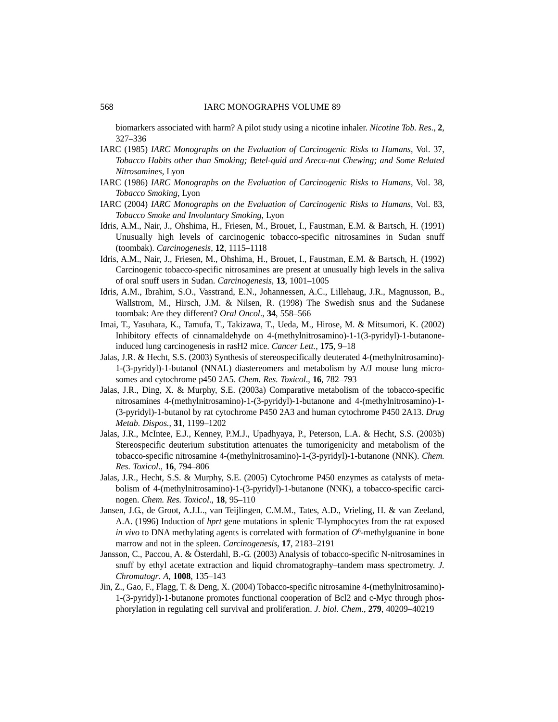biomarkers associated with harm? A pilot study using a nicotine inhaler. *Nicotine Tob. Res*., **2**, 327–336

- IARC (1985) *IARC Monographs on the Evaluation of Carcinogenic Risks to Humans*, Vol. 37, *Tobacco Habits other than Smoking; Betel-quid and Areca-nut Chewing; and Some Related Nitrosamines*, Lyon
- IARC (1986) *IARC Monographs on the Evaluation of Carcinogenic Risks to Humans*, Vol. 38, *Tobacco Smoking*, Lyon
- IARC (2004) *IARC Monographs on the Evaluation of Carcinogenic Risks to Humans*, Vol. 83, *Tobacco Smoke and Involuntary Smoking*, Lyon
- Idris, A.M., Nair, J., Ohshima, H., Friesen, M., Brouet, I., Faustman, E.M. & Bartsch, H. (1991) Unusually high levels of carcinogenic tobacco-specific nitrosamines in Sudan snuff (toombak). *Carcinogenesis*, **12**, 1115–1118
- Idris, A.M., Nair, J., Friesen, M., Ohshima, H., Brouet, I., Faustman, E.M. & Bartsch, H. (1992) Carcinogenic tobacco-specific nitrosamines are present at unusually high levels in the saliva of oral snuff users in Sudan. *Carcinogenesis*, **13**, 1001–1005
- Idris, A.M., Ibrahim, S.O., Vasstrand, E.N., Johannessen, A.C., Lillehaug, J.R., Magnusson, B., Wallstrom, M., Hirsch, J.M. & Nilsen, R. (1998) The Swedish snus and the Sudanese toombak: Are they different? *Oral Oncol*., **34**, 558–566
- Imai, T., Yasuhara, K., Tamufa, T., Takizawa, T., Ueda, M., Hirose, M. & Mitsumori, K. (2002) Inhibitory effects of cinnamaldehyde on 4-(methylnitrosamino)-1-1(3-pyridyl)-1-butanoneinduced lung carcinogenesis in rasH2 mice. *Cancer Lett.*, **175**, 9–18
- Jalas, J.R. & Hecht, S.S. (2003) Synthesis of stereospecifically deuterated 4-(methylnitrosamino)- 1-(3-pyridyl)-1-butanol (NNAL) diastereomers and metabolism by A/J mouse lung microsomes and cytochrome p450 2A5. *Chem. Res. Toxicol*., **16**, 782–793
- Jalas, J.R., Ding, X. & Murphy, S.E. (2003a) Comparative metabolism of the tobacco-specific nitrosamines 4-(methylnitrosamino)-1-(3-pyridyl)-1-butanone and 4-(methylnitrosamino)-1- (3-pyridyl)-1-butanol by rat cytochrome P450 2A3 and human cytochrome P450 2A13. *Drug Metab. Dispos.*, **31**, 1199–1202
- Jalas, J.R., McIntee, E.J., Kenney, P.M.J., Upadhyaya, P., Peterson, L.A. & Hecht, S.S. (2003b) Stereospecific deuterium substitution attenuates the tumorigenicity and metabolism of the tobacco-specific nitrosamine 4-(methylnitrosamino)-1-(3-pyridyl)-1-butanone (NNK). *Chem. Res. Toxicol*., **16**, 794–806
- Jalas, J.R., Hecht, S.S. & Murphy, S.E. (2005) Cytochrome P450 enzymes as catalysts of metabolism of 4-(methylnitrosamino)-1-(3-pyridyl)-1-butanone (NNK), a tobacco-specific carcinogen. *Chem. Res. Toxicol*., **18**, 95–110
- Jansen, J.G., de Groot, A.J.L., van Teijlingen, C.M.M., Tates, A.D., Vrieling, H. & van Zeeland, A.A. (1996) Induction of *hprt* gene mutations in splenic T-lymphocytes from the rat exposed *in vivo* to DNA methylating agents is correlated with formation of  $O<sup>6</sup>$ -methylguanine in bone marrow and not in the spleen. *Carcinogenesis*, **17**, 2183–2191
- Jansson, C., Paccou, A. & Österdahl, B.-G. (2003) Analysis of tobacco-specific N-nitrosamines in snuff by ethyl acetate extraction and liquid chromatography–tandem mass spectrometry. *J. Chromatogr*. *A*, **1008**, 135–143
- Jin, Z., Gao, F., Flagg, T. & Deng, X. (2004) Tobacco-specific nitrosamine 4-(methylnitrosamino)- 1-(3-pyridyl)-1-butanone promotes functional cooperation of Bcl2 and c-Myc through phosphorylation in regulating cell survival and proliferation. *J. biol. Chem.*, **279**, 40209–40219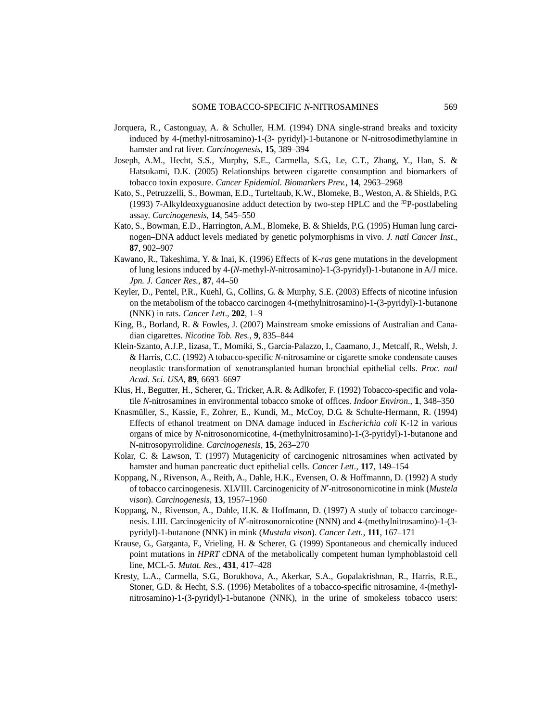- Jorquera, R., Castonguay, A. & Schuller, H.M. (1994) DNA single-strand breaks and toxicity induced by 4-(methyl-nitrosamino)-1-(3- pyridyl)-1-butanone or N-nitrosodimethylamine in hamster and rat liver. *Carcinogenesis*, **15**, 389–394
- Joseph, A.M., Hecht, S.S., Murphy, S.E., Carmella, S.G., Le, C.T., Zhang, Y., Han, S. & Hatsukami, D.K. (2005) Relationships between cigarette consumption and biomarkers of tobacco toxin exposure. *Cancer Epidemiol. Biomarkers Prev.*, **14**, 2963–2968
- Kato, S., Petruzzelli, S., Bowman, E.D., Turteltaub, K.W., Blomeke, B., Weston, A. & Shields, P.G. (1993) 7-Alkyldeoxyguanosine adduct detection by two-step HPLC and the  $32P$ -postlabeling assay. *Carcinogenesis*, **14**, 545–550
- Kato, S., Bowman, E.D., Harrington, A.M., Blomeke, B. & Shields, P.G. (1995) Human lung carcinogen–DNA adduct levels mediated by genetic polymorphisms in vivo. *J. natl Cancer Inst*., **87**, 902–907
- Kawano, R., Takeshima, Y. & Inai, K. (1996) Effects of K-*ras* gene mutations in the development of lung lesions induced by 4-(*N*-methyl-*N*-nitrosamino)-1-(3-pyridyl)-1-butanone in A/J mice. *Jpn. J. Cancer Res.*, **87**, 44–50
- Keyler, D., Pentel, P.R., Kuehl, G., Collins, G. & Murphy, S.E. (2003) Effects of nicotine infusion on the metabolism of the tobacco carcinogen 4-(methylnitrosamino)-1-(3-pyridyl)-1-butanone (NNK) in rats. *Cancer Lett*., **202**, 1–9
- King, B., Borland, R. & Fowles, J. (2007) Mainstream smoke emissions of Australian and Canadian cigarettes. *Nicotine Tob. Res.*, **9**, 835–844
- Klein-Szanto, A.J.P., Iizasa, T., Momiki, S., Garcia-Palazzo, I., Caamano, J., Metcalf, R., Welsh, J. & Harris, C.C. (1992) A tobacco-specific *N*-nitrosamine or cigarette smoke condensate causes neoplastic transformation of xenotransplanted human bronchial epithelial cells. *Proc. natl Acad. Sci. USA*, **89**, 6693–6697
- Klus, H., Begutter, H., Scherer, G., Tricker, A.R. & Adlkofer, F. (1992) Tobacco-specific and volatile *N*-nitrosamines in environmental tobacco smoke of offices. *Indoor Environ*., **1**, 348–350
- Knasmüller, S., Kassie, F., Zohrer, E., Kundi, M., McCoy, D.G. & Schulte-Hermann, R. (1994) Effects of ethanol treatment on DNA damage induced in *Escherichia coli* K-12 in various organs of mice by *N*-nitrosonornicotine, 4-(methylnitrosamino)-1-(3-pyridyl)-1-butanone and N-nitrosopyrrolidine. *Carcinogenesis*, **15**, 263–270
- Kolar, C. & Lawson, T. (1997) Mutagenicity of carcinogenic nitrosamines when activated by hamster and human pancreatic duct epithelial cells. *Cancer Lett.*, **117**, 149–154
- Koppang, N., Rivenson, A., Reith, A., Dahle, H.K., Evensen, O. & Hoffmannn, D. (1992) A study of tobacco carcinogenesis. XLVIII. Carcinogenicity of *N*′-nitrosonornicotine in mink (*Mustela vison*). *Carcinogenesis*, **13**, 1957–1960
- Koppang, N., Rivenson, A., Dahle, H.K. & Hoffmann, D. (1997) A study of tobacco carcinogenesis. LIII. Carcinogenicity of *N*′-nitrosonornicotine (NNN) and 4-(methylnitrosamino)-1-(3 pyridyl)-1-butanone (NNK) in mink (*Mustala vison*). *Cancer Lett.*, **111**, 167–171
- Krause, G., Garganta, F., Vrieling, H. & Scherer, G. (1999) Spontaneous and chemically induced point mutations in *HPRT* cDNA of the metabolically competent human lymphoblastoid cell line, MCL-5*. Mutat. Res.*, **431**, 417–428
- Kresty, L.A., Carmella, S.G., Borukhova, A., Akerkar, S.A., Gopalakrishnan, R., Harris, R.E., Stoner, G.D. & Hecht, S.S. (1996) Metabolites of a tobacco-specific nitrosamine, 4-(methylnitrosamino)-1-(3-pyridyl)-1-butanone (NNK), in the urine of smokeless tobacco users: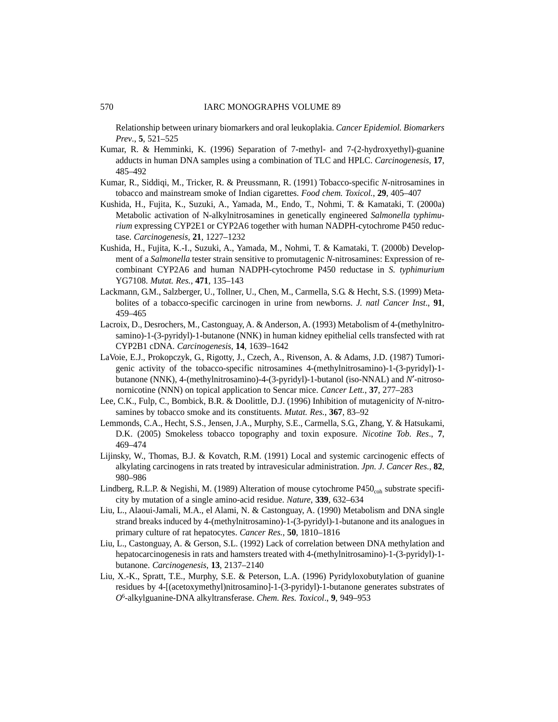Relationship between urinary biomarkers and oral leukoplakia. *Cancer Epidemiol. Biomarkers Prev*., **5**, 521–525

- Kumar, R. & Hemminki, K. (1996) Separation of 7-methyl- and 7-(2-hydroxyethyl)-guanine adducts in human DNA samples using a combination of TLC and HPLC. *Carcinogenesis*, **17**, 485–492
- Kumar, R., Siddiqi, M., Tricker, R. & Preussmann, R. (1991) Tobacco-specific *N*-nitrosamines in tobacco and mainstream smoke of Indian cigarettes. *Food chem. Toxicol.*, **29**, 405–407
- Kushida, H., Fujita, K., Suzuki, A., Yamada, M., Endo, T., Nohmi, T. & Kamataki, T. (2000a) Metabolic activation of N-alkylnitrosamines in genetically engineered *Salmonella typhimurium* expressing CYP2E1 or CYP2A6 together with human NADPH-cytochrome P450 reductase. *Carcinogenesis*, **21**, 1227–1232
- Kushida, H., Fujita, K.-I., Suzuki, A., Yamada, M., Nohmi, T. & Kamataki, T. (2000b) Development of a *Salmonella* tester strain sensitive to promutagenic *N*-nitrosamines: Expression of recombinant CYP2A6 and human NADPH-cytochrome P450 reductase in *S. typhimurium* YG7108. *Mutat. Res.*, **471**, 135–143
- Lackmann, G.M., Salzberger, U., Tollner, U., Chen, M., Carmella, S.G. & Hecht, S.S. (1999) Metabolites of a tobacco-specific carcinogen in urine from newborns. *J. natl Cancer Inst*., **91**, 459–465
- Lacroix, D., Desrochers, M., Castonguay, A. & Anderson, A. (1993) Metabolism of 4-(methylnitrosamino)-1-(3-pyridyl)-1-butanone (NNK) in human kidney epithelial cells transfected with rat CYP2B1 cDNA. *Carcinogenesis*, **14**, 1639–1642
- LaVoie, E.J., Prokopczyk, G., Rigotty, J., Czech, A., Rivenson, A. & Adams, J.D. (1987) Tumorigenic activity of the tobacco-specific nitrosamines 4-(methylnitrosamino)-1-(3-pyridyl)-1 butanone (NNK), 4-(methylnitrosamino)-4-(3-pyridyl)-1-butanol (iso-NNAL) and *N*′-nitrosonornicotine (NNN) on topical application to Sencar mice. *Cancer Lett.*, **37**, 277–283
- Lee, C.K., Fulp, C., Bombick, B.R. & Doolittle, D.J. (1996) Inhibition of mutagenicity of *N*-nitrosamines by tobacco smoke and its constituents. *Mutat. Res.*, **367**, 83–92
- Lemmonds, C.A., Hecht, S.S., Jensen, J.A., Murphy, S.E., Carmella, S.G., Zhang, Y. & Hatsukami, D.K. (2005) Smokeless tobacco topography and toxin exposure. *Nicotine Tob. Res*., **7**, 469–474
- Lijinsky, W., Thomas, B.J. & Kovatch, R.M. (1991) Local and systemic carcinogenic effects of alkylating carcinogens in rats treated by intravesicular administration. *Jpn. J. Cancer Res.*, **82**, 980–986
- Lindberg, R.L.P. & Negishi, M. (1989) Alteration of mouse cytochrome  $P450<sub>coh</sub>$  substrate specificity by mutation of a single amino-acid residue. *Nature*, **339**, 632–634
- Liu, L., Alaoui-Jamali, M.A., el Alami, N. & Castonguay, A. (1990) Metabolism and DNA single strand breaks induced by 4-(methylnitrosamino)-1-(3-pyridyl)-1-butanone and its analogues in primary culture of rat hepatocytes. *Cancer Res.*, **50**, 1810–1816
- Liu, L., Castonguay, A. & Gerson, S.L. (1992) Lack of correlation between DNA methylation and hepatocarcinogenesis in rats and hamsters treated with 4-(methylnitrosamino)-1-(3-pyridyl)-1 butanone. *Carcinogenesis*, **13**, 2137–2140
- Liu, X.-K., Spratt, T.E., Murphy, S.E. & Peterson, L.A. (1996) Pyridyloxobutylation of guanine residues by 4-[(acetoxymethyl)nitrosamino]-1-(3-pyridyl)-1-butanone generates substrates of *O*6-alkylguanine-DNA alkyltransferase. *Chem. Res. Toxicol*., **9**, 949–953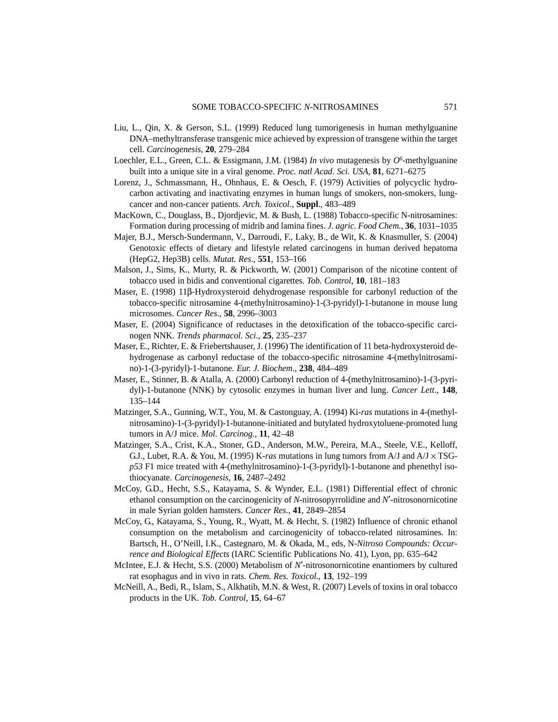- Liu, L., Qin, X. & Gerson, S.L. (1999) Reduced lung tumorigenesis in human methylguanine DNA–methyltransferase transgenic mice achieved by expression of transgene within the target cell. *Carcinogenesis*, **20**, 279–284
- Loechler, E.L., Green, C.L. & Essigmann, J.M. (1984) *In vivo* mutagenesis by *O*6-methylguanine built into a unique site in a viral genome. *Proc. natl Acad. Sci. USA*, **81**, 6271–6275
- Lorenz, J., Schmassmann, H., Ohnhaus, E. & Oesch, F. (1979) Activities of polycyclic hydrocarbon activating and inactivating enzymes in human lungs of smokers, non-smokers, lungcancer and non-cancer patients. *Arch. Toxicol.*, **Suppl**., 483–489
- MacKown, C., Douglass, B., Djordjevic, M. & Bush, L. (1988) Tobacco-specific N-nitrosamines: Formation during processing of midrib and lamina fines. *J. agric. Food Chem.*, **36**, 1031–1035
- Majer, B.J., Mersch-Sundermann, V., Darroudi, F., Laky, B., de Wit, K. & Knasmuller, S. (2004) Genotoxic effects of dietary and lifestyle related carcinogens in human derived hepatoma (HepG2, Hep3B) cells. *Mutat. Res*., **551**, 153–166
- Malson, J., Sims, K., Murty, R. & Pickworth, W. (2001) Comparison of the nicotine content of tobacco used in bidis and conventional cigarettes. *Tob. Control*, **10**, 181–183
- Maser, E. (1998) 11β-Hydroxysteroid dehydrogenase responsible for carbonyl reduction of the tobacco-specific nitrosamine 4-(methylnitrosamino)-1-(3-pyridyl)-1-butanone in mouse lung microsomes. *Cancer Res*., **58**, 2996–3003
- Maser, E. (2004) Significance of reductases in the detoxification of the tobacco-specific carcinogen NNK. *Trends pharmacol. Sci*., **25**, 235–237
- Maser, E., Richter, E. & Friebertshauser, J. (1996) The identification of 11 beta-hydroxysteroid dehydrogenase as carbonyl reductase of the tobacco-specific nitrosamine 4-(methylnitrosamino)-1-(3-pyridyl)-1-butanone. *Eur. J. Biochem*., **238**, 484–489
- Maser, E., Stinner, B. & Atalla, A. (2000) Carbonyl reduction of 4-(methylnitrosamino)-1-(3-pyridyl)-1-butanone (NNK) by cytosolic enzymes in human liver and lung. *Cancer Lett*., **148**, 135–144
- Matzinger, S.A., Gunning, W.T., You, M. & Castonguay, A. (1994) Ki-*ras* mutations in 4-(methylnitrosamino)-1-(3-pyridyl)-1-butanone-initiated and butylated hydroxytoluene-promoted lung tumors in A/J mice. *Mol. Carcinog.*, **11**, 42–48
- Matzinger, S.A., Crist, K.A., Stoner, G.D., Anderson, M.W., Pereira, M.A., Steele, V.E., Kelloff, G.J., Lubet, R.A. & You, M. (1995) K-ras mutations in lung tumors from A/J and  $A/J \times TSG$ *p53* F1 mice treated with 4-(methylnitrosamino)-1-(3-pyridyl)-1-butanone and phenethyl isothiocyanate. *Carcinogenesis*, **16**, 2487–2492
- McCoy, G.D., Hecht, S.S., Katayama, S. & Wynder, E.L. (1981) Differential effect of chronic ethanol consumption on the carcinogenicity of *N*-nitrosopyrrolidine and *N*′-nitrosonornicotine in male Syrian golden hamsters. *Cancer Res.*, **41**, 2849–2854
- McCoy, G., Katayama, S., Young, R., Wyatt, M. & Hecht, S. (1982) Influence of chronic ethanol consumption on the metabolism and carcinogenicity of tobacco-related nitrosamines. In: Bartsch, H., O'Neill, I.K., Castegnaro, M. & Okada, M., eds, N*-Nitroso Compounds: Occurrence and Biological Effects* (IARC Scientific Publications No. 41), Lyon, pp. 635–642
- McIntee, E.J. & Hecht, S.S. (2000) Metabolism of *N*′-nitrosonornicotine enantiomers by cultured rat esophagus and in vivo in rats. *Chem. Res. Toxicol.*, **13**, 192–199
- McNeill, A., Bedi, R., Islam, S., Alkhatib, M.N. & West, R. (2007) Levels of toxins in oral tobacco products in the UK. *Tob. Control*, **15**, 64–67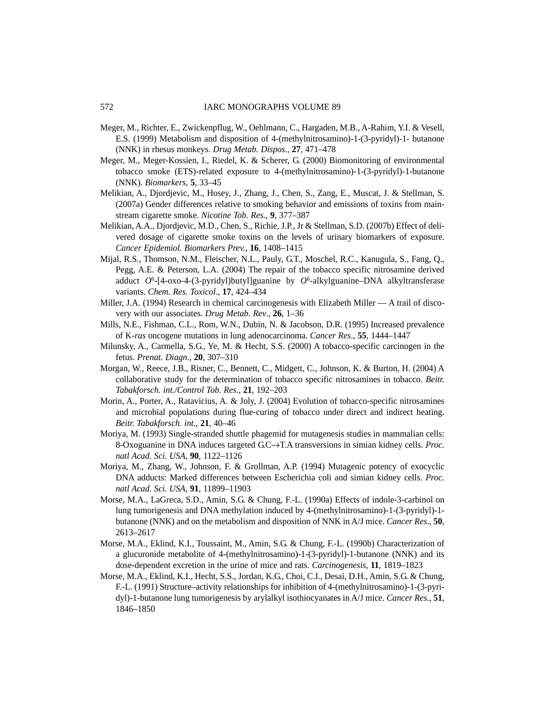- Meger, M., Richter, E., Zwickenpflug, W., Oehlmann, C., Hargaden, M.B., A-Rahim, Y.I. & Vesell, E.S. (1999) Metabolism and disposition of 4-(methylnitrosamino)-1-(3-pyridyl)-1- butanone (NNK) in rhesus monkeys. *Drug Metab. Dispos.*, **27**, 471–478
- Meger, M., Meger-Kossien, I., Riedel, K. & Scherer, G. (2000) Biomonitoring of environmental tobacco smoke (ETS)-related exposure to 4-(methylnitrosamino)-1-(3-pyridyl)-1-butanone (NNK). *Biomarkers*, **5**, 33–45
- Melikian, A., Djordjevic, M., Hosey, J., Zhang, J., Chen, S., Zang, E., Muscat, J. & Stellman, S. (2007a) Gender differences relative to smoking behavior and emissions of toxins from mainstream cigarette smoke. *Nicotine Tob. Res.*, **9**, 377–387
- Melikian, A.A., Djordjevic, M.D., Chen, S., Richie, J.P., Jr & Stellman, S.D. (2007b) Effect of delivered dosage of cigarette smoke toxins on the levels of urinary biomarkers of exposure. *Cancer Epidemiol. Biomarkers Prev.*, **16**, 1408–1415
- Mijal, R.S., Thomson, N.M., Fleischer, N.L., Pauly, G.T., Moschel, R.C., Kanugula, S., Fang, Q., Pegg, A.E. & Peterson, L.A. (2004) The repair of the tobacco specific nitrosamine derived adduct *O*6-[4-oxo-4-(3-pyridyl)butyl]guanine by *O*6-alkylguanine–DNA alkyltransferase variants. *Chem. Res. Toxicol*., **17**, 424–434
- Miller, J.A. (1994) Research in chemical carcinogenesis with Elizabeth Miller A trail of discovery with our associates. *Drug Metab. Rev*., **26**, 1–36
- Mills, N.E., Fishman, C.L., Rom, W.N., Dubin, N. & Jacobson, D.R. (1995) Increased prevalence of K-*ras* oncogene mutations in lung adenocarcinoma. *Cancer Res*., **55**, 1444–1447
- Milunsky, A., Carmella, S.G., Ye, M. & Hecht, S.S. (2000) A tobacco-specific carcinogen in the fetus. *Prenat. Diagn*., **20**, 307–310
- Morgan, W., Reece, J.B., Risner, C., Bennett, C., Midgett, C., Johnson, K. & Burton, H. (2004) A collaborative study for the determination of tobacco specific nitrosamines in tobacco. *Beitr. Tabakforsch. int./Control Tob. Res.*, **21**, 192–203
- Morin, A., Porter, A., Ratavicius, A. & Joly, J. (2004) Evolution of tobacco-specific nitrosamines and microbial populations during flue-curing of tobacco under direct and indirect heating. *Beitr. Tabakforsch. int.*, **21**, 40–46
- Moriya, M. (1993) Single-stranded shuttle phagemid for mutagenesis studies in mammalian cells: 8-Oxoguanine in DNA induces targeted G.C→T.A transversions in simian kidney cells. *Proc. natl Acad. Sci. USA*, **90**, 1122–1126
- Moriya, M., Zhang, W., Johnson, F. & Grollman, A.P. (1994) Mutagenic potency of exocyclic DNA adducts: Marked differences between Escherichia coli and simian kidney cells. *Proc. natl Acad. Sci. USA*, **91**, 11899–11903
- Morse, M.A., LaGreca, S.D., Amin, S.G. & Chung, F.-L. (1990a) Effects of indole-3-carbinol on lung tumorigenesis and DNA methylation induced by 4-(methylnitrosamino)-1-(3-pyridyl)-1 butanone (NNK) and on the metabolism and disposition of NNK in A/J mice. *Cancer Res*., **50**, 2613–2617
- Morse, M.A., Eklind, K.I., Toussaint, M., Amin, S.G. & Chung, F.-L. (1990b) Characterization of a glucuronide metabolite of 4-(methylnitrosamino)-1-(3-pyridyl)-1-butanone (NNK) and its dose-dependent excretion in the urine of mice and rats. *Carcinogenesis*, **11**, 1819–1823
- Morse, M.A., Eklind, K.I., Hecht, S.S., Jordan, K.G., Choi, C.I., Desai, D.H., Amin, S.G. & Chung, F.-L. (1991) Structure–activity relationships for inhibition of 4-(methylnitrosamino)-1-(3-pyridyl)-1-butanone lung tumorigenesis by arylalkyl isothiocyanates in A/J mice. *Cancer Res*., **51**, 1846–1850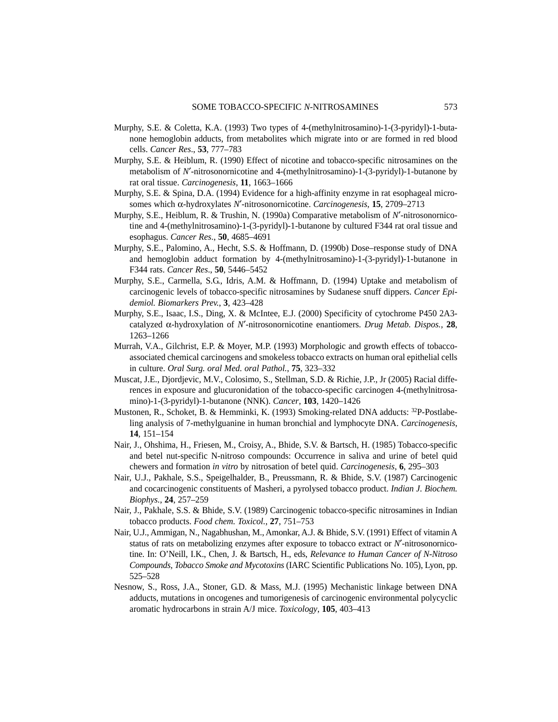- Murphy, S.E. & Coletta, K.A. (1993) Two types of 4-(methylnitrosamino)-1-(3-pyridyl)-1-butanone hemoglobin adducts, from metabolites which migrate into or are formed in red blood cells. *Cancer Res*., **53**, 777–783
- Murphy, S.E. & Heiblum, R. (1990) Effect of nicotine and tobacco-specific nitrosamines on the metabolism of *N*′-nitrosonornicotine and 4-(methylnitrosamino)-1-(3-pyridyl)-1-butanone by rat oral tissue. *Carcinogenesis*, **11**, 1663–1666
- Murphy, S.E. & Spina, D.A. (1994) Evidence for a high-affinity enzyme in rat esophageal microsomes which α-hydroxylates *N*′-nitrosonornicotine. *Carcinogenesis*, **15**, 2709–2713
- Murphy, S.E., Heiblum, R. & Trushin, N. (1990a) Comparative metabolism of *N*′-nitrosonornicotine and 4-(methylnitrosamino)-1-(3-pyridyl)-1-butanone by cultured F344 rat oral tissue and esophagus. *Cancer Res*., **50**, 4685–4691
- Murphy, S.E., Palomino, A., Hecht, S.S. & Hoffmann, D. (1990b) Dose–response study of DNA and hemoglobin adduct formation by 4-(methylnitrosamino)-1-(3-pyridyl)-1-butanone in F344 rats. *Cancer Res*., **50**, 5446–5452
- Murphy, S.E., Carmella, S.G., Idris, A.M. & Hoffmann, D. (1994) Uptake and metabolism of carcinogenic levels of tobacco-specific nitrosamines by Sudanese snuff dippers. *Cancer Epidemiol. Biomarkers Prev.*, **3**, 423–428
- Murphy, S.E., Isaac, I.S., Ding, X. & McIntee, E.J. (2000) Specificity of cytochrome P450 2A3 catalyzed α-hydroxylation of *N*′-nitrosonornicotine enantiomers. *Drug Metab. Dispos.*, **28**, 1263–1266
- Murrah, V.A., Gilchrist, E.P. & Moyer, M.P. (1993) Morphologic and growth effects of tobaccoassociated chemical carcinogens and smokeless tobacco extracts on human oral epithelial cells in culture. *Oral Surg. oral Med. oral Pathol.*, **75**, 323–332
- Muscat, J.E., Djordjevic, M.V., Colosimo, S., Stellman, S.D. & Richie, J.P., Jr (2005) Racial differences in exposure and glucuronidation of the tobacco-specific carcinogen 4-(methylnitrosamino)-1-(3-pyridyl)-1-butanone (NNK). *Cancer*, **103**, 1420–1426
- Mustonen, R., Schoket, B. & Hemminki, K. (1993) Smoking-related DNA adducts: 32P-Postlabeling analysis of 7-methylguanine in human bronchial and lymphocyte DNA. *Carcinogenesis*, **14**, 151–154
- Nair, J., Ohshima, H., Friesen, M., Croisy, A., Bhide, S.V. & Bartsch, H. (1985) Tobacco-specific and betel nut-specific N-nitroso compounds: Occurrence in saliva and urine of betel quid chewers and formation *in vitro* by nitrosation of betel quid. *Carcinogenesis*, **6**, 295–303
- Nair, U.J., Pakhale, S.S., Speigelhalder, B., Preussmann, R. & Bhide, S.V. (1987) Carcinogenic and cocarcinogenic constituents of Masheri, a pyrolysed tobacco product. *Indian J. Biochem. Biophys.*, **24**, 257–259
- Nair, J., Pakhale, S.S. & Bhide, S.V. (1989) Carcinogenic tobacco-specific nitrosamines in Indian tobacco products. *Food chem. Toxicol.*, **27**, 751–753
- Nair, U.J., Ammigan, N., Nagabhushan, M., Amonkar, A.J. & Bhide, S.V. (1991) Effect of vitamin A status of rats on metabolizing enzymes after exposure to tobacco extract or *N*′-nitrosonornicotine. In: O'Neill, I.K., Chen, J. & Bartsch, H., eds, *Relevance to Human Cancer of N-Nitroso Compounds, Tobacco Smoke and Mycotoxins* (IARC Scientific Publications No. 105), Lyon, pp. 525–528
- Nesnow, S., Ross, J.A., Stoner, G.D. & Mass, M.J. (1995) Mechanistic linkage between DNA adducts, mutations in oncogenes and tumorigenesis of carcinogenic environmental polycyclic aromatic hydrocarbons in strain A/J mice. *Toxicology*, **105**, 403–413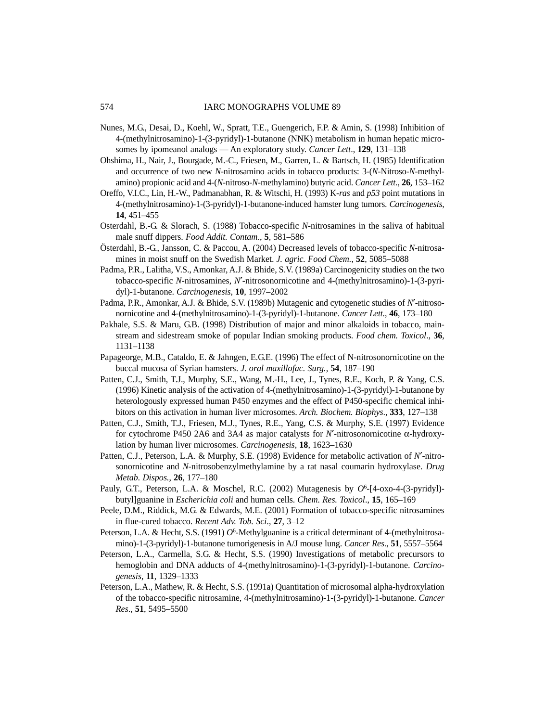- Nunes, M.G., Desai, D., Koehl, W., Spratt, T.E., Guengerich, F.P. & Amin, S. (1998) Inhibition of 4-(methylnitrosamino)-1-(3-pyridyl)-1-butanone (NNK) metabolism in human hepatic microsomes by ipomeanol analogs — An exploratory study. *Cancer Lett*., **129**, 131–138
- Ohshima, H., Nair, J., Bourgade, M.-C., Friesen, M., Garren, L. & Bartsch, H. (1985) Identification and occurrence of two new *N*-nitrosamino acids in tobacco products: 3-(*N*-Nitroso-*N*-methylamino) propionic acid and 4-(*N*-nitroso-*N*-methylamino) butyric acid. *Cancer Lett.*, **26**, 153–162
- Oreffo, V.I.C., Lin, H.-W., Padmanabhan, R. & Witschi, H. (1993) K-*ras* and *p53* point mutations in 4-(methylnitrosamino)-1-(3-pyridyl)-1-butanone-induced hamster lung tumors. *Carcinogenesis*, **14**, 451–455
- Osterdahl, B.-G. & Slorach, S. (1988) Tobacco-specific *N*-nitrosamines in the saliva of habitual male snuff dippers. *Food Addit. Contam*., **5**, 581–586
- Österdahl, B.-G., Jansson, C. & Paccou, A. (2004) Decreased levels of tobacco-specific *N*-nitrosamines in moist snuff on the Swedish Market. *J. agric. Food Chem.*, **52**, 5085–5088
- Padma, P.R., Lalitha, V.S., Amonkar, A.J. & Bhide, S.V. (1989a) Carcinogenicity studies on the two tobacco-specific *N*-nitrosamines, *N*′-nitrosonornicotine and 4-(methylnitrosamino)-1-(3-pyridyl)-1-butanone. *Carcinogenesis*, **10**, 1997–2002
- Padma, P.R., Amonkar, A.J. & Bhide, S.V. (1989b) Mutagenic and cytogenetic studies of *N*′-nitrosonornicotine and 4-(methylnitrosamino)-1-(3-pyridyl)-1-butanone. *Cancer Lett.*, **46**, 173–180
- Pakhale, S.S. & Maru, G.B. (1998) Distribution of major and minor alkaloids in tobacco, mainstream and sidestream smoke of popular Indian smoking products. *Food chem. Toxicol*., **36**, 1131–1138
- Papageorge, M.B., Cataldo, E. & Jahngen, E.G.E. (1996) The effect of N-nitrosonornicotine on the buccal mucosa of Syrian hamsters. *J. oral maxillofac. Surg.*, **54**, 187–190
- Patten, C.J., Smith, T.J., Murphy, S.E., Wang, M.-H., Lee, J., Tynes, R.E., Koch, P. & Yang, C.S. (1996) Kinetic analysis of the activation of 4-(methylnitrosamino)-1-(3-pyridyl)-1-butanone by heterologously expressed human P450 enzymes and the effect of P450-specific chemical inhibitors on this activation in human liver microsomes. *Arch. Biochem. Biophys*., **333**, 127–138
- Patten, C.J., Smith, T.J., Friesen, M.J., Tynes, R.E., Yang, C.S. & Murphy, S.E. (1997) Evidence for cytochrome P450 2A6 and 3A4 as major catalysts for *N*′-nitrosonornicotine α-hydroxylation by human liver microsomes. *Carcinogenesis*, **18**, 1623–1630
- Patten, C.J., Peterson, L.A. & Murphy, S.E. (1998) Evidence for metabolic activation of *N*′-nitrosonornicotine and *N*-nitrosobenzylmethylamine by a rat nasal coumarin hydroxylase. *Drug Metab. Dispos.*, **26**, 177–180
- Pauly, G.T., Peterson, L.A. & Moschel, R.C. (2002) Mutagenesis by  $O<sup>6</sup>$ -[4-oxo-4-(3-pyridyl)butyl]guanine in *Escherichia coli* and human cells. *Chem. Res. Toxicol*., **15**, 165–169
- Peele, D.M., Riddick, M.G. & Edwards, M.E. (2001) Formation of tobacco-specific nitrosamines in flue-cured tobacco. *Recent Adv. Tob. Sci*., **27**, 3–12
- Peterson, L.A. & Hecht, S.S. (1991)  $O<sup>6</sup>$ -Methylguanine is a critical determinant of 4-(methylnitrosamino)-1-(3-pyridyl)-1-butanone tumorigenesis in A/J mouse lung. *Cancer Res*., **51**, 5557–5564
- Peterson, L.A., Carmella, S.G. & Hecht, S.S. (1990) Investigations of metabolic precursors to hemoglobin and DNA adducts of 4-(methylnitrosamino)-1-(3-pyridyl)-1-butanone. *Carcinogenesis*, **11**, 1329–1333
- Peterson, L.A., Mathew, R. & Hecht, S.S. (1991a) Quantitation of microsomal alpha-hydroxylation of the tobacco-specific nitrosamine, 4-(methylnitrosamino)-1-(3-pyridyl)-1-butanone. *Cancer Res*., **51**, 5495–5500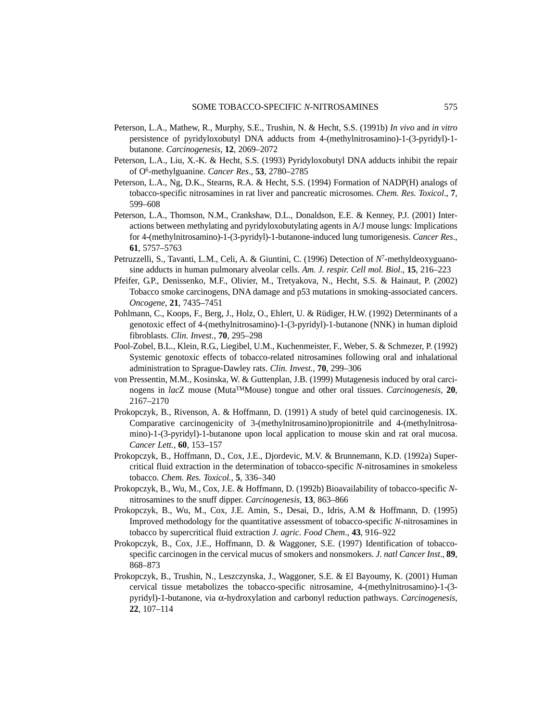- Peterson, L.A., Mathew, R., Murphy, S.E., Trushin, N. & Hecht, S.S. (1991b) *In vivo* and *in vitro* persistence of pyridyloxobutyl DNA adducts from 4-(methylnitrosamino)-1-(3-pyridyl)-1 butanone. *Carcinogenesis*, **12**, 2069–2072
- Peterson, L.A., Liu, X.-K. & Hecht, S.S. (1993) Pyridyloxobutyl DNA adducts inhibit the repair of O6-methylguanine. *Cancer Res*., **53**, 2780–2785
- Peterson, L.A., Ng, D.K., Stearns, R.A. & Hecht, S.S. (1994) Formation of NADP(H) analogs of tobacco-specific nitrosamines in rat liver and pancreatic microsomes. *Chem. Res. Toxicol*., **7**, 599–608
- Peterson, L.A., Thomson, N.M., Crankshaw, D.L., Donaldson, E.E. & Kenney, P.J. (2001) Interactions between methylating and pyridyloxobutylating agents in A/J mouse lungs: Implications for 4-(methylnitrosamino)-1-(3-pyridyl)-1-butanone-induced lung tumorigenesis. *Cancer Res*., **61**, 5757–5763
- Petruzzelli, S., Tavanti, L.M., Celi, A. & Giuntini, C. (1996) Detection of *N*7-methyldeoxyguanosine adducts in human pulmonary alveolar cells. *Am. J. respir. Cell mol. Biol*., **15**, 216–223
- Pfeifer, G.P., Denissenko, M.F., Olivier, M., Tretyakova, N., Hecht, S.S. & Hainaut, P. (2002) Tobacco smoke carcinogens, DNA damage and p53 mutations in smoking-associated cancers. *Oncogene*, **21**, 7435–7451
- Pohlmann, C., Koops, F., Berg, J., Holz, O., Ehlert, U. & Rüdiger, H.W. (1992) Determinants of a genotoxic effect of 4-(methylnitrosamino)-1-(3-pyridyl)-1-butanone (NNK) in human diploid fibroblasts. *Clin. Invest.*, **70**, 295–298
- Pool-Zobel, B.L., Klein, R.G., Liegibel, U.M., Kuchenmeister, F., Weber, S. & Schmezer, P. (1992) Systemic genotoxic effects of tobacco-related nitrosamines following oral and inhalational administration to Sprague-Dawley rats. *Clin. Invest.*, **70**, 299–306
- von Pressentin, M.M., Kosinska, W. & Guttenplan, J.B. (1999) Mutagenesis induced by oral carcinogens in *lac*Z mouse (MutaTMMouse) tongue and other oral tissues. *Carcinogenesis*, **20**, 2167–2170
- Prokopczyk, B., Rivenson, A. & Hoffmann, D. (1991) A study of betel quid carcinogenesis. IX. Comparative carcinogenicity of 3-(methylnitrosamino)propionitrile and 4-(methylnitrosamino)-1-(3-pyridyl)-1-butanone upon local application to mouse skin and rat oral mucosa. *Cancer Lett.*, **60**, 153–157
- Prokopczyk, B., Hoffmann, D., Cox, J.E., Djordevic, M.V. & Brunnemann, K.D. (1992a) Supercritical fluid extraction in the determination of tobacco-specific *N*-nitrosamines in smokeless tobacco. *Chem. Res. Toxicol.*, **5**, 336–340
- Prokopczyk, B., Wu, M., Cox, J.E. & Hoffmann, D. (1992b) Bioavailability of tobacco-specific *N*nitrosamines to the snuff dipper. *Carcinogenesis*, **13**, 863–866
- Prokopczyk, B., Wu, M., Cox, J.E. Amin, S., Desai, D., Idris, A.M & Hoffmann, D. (1995) Improved methodology for the quantitative assessment of tobacco-specific *N*-nitrosamines in tobacco by supercritical fluid extraction *J. agric. Food Chem*., **43**, 916–922
- Prokopczyk, B., Cox, J.E., Hoffmann, D. & Waggoner, S.E. (1997) Identification of tobaccospecific carcinogen in the cervical mucus of smokers and nonsmokers. *J. natl Cancer Inst*., **89**, 868–873
- Prokopczyk, B., Trushin, N., Leszczynska, J., Waggoner, S.E. & El Bayoumy, K. (2001) Human cervical tissue metabolizes the tobacco-specific nitrosamine, 4-(methylnitrosamino)-1-(3 pyridyl)-1-butanone, via α-hydroxylation and carbonyl reduction pathways. *Carcinogenesis*, **22**, 107–114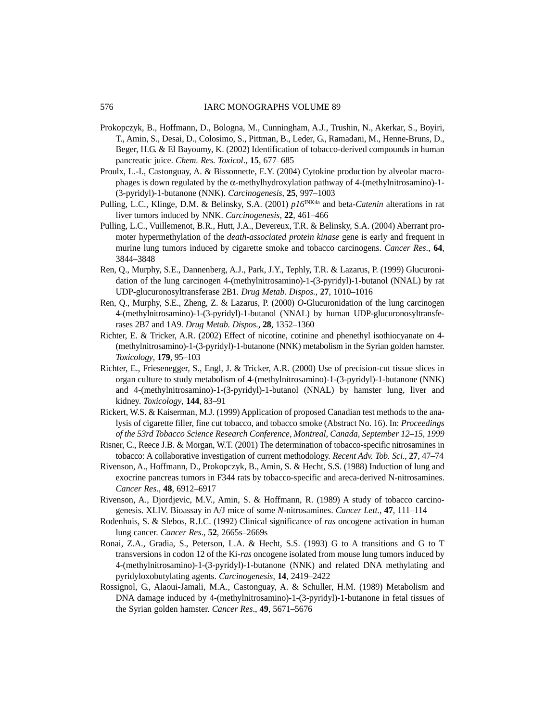- Prokopczyk, B., Hoffmann, D., Bologna, M., Cunningham, A.J., Trushin, N., Akerkar, S., Boyiri, T., Amin, S., Desai, D., Colosimo, S., Pittman, B., Leder, G., Ramadani, M., Henne-Bruns, D., Beger, H.G. & El Bayoumy, K. (2002) Identification of tobacco-derived compounds in human pancreatic juice. *Chem. Res. Toxicol*., **15**, 677–685
- Proulx, L.-I., Castonguay, A. & Bissonnette, E.Y. (2004) Cytokine production by alveolar macrophages is down regulated by the α-methylhydroxylation pathway of 4-(methylnitrosamino)-1- (3-pyridyl)-1-butanone (NNK). *Carcinogenesis*, **25**, 997–1003
- Pulling, L.C., Klinge, D.M. & Belinsky, S.A. (2001) *p16*INK4a and beta-*Catenin* alterations in rat liver tumors induced by NNK. *Carcinogenesis*, **22**, 461–466
- Pulling, L.C., Vuillemenot, B.R., Hutt, J.A., Devereux, T.R. & Belinsky, S.A. (2004) Aberrant promoter hypermethylation of the *death-associated protein kinase* gene is early and frequent in murine lung tumors induced by cigarette smoke and tobacco carcinogens. *Cancer Res*., **64**, 3844–3848
- Ren, Q., Murphy, S.E., Dannenberg, A.J., Park, J.Y., Tephly, T.R. & Lazarus, P. (1999) Glucuronidation of the lung carcinogen 4-(methylnitrosamino)-1-(3-pyridyl)-1-butanol (NNAL) by rat UDP-glucuronosyltransferase 2B1. *Drug Metab. Dispos.*, **27**, 1010–1016
- Ren, Q., Murphy, S.E., Zheng, Z. & Lazarus, P. (2000) *O*-Glucuronidation of the lung carcinogen 4-(methylnitrosamino)-1-(3-pyridyl)-1-butanol (NNAL) by human UDP-glucuronosyltransferases 2B7 and 1A9. *Drug Metab. Dispos.*, **28**, 1352–1360
- Richter, E. & Tricker, A.R. (2002) Effect of nicotine, cotinine and phenethyl isothiocyanate on 4- (methylnitrosamino)-1-(3-pyridyl)-1-butanone (NNK) metabolism in the Syrian golden hamster. *Toxicology*, **179**, 95–103
- Richter, E., Friesenegger, S., Engl, J. & Tricker, A.R. (2000) Use of precision-cut tissue slices in organ culture to study metabolism of 4-(methylnitrosamino)-1-(3-pyridyl)-1-butanone (NNK) and 4-(methylnitrosamino)-1-(3-pyridyl)-1-butanol (NNAL) by hamster lung, liver and kidney. *Toxicology*, **144**, 83–91
- Rickert, W.S. & Kaiserman, M.J. (1999) Application of proposed Canadian test methods to the analysis of cigarette filler, fine cut tobacco, and tobacco smoke (Abstract No. 16). In: *Proceedings of the 53rd Tobacco Science Research Conference, Montreal, Canada, September 12–15, 1999*
- Risner, C., Reece J.B. & Morgan, W.T. (2001) The determination of tobacco-specific nitrosamines in tobacco: A collaborative investigation of current methodology. *Recent Adv. Tob. Sci.*, **27**, 47–74
- Rivenson, A., Hoffmann, D., Prokopczyk, B., Amin, S. & Hecht, S.S. (1988) Induction of lung and exocrine pancreas tumors in F344 rats by tobacco-specific and areca-derived N-nitrosamines. *Cancer Res*., **48**, 6912–6917
- Rivenson, A., Djordjevic, M.V., Amin, S. & Hoffmann, R. (1989) A study of tobacco carcinogenesis. XLIV. Bioassay in A/J mice of some *N*-nitrosamines. *Cancer Lett.*, **47**, 111–114
- Rodenhuis, S. & Slebos, R.J.C. (1992) Clinical significance of *ras* oncogene activation in human lung cancer. *Cancer Res*., **52**, 2665s–2669s
- Ronai, Z.A., Gradia, S., Peterson, L.A. & Hecht, S.S. (1993) G to A transitions and G to T transversions in codon 12 of the Ki-*ras* oncogene isolated from mouse lung tumors induced by 4-(methylnitrosamino)-1-(3-pyridyl)-1-butanone (NNK) and related DNA methylating and pyridyloxobutylating agents. *Carcinogenesis*, **14**, 2419–2422
- Rossignol, G., Alaoui-Jamali, M.A., Castonguay, A. & Schuller, H.M. (1989) Metabolism and DNA damage induced by 4-(methylnitrosamino)-1-(3-pyridyl)-1-butanone in fetal tissues of the Syrian golden hamster. *Cancer Res*., **49**, 5671–5676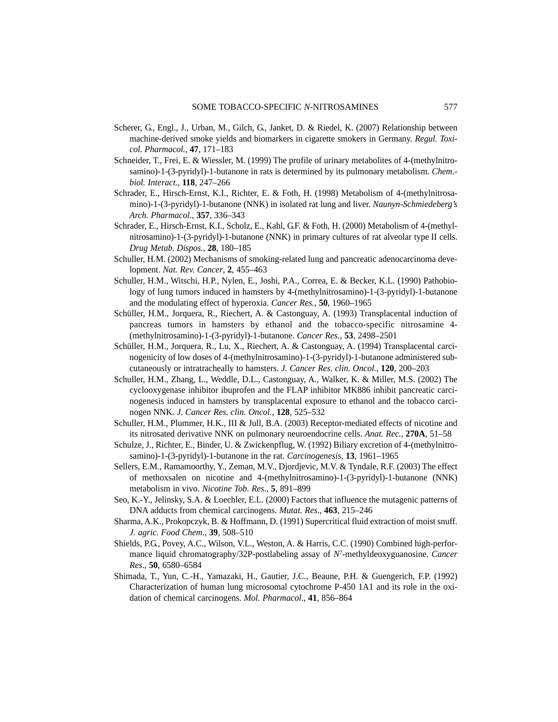- Scherer, G., Engl., J., Urban, M., Gilch, G., Janket, D. & Riedel, K. (2007) Relationship between machine-derived smoke yields and biomarkers in cigarette smokers in Germany. *Regul. Toxicol. Pharmacol.*, **47**, 171–183
- Schneider, T., Frei, E. & Wiessler, M. (1999) The profile of urinary metabolites of 4-(methylnitrosamino)-1-(3-pyridyl)-1-butanone in rats is determined by its pulmonary metabolism. *Chem. biol. Interact.*, **118**, 247–266
- Schrader, E., Hirsch-Ernst, K.I., Richter, E. & Foth, H. (1998) Metabolism of 4-(methylnitrosamino)-1-(3-pyridyl)-1-butanone (NNK) in isolated rat lung and liver. *Naunyn-Schmiedeberg's Arch. Pharmacol*., **357**, 336–343
- Schrader, E., Hirsch-Ernst, K.I., Scholz, E., Kahl, G.F. & Foth, H. (2000) Metabolism of 4-(methylnitrosamino)-1-(3-pyridyl)-1-butanone (NNK) in primary cultures of rat alveolar type II cells. *Drug Metab. Dispos.*, **28**, 180–185
- Schuller, H.M. (2002) Mechanisms of smoking-related lung and pancreatic adenocarcinoma development. *Nat. Rev. Cancer*, **2**, 455–463
- Schuller, H.M., Witschi, H.P., Nylen, E., Joshi, P.A., Correa, E. & Becker, K.L. (1990) Pathobiology of lung tumors induced in hamsters by 4-(methylnitrosamino)-1-(3-pyridyl)-1-butanone and the modulating effect of hyperoxia. *Cancer Res.*, **50**, 1960–1965
- Schüller, H.M., Jorquera, R., Riechert, A. & Castonguay, A. (1993) Transplacental induction of pancreas tumors in hamsters by ethanol and the tobacco-specific nitrosamine 4- (methylnitrosamino)-1-(3-pyridyl)-1-butanone. *Cancer Res.*, **53**, 2498–2501
- Schüller, H.M., Jorquera, R., Lu, X., Riechert, A. & Castonguay, A. (1994) Transplacental carcinogenicity of low doses of 4-(methylnitrosamino)-1-(3-pyridyl)-1-butanone administered subcutaneously or intratracheally to hamsters. *J. Cancer Res. clin. Oncol.*, **120**, 200–203
- Schuller, H.M., Zhang, L., Weddle, D.L., Castonguay, A., Walker, K. & Miller, M.S. (2002) The cyclooxygenase inhibitor ibuprofen and the FLAP inhibitor MK886 inhibit pancreatic carcinogenesis induced in hamsters by transplacental exposure to ethanol and the tobacco carcinogen NNK. *J. Cancer Res. clin. Oncol.*, **128**, 525–532
- Schuller, H.M., Plummer, H.K., III & Jull, B.A. (2003) Receptor-mediated effects of nicotine and its nitrosated derivative NNK on pulmonary neuroendocrine cells. *Anat. Rec.*, **270A**, 51–58
- Schulze, J., Richter, E., Binder, U. & Zwickenpflug, W. (1992) Biliary excretion of 4-(methylnitrosamino)-1-(3-pyridyl)-1-butanone in the rat. *Carcinogenesis*, **13**, 1961–1965
- Sellers, E.M., Ramamoorthy, Y., Zeman, M.V., Djordjevic, M.V. & Tyndale, R.F. (2003) The effect of methoxsalen on nicotine and 4-(methylnitrosamino)-1-(3-pyridyl)-1-butanone (NNK) metabolism in vivo. *Nicotine Tob. Res*., **5**, 891–899
- Seo, K.-Y., Jelinsky, S.A. & Loechler, E.L. (2000) Factors that influence the mutagenic patterns of DNA adducts from chemical carcinogens. *Mutat. Res*., **463**, 215–246
- Sharma, A.K., Prokopczyk, B. & Hoffmann, D. (1991) Supercritical fluid extraction of moist snuff. *J. agric. Food Chem*., **39**, 508–510
- Shields, P.G., Povey, A.C., Wilson, V.L., Weston, A. & Harris, C.C. (1990) Combined high-performance liquid chromatography/32P-postlabeling assay of *N*7-methyldeoxyguanosine. *Cancer Res*., **50**, 6580–6584
- Shimada, T., Yun, C.-H., Yamazaki, H., Gautier, J.C., Beaune, P.H. & Guengerich, F.P. (1992) Characterization of human lung microsomal cytochrome P-450 1A1 and its role in the oxidation of chemical carcinogens. *Mol. Pharmacol*., **41**, 856–864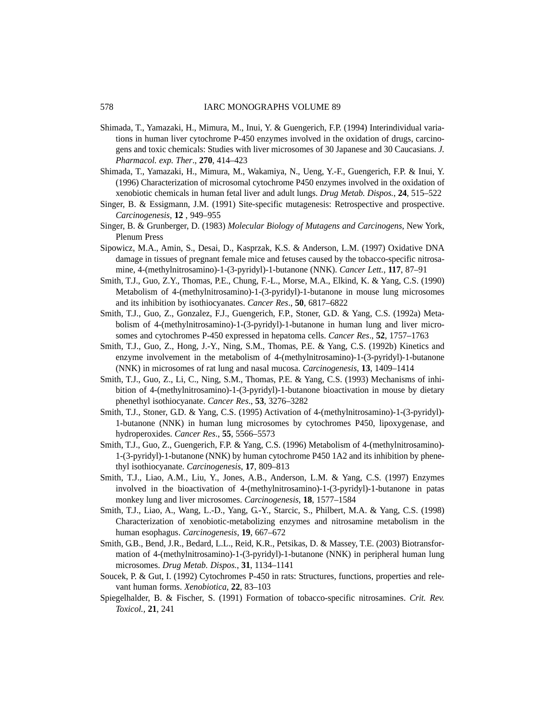- Shimada, T., Yamazaki, H., Mimura, M., Inui, Y. & Guengerich, F.P. (1994) Interindividual variations in human liver cytochrome P-450 enzymes involved in the oxidation of drugs, carcinogens and toxic chemicals: Studies with liver microsomes of 30 Japanese and 30 Caucasians. *J. Pharmacol. exp. Ther*., **270**, 414–423
- Shimada, T., Yamazaki, H., Mimura, M., Wakamiya, N., Ueng, Y.-F., Guengerich, F.P. & Inui, Y. (1996) Characterization of microsomal cytochrome P450 enzymes involved in the oxidation of xenobiotic chemicals in human fetal liver and adult lungs. *Drug Metab. Dispos.*, **24**, 515–522
- Singer, B. & Essigmann, J.M. (1991) Site-specific mutagenesis: Retrospective and prospective. *Carcinogenesis*, **12** , 949–955
- Singer, B. & Grunberger, D. (1983) *Molecular Biology of Mutagens and Carcinogens*, New York, Plenum Press
- Sipowicz, M.A., Amin, S., Desai, D., Kasprzak, K.S. & Anderson, L.M. (1997) Oxidative DNA damage in tissues of pregnant female mice and fetuses caused by the tobacco-specific nitrosamine, 4-(methylnitrosamino)-1-(3-pyridyl)-1-butanone (NNK). *Cancer Lett.*, **117**, 87–91
- Smith, T.J., Guo, Z.Y., Thomas, P.E., Chung, F.-L., Morse, M.A., Elkind, K. & Yang, C.S. (1990) Metabolism of 4-(methylnitrosamino)-1-(3-pyridyl)-1-butanone in mouse lung microsomes and its inhibition by isothiocyanates. *Cancer Res*., **50**, 6817–6822
- Smith, T.J., Guo, Z., Gonzalez, F.J., Guengerich, F.P., Stoner, G.D. & Yang, C.S. (1992a) Metabolism of 4-(methylnitrosamino)-1-(3-pyridyl)-1-butanone in human lung and liver microsomes and cytochromes P-450 expressed in hepatoma cells. *Cancer Res*., **52**, 1757–1763
- Smith, T.J., Guo, Z., Hong, J.-Y., Ning, S.M., Thomas, P.E. & Yang, C.S. (1992b) Kinetics and enzyme involvement in the metabolism of 4-(methylnitrosamino)-1-(3-pyridyl)-1-butanone (NNK) in microsomes of rat lung and nasal mucosa. *Carcinogenesis*, **13**, 1409–1414
- Smith, T.J., Guo, Z., Li, C., Ning, S.M., Thomas, P.E. & Yang, C.S. (1993) Mechanisms of inhibition of 4-(methylnitrosamino)-1-(3-pyridyl)-1-butanone bioactivation in mouse by dietary phenethyl isothiocyanate. *Cancer Res*., **53**, 3276–3282
- Smith, T.J., Stoner, G.D. & Yang, C.S. (1995) Activation of 4-(methylnitrosamino)-1-(3-pyridyl)-1-butanone (NNK) in human lung microsomes by cytochromes P450, lipoxygenase, and hydroperoxides. *Cancer Res*., **55**, 5566–5573
- Smith, T.J., Guo, Z., Guengerich, F.P. & Yang, C.S. (1996) Metabolism of 4-(methylnitrosamino)- 1-(3-pyridyl)-1-butanone (NNK) by human cytochrome P450 1A2 and its inhibition by phenethyl isothiocyanate. *Carcinogenesis*, **17**, 809–813
- Smith, T.J., Liao, A.M., Liu, Y., Jones, A.B., Anderson, L.M. & Yang, C.S. (1997) Enzymes involved in the bioactivation of 4-(methylnitrosamino)-1-(3-pyridyl)-1-butanone in patas monkey lung and liver microsomes. *Carcinogenesis*, **18**, 1577–1584
- Smith, T.J., Liao, A., Wang, L.-D., Yang, G.-Y., Starcic, S., Philbert, M.A. & Yang, C.S. (1998) Characterization of xenobiotic-metabolizing enzymes and nitrosamine metabolism in the human esophagus. *Carcinogenesis*, **19**, 667–672
- Smith, G.B., Bend, J.R., Bedard, L.L., Reid, K.R., Petsikas, D. & Massey, T.E. (2003) Biotransformation of 4-(methylnitrosamino)-1-(3-pyridyl)-1-butanone (NNK) in peripheral human lung microsomes. *Drug Metab. Dispos.*, **31**, 1134–1141
- Soucek, P. & Gut, I. (1992) Cytochromes P-450 in rats: Structures, functions, properties and relevant human forms. *Xenobiotica*, **22**, 83–103
- Spiegelhalder, B. & Fischer, S. (1991) Formation of tobacco-specific nitrosamines. *Crit. Rev. Toxicol.,* **21**, 241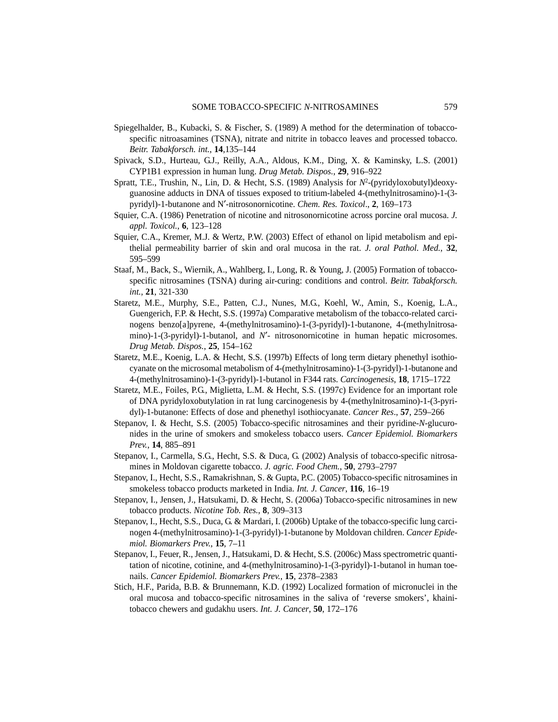- Spiegelhalder, B., Kubacki, S. & Fischer, S. (1989) A method for the determination of tobaccospecific nitroasamines (TSNA), nitrate and nitrite in tobacco leaves and processed tobacco. *Beitr. Tabakforsch. int.*, **14**,135–144
- Spivack, S.D., Hurteau, G.J., Reilly, A.A., Aldous, K.M., Ding, X. & Kaminsky, L.S. (2001) CYP1B1 expression in human lung. *Drug Metab. Dispos.*, **29**, 916–922
- Spratt, T.E., Trushin, N., Lin, D. & Hecht, S.S. (1989) Analysis for *N*2-(pyridyloxobutyl)deoxyguanosine adducts in DNA of tissues exposed to tritium-labeled 4-(methylnitrosamino)-1-(3 pyridyl)-1-butanone and N′-nitrosonornicotine. *Chem. Res. Toxicol*., **2**, 169–173
- Squier, C.A. (1986) Penetration of nicotine and nitrosonornicotine across porcine oral mucosa. *J. appl. Toxicol.*, **6**, 123–128
- Squier, C.A., Kremer, M.J. & Wertz, P.W. (2003) Effect of ethanol on lipid metabolism and epithelial permeability barrier of skin and oral mucosa in the rat. *J. oral Pathol. Med.*, **32**, 595–599
- Staaf, M., Back, S., Wiernik, A., Wahlberg, I., Long, R. & Young, J. (2005) Formation of tobaccospecific nitrosamines (TSNA) during air-curing: conditions and control. *Beitr. Tabakforsch. int.,* **21**, 321-330
- Staretz, M.E., Murphy, S.E., Patten, C.J., Nunes, M.G., Koehl, W., Amin, S., Koenig, L.A., Guengerich, F.P. & Hecht, S.S. (1997a) Comparative metabolism of the tobacco-related carcinogens benzo[a]pyrene, 4-(methylnitrosamino)-1-(3-pyridyl)-1-butanone, 4-(methylnitrosamino)-1-(3-pyridyl)-1-butanol, and *N*′- nitrosonornicotine in human hepatic microsomes. *Drug Metab. Dispos.*, **25**, 154–162
- Staretz, M.E., Koenig, L.A. & Hecht, S.S. (1997b) Effects of long term dietary phenethyl isothiocyanate on the microsomal metabolism of 4-(methylnitrosamino)-1-(3-pyridyl)-1-butanone and 4-(methylnitrosamino)-1-(3-pyridyl)-1-butanol in F344 rats. *Carcinogenesis*, **18**, 1715–1722
- Staretz, M.E., Foiles, P.G., Miglietta, L.M. & Hecht, S.S. (1997c) Evidence for an important role of DNA pyridyloxobutylation in rat lung carcinogenesis by 4-(methylnitrosamino)-1-(3-pyridyl)-1-butanone: Effects of dose and phenethyl isothiocyanate. *Cancer Res*., **57**, 259–266
- Stepanov, I. & Hecht, S.S. (2005) Tobacco-specific nitrosamines and their pyridine-*N*-glucuronides in the urine of smokers and smokeless tobacco users. *Cancer Epidemiol. Biomarkers Prev.*, **14**, 885–891
- Stepanov, I., Carmella, S.G., Hecht, S.S. & Duca, G. (2002) Analysis of tobacco-specific nitrosamines in Moldovan cigarette tobacco. *J. agric. Food Chem.*, **50**, 2793–2797
- Stepanov, I., Hecht, S.S., Ramakrishnan, S. & Gupta, P.C. (2005) Tobacco-specific nitrosamines in smokeless tobacco products marketed in India. *Int. J. Cancer*, **116**, 16–19
- Stepanov, I., Jensen, J., Hatsukami, D. & Hecht, S. (2006a) Tobacco-specific nitrosamines in new tobacco products. *Nicotine Tob. Res.*, **8**, 309–313
- Stepanov, I., Hecht, S.S., Duca, G. & Mardari, I. (2006b) Uptake of the tobacco-specific lung carcinogen 4-(methylnitrosamino)-1-(3-pyridyl)-1-butanone by Moldovan children. *Cancer Epidemiol. Biomarkers Prev.*, **15**, 7–11
- Stepanov, I., Feuer, R., Jensen, J., Hatsukami, D. & Hecht, S.S. (2006c) Mass spectrometric quantitation of nicotine, cotinine, and 4-(methylnitrosamino)-1-(3-pyridyl)-1-butanol in human toenails. *Cancer Epidemiol. Biomarkers Prev.*, **15**, 2378–2383
- Stich, H.F., Parida, B.B. & Brunnemann, K.D. (1992) Localized formation of micronuclei in the oral mucosa and tobacco-specific nitrosamines in the saliva of 'reverse smokers', khainitobacco chewers and gudakhu users. *Int. J. Cancer*, **50**, 172–176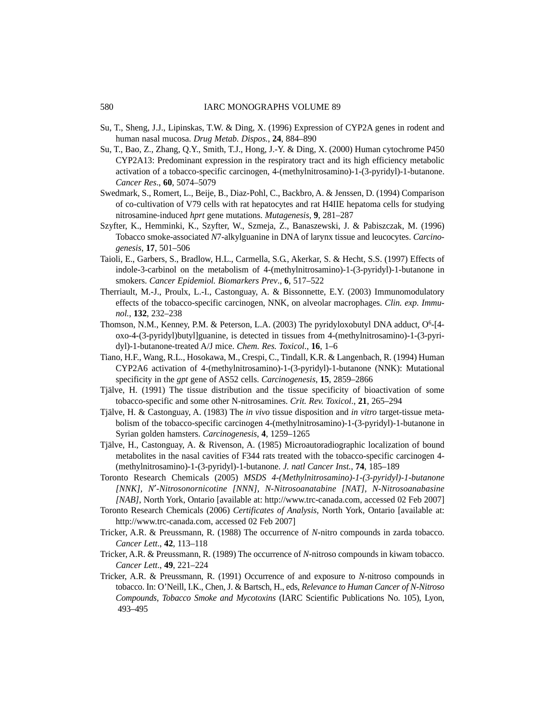## 580 IARC MONOGRAPHS VOLUME 89

- Su, T., Sheng, J.J., Lipinskas, T.W. & Ding, X. (1996) Expression of CYP2A genes in rodent and human nasal mucosa. *Drug Metab. Dispos.*, **24**, 884–890
- Su, T., Bao, Z., Zhang, Q.Y., Smith, T.J., Hong, J.-Y. & Ding, X. (2000) Human cytochrome P450 CYP2A13: Predominant expression in the respiratory tract and its high efficiency metabolic activation of a tobacco-specific carcinogen, 4-(methylnitrosamino)-1-(3-pyridyl)-1-butanone. *Cancer Res*., **60**, 5074–5079
- Swedmark, S., Romert, L., Beije, B., Diaz-Pohl, C., Backbro, A. & Jenssen, D. (1994) Comparison of co-cultivation of V79 cells with rat hepatocytes and rat H4IIE hepatoma cells for studying nitrosamine-induced *hprt* gene mutations. *Mutagenesis*, **9**, 281–287
- Szyfter, K., Hemminki, K., Szyfter, W., Szmeja, Z., Banaszewski, J. & Pabiszczak, M. (1996) Tobacco smoke-associated *N*7-alkylguanine in DNA of larynx tissue and leucocytes. *Carcinogenesis*, **17**, 501–506
- Taioli, E., Garbers, S., Bradlow, H.L., Carmella, S.G., Akerkar, S. & Hecht, S.S. (1997) Effects of indole-3-carbinol on the metabolism of 4-(methylnitrosamino)-1-(3-pyridyl)-1-butanone in smokers. *Cancer Epidemiol. Biomarkers Prev*., **6**, 517–522
- Therriault, M.-J., Proulx, L.-I., Castonguay, A. & Bissonnette, E.Y. (2003) Immunomodulatory effects of the tobacco-specific carcinogen, NNK, on alveolar macrophages. *Clin. exp. Immunol.*, **132**, 232–238
- Thomson, N.M., Kenney, P.M. & Peterson, L.A. (2003) The pyridyloxobutyl DNA adduct, O<sup>6</sup>-[4oxo-4-(3-pyridyl)butyl]guanine, is detected in tissues from 4-(methylnitrosamino)-1-(3-pyridyl)-1-butanone-treated A/J mice. *Chem. Res. Toxicol*., **16**, 1–6
- Tiano, H.F., Wang, R.L., Hosokawa, M., Crespi, C., Tindall, K.R. & Langenbach, R. (1994) Human CYP2A6 activation of 4-(methylnitrosamino)-1-(3-pyridyl)-1-butanone (NNK): Mutational specificity in the *gpt* gene of AS52 cells. *Carcinogenesis*, **15**, 2859–2866
- Tjälve, H. (1991) The tissue distribution and the tissue specificity of bioactivation of some tobacco-specific and some other N-nitrosamines. *Crit. Rev. Toxicol*., **21**, 265–294
- Tjälve, H. & Castonguay, A. (1983) The *in vivo* tissue disposition and *in vitro* target-tissue metabolism of the tobacco-specific carcinogen 4-(methylnitrosamino)-1-(3-pyridyl)-1-butanone in Syrian golden hamsters. *Carcinogenesis*, **4**, 1259–1265
- Tjälve, H., Castonguay, A. & Rivenson, A. (1985) Microautoradiographic localization of bound metabolites in the nasal cavities of F344 rats treated with the tobacco-specific carcinogen 4- (methylnitrosamino)-1-(3-pyridyl)-1-butanone. *J. natl Cancer Inst.*, **74**, 185–189
- Toronto Research Chemicals (2005) *MSDS 4-(Methylnitrosamino)-1-(3-pyridyl)-1-butanone [NNK], N*′*-Nitrosonornicotine [NNN], N-Nitrosoanatabine [NAT], N-Nitrosoanabasine [NAB]*, North York, Ontario [available at: http://www.trc-canada.com, accessed 02 Feb 2007]
- Toronto Research Chemicals (2006) *Certificates of Analysis,* North York, Ontario [available at: http://www.trc-canada.com, accessed 02 Feb 2007]
- Tricker, A.R. & Preussmann, R. (1988) The occurrence of *N*-nitro compounds in zarda tobacco. *Cancer Lett*., **42**, 113–118
- Tricker, A.R. & Preussmann, R. (1989) The occurrence of *N*-nitroso compounds in kiwam tobacco. *Cancer Lett*., **49**, 221–224
- Tricker, A.R. & Preussmann, R. (1991) Occurrence of and exposure to *N*-nitroso compounds in tobacco. In: O'Neill, I.K., Chen, J. & Bartsch, H., eds, *Relevance to Human Cancer of N-Nitroso Compounds, Tobacco Smoke and Mycotoxins* (IARC Scientific Publications No. 105), Lyon, 493–495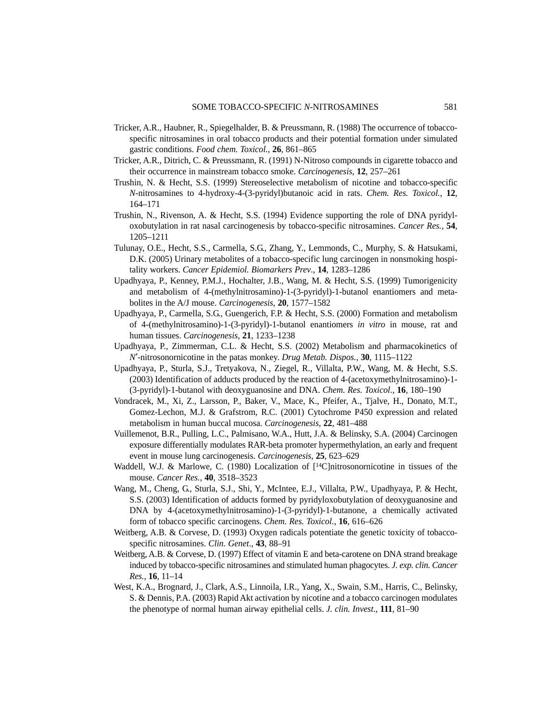- Tricker, A.R., Haubner, R., Spiegelhalder, B. & Preussmann, R. (1988) The occurrence of tobaccospecific nitrosamines in oral tobacco products and their potential formation under simulated gastric conditions. *Food chem. Toxicol.*, **26**, 861–865
- Tricker, A.R., Ditrich, C. & Preussmann, R. (1991) N-Nitroso compounds in cigarette tobacco and their occurrence in mainstream tobacco smoke. *Carcinogenesis*, **12**, 257–261
- Trushin, N. & Hecht, S.S. (1999) Stereoselective metabolism of nicotine and tobacco-specific *N*-nitrosamines to 4-hydroxy-4-(3-pyridyl)butanoic acid in rats. *Chem. Res. Toxicol.*, **12**, 164–171
- Trushin, N., Rivenson, A. & Hecht, S.S. (1994) Evidence supporting the role of DNA pyridyloxobutylation in rat nasal carcinogenesis by tobacco-specific nitrosamines. *Cancer Res.*, **54**, 1205–1211
- Tulunay, O.E., Hecht, S.S., Carmella, S.G., Zhang, Y., Lemmonds, C., Murphy, S. & Hatsukami, D.K. (2005) Urinary metabolites of a tobacco-specific lung carcinogen in nonsmoking hospitality workers. *Cancer Epidemiol. Biomarkers Prev*., **14**, 1283–1286
- Upadhyaya, P., Kenney, P.M.J., Hochalter, J.B., Wang, M. & Hecht, S.S. (1999) Tumorigenicity and metabolism of 4-(methylnitrosamino)-1-(3-pyridyl)-1-butanol enantiomers and metabolites in the A/J mouse. *Carcinogenesis*, **20**, 1577–1582
- Upadhyaya, P., Carmella, S.G., Guengerich, F.P. & Hecht, S.S. (2000) Formation and metabolism of 4-(methylnitrosamino)-1-(3-pyridyl)-1-butanol enantiomers *in vitro* in mouse, rat and human tissues. *Carcinogenesis*, **21**, 1233–1238
- Upadhyaya, P., Zimmerman, C.L. & Hecht, S.S. (2002) Metabolism and pharmacokinetics of *N*′-nitrosonornicotine in the patas monkey. *Drug Metab. Dispos.*, **30**, 1115–1122
- Upadhyaya, P., Sturla, S.J., Tretyakova, N., Ziegel, R., Villalta, P.W., Wang, M. & Hecht, S.S. (2003) Identification of adducts produced by the reaction of 4-(acetoxymethylnitrosamino)-1- (3-pyridyl)-1-butanol with deoxyguanosine and DNA. *Chem. Res. Toxicol*., **16**, 180–190
- Vondracek, M., Xi, Z., Larsson, P., Baker, V., Mace, K., Pfeifer, A., Tjalve, H., Donato, M.T., Gomez-Lechon, M.J. & Grafstrom, R.C. (2001) Cytochrome P450 expression and related metabolism in human buccal mucosa. *Carcinogenesis*, **22**, 481–488
- Vuillemenot, B.R., Pulling, L.C., Palmisano, W.A., Hutt, J.A. & Belinsky, S.A. (2004) Carcinogen exposure differentially modulates RAR-beta promoter hypermethylation, an early and frequent event in mouse lung carcinogenesis. *Carcinogenesis*, **25**, 623–629
- Waddell, W.J. & Marlowe, C. (1980) Localization of  $[^{14}C]$ nitrosonornicotine in tissues of the mouse. *Cancer Res.*, **40**, 3518–3523
- Wang, M., Cheng, G., Sturla, S.J., Shi, Y., McIntee, E.J., Villalta, P.W., Upadhyaya, P. & Hecht, S.S. (2003) Identification of adducts formed by pyridyloxobutylation of deoxyguanosine and DNA by 4-(acetoxymethylnitrosamino)-1-(3-pyridyl)-1-butanone, a chemically activated form of tobacco specific carcinogens. *Chem. Res. Toxicol*., **16**, 616–626
- Weitberg, A.B. & Corvese, D. (1993) Oxygen radicals potentiate the genetic toxicity of tobaccospecific nitrosamines. *Clin. Genet*., **43**, 88–91
- Weitberg, A.B. & Corvese, D. (1997) Effect of vitamin E and beta-carotene on DNA strand breakage induced by tobacco-specific nitrosamines and stimulated human phagocytes. *J. exp. clin. Cancer Res.*, **16**, 11–14
- West, K.A., Brognard, J., Clark, A.S., Linnoila, I.R., Yang, X., Swain, S.M., Harris, C., Belinsky, S. & Dennis, P.A. (2003) Rapid Akt activation by nicotine and a tobacco carcinogen modulates the phenotype of normal human airway epithelial cells. *J. clin. Invest*., **111**, 81–90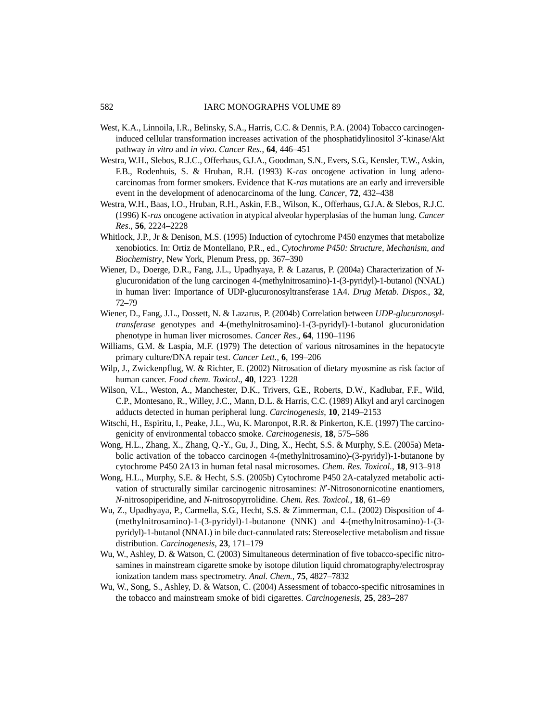- West, K.A., Linnoila, I.R., Belinsky, S.A., Harris, C.C. & Dennis, P.A. (2004) Tobacco carcinogeninduced cellular transformation increases activation of the phosphatidylinositol 3′-kinase/Akt pathway *in vitro* and *in vivo*. *Cancer Res*., **64**, 446–451
- Westra, W.H., Slebos, R.J.C., Offerhaus, G.J.A., Goodman, S.N., Evers, S.G., Kensler, T.W., Askin, F.B., Rodenhuis, S. & Hruban, R.H. (1993) K-*ras* oncogene activation in lung adenocarcinomas from former smokers. Evidence that K-*ras* mutations are an early and irreversible event in the development of adenocarcinoma of the lung. *Cancer*, **72**, 432–438
- Westra, W.H., Baas, I.O., Hruban, R.H., Askin, F.B., Wilson, K., Offerhaus, G.J.A. & Slebos, R.J.C. (1996) K-*ras* oncogene activation in atypical alveolar hyperplasias of the human lung. *Cancer Res*., **56**, 2224–2228
- Whitlock, J.P., Jr & Denison, M.S. (1995) Induction of cytochrome P450 enzymes that metabolize xenobiotics. In: Ortiz de Montellano, P.R., ed., *Cytochrome P450: Structure, Mechanism, and Biochemistry*, New York, Plenum Press, pp. 367–390
- Wiener, D., Doerge, D.R., Fang, J.L., Upadhyaya, P. & Lazarus, P. (2004a) Characterization of *N*glucuronidation of the lung carcinogen 4-(methylnitrosamino)-1-(3-pyridyl)-1-butanol (NNAL) in human liver: Importance of UDP-glucuronosyltransferase 1A4. *Drug Metab. Dispos.*, **32**, 72–79
- Wiener, D., Fang, J.L., Dossett, N. & Lazarus, P. (2004b) Correlation between *UDP-glucuronosyltransferase* genotypes and 4-(methylnitrosamino)-1-(3-pyridyl)-1-butanol glucuronidation phenotype in human liver microsomes. *Cancer Res*., **64**, 1190–1196
- Williams, G.M. & Laspia, M.F. (1979) The detection of various nitrosamines in the hepatocyte primary culture/DNA repair test. *Cancer Lett.*, **6**, 199–206
- Wilp, J., Zwickenpflug, W. & Richter, E. (2002) Nitrosation of dietary myosmine as risk factor of human cancer. *Food chem. Toxicol*., **40**, 1223–1228
- Wilson, V.L., Weston, A., Manchester, D.K., Trivers, G.E., Roberts, D.W., Kadlubar, F.F., Wild, C.P., Montesano, R., Willey, J.C., Mann, D.L. & Harris, C.C. (1989) Alkyl and aryl carcinogen adducts detected in human peripheral lung. *Carcinogenesis*, **10**, 2149–2153
- Witschi, H., Espiritu, I., Peake, J.L., Wu, K. Maronpot, R.R. & Pinkerton, K.E. (1997) The carcinogenicity of environmental tobacco smoke. *Carcinogenesis*, **18**, 575–586
- Wong, H.L., Zhang, X., Zhang, Q.-Y., Gu, J., Ding, X., Hecht, S.S. & Murphy, S.E. (2005a) Metabolic activation of the tobacco carcinogen 4-(methylnitrosamino)-(3-pyridyl)-1-butanone by cytochrome P450 2A13 in human fetal nasal microsomes. *Chem. Res. Toxicol.*, **18**, 913–918
- Wong, H.L., Murphy, S.E. & Hecht, S.S. (2005b) Cytochrome P450 2A-catalyzed metabolic activation of structurally similar carcinogenic nitrosamines: *N*′-Nitrosonornicotine enantiomers, *N*-nitrosopiperidine, and *N*-nitrosopyrrolidine. *Chem. Res. Toxicol.*, **18**, 61–69
- Wu, Z., Upadhyaya, P., Carmella, S.G., Hecht, S.S. & Zimmerman, C.L. (2002) Disposition of 4- (methylnitrosamino)-1-(3-pyridyl)-1-butanone (NNK) and 4-(methylnitrosamino)-1-(3 pyridyl)-1-butanol (NNAL) in bile duct-cannulated rats: Stereoselective metabolism and tissue distribution. *Carcinogenesis*, **23**, 171–179
- Wu, W., Ashley, D. & Watson, C. (2003) Simultaneous determination of five tobacco-specific nitrosamines in mainstream cigarette smoke by isotope dilution liquid chromatography/electrospray ionization tandem mass spectrometry. *Anal. Chem.*, **75**, 4827–7832
- Wu, W., Song, S., Ashley, D. & Watson, C. (2004) Assessment of tobacco-specific nitrosamines in the tobacco and mainstream smoke of bidi cigarettes. *Carcinogenesis*, **25**, 283–287